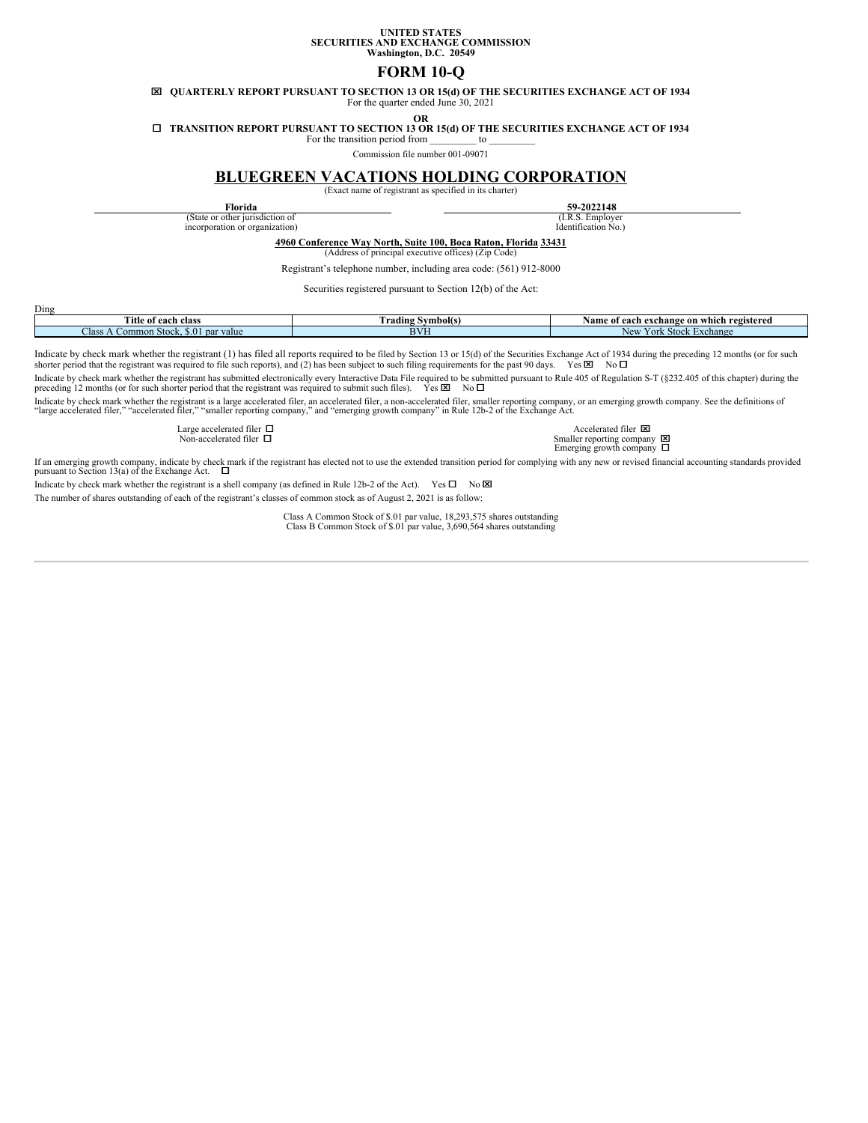# **UNITED STATES SECURITIES AND EXCHANGE COMMISSION Washington, D.C. 20549**

# **FORM 10-Q**

x **QUARTERLY REPORT PURSUANT TO SECTION 13 OR 15(d) OF THE SECURITIES EXCHANGE ACT OF 1934** For the quarter ended June 30, 2021

**OR** ¨ **TRANSITION REPORT PURSUANT TO SECTION 13 OR 15(d) OF THE SECURITIES EXCHANGE ACT OF 1934**

For the transition period from  $\frac{1}{\sqrt{2}}$  to Commission file number 001-09071

# **BLUEGREEN VACATIONS HOLDING CORPORATION**

(Exact name of registrant as specified in its charter)

| 'lorida                         | 59-20221<br>$\overline{10}$<br>2148 |
|---------------------------------|-------------------------------------|
| (State or other jurisdiction of | ΓD<br>Employer<br>1.K.O.            |
| incorporation or organization)  | Identification No                   |

**4960 Conference Way North, Suite 100, Boca Raton, Florida 33431** (Address of principal executive offices) (Zip Code)

Registrant's telephone number, including area code: (561) 912-8000

Securities registered pursuant to Section 12(b) of the Act:

| ritle<br>class<br>ot each                                  | $\sim$<br>Symbol(s)<br>. rading " | registered<br>ı which<br>exchange<br>: 0 n<br>. vame<br>. or eac<br>еасп |
|------------------------------------------------------------|-----------------------------------|--------------------------------------------------------------------------|
| \$.01<br>Stock.<br><sup>.</sup> value<br>par<br>ommon<br>. | $\mathbf{D}$                      | : Exchange<br>New<br>′ ork<br><b>Stock</b><br>$\sim$                     |

Indicate by check mark whether the registrant (1) has filed all reports required to be filed by Section 13 or 15(d) of the Securities Exchange Act of 1934 during the preceding 12 months (or for such shorter period that th

Indicate by check mark whether the registrant has submitted electronically every Interactive Data File required to be submitted pursuant to Rule 405 of Regulation S-T (§232.405 of this chapter) during the preceding 12 months (or for such shorter period that the registrant was required to submit such files). Yes  $\boxtimes$  No  $\Box$ 

Indicate by check mark whether the registrant is a large accelerated filer, an accelerated filer, a non-accelerated filer, smaller reporting company, or an emerging growth company. See the definitions of "large accelerated

Ding

Large accelerated filer  $\Box$ <br>
Non-accelerated filer  $\Box$ <br>
Non-accelerated filer  $\Box$ <br>
Smaller reporting company Non-accelerated filer ¨ Smaller reporting company x Emerging growth company ¨

If an emerging growth company, indicate by check mark if the registrant has elected not to use the extended transition period for complying with any new or revised financial accounting standards provided pursuant to Secti

Indicate by check mark whether the registrant is a shell company (as defined in Rule 12b-2 of the Act). Yes  $\Box$  No  $\boxtimes$ The number of shares outstanding of each of the registrant's classes of common stock as of August 2, 2021 is as follow:

> Class A Common Stock of \$.01 par value, 18,293,575 shares outstanding Class B Common Stock of \$.01 par value, 3,690,564 shares outstanding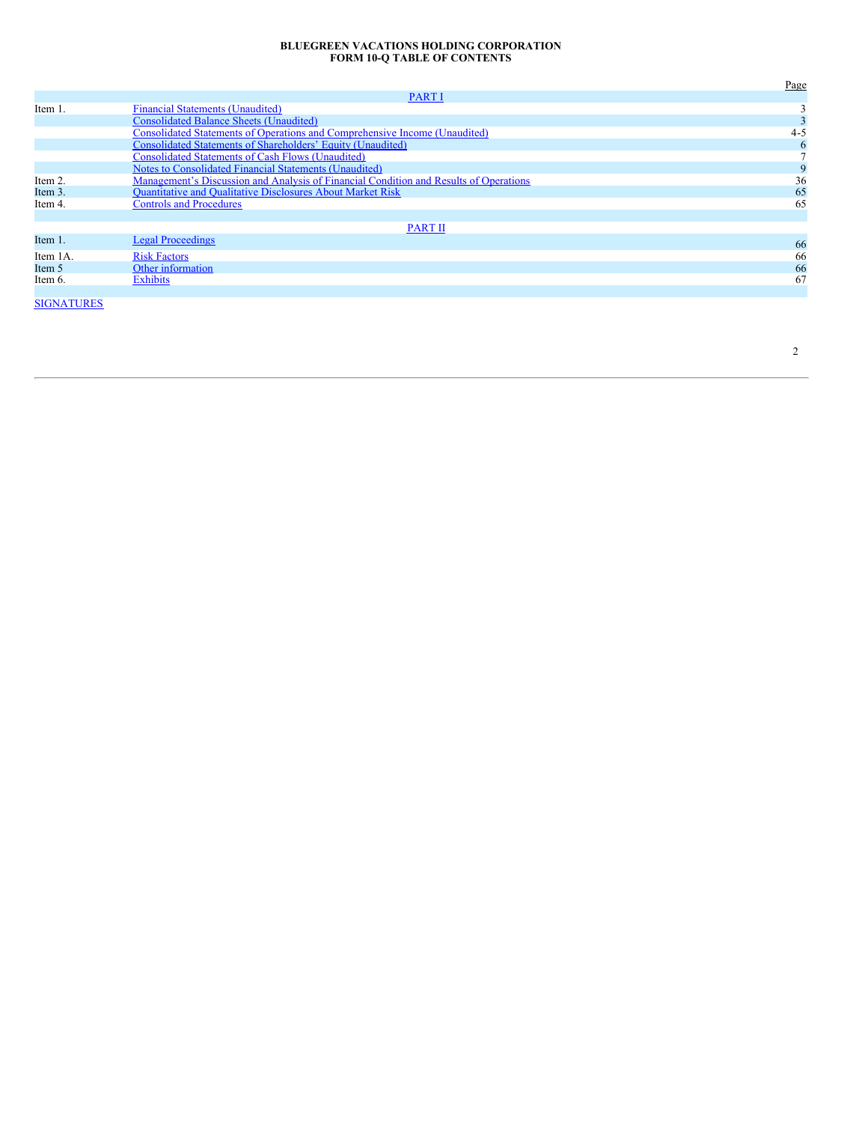## **BLUEGREEN VACATIONS HOLDING CORPORATION FORM 10-Q TABLE OF CONTENTS**

|                   |                                                                                       | Page    |
|-------------------|---------------------------------------------------------------------------------------|---------|
|                   | <b>PARTI</b>                                                                          |         |
| Item 1.           | <b>Financial Statements (Unaudited)</b>                                               |         |
|                   | <b>Consolidated Balance Sheets (Unaudited)</b>                                        |         |
|                   | <b>Consolidated Statements of Operations and Comprehensive Income (Unaudited)</b>     | $4 - 5$ |
|                   | Consolidated Statements of Shareholders' Equity (Unaudited)                           |         |
|                   | <b>Consolidated Statements of Cash Flows (Unaudited)</b>                              |         |
|                   | Notes to Consolidated Financial Statements (Unaudited)                                |         |
| Item 2.           | Management's Discussion and Analysis of Financial Condition and Results of Operations | 36      |
| Item 3.           | <b>Quantitative and Qualitative Disclosures About Market Risk</b>                     | 65      |
| Item 4.           | <b>Controls and Procedures</b>                                                        | 65      |
|                   |                                                                                       |         |
|                   | <b>PART II</b>                                                                        |         |
| Item 1.           | <b>Legal Proceedings</b>                                                              | 66      |
| Item 1A.          | <b>Risk Factors</b>                                                                   | 66      |
| Item 5            | Other information                                                                     | 66      |
| Item 6.           | <b>Exhibits</b>                                                                       | 67      |
|                   |                                                                                       |         |
| <b>SIGNATURES</b> |                                                                                       |         |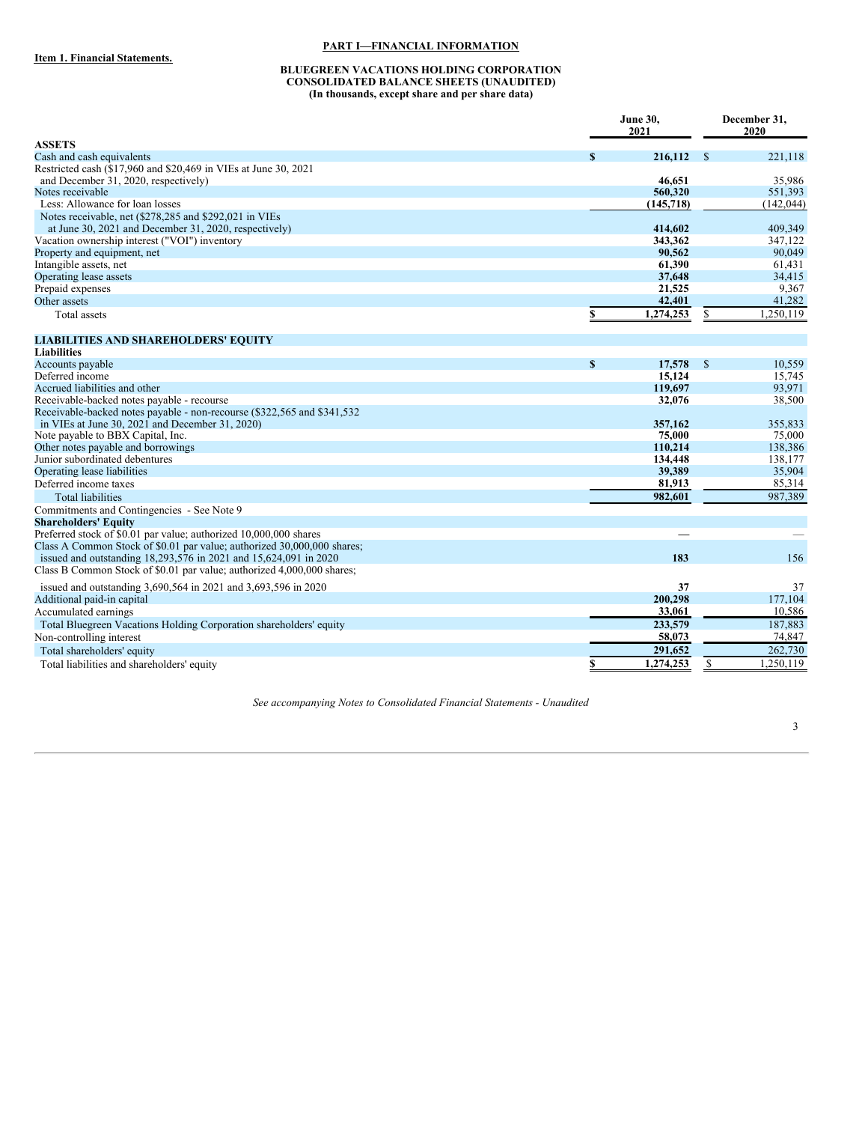# <span id="page-2-2"></span><span id="page-2-0"></span>**PART I—FINANCIAL INFORMATION**

## <span id="page-2-1"></span>**BLUEGREEN VACATIONS HOLDING CORPORATION CONSOLIDATED BALANCE SHEETS (UNAUDITED) (In thousands, except share and per share data)**

|                                                                          |              | <b>June 30,</b><br>2021 |               | December 31,<br>2020 |
|--------------------------------------------------------------------------|--------------|-------------------------|---------------|----------------------|
| <b>ASSETS</b>                                                            |              |                         |               |                      |
| Cash and cash equivalents                                                | S            | 216,112                 | -S            | 221,118              |
| Restricted cash (\$17,960 and \$20,469 in VIEs at June 30, 2021          |              |                         |               |                      |
| and December 31, 2020, respectively)                                     |              | 46.651                  |               | 35.986               |
| Notes receivable                                                         |              | 560,320                 |               | 551,393              |
| Less: Allowance for loan losses                                          |              | (145, 718)              |               | (142, 044)           |
| Notes receivable, net (\$278,285 and \$292,021 in VIEs                   |              |                         |               |                      |
| at June 30, 2021 and December 31, 2020, respectively)                    |              | 414,602                 |               | 409,349              |
| Vacation ownership interest ("VOI") inventory                            |              | 343,362                 |               | 347,122              |
| Property and equipment, net                                              |              | 90,562                  |               | 90,049               |
| Intangible assets, net                                                   |              | 61,390                  |               | 61,431               |
| Operating lease assets                                                   |              | 37,648                  |               | 34,415               |
| Prepaid expenses                                                         |              | 21,525                  |               | 9,367                |
| Other assets                                                             |              | 42,401                  |               | 41,282               |
| <b>Total assets</b>                                                      | \$           | 1,274,253               |               | 1,250,119            |
| <b>LIABILITIES AND SHAREHOLDERS' EQUITY</b>                              |              |                         |               |                      |
| <b>Liabilities</b>                                                       |              |                         |               |                      |
| Accounts payable                                                         | $\mathbf{s}$ | 17,578                  | $\mathcal{S}$ | 10,559               |
| Deferred income                                                          |              | 15,124                  |               | 15,745               |
| Accrued liabilities and other                                            |              | 119,697                 |               | 93,971               |
| Receivable-backed notes payable - recourse                               |              | 32,076                  |               | 38,500               |
| Receivable-backed notes payable - non-recourse (\$322,565 and \$341,532) |              |                         |               |                      |
| in VIEs at June 30, 2021 and December 31, 2020)                          |              | 357,162                 |               | 355,833              |
| Note payable to BBX Capital, Inc.                                        |              | 75,000                  |               | 75,000               |
| Other notes payable and borrowings                                       |              | 110,214                 |               | 138,386              |
| Junior subordinated debentures                                           |              | 134,448                 |               | 138,177              |
| Operating lease liabilities                                              |              | 39,389                  |               | 35,904               |
| Deferred income taxes                                                    |              | 81,913                  |               | 85,314               |
| <b>Total liabilities</b>                                                 |              | 982.601                 |               | 987.389              |
| Commitments and Contingencies - See Note 9                               |              |                         |               |                      |
| <b>Shareholders' Equity</b>                                              |              |                         |               |                      |
| Preferred stock of \$0.01 par value; authorized 10,000,000 shares        |              |                         |               |                      |
| Class A Common Stock of \$0.01 par value; authorized 30,000,000 shares;  |              |                         |               |                      |
| issued and outstanding 18,293,576 in 2021 and 15,624,091 in 2020         |              | 183                     |               | 156                  |
| Class B Common Stock of \$0.01 par value; authorized 4,000,000 shares;   |              |                         |               |                      |
| issued and outstanding 3,690,564 in 2021 and 3,693,596 in 2020           |              | 37                      |               | 37                   |
| Additional paid-in capital                                               |              | 200,298                 |               | 177,104              |
| Accumulated earnings                                                     |              | 33,061                  |               | 10,586               |
| Total Bluegreen Vacations Holding Corporation shareholders' equity       |              | 233,579                 |               | 187,883              |
| Non-controlling interest                                                 |              | 58,073                  |               | 74,847               |
| Total shareholders' equity                                               |              | 291,652                 |               | 262,730              |
| Total liabilities and shareholders' equity                               | \$           | 1,274,253               | \$            | 1,250,119            |

*See accompanying Notes to Consolidated Financial Statements - Unaudited*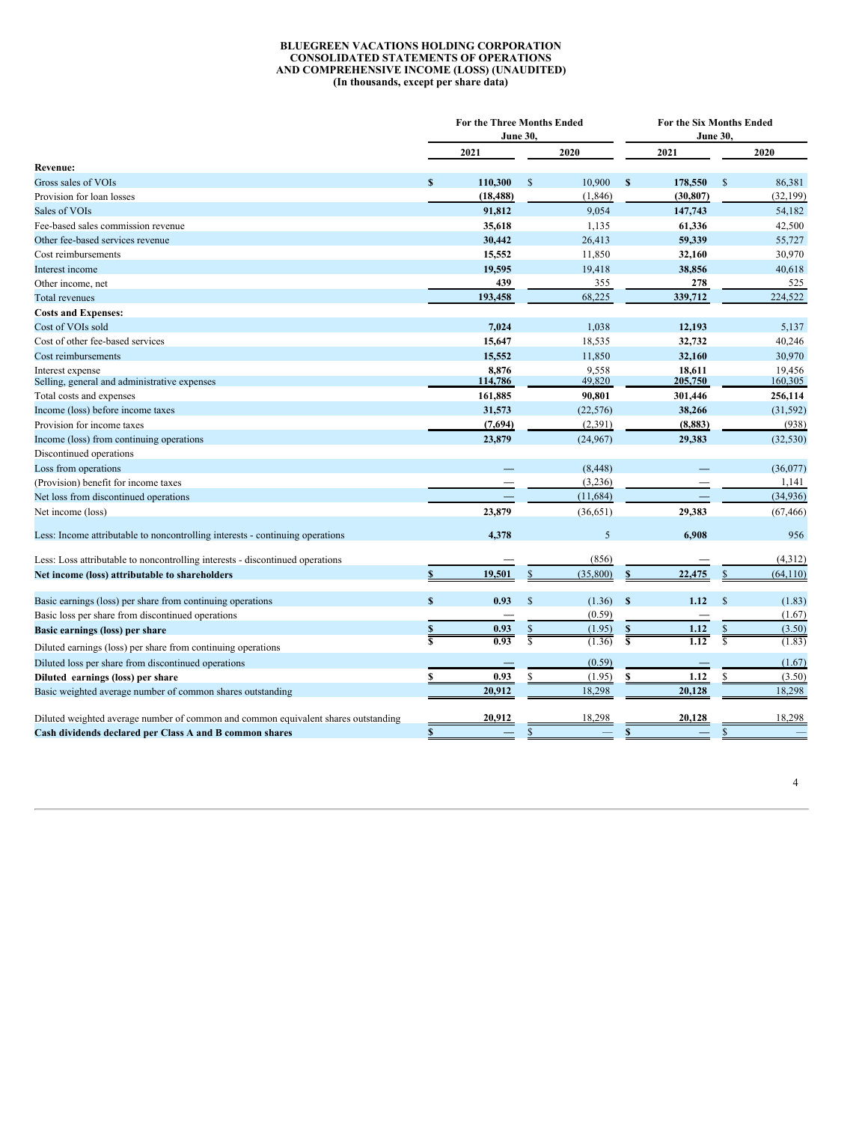## <span id="page-3-0"></span>**BLUEGREEN VACATIONS HOLDING CORPORATION CONSOLIDATED STATEMENTS OF OPERATIONS AND COMPREHENSIVE INCOME (LOSS) (UNAUDITED) (In thousands, except per share data)**

|                                                                                    |                         | For the Three Months Ended<br><b>June 30.</b> |               |                 | For the Six Months Ended<br><b>June 30,</b> |                   |               |                   |  |
|------------------------------------------------------------------------------------|-------------------------|-----------------------------------------------|---------------|-----------------|---------------------------------------------|-------------------|---------------|-------------------|--|
|                                                                                    |                         | 2021                                          |               | 2020            |                                             | 2021              |               | 2020              |  |
| Revenue:<br>Gross sales of VOIs                                                    |                         | 110,300                                       | $\mathcal{S}$ | 10,900          | \$                                          | 178,550           | \$            | 86,381            |  |
| Provision for loan losses                                                          |                         | (18, 488)                                     |               | (1, 846)        |                                             | (30, 807)         |               | (32, 199)         |  |
| Sales of VOIs                                                                      |                         | 91,812                                        |               | 9,054           |                                             | 147,743           |               | 54,182            |  |
| Fee-based sales commission revenue                                                 |                         | 35,618                                        |               | 1,135           |                                             | 61,336            |               |                   |  |
| Other fee-based services revenue                                                   |                         | 30,442                                        |               | 26,413          |                                             | 59,339            |               | 42,500<br>55,727  |  |
| Cost reimbursements                                                                |                         | 15,552                                        |               | 11,850          |                                             | 32,160            |               | 30,970            |  |
| Interest income                                                                    |                         | 19,595                                        |               |                 |                                             | 38,856            |               |                   |  |
|                                                                                    |                         | 439                                           |               | 19,418<br>355   |                                             | 278               |               | 40,618<br>525     |  |
| Other income, net<br><b>Total revenues</b>                                         |                         | 193,458                                       |               | 68,225          |                                             | 339,712           |               | 224,522           |  |
|                                                                                    |                         |                                               |               |                 |                                             |                   |               |                   |  |
| <b>Costs and Expenses:</b>                                                         |                         |                                               |               |                 |                                             |                   |               |                   |  |
| Cost of VOIs sold                                                                  |                         | 7,024                                         |               | 1,038           |                                             | 12,193            |               | 5,137             |  |
| Cost of other fee-based services                                                   |                         | 15,647                                        |               | 18,535          |                                             | 32,732            |               | 40,246            |  |
| Cost reimbursements                                                                |                         | 15,552                                        |               | 11,850          |                                             | 32,160            |               | 30,970            |  |
| Interest expense<br>Selling, general and administrative expenses                   |                         | 8,876<br>114,786                              |               | 9,558<br>49,820 |                                             | 18.611<br>205,750 |               | 19,456<br>160,305 |  |
| Total costs and expenses                                                           |                         | 161,885                                       |               | 90,801          |                                             | 301,446           |               | 256,114           |  |
| Income (loss) before income taxes                                                  |                         | 31,573                                        |               | (22, 576)       |                                             | 38,266            |               | (31, 592)         |  |
| Provision for income taxes                                                         |                         | (7,694)                                       |               | (2,391)         |                                             | (8, 883)          |               | (938)             |  |
| Income (loss) from continuing operations                                           |                         | 23,879                                        |               | (24, 967)       |                                             | 29,383            |               | (32, 530)         |  |
| Discontinued operations                                                            |                         |                                               |               |                 |                                             |                   |               |                   |  |
| Loss from operations                                                               |                         |                                               |               | (8, 448)        |                                             |                   |               | (36,077)          |  |
| (Provision) benefit for income taxes                                               |                         |                                               |               | (3,236)         |                                             |                   |               | 1,141             |  |
| Net loss from discontinued operations                                              |                         |                                               |               | (11, 684)       |                                             |                   |               | (34,936)          |  |
| Net income (loss)                                                                  |                         | 23,879                                        |               | (36, 651)       |                                             | 29,383            |               | (67, 466)         |  |
|                                                                                    |                         |                                               |               |                 |                                             |                   |               |                   |  |
| Less: Income attributable to noncontrolling interests - continuing operations      |                         | 4,378                                         |               | 5               |                                             | 6,908             |               | 956               |  |
| Less: Loss attributable to noncontrolling interests - discontinued operations      |                         |                                               |               | (856)           |                                             |                   |               | (4, 312)          |  |
| Net income (loss) attributable to shareholders                                     | S                       | 19,501                                        | $\mathcal{S}$ | (35,800)        | \$                                          | 22,475            |               | (64, 110)         |  |
| Basic earnings (loss) per share from continuing operations                         | $\mathbf{s}$            | 0.93                                          | <sup>\$</sup> | (1.36)          | $\mathbf{s}$                                | 1.12              | <sup>\$</sup> | (1.83)            |  |
| Basic loss per share from discontinued operations                                  |                         |                                               |               | (0.59)          |                                             |                   |               | (1.67)            |  |
| Basic earnings (loss) per share                                                    |                         | 0.93                                          | $rac{S}{S}$   | (1.95)          | \$                                          | 1.12              | $\frac{1}{2}$ | (3.50)            |  |
| Diluted earnings (loss) per share from continuing operations                       |                         | 0.93                                          |               | (1.36)          | $\overline{\mathbf{s}}$                     | 1.12              | \$            | (1.83)            |  |
| Diluted loss per share from discontinued operations                                |                         |                                               |               | (0.59)          |                                             |                   |               | (1.67)            |  |
| Diluted earnings (loss) per share                                                  |                         | 0.93                                          | \$            | (1.95)          | \$                                          | 1.12              | \$            | (3.50)            |  |
| Basic weighted average number of common shares outstanding                         |                         | 20,912                                        |               | 18,298          |                                             | 20,128            |               | 18,298            |  |
| Diluted weighted average number of common and common equivalent shares outstanding |                         | 20,912                                        |               | 18,298          |                                             | 20,128            |               | 18,298            |  |
| Cash dividends declared per Class A and B common shares                            | $\overline{\mathbf{S}}$ |                                               | \$            |                 | \$                                          |                   | \$            |                   |  |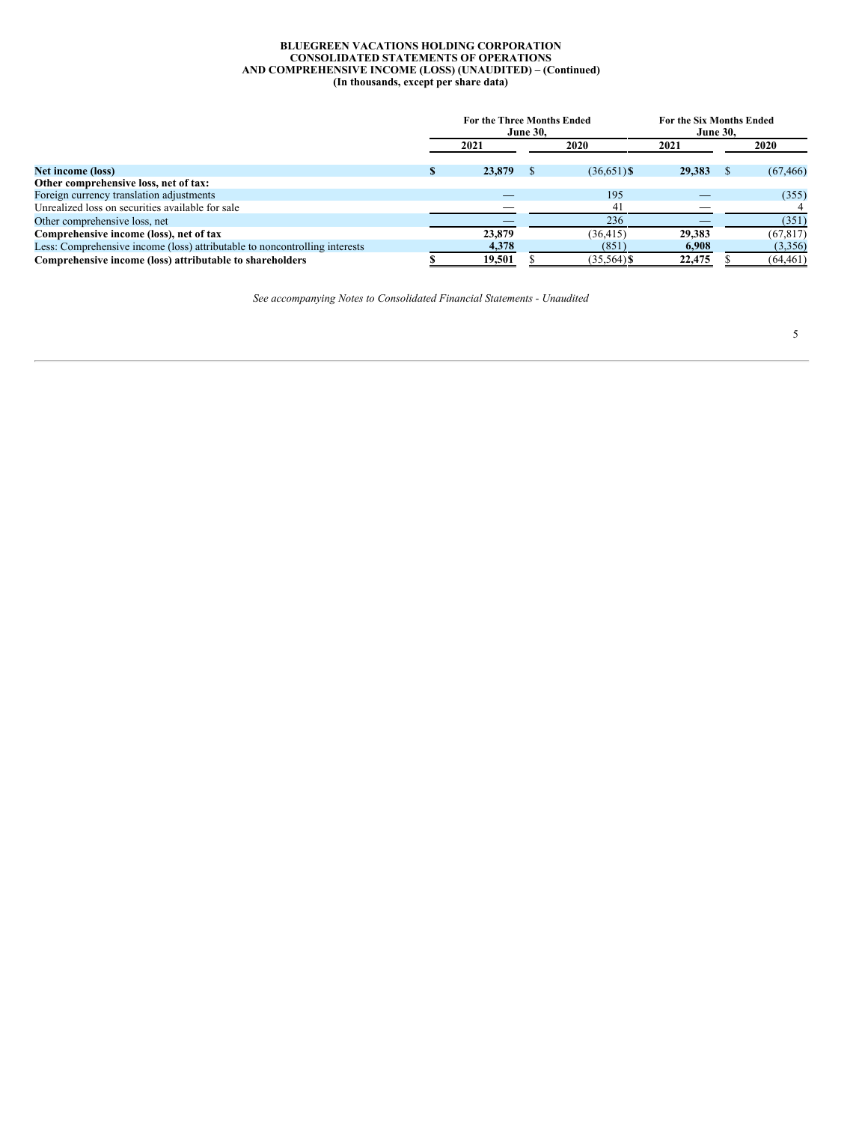## **BLUEGREEN VACATIONS HOLDING CORPORATION CONSOLIDATED STATEMENTS OF OPERATIONS AND COMPREHENSIVE INCOME (LOSS) (UNAUDITED) – (Continued) (In thousands, except per share data)**

|                                                                            | <b>For the Three Months Ended</b><br><b>June 30.</b> |  |               | <b>For the Six Months Ended</b><br><b>June 30.</b> |  |           |
|----------------------------------------------------------------------------|------------------------------------------------------|--|---------------|----------------------------------------------------|--|-----------|
|                                                                            | 2021                                                 |  | 2020          | 2021                                               |  | 2020      |
| <b>Net income (loss)</b>                                                   | 23,879                                               |  | $(36,651)$ \$ | 29.383                                             |  | (67, 466) |
| Other comprehensive loss, net of tax:                                      |                                                      |  |               |                                                    |  |           |
| Foreign currency translation adjustments                                   |                                                      |  | 195           |                                                    |  | (355)     |
| Unrealized loss on securities available for sale                           |                                                      |  | 41            |                                                    |  |           |
| Other comprehensive loss, net                                              |                                                      |  | 236           |                                                    |  | (351)     |
| Comprehensive income (loss), net of tax                                    | 23,879                                               |  | (36, 415)     | 29.383                                             |  | (67, 817) |
| Less: Comprehensive income (loss) attributable to noncontrolling interests | 4,378                                                |  | (851)         | 6,908                                              |  | (3,356)   |
| Comprehensive income (loss) attributable to shareholders                   | 19.501                                               |  | $(35.564)$ \$ | 22,475                                             |  | (64, 461) |

*See accompanying Notes to Consolidated Financial Statements - Unaudited*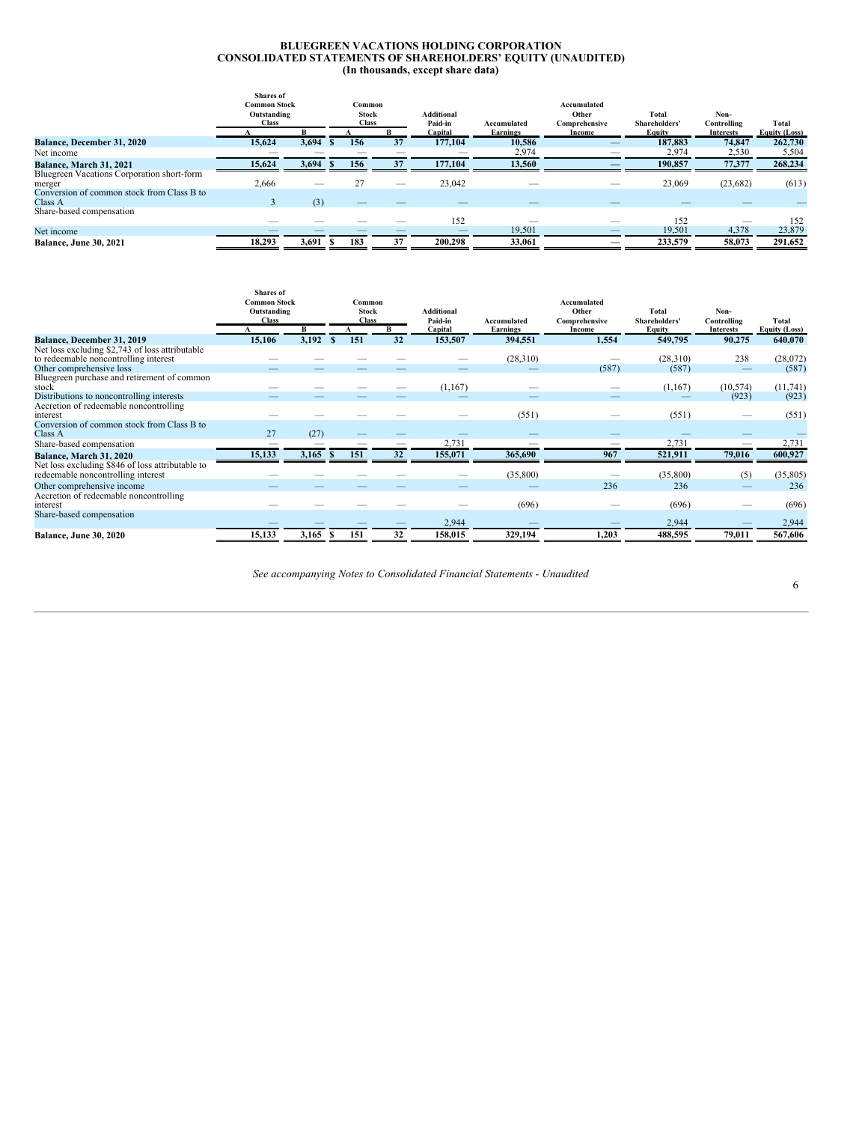#### <span id="page-5-0"></span>**BLUEGREEN VACATIONS HOLDING CORPORATION CONSOLIDATED STATEMENTS OF SHAREHOLDERS' EQUITY (UNAUDITED) (In thousands, except share data)**

|                                            | <b>Shares</b> of    |       |     |              |                   |             |               |               |                  |                      |
|--------------------------------------------|---------------------|-------|-----|--------------|-------------------|-------------|---------------|---------------|------------------|----------------------|
|                                            | <b>Common Stock</b> |       |     | Common       |                   |             | Accumulated   |               |                  |                      |
|                                            | Outstanding         |       |     | <b>Stock</b> | <b>Additional</b> |             | Other         | Total         | Non-             |                      |
|                                            | <b>Class</b>        |       |     | Class        | Paid-in           | Accumulated | Comprehensive | Shareholders' | Controlling      | Total                |
|                                            |                     |       |     |              | Capital           | Earnings    | Income        | Equity        | <b>Interests</b> | <b>Equity (Loss)</b> |
| Balance, December 31, 2020                 | 15.624              | 3,694 | 156 | 37           | 177,104           | 10,586      |               | 187,883       | 74,847           | 262,730              |
| Net income                                 |                     |       | --  |              |                   | 2,974       |               | 2,974         | 2,530            | 5,504                |
| Balance, March 31, 2021                    | 15,624              | 3.694 | 156 |              | 177,104           | 13,560      |               | 190,857       | 77,377           | 268,234              |
| Bluegreen Vacations Corporation short-form |                     |       |     |              |                   |             |               |               |                  |                      |
| merger                                     | 2,666               | --    |     |              | 23,042            |             |               | 23,069        | (23, 682)        | (613)                |
| Conversion of common stock from Class B to |                     |       |     |              |                   |             |               |               |                  |                      |
| Class A                                    |                     | (3)   |     |              |                   | __          |               |               |                  |                      |
| Share-based compensation                   |                     |       |     |              |                   |             |               |               |                  |                      |
|                                            |                     |       |     |              | 152               |             |               | 152           |                  | 152                  |
| Net income                                 |                     |       |     |              | _                 | 19,501      | __            | 19,501        | 4,378            | 23,879               |
| Balance, June 30, 2021                     | 18,293              | 3,691 | 183 | 37           | 200,298           | 33,061      |               | 233,579       | 58,073           | 291,652              |

|                                                                                                                      | <b>Shares</b> of<br><b>Common Stock</b><br>Outstanding<br><b>Class</b> | B           | Common<br><b>Stock</b><br><b>Class</b> | B  | <b>Additional</b><br>Paid-in<br>Capital | Accumulated<br>Earnings | Accumulated<br>Other<br>Comprehensive<br>Income | Total<br>Shareholders'<br>Equity | Non-<br>Controlling<br><b>Interests</b> | Total<br><b>Equity (Loss)</b> |
|----------------------------------------------------------------------------------------------------------------------|------------------------------------------------------------------------|-------------|----------------------------------------|----|-----------------------------------------|-------------------------|-------------------------------------------------|----------------------------------|-----------------------------------------|-------------------------------|
| Balance, December 31, 2019                                                                                           | 15,106                                                                 | 3,192<br>-S | 151                                    | 32 | 153,507                                 | 394,551                 | 1,554                                           | 549,795                          | 90,275                                  | 640,070                       |
| Net loss excluding \$2,743 of loss attributable<br>to redeemable noncontrolling interest<br>Other comprehensive loss |                                                                        |             |                                        |    |                                         | (28,310)                | (587)                                           | (28,310)<br>(587)                | 238                                     | (28,072)<br>(587)             |
| Bluegreen purchase and retirement of common<br>stock                                                                 |                                                                        |             |                                        |    | (1,167)                                 |                         |                                                 | (1,167)                          | (10, 574)                               | (11,741)                      |
| Distributions to noncontrolling interests                                                                            |                                                                        |             |                                        |    |                                         |                         |                                                 |                                  | (923)                                   | (923)                         |
| Accretion of redeemable noncontrolling<br>interest                                                                   |                                                                        |             |                                        |    |                                         | (551)                   |                                                 | (551)                            |                                         | (551)                         |
| Conversion of common stock from Class B to<br>Class A                                                                | 27                                                                     | (27)        |                                        |    |                                         |                         |                                                 |                                  |                                         |                               |
| Share-based compensation                                                                                             | –                                                                      |             |                                        |    | 2,731                                   | --                      | $\overline{\phantom{a}}$                        | 2,731                            |                                         | 2,731                         |
| Balance, March 31, 2020                                                                                              | 15,133                                                                 | 3,165<br>-3 | 151                                    | 32 | 155,071                                 | 365,690                 | 967                                             | 521,911                          | 79,016                                  | 600,927                       |
| Net loss excluding \$846 of loss attributable to<br>redeemable noncontrolling interest                               |                                                                        |             |                                        |    |                                         | (35,800)                |                                                 | (35,800)                         | (5)                                     | (35, 805)                     |
| Other comprehensive income                                                                                           |                                                                        |             |                                        |    |                                         |                         | 236                                             | 236                              |                                         | 236                           |
| Accretion of redeemable noncontrolling<br>interest                                                                   |                                                                        |             |                                        |    |                                         | (696)                   |                                                 | (696)                            |                                         | (696)                         |
| Share-based compensation                                                                                             |                                                                        |             |                                        |    | 2,944                                   |                         |                                                 | 2,944                            |                                         | 2,944                         |
| Balance, June 30, 2020                                                                                               | 15,133                                                                 | 3,165       | 151                                    | 32 | 158,015                                 | 329,194                 | 1,203                                           | 488,595                          | 79,011                                  | 567,606                       |

*See accompanying Notes to Consolidated Financial Statements - Unaudited*

6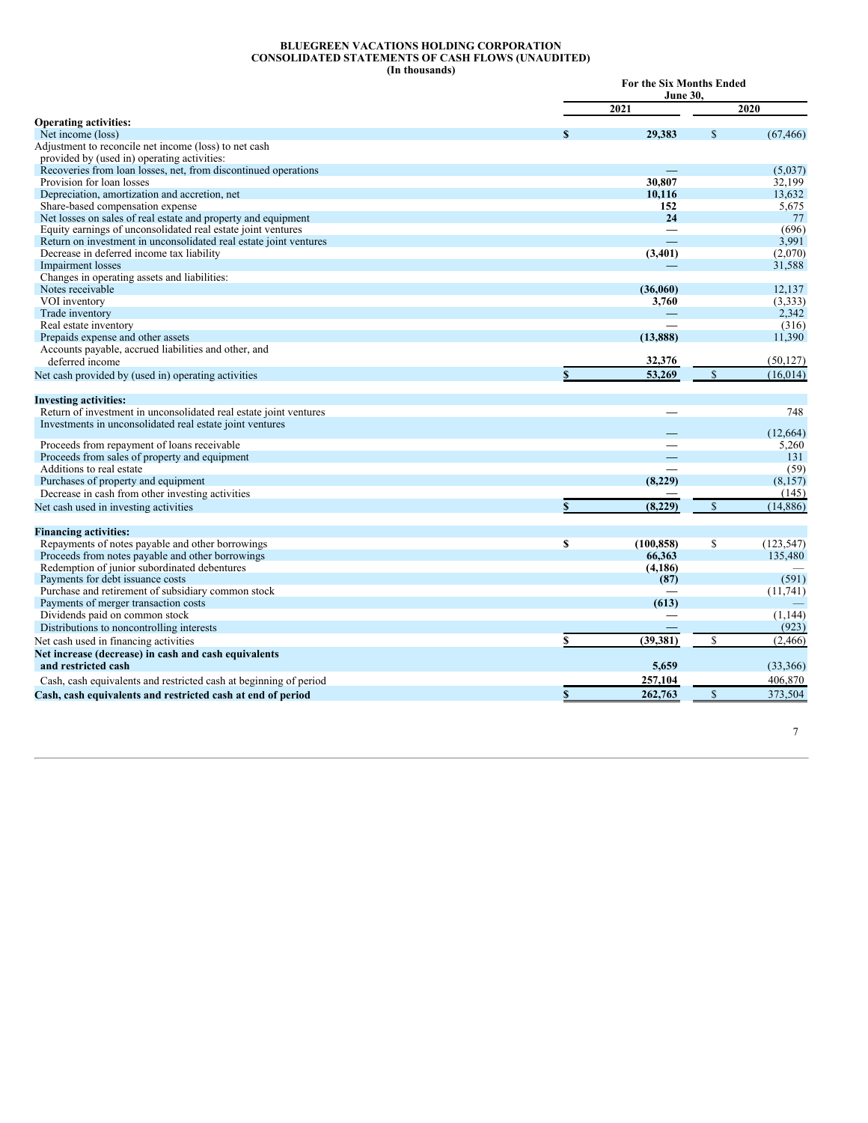#### <span id="page-6-0"></span>**BLUEGREEN VACATIONS HOLDING CORPORATION CONSOLIDATED STATEMENTS OF CASH FLOWS (UNAUDITED) (In thousands)**

|                                                                   | <b>For the Six Months Ended</b><br><b>June 30,</b> |            |               |            |  |  |
|-------------------------------------------------------------------|----------------------------------------------------|------------|---------------|------------|--|--|
|                                                                   |                                                    | 2021       |               | 2020       |  |  |
| <b>Operating activities:</b>                                      |                                                    |            |               |            |  |  |
| Net income (loss)                                                 | \$                                                 | 29,383     | $\mathbf{\$}$ | (67, 466)  |  |  |
| Adjustment to reconcile net income (loss) to net cash             |                                                    |            |               |            |  |  |
| provided by (used in) operating activities:                       |                                                    |            |               |            |  |  |
| Recoveries from loan losses, net, from discontinued operations    |                                                    |            |               | (5,037)    |  |  |
| Provision for loan losses                                         |                                                    | 30.807     |               | 32.199     |  |  |
| Depreciation, amortization and accretion, net                     |                                                    | 10,116     |               | 13,632     |  |  |
| Share-based compensation expense                                  |                                                    | 152        |               | 5,675      |  |  |
| Net losses on sales of real estate and property and equipment     |                                                    | 24         |               | 77         |  |  |
| Equity earnings of unconsolidated real estate joint ventures      |                                                    |            |               | (696)      |  |  |
| Return on investment in unconsolidated real estate joint ventures |                                                    |            |               | 3,991      |  |  |
| Decrease in deferred income tax liability                         |                                                    | (3,401)    |               | (2,070)    |  |  |
| <b>Impairment</b> losses                                          |                                                    |            |               | 31,588     |  |  |
| Changes in operating assets and liabilities:                      |                                                    |            |               |            |  |  |
| Notes receivable                                                  |                                                    | (36,060)   |               | 12,137     |  |  |
| VOI inventory                                                     |                                                    | 3,760      |               | (3,333)    |  |  |
| Trade inventory                                                   |                                                    |            |               | 2,342      |  |  |
| Real estate inventory                                             |                                                    |            |               | (316)      |  |  |
| Prepaids expense and other assets                                 |                                                    | (13, 888)  |               | 11,390     |  |  |
| Accounts payable, accrued liabilities and other, and              |                                                    |            |               |            |  |  |
| deferred income                                                   |                                                    | 32,376     |               | (50, 127)  |  |  |
| Net cash provided by (used in) operating activities               | S                                                  | 53,269     | $\mathsf{\$}$ | (16,014)   |  |  |
| <b>Investing activities:</b>                                      |                                                    |            |               |            |  |  |
| Return of investment in unconsolidated real estate joint ventures |                                                    |            |               | 748        |  |  |
| Investments in unconsolidated real estate joint ventures          |                                                    |            |               | (12,664)   |  |  |
| Proceeds from repayment of loans receivable                       |                                                    |            |               | 5,260      |  |  |
| Proceeds from sales of property and equipment                     |                                                    |            |               | 131        |  |  |
| Additions to real estate                                          |                                                    |            |               | (59)       |  |  |
| Purchases of property and equipment                               |                                                    | (8,229)    |               | (8,157)    |  |  |
| Decrease in cash from other investing activities                  |                                                    |            |               | (145)      |  |  |
| Net cash used in investing activities                             | \$                                                 | (8,229)    | $\mathbf S$   | (14,886)   |  |  |
| <b>Financing activities:</b>                                      |                                                    |            |               |            |  |  |
| Repayments of notes payable and other borrowings                  | \$                                                 | (100, 858) | \$            | (123, 547) |  |  |
| Proceeds from notes payable and other borrowings                  |                                                    | 66,363     |               | 135,480    |  |  |
| Redemption of junior subordinated debentures                      |                                                    | (4,186)    |               |            |  |  |
| Payments for debt issuance costs                                  |                                                    | (87)       |               | (591)      |  |  |
| Purchase and retirement of subsidiary common stock                |                                                    |            |               | (11,741)   |  |  |
| Payments of merger transaction costs                              |                                                    | (613)      |               |            |  |  |
| Dividends paid on common stock                                    |                                                    |            |               | (1, 144)   |  |  |
| Distributions to noncontrolling interests                         |                                                    |            |               | (923)      |  |  |
| Net cash used in financing activities                             | \$                                                 | (39, 381)  | \$            | (2,466)    |  |  |
| Net increase (decrease) in cash and cash equivalents              |                                                    |            |               |            |  |  |
| and restricted cash                                               |                                                    | 5,659      |               | (33,366)   |  |  |
|                                                                   |                                                    | 257,104    |               | 406,870    |  |  |
| Cash, cash equivalents and restricted cash at beginning of period |                                                    |            |               |            |  |  |
| Cash, cash equivalents and restricted cash at end of period       | \$                                                 | 262,763    | $\mathsf{\$}$ | 373,504    |  |  |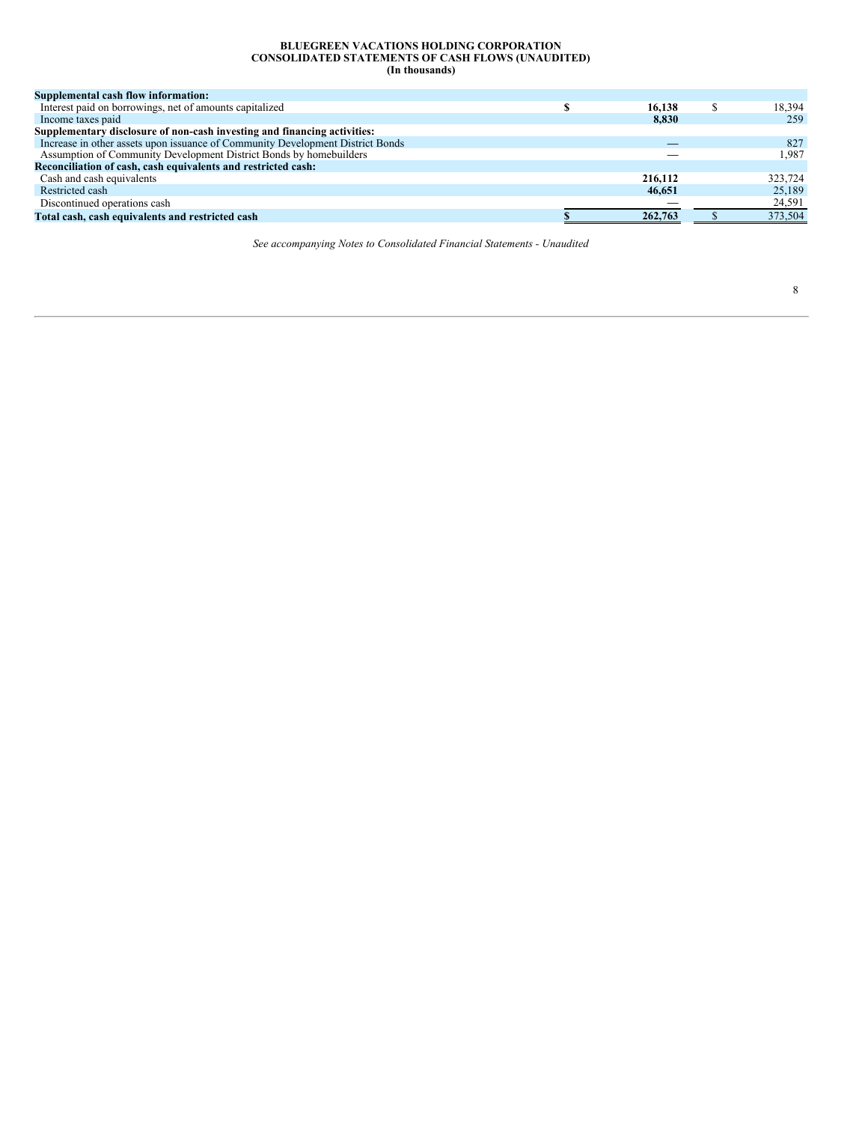#### **BLUEGREEN VACATIONS HOLDING CORPORATION CONSOLIDATED STATEMENTS OF CASH FLOWS (UNAUDITED) (In thousands)**

| Supplemental cash flow information:                                            |         |         |
|--------------------------------------------------------------------------------|---------|---------|
| Interest paid on borrowings, net of amounts capitalized                        | 16.138  | 18.394  |
| Income taxes paid                                                              | 8,830   | 259     |
| Supplementary disclosure of non-cash investing and financing activities:       |         |         |
| Increase in other assets upon issuance of Community Development District Bonds |         | 827     |
| Assumption of Community Development District Bonds by homebuilders             |         | 1,987   |
| Reconciliation of cash, cash equivalents and restricted cash:                  |         |         |
| Cash and cash equivalents                                                      | 216,112 | 323.724 |
| Restricted cash                                                                | 46.651  | 25,189  |
| Discontinued operations cash                                                   |         | 24,591  |
| Total cash, cash equivalents and restricted cash                               | 262,763 | 373,504 |

*See accompanying Notes to Consolidated Financial Statements - Unaudited*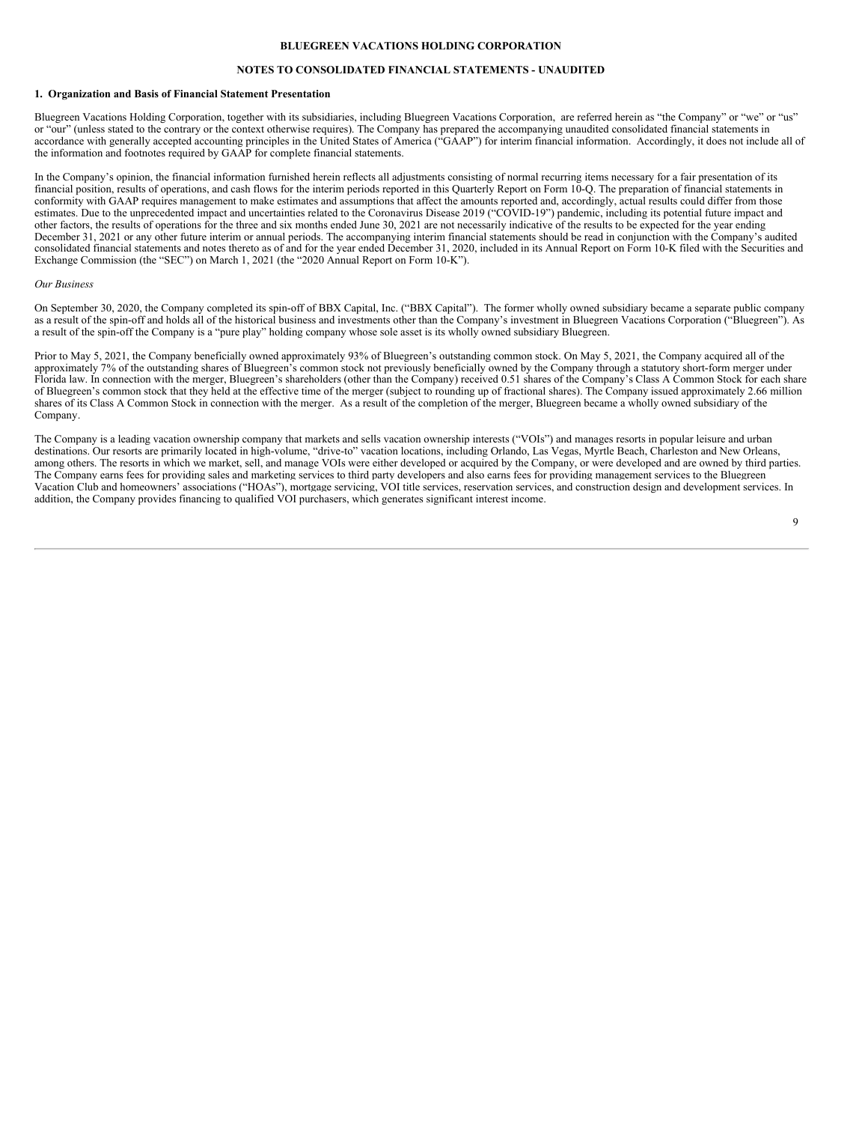# <span id="page-8-0"></span>**BLUEGREEN VACATIONS HOLDING CORPORATION**

# **NOTES TO CONSOLIDATED FINANCIAL STATEMENTS - UNAUDITED**

# **1. Organization and Basis of Financial Statement Presentation**

Bluegreen Vacations Holding Corporation, together with its subsidiaries, including Bluegreen Vacations Corporation, are referred herein as "the Company" or "we" or "us" or "our" (unless stated to the contrary or the context otherwise requires). The Company has prepared the accompanying unaudited consolidated financial statements in accordance with generally accepted accounting principles in the United States of America ("GAAP") for interim financial information. Accordingly, it does not include all of the information and footnotes required by GAAP for complete financial statements.

In the Company's opinion, the financial information furnished herein reflects all adjustments consisting of normal recurring items necessary for a fair presentation of its financial position, results of operations, and cash flows for the interim periods reported in this Quarterly Report on Form 10-Q. The preparation of financial statements in conformity with GAAP requires management to make estimates and assumptions that affect the amounts reported and, accordingly, actual results could differ from those estimates. Due to the unprecedented impact and uncertainties related to the Coronavirus Disease 2019 ("COVID-19") pandemic, including its potential future impact and other factors, the results of operations for the three and six months ended June 30, 2021 are not necessarily indicative of the results to be expected for the year ending December 31, 2021 or any other future interim or annual periods. The accompanying interim financial statements should be read in conjunction with the Company's audited consolidated financial statements and notes thereto as of and for the year ended December 31, 2020, included in its Annual Report on Form 10-K filed with the Securities and Exchange Commission (the "SEC") on March 1, 2021 (the "2020 Annual Report on Form 10-K").

#### *Our Business*

On September 30, 2020, the Company completed its spin-off of BBX Capital, Inc. ("BBX Capital"). The former wholly owned subsidiary became a separate public company as a result of the spin-off and holds all of the historical business and investments other than the Company's investment in Bluegreen Vacations Corporation ("Bluegreen"). As a result of the spin-off the Company is a "pure play" holding company whose sole asset is its wholly owned subsidiary Bluegreen.

Prior to May 5, 2021, the Company beneficially owned approximately 93% of Bluegreen's outstanding common stock. On May 5, 2021, the Company acquired all of the approximately 7% of the outstanding shares of Bluegreen's common stock not previously beneficially owned by the Company through a statutory short-form merger under Florida law. In connection with the merger, Bluegreen's shareholders (other than the Company) received 0.51 shares of the Company's Class A Common Stock for each share of Bluegreen's common stock that they held at the effective time of the merger (subject to rounding up of fractional shares). The Company issued approximately 2.66 million shares of its Class A Common Stock in connection with the merger. As a result of the completion of the merger, Bluegreen became a wholly owned subsidiary of the Company.

The Company is a leading vacation ownership company that markets and sells vacation ownership interests ("VOIs") and manages resorts in popular leisure and urban destinations. Our resorts are primarily located in high-volume, "drive-to" vacation locations, including Orlando, Las Vegas, Myrtle Beach, Charleston and New Orleans, among others. The resorts in which we market, sell, and manage VOIs were either developed or acquired by the Company, or were developed and are owned by third parties. The Company earns fees for providing sales and marketing services to third party developers and also earns fees for providing management services to the Bluegreen Vacation Club and homeowners' associations ("HOAs"), mortgage servicing, VOI title services, reservation services, and construction design and development services. In addition, the Company provides financing to qualified VOI purchasers, which generates significant interest income.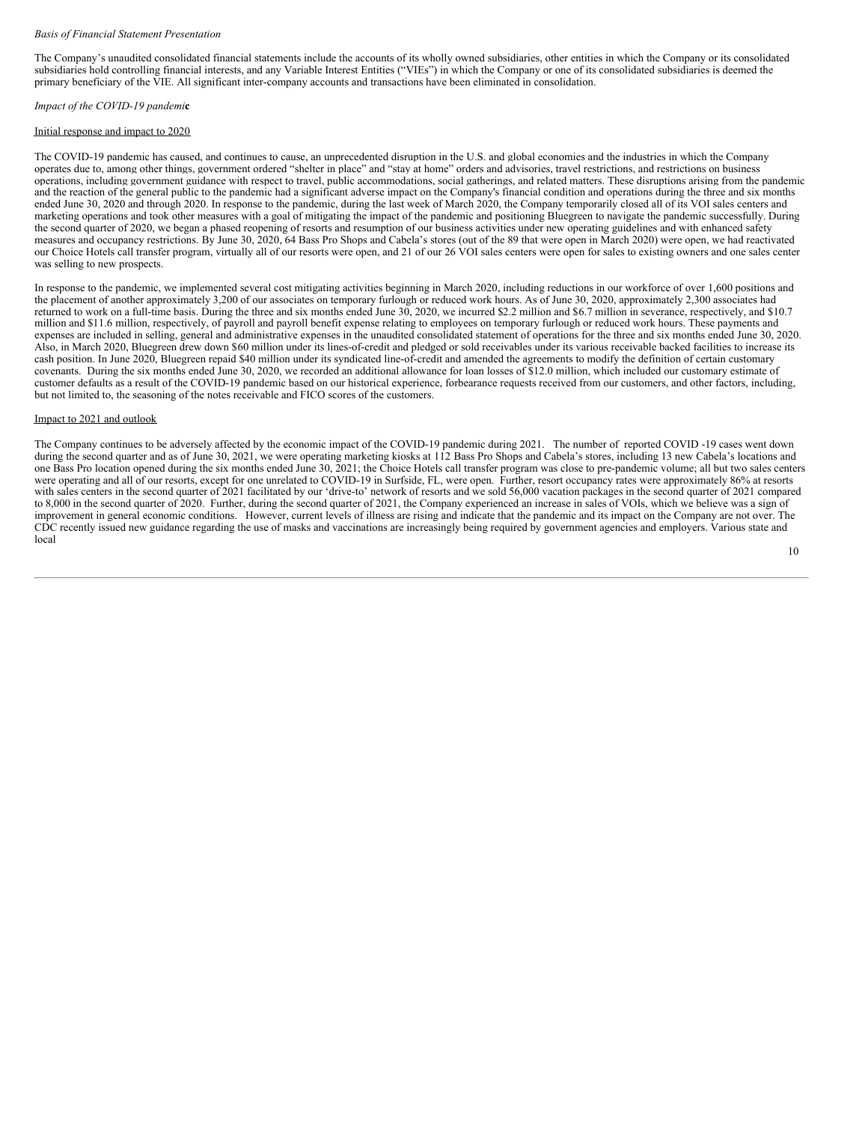#### *Basis of Financial Statement Presentation*

The Company's unaudited consolidated financial statements include the accounts of its wholly owned subsidiaries, other entities in which the Company or its consolidated subsidiaries hold controlling financial interests, and any Variable Interest Entities ("VIEs") in which the Company or one of its consolidated subsidiaries is deemed the primary beneficiary of the VIE. All significant inter-company accounts and transactions have been eliminated in consolidation.

# *Impact of the COVID-19 pandemi***c**

# Initial response and impact to 2020

The COVID-19 pandemic has caused, and continues to cause, an unprecedented disruption in the U.S. and global economies and the industries in which the Company operates due to, among other things, government ordered "shelter in place" and "stay at home" orders and advisories, travel restrictions, and restrictions on business operations, including government guidance with respect to travel, public accommodations, social gatherings, and related matters. These disruptions arising from the pandemic and the reaction of the general public to the pandemic had a significant adverse impact on the Company's financial condition and operations during the three and six months ended June 30, 2020 and through 2020. In response to the pandemic, during the last week of March 2020, the Company temporarily closed all of its VOI sales centers and marketing operations and took other measures with a goal of mitigating the impact of the pandemic and positioning Bluegreen to navigate the pandemic successfully. During the second quarter of 2020, we began a phased reopening of resorts and resumption of our business activities under new operating guidelines and with enhanced safety measures and occupancy restrictions. By June 30, 2020, 64 Bass Pro Shops and Cabela's stores (out of the 89 that were open in March 2020) were open, we had reactivated our Choice Hotels call transfer program, virtually all of our resorts were open, and 21 of our 26 VOI sales centers were open for sales to existing owners and one sales center was selling to new prospects.

In response to the pandemic, we implemented several cost mitigating activities beginning in March 2020, including reductions in our workforce of over 1,600 positions and the placement of another approximately 3,200 of our associates on temporary furlough or reduced work hours. As of June 30, 2020, approximately 2,300 associates had returned to work on a full-time basis. During the three and six months ended June 30, 2020, we incurred \$2.2 million and \$6.7 million in severance, respectively, and \$10.7 million and \$11.6 million, respectively, of payroll and payroll benefit expense relating to employees on temporary furlough or reduced work hours. These payments and expenses are included in selling, general and administrative expenses in the unaudited consolidated statement of operations for the three and six months ended June 30, 2020. Also, in March 2020, Bluegreen drew down \$60 million under its lines-of-credit and pledged or sold receivables under its various receivable backed facilities to increase its cash position. In June 2020, Bluegreen repaid \$40 million under its syndicated line-of-credit and amended the agreements to modify the definition of certain customary covenants. During the six months ended June 30, 2020, we recorded an additional allowance for loan losses of \$12.0 million, which included our customary estimate of customer defaults as a result of the COVID-19 pandemic based on our historical experience, forbearance requests received from our customers, and other factors, including, but not limited to, the seasoning of the notes receivable and FICO scores of the customers.

## Impact to 2021 and outlook

The Company continues to be adversely affected by the economic impact of the COVID-19 pandemic during 2021. The number of reported COVID -19 cases went down during the second quarter and as of June 30, 2021, we were operating marketing kiosks at 112 Bass Pro Shops and Cabela's stores, including 13 new Cabela's locations and one Bass Pro location opened during the six months ended June 30, 2021; the Choice Hotels call transfer program was close to pre-pandemic volume; all but two sales centers were operating and all of our resorts, except for one unrelated to COVID-19 in Surfside, FL, were open. Further, resort occupancy rates were approximately 86% at resorts with sales centers in the second quarter of 2021 facilitated by our 'drive-to' network of resorts and we sold 56,000 vacation packages in the second quarter of 2021 compared to 8,000 in the second quarter of 2020. Further, during the second quarter of 2021, the Company experienced an increase in sales of VOIs, which we believe was a sign of improvement in general economic conditions. However, current levels of illness are rising and indicate that the pandemic and its impact on the Company are not over. The CDC recently issued new guidance regarding the use of masks and vaccinations are increasingly being required by government agencies and employers. Various state and local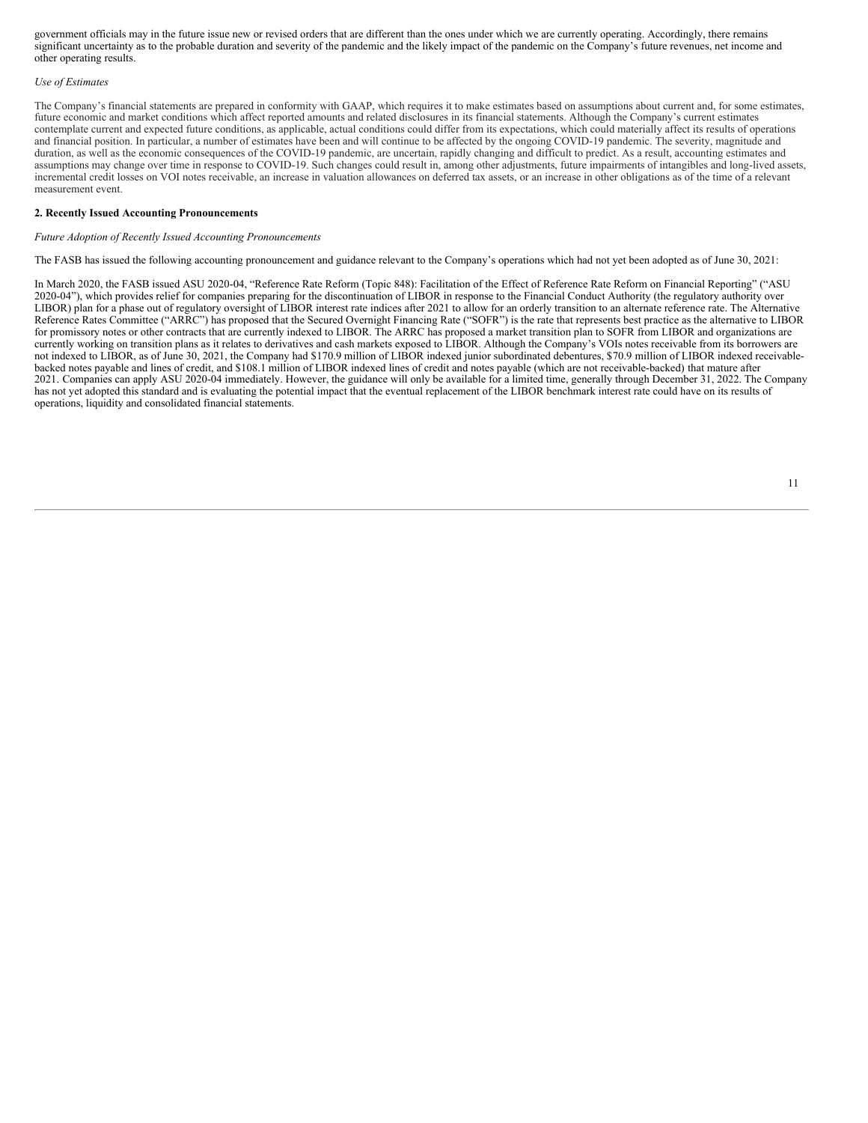government officials may in the future issue new or revised orders that are different than the ones under which we are currently operating. Accordingly, there remains significant uncertainty as to the probable duration and severity of the pandemic and the likely impact of the pandemic on the Company's future revenues, net income and other operating results.

## *Use of Estimates*

The Company's financial statements are prepared in conformity with GAAP, which requires it to make estimates based on assumptions about current and, for some estimates, future economic and market conditions which affect reported amounts and related disclosures in its financial statements. Although the Company's current estimates contemplate current and expected future conditions, as applicable, actual conditions could differ from its expectations, which could materially affect its results of operations and financial position. In particular, a number of estimates have been and will continue to be affected by the ongoing COVID-19 pandemic. The severity, magnitude and duration, as well as the economic consequences of the COVID-19 pandemic, are uncertain, rapidly changing and difficult to predict. As a result, accounting estimates and assumptions may change over time in response to COVID-19. Such changes could result in, among other adjustments, future impairments of intangibles and long-lived assets, incremental credit losses on VOI notes receivable, an increase in valuation allowances on deferred tax assets, or an increase in other obligations as of the time of a relevant measurement event.

# **2. Recently Issued Accounting Pronouncements**

# *Future Adoption of Recently Issued Accounting Pronouncements*

The FASB has issued the following accounting pronouncement and guidance relevant to the Company's operations which had not yet been adopted as of June 30, 2021:

In March 2020, the FASB issued ASU 2020-04, "Reference Rate Reform (Topic 848): Facilitation of the Effect of Reference Rate Reform on Financial Reporting" ("ASU 2020-04"), which provides relief for companies preparing for the discontinuation of LIBOR in response to the Financial Conduct Authority (the regulatory authority over LIBOR) plan for a phase out of regulatory oversight of LIBOR interest rate indices after 2021 to allow for an orderly transition to an alternate reference rate. The Alternative Reference Rates Committee ("ARRC") has proposed that the Secured Overnight Financing Rate ("SOFR") is the rate that represents best practice as the alternative to LIBOR for promissory notes or other contracts that are currently indexed to LIBOR. The ARRC has proposed a market transition plan to SOFR from LIBOR and organizations are currently working on transition plans as it relates to derivatives and cash markets exposed to LIBOR. Although the Company's VOIs notes receivable from its borrowers are not indexed to LIBOR, as of June 30, 2021, the Company had \$170.9 million of LIBOR indexed junior subordinated debentures, \$70.9 million of LIBOR indexed receivablebacked notes payable and lines of credit, and \$108.1 million of LIBOR indexed lines of credit and notes payable (which are not receivable-backed) that mature after 2021. Companies can apply ASU 2020-04 immediately. However, the guidance will only be available for a limited time, generally through December 31, 2022. The Company has not yet adopted this standard and is evaluating the potential impact that the eventual replacement of the LIBOR benchmark interest rate could have on its results of operations, liquidity and consolidated financial statements.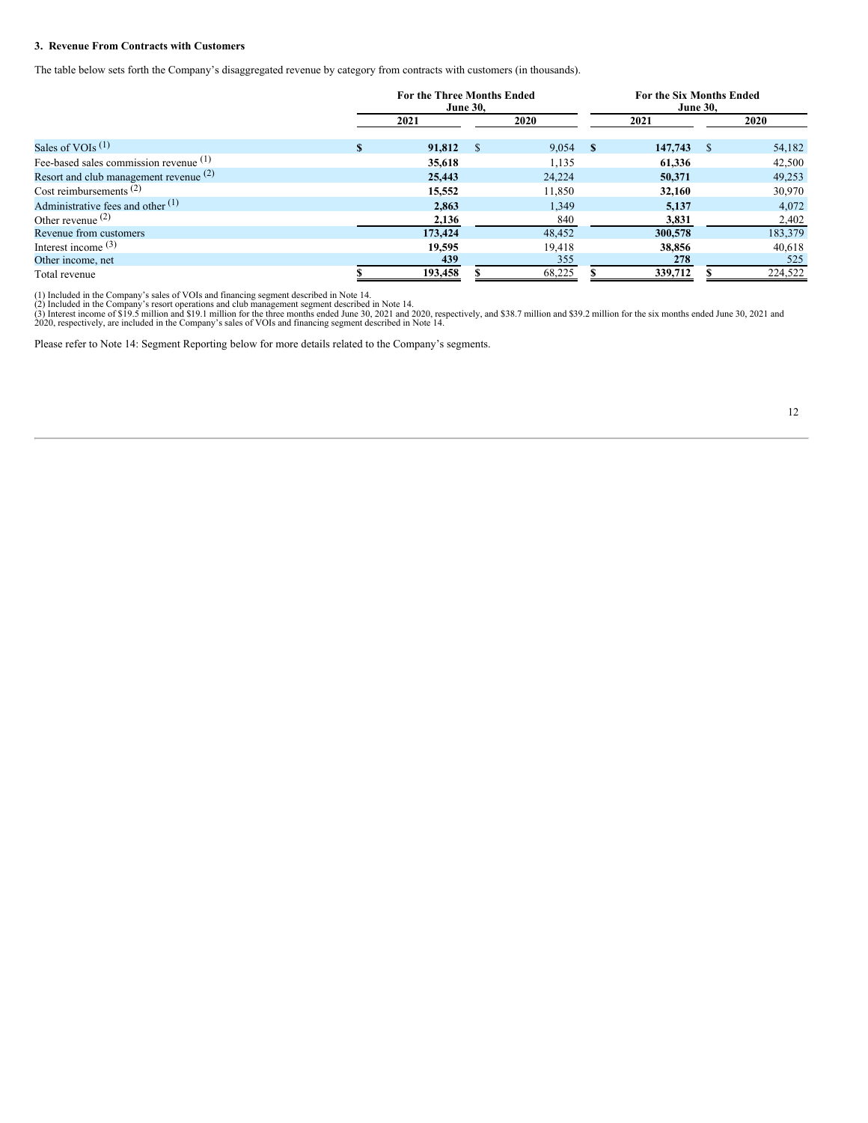# **3. Revenue From Contracts with Customers**

The table below sets forth the Company's disaggregated revenue by category from contracts with customers (in thousands).

|                                                 | For the Three Months Ended<br><b>June 30,</b> |     |        |      |         | For the Six Months Ended<br><b>June 30,</b> |         |  |  |
|-------------------------------------------------|-----------------------------------------------|-----|--------|------|---------|---------------------------------------------|---------|--|--|
|                                                 | 2021                                          |     | 2020   |      | 2021    |                                             | 2020    |  |  |
| Sales of VOIs $(1)$                             | 91,812                                        | - S | 9,054  | - Si | 147,743 | <b>S</b>                                    | 54,182  |  |  |
| Fee-based sales commission revenue (1)          | 35,618                                        |     | 1,135  |      | 61,336  |                                             | 42,500  |  |  |
| Resort and club management revenue $(2)$        | 25,443                                        |     | 24,224 |      | 50,371  |                                             | 49,253  |  |  |
| Cost reimbursements <sup><math>(2)</math></sup> | 15,552                                        |     | 11,850 |      | 32,160  |                                             | 30,970  |  |  |
| Administrative fees and other $(1)$             | 2,863                                         |     | 1,349  |      | 5,137   |                                             | 4,072   |  |  |
| Other revenue $(2)$                             | 2,136                                         |     | 840    |      | 3,831   |                                             | 2,402   |  |  |
| Revenue from customers                          | 173,424                                       |     | 48.452 |      | 300,578 |                                             | 183,379 |  |  |
| Interest income $(3)$                           | 19,595                                        |     | 19,418 |      | 38,856  |                                             | 40,618  |  |  |
| Other income, net                               | 439                                           |     | 355    |      | 278     |                                             | 525     |  |  |
| Total revenue                                   | 193,458                                       |     | 68,225 |      | 339,712 |                                             | 224,522 |  |  |

(1) Included in the Company's sales of VOIs and financing segment described in Note 14.<br>(2) Included in the Company's resort operations and club management segment described in Note 14.<br>(3) Interest income of \$19.5 million

Please refer to Note 14: Segment Reporting below for more details related to the Company's segments.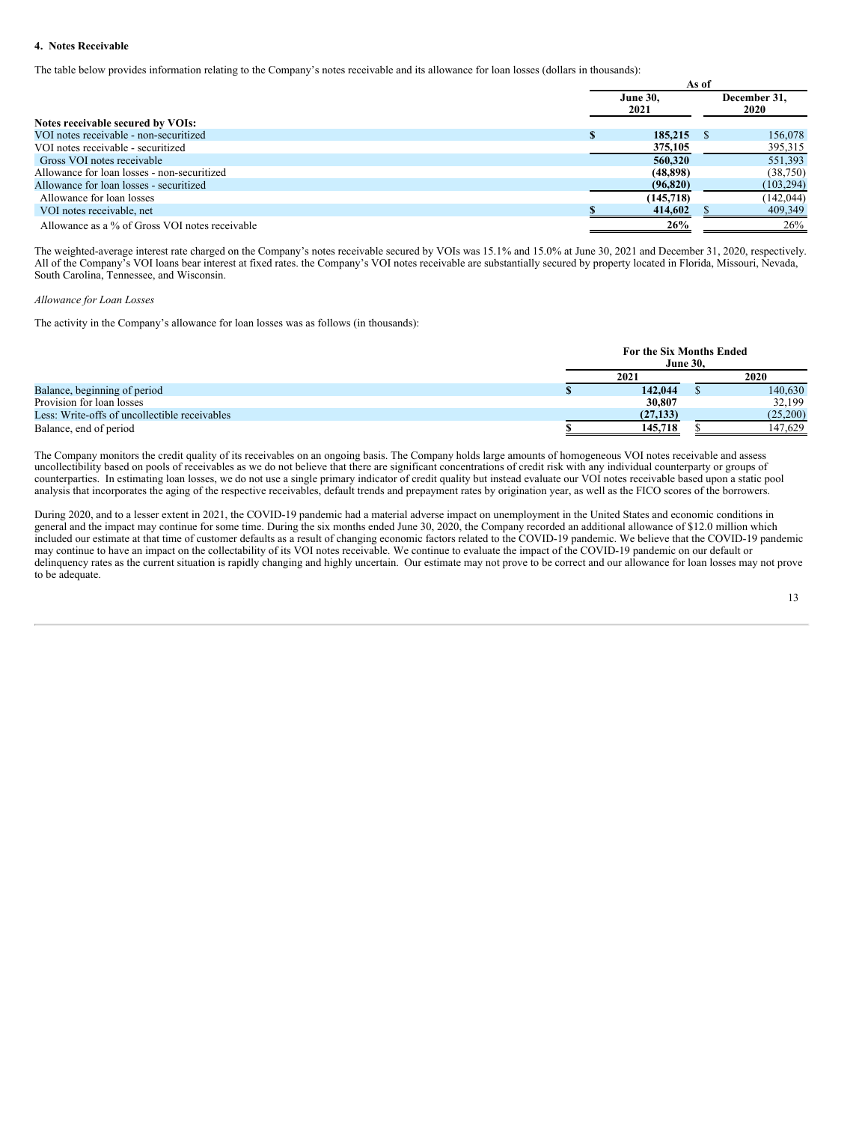# **4. Notes Receivable**

The table below provides information relating to the Company's notes receivable and its allowance for loan losses (dollars in thousands):

|                                                | As of                   |  |                      |
|------------------------------------------------|-------------------------|--|----------------------|
|                                                | <b>June 30,</b><br>2021 |  | December 31,<br>2020 |
| Notes receivable secured by VOIs:              |                         |  |                      |
| VOI notes receivable - non-securitized         | 185,215                 |  | 156,078              |
| VOI notes receivable - securitized             | 375,105                 |  | 395, 315             |
| Gross VOI notes receivable                     | 560,320                 |  | 551.393              |
| Allowance for loan losses - non-securitized    | (48, 898)               |  | (38, 750)            |
| Allowance for loan losses - securitized        | (96, 820)               |  | (103, 294)           |
| Allowance for loan losses                      | (145,718)               |  | (142, 044)           |
| VOI notes receivable, net                      | 414,602                 |  | 409,349              |
| Allowance as a % of Gross VOI notes receivable | 26%                     |  | 26%                  |

The weighted-average interest rate charged on the Company's notes receivable secured by VOIs was 15.1% and 15.0% at June 30, 2021 and December 31, 2020, respectively. All of the Company's VOI loans bear interest at fixed rates. the Company's VOI notes receivable are substantially secured by property located in Florida, Missouri, Nevada, South Carolina, Tennessee, and Wisconsin.

#### *Allowance for Loan Losses*

The activity in the Company's allowance for loan losses was as follows (in thousands):

|                                               | For the Six Months Ended<br><b>June 30.</b> |          |
|-----------------------------------------------|---------------------------------------------|----------|
|                                               | 2021                                        | 2020     |
| Balance, beginning of period                  | 142.044                                     | 140,630  |
| Provision for loan losses                     | 30,807                                      | 32,199   |
| Less: Write-offs of uncollectible receivables | (27, 133)                                   | (25,200) |
| Balance, end of period                        | 145.718                                     | 147.629  |

The Company monitors the credit quality of its receivables on an ongoing basis. The Company holds large amounts of homogeneous VOI notes receivable and assess uncollectibility based on pools of receivables as we do not believe that there are significant concentrations of credit risk with any individual counterparty or groups of counterparties. In estimating loan losses, we do not use a single primary indicator of credit quality but instead evaluate our VOI notes receivable based upon a static pool analysis that incorporates the aging of the respective receivables, default trends and prepayment rates by origination year, as well as the FICO scores of the borrowers.

During 2020, and to a lesser extent in 2021, the COVID-19 pandemic had a material adverse impact on unemployment in the United States and economic conditions in general and the impact may continue for some time. During the six months ended June 30, 2020, the Company recorded an additional allowance of \$12.0 million which included our estimate at that time of customer defaults as a result of changing economic factors related to the COVID-19 pandemic. We believe that the COVID-19 pandemic may continue to have an impact on the collectability of its VOI notes receivable. We continue to evaluate the impact of the COVID-19 pandemic on our default or delinquency rates as the current situation is rapidly changing and highly uncertain. Our estimate may not prove to be correct and our allowance for loan losses may not prove to be adequate.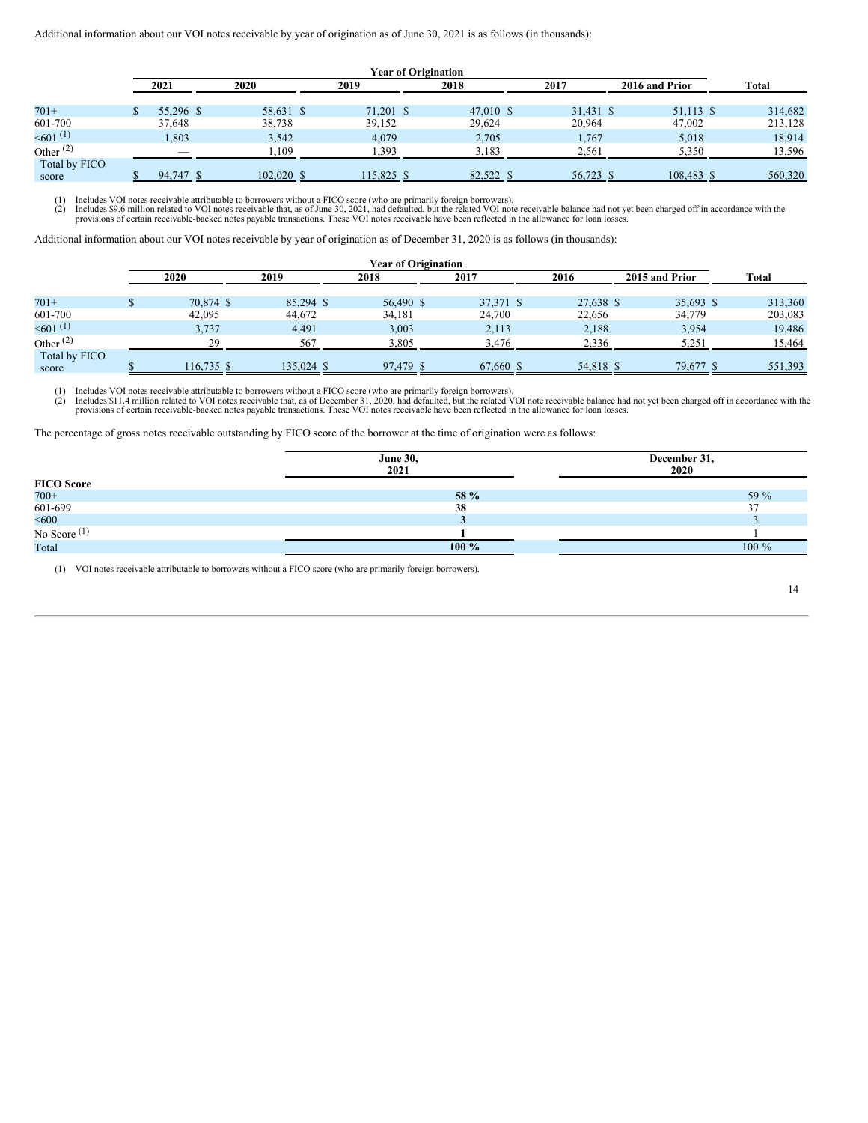Additional information about our VOI notes receivable by year of origination as of June 30, 2021 is as follows (in thousands):

| <b>Year of Origination</b> |              |           |            |            |           |           |                |         |  |
|----------------------------|--------------|-----------|------------|------------|-----------|-----------|----------------|---------|--|
|                            | 2020<br>2021 |           |            | 2019       | 2018      | 2017      | 2016 and Prior | Total   |  |
|                            |              |           |            |            |           |           |                |         |  |
| $701+$                     |              | 55,296 \$ | 58.631 \$  | 71,201 \$  | 47,010 \$ | 31.431 \$ | 51.113 \$      | 314,682 |  |
| 601-700                    |              | 37,648    | 38,738     | 39,152     | 29,624    | 20,964    | 47,002         | 213,128 |  |
| $<$ 601 $(1)$              |              | 1,803     | 3,542      | 4,079      | 2,705     | 1,767     | 5,018          | 18,914  |  |
| Other $(2)$                |              |           | 1,109      | 1,393      | 3,183     | 2,561     | 5,350          | 13,596  |  |
| Total by FICO<br>score     |              | 94,747 \$ | 102,020 \$ | 115,825 \$ | 82,522 \$ | 56,723 \$ | 108,483 \$     | 560,320 |  |

(1) Includes VOI notes receivable attributable to borrowers without a FICO score (who are primarily foreign borrowers).<br>(2) Includes \$9.6 million related to VOI notes receivable that, as of June 30, 2021, had defaulted, bu

Additional information about our VOI notes receivable by year of origination as of December 31, 2020 is as follows (in thousands):

| <b>Year of Origination</b> |  |            |            |           |           |           |                |         |
|----------------------------|--|------------|------------|-----------|-----------|-----------|----------------|---------|
|                            |  | 2020       | 2019       | 2018      | 2017      | 2016      | 2015 and Prior | Total   |
| $701+$                     |  | 70.874 \$  | 85,294 \$  | 56.490 \$ | 37.371 \$ | 27,638 \$ | 35.693 \$      | 313,360 |
| 601-700                    |  | 42,095     | 44,672     | 34,181    | 24,700    | 22,656    | 34,779         | 203,083 |
| $<$ 601 $(1)$              |  | 3,737      | 4,491      | 3,003     | 2,113     | 2,188     | 3,954          | 19,486  |
| Other $(2)$                |  | 29         | 567        | 3,805     | 3.476     | 2.336     | 5,251          | 15,464  |
| Total by FICO<br>score     |  | 116,735 \$ | 135,024 \$ | 97,479 \$ | 67,660 \$ | 54,818 \$ | 79.677         | 551,393 |

(1) Includes VOI notes receivable attributable to borrowers without a FICO score (who are primarily foreign borrowers).<br>(2) Includes \$11.4 million related to VOI notes receivable that, as of December 31, 2020, had defaulte

The percentage of gross notes receivable outstanding by FICO score of the borrower at the time of origination were as follows:

|                   | <b>June 30,</b><br>2021 | December 31,<br>2020 |  |  |  |
|-------------------|-------------------------|----------------------|--|--|--|
| <b>FICO Score</b> |                         |                      |  |  |  |
| $700+$            | 58 %                    | 59 %                 |  |  |  |
| 601-699           | 38                      | 37                   |  |  |  |
| < 600             |                         |                      |  |  |  |
| No Score $(1)$    |                         |                      |  |  |  |
| Total             | $100 \%$                | $100 \%$             |  |  |  |

(1) VOI notes receivable attributable to borrowers without a FICO score (who are primarily foreign borrowers).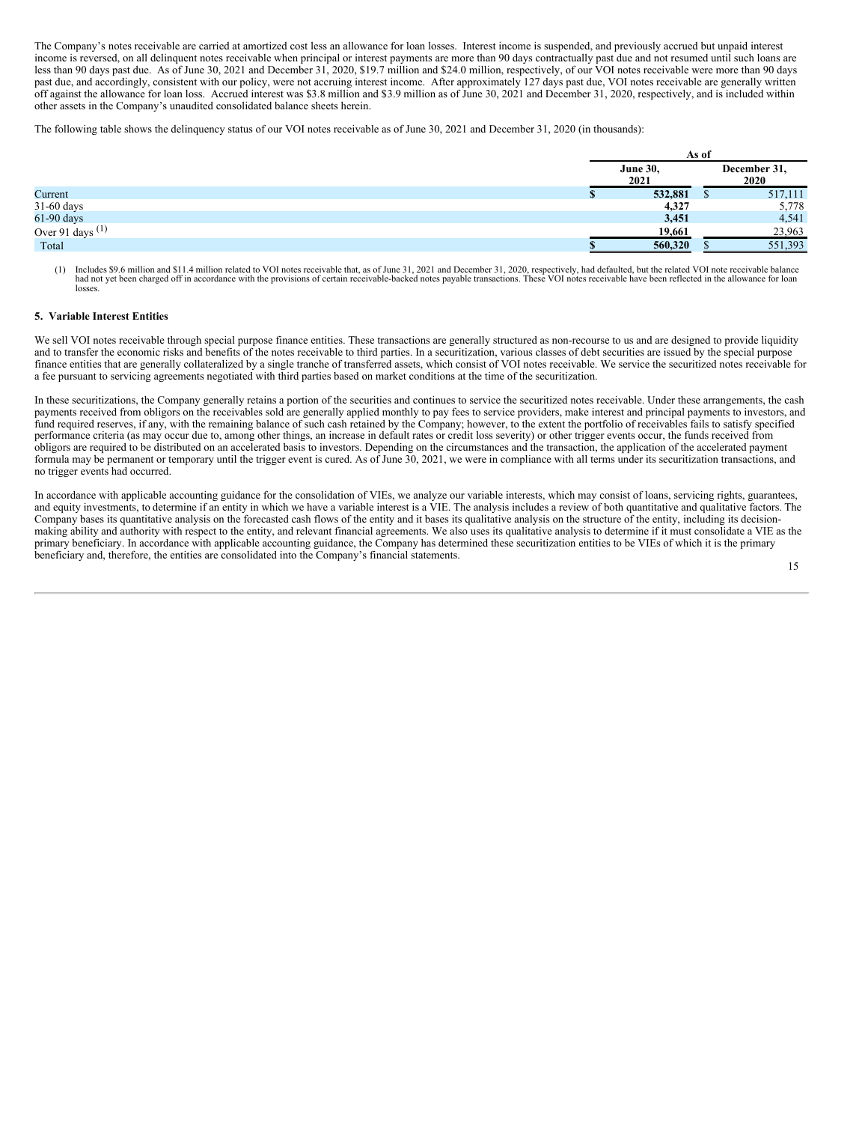The Company's notes receivable are carried at amortized cost less an allowance for loan losses. Interest income is suspended, and previously accrued but unpaid interest income is reversed, on all delinquent notes receivable when principal or interest payments are more than 90 days contractually past due and not resumed until such loans are less than 90 days past due. As of June 30, 2021 and December 31, 2020, \$19.7 million and \$24.0 million, respectively, of our VOI notes receivable were more than 90 days past due, and accordingly, consistent with our policy, were not accruing interest income. After approximately 127 days past due, VOI notes receivable are generally written off against the allowance for loan loss. Accrued interest was \$3.8 million and \$3.9 million as of June 30, 2021 and December 31, 2020, respectively, and is included within other assets in the Company's unaudited consolidated balance sheets herein.

The following table shows the delinquency status of our VOI notes receivable as of June 30, 2021 and December 31, 2020 (in thousands):

|                    |                         | As of   |  |                      |  |  |
|--------------------|-------------------------|---------|--|----------------------|--|--|
|                    | <b>June 30,</b><br>2021 |         |  | December 31,<br>2020 |  |  |
| Current            |                         | 532,881 |  | 517,111              |  |  |
| 31-60 days         |                         | 4,327   |  | 5,778                |  |  |
| $61-90$ days       |                         | 3,451   |  | 4,541                |  |  |
| Over 91 days $(1)$ |                         | 19,661  |  | 23,963               |  |  |
| Total              |                         | 560,320 |  | 551,393              |  |  |

(1) Includes \$9.6 million and \$11.4 million related to VOI notes receivable that, as of June 31, 2021 and December 31, 2020, respectively, had defaulted, but the related VOI note receivable balance had not yet been charged off in accordance with the provisions of certain receivable-backed notes payable transactions. These VOI notes receivable have been reflected in the allowance for loan losses.

#### **5. Variable Interest Entities**

We sell VOI notes receivable through special purpose finance entities. These transactions are generally structured as non-recourse to us and are designed to provide liquidity and to transfer the economic risks and benefits of the notes receivable to third parties. In a securitization, various classes of debt securities are issued by the special purpose finance entities that are generally collateralized by a single tranche of transferred assets, which consist of VOI notes receivable. We service the securitized notes receivable for a fee pursuant to servicing agreements negotiated with third parties based on market conditions at the time of the securitization.

In these securitizations, the Company generally retains a portion of the securities and continues to service the securitized notes receivable. Under these arrangements, the cash payments received from obligors on the receivables sold are generally applied monthly to pay fees to service providers, make interest and principal payments to investors, and fund required reserves, if any, with the remaining balance of such cash retained by the Company; however, to the extent the portfolio of receivables fails to satisfy specified performance criteria (as may occur due to, among other things, an increase in default rates or credit loss severity) or other trigger events occur, the funds received from obligors are required to be distributed on an accelerated basis to investors. Depending on the circumstances and the transaction, the application of the accelerated payment formula may be permanent or temporary until the trigger event is cured. As of June 30, 2021, we were in compliance with all terms under its securitization transactions, and no trigger events had occurred.

In accordance with applicable accounting guidance for the consolidation of VIEs, we analyze our variable interests, which may consist of loans, servicing rights, guarantees, and equity investments, to determine if an entity in which we have a variable interest is a VIE. The analysis includes a review of both quantitative and qualitative factors. The Company bases its quantitative analysis on the forecasted cash flows of the entity and it bases its qualitative analysis on the structure of the entity, including its decisionmaking ability and authority with respect to the entity, and relevant financial agreements. We also uses its qualitative analysis to determine if it must consolidate a VIE as the primary beneficiary. In accordance with applicable accounting guidance, the Company has determined these securitization entities to be VIEs of which it is the primary beneficiary and, therefore, the entities are consolidated into the Company's financial statements.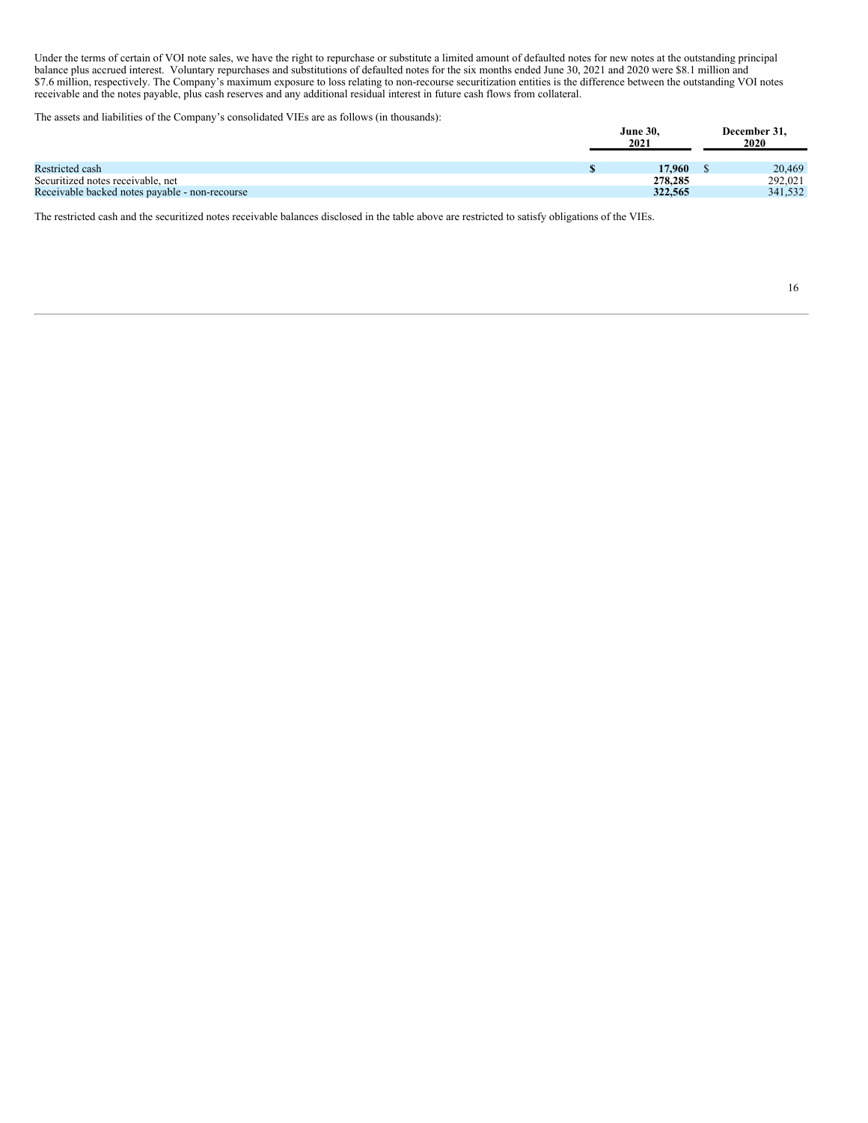Under the terms of certain of VOI note sales, we have the right to repurchase or substitute a limited amount of defaulted notes for new notes at the outstanding principal balance plus accrued interest. Voluntary repurchases and substitutions of defaulted notes for the six months ended June 30, 2021 and 2020 were \$8.1 million and \$7.6 million, respectively. The Company's maximum exposure to loss relating to non-recourse securitization entities is the difference between the outstanding VOI notes receivable and the notes payable, plus cash reserves and any additional residual interest in future cash flows from collateral.

The assets and liabilities of the Company's consolidated VIEs are as follows (in thousands):

|                                                | <b>June 30,</b><br>2021 | December 31,<br>2020 |
|------------------------------------------------|-------------------------|----------------------|
| Restricted cash                                | 17.960                  | 20,469               |
| Securitized notes receivable, net              | 278,285                 | 292.021              |
| Receivable backed notes payable - non-recourse | 322,565                 | 341.532              |

The restricted cash and the securitized notes receivable balances disclosed in the table above are restricted to satisfy obligations of the VIEs.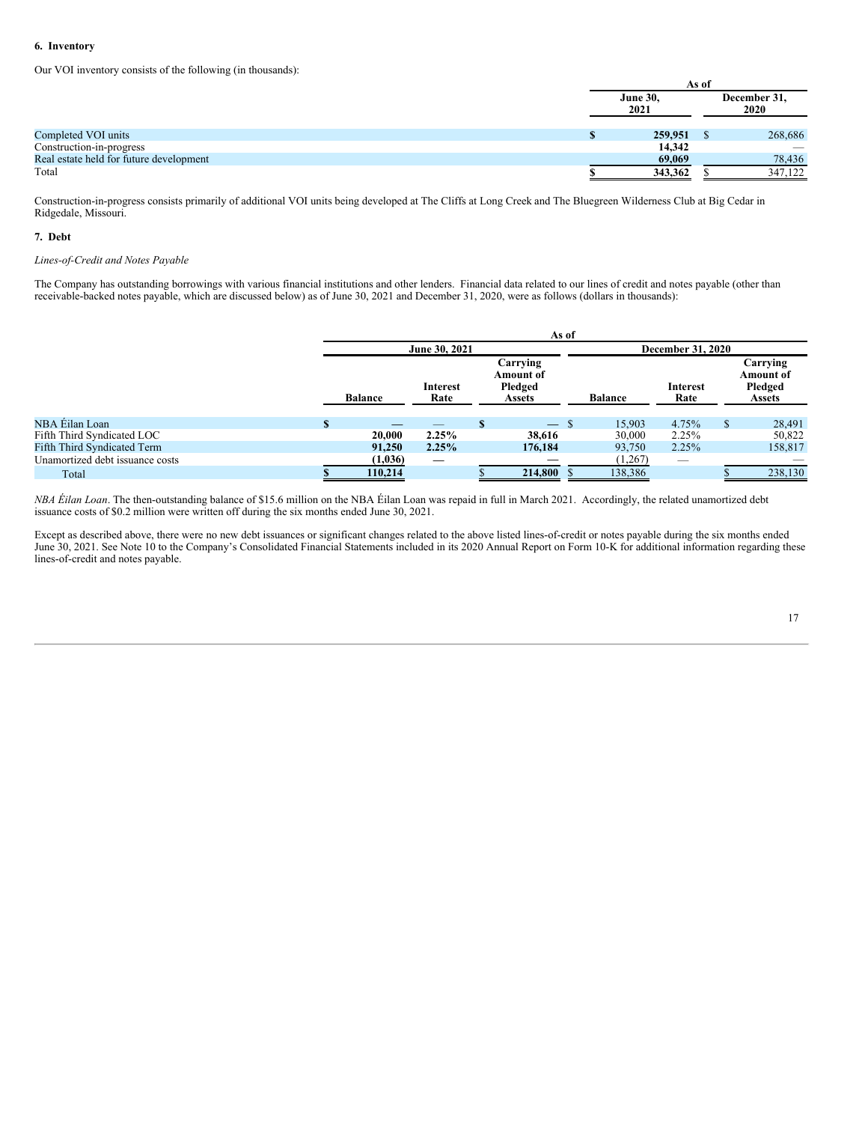# **6. Inventory**

Our VOI inventory consists of the following (in thousands):

|                                         | As of                   |  |                      |  |  |
|-----------------------------------------|-------------------------|--|----------------------|--|--|
|                                         | <b>June 30,</b><br>2021 |  | December 31,<br>2020 |  |  |
| Completed VOI units                     | 259,951                 |  | 268,686              |  |  |
| Construction-in-progress                | 14,342                  |  |                      |  |  |
| Real estate held for future development | 69,069                  |  | 78,436               |  |  |
| Total                                   | 343,362                 |  | 347,122              |  |  |

Construction-in-progress consists primarily of additional VOI units being developed at The Cliffs at Long Creek and The Bluegreen Wilderness Club at Big Cedar in Ridgedale, Missouri.

# **7. Debt**

#### *Lines-of-Credit and Notes Payable*

The Company has outstanding borrowings with various financial institutions and other lenders. Financial data related to our lines of credit and notes payable (other than receivable-backed notes payable, which are discussed below) as of June 30, 2021 and December 31, 2020, were as follows (dollars in thousands):

|                                 | As of          |                         |  |                                                          |  |                |                          |          |                                                          |  |
|---------------------------------|----------------|-------------------------|--|----------------------------------------------------------|--|----------------|--------------------------|----------|----------------------------------------------------------|--|
|                                 | June 30, 2021  |                         |  |                                                          |  |                | <b>December 31, 2020</b> |          |                                                          |  |
|                                 | <b>Balance</b> | <b>Interest</b><br>Rate |  | Carrying<br><b>Amount of</b><br>Pledged<br><b>Assets</b> |  | <b>Balance</b> | <b>Interest</b><br>Rate  |          | Carrying<br><b>Amount of</b><br>Pledged<br><b>Assets</b> |  |
| NBA Éilan Loan                  |                |                         |  | $ \overline{5}$                                          |  | 15.903         | 4.75%                    | <b>S</b> | 28,491                                                   |  |
| Fifth Third Syndicated LOC      | 20,000         | 2.25%                   |  | 38,616                                                   |  | 30,000         | 2.25%                    |          | 50,822                                                   |  |
| Fifth Third Syndicated Term     | 91,250         | 2.25%                   |  | 176,184                                                  |  | 93,750         | 2.25%                    |          | 158,817                                                  |  |
| Unamortized debt issuance costs | (1,036)        | –                       |  |                                                          |  | (1,267)        | $\overline{\phantom{a}}$ |          |                                                          |  |
| Total                           | 110,214        |                         |  | 214,800                                                  |  | 138,386        |                          |          | 238,130                                                  |  |

*NBA Éilan Loan*. The then-outstanding balance of \$15.6 million on the NBA Éilan Loan was repaid in full in March 2021. Accordingly, the related unamortized debt issuance costs of \$0.2 million were written off during the six months ended June 30, 2021.

Except as described above, there were no new debt issuances or significant changes related to the above listed lines-of-credit or notes payable during the six months ended June 30, 2021. See Note 10 to the Company's Consolidated Financial Statements included in its 2020 Annual Report on Form 10-K for additional information regarding these lines-of-credit and notes payable.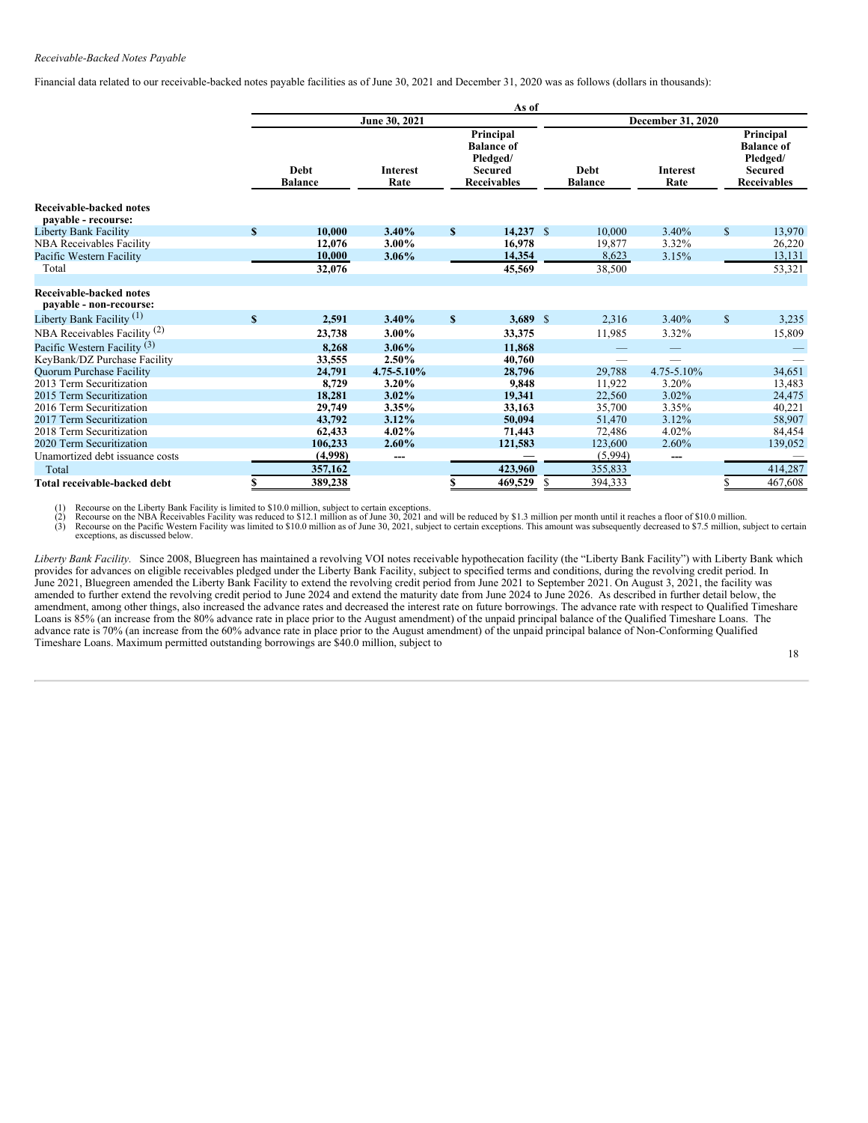#### *Receivable-Backed Notes Payable*

Financial data related to our receivable-backed notes payable facilities as of June 30, 2021 and December 31, 2020 was as follows (dollars in thousands):

|                                                    |              |                        |                         |               | As of                                                                              |                        |                  |               |                                                                                    |  |  |
|----------------------------------------------------|--------------|------------------------|-------------------------|---------------|------------------------------------------------------------------------------------|------------------------|------------------|---------------|------------------------------------------------------------------------------------|--|--|
|                                                    |              |                        | June 30, 2021           |               |                                                                                    | December 31, 2020      |                  |               |                                                                                    |  |  |
|                                                    |              | Debt<br><b>Balance</b> | <b>Interest</b><br>Rate |               | Principal<br><b>Balance of</b><br>Pledged/<br><b>Secured</b><br><b>Receivables</b> | Debt<br><b>Balance</b> | Interest<br>Rate |               | Principal<br><b>Balance of</b><br>Pledged/<br><b>Secured</b><br><b>Receivables</b> |  |  |
| Receivable-backed notes<br>payable - recourse:     |              |                        |                         |               |                                                                                    |                        |                  |               |                                                                                    |  |  |
| <b>Liberty Bank Facility</b>                       | $\mathbf{s}$ | 10.000                 | 3.40%                   | <sup>\$</sup> | 14.237 S                                                                           | 10.000                 | 3.40%            | <sup>\$</sup> | 13,970                                                                             |  |  |
| <b>NBA Receivables Facility</b>                    |              | 12,076                 | 3.00%                   |               | 16,978                                                                             | 19,877                 | 3.32%            |               | 26,220                                                                             |  |  |
| Pacific Western Facility                           |              | 10,000                 | 3.06%                   |               | 14,354                                                                             | 8,623                  | 3.15%            |               | 13,131                                                                             |  |  |
| Total                                              |              | 32,076                 |                         |               | 45,569                                                                             | 38,500                 |                  |               | 53,321                                                                             |  |  |
| Receivable-backed notes<br>payable - non-recourse: |              |                        |                         |               |                                                                                    |                        |                  |               |                                                                                    |  |  |
| Liberty Bank Facility <sup>(1)</sup>               | $\mathbf{s}$ | 2,591                  | 3.40%                   | S             | $3,689$ \$                                                                         | 2,316                  | 3.40%            | $\mathbf S$   | 3,235                                                                              |  |  |
| NBA Receivables Facility <sup>(2)</sup>            |              | 23,738                 | 3.00%                   |               | 33,375                                                                             | 11,985                 | 3.32%            |               | 15,809                                                                             |  |  |
| Pacific Western Facility <sup>(3)</sup>            |              | 8,268                  | 3.06%                   |               | 11,868                                                                             |                        |                  |               |                                                                                    |  |  |
| KeyBank/DZ Purchase Facility                       |              | 33,555                 | 2.50%                   |               | 40,760                                                                             |                        |                  |               |                                                                                    |  |  |
| Quorum Purchase Facility                           |              | 24,791                 | 4.75-5.10%              |               | 28,796                                                                             | 29,788                 | 4.75-5.10%       |               | 34,651                                                                             |  |  |
| 2013 Term Securitization                           |              | 8,729                  | 3.20%                   |               | 9,848                                                                              | 11.922                 | 3.20%            |               | 13,483                                                                             |  |  |
| 2015 Term Securitization                           |              | 18,281                 | $3.02\%$                |               | 19,341                                                                             | 22,560                 | 3.02%            |               | 24,475                                                                             |  |  |
| 2016 Term Securitization                           |              | 29,749                 | 3.35%                   |               | 33,163                                                                             | 35,700                 | 3.35%            |               | 40,221                                                                             |  |  |
| 2017 Term Securitization                           |              | 43,792                 | 3.12%                   |               | 50,094                                                                             | 51,470                 | 3.12%            |               | 58,907                                                                             |  |  |
| 2018 Term Securitization                           |              | 62,433                 | 4.02%                   |               | 71,443                                                                             | 72,486                 | 4.02%            |               | 84,454                                                                             |  |  |
| 2020 Term Securitization                           |              | 106,233                | $2.60\%$                |               | 121,583                                                                            | 123,600                | 2.60%            |               | 139,052                                                                            |  |  |
| Unamortized debt issuance costs                    |              | (4,998)                | ---                     |               |                                                                                    | (5,994)                | ---              |               |                                                                                    |  |  |
| Total                                              |              | 357,162                |                         |               | 423,960                                                                            | 355,833                |                  |               | 414,287                                                                            |  |  |
| Total receivable-backed debt                       |              | 389,238                |                         |               | 469,529                                                                            | 394,333                |                  |               | 467,608                                                                            |  |  |

(1) Recourse on the Liberty Bank Facility is limited to \$10.0 million, subject to certain exceptions.<br>(2) Recourse on the NBA Receivables Facility was reduced to \$12.1 million as of June 30, 2021 and will be reduced by \$1.

(3) Recourse on the Pacific Western Facility was limited to \$10.0 million as of June 30, 2021, subject to certain exceptions. This amount was subsequently decreased to \$7.5 million, subject to certain exceptions, as discus

*Liberty Bank Facility.* Since 2008, Bluegreen has maintained a revolving VOI notes receivable hypothecation facility (the "Liberty Bank Facility") with Liberty Bank which provides for advances on eligible receivables pledged under the Liberty Bank Facility, subject to specified terms and conditions, during the revolving credit period. In June 2021, Bluegreen amended the Liberty Bank Facility to extend the revolving credit period from June 2021 to September 2021. On August 3, 2021, the facility was amended to further extend the revolving credit period to June 2024 and extend the maturity date from June 2024 to June 2026. As described in further detail below, the amendment, among other things, also increased the advance rates and decreased the interest rate on future borrowings. The advance rate with respect to Qualified Timeshare Loans is 85% (an increase from the 80% advance rate in place prior to the August amendment) of the unpaid principal balance of the Qualified Timeshare Loans. The advance rate is 70% (an increase from the 60% advance rate in place prior to the August amendment) of the unpaid principal balance of Non-Conforming Qualified Timeshare Loans. Maximum permitted outstanding borrowings are \$40.0 million, subject to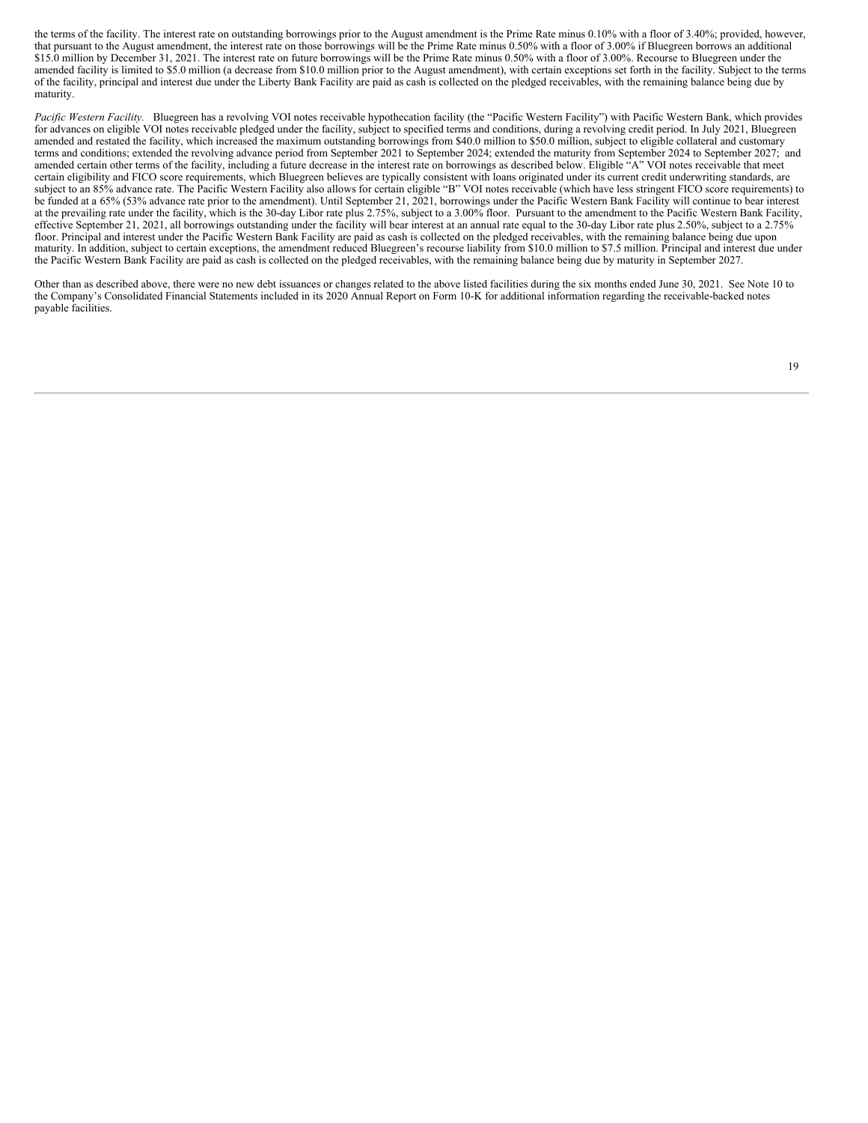the terms of the facility. The interest rate on outstanding borrowings prior to the August amendment is the Prime Rate minus 0.10% with a floor of 3.40%; provided, however, that pursuant to the August amendment, the interest rate on those borrowings will be the Prime Rate minus 0.50% with a floor of 3.00% if Bluegreen borrows an additional \$15.0 million by December 31, 2021. The interest rate on future borrowings will be the Prime Rate minus 0.50% with a floor of 3.00%. Recourse to Bluegreen under the amended facility is limited to \$5.0 million (a decrease from \$10.0 million prior to the August amendment), with certain exceptions set forth in the facility. Subject to the terms of the facility, principal and interest due under the Liberty Bank Facility are paid as cash is collected on the pledged receivables, with the remaining balance being due by maturity.

*Pacific Western Facility.* Bluegreen has a revolving VOI notes receivable hypothecation facility (the "Pacific Western Facility") with Pacific Western Bank, which provides for advances on eligible VOI notes receivable pledged under the facility, subject to specified terms and conditions, during a revolving credit period. In July 2021, Bluegreen amended and restated the facility, which increased the maximum outstanding borrowings from \$40.0 million to \$50.0 million, subject to eligible collateral and customary terms and conditions; extended the revolving advance period from September 2021 to September 2024; extended the maturity from September 2024 to September 2027; and amended certain other terms of the facility, including a future decrease in the interest rate on borrowings as described below. Eligible "A" VOI notes receivable that meet certain eligibility and FICO score requirements, which Bluegreen believes are typically consistent with loans originated under its current credit underwriting standards, are subject to an 85% advance rate. The Pacific Western Facility also allows for certain eligible "B" VOI notes receivable (which have less stringent FICO score requirements) to be funded at a 65% (53% advance rate prior to the amendment). Until September 21, 2021, borrowings under the Pacific Western Bank Facility will continue to bear interest at the prevailing rate under the facility, which is the 30-day Libor rate plus 2.75%, subject to a 3.00% floor. Pursuant to the amendment to the Pacific Western Bank Facility, effective September 21, 2021, all borrowings outstanding under the facility will bear interest at an annual rate equal to the 30-day Libor rate plus 2.50%, subject to a 2.75% floor. Principal and interest under the Pacific Western Bank Facility are paid as cash is collected on the pledged receivables, with the remaining balance being due upon maturity. In addition, subject to certain exceptions, the amendment reduced Bluegreen's recourse liability from \$10.0 million to \$7.5 million. Principal and interest due under the Pacific Western Bank Facility are paid as cash is collected on the pledged receivables, with the remaining balance being due by maturity in September 2027.

Other than as described above, there were no new debt issuances or changes related to the above listed facilities during the six months ended June 30, 2021. See Note 10 to the Company's Consolidated Financial Statements included in its 2020 Annual Report on Form 10-K for additional information regarding the receivable-backed notes payable facilities.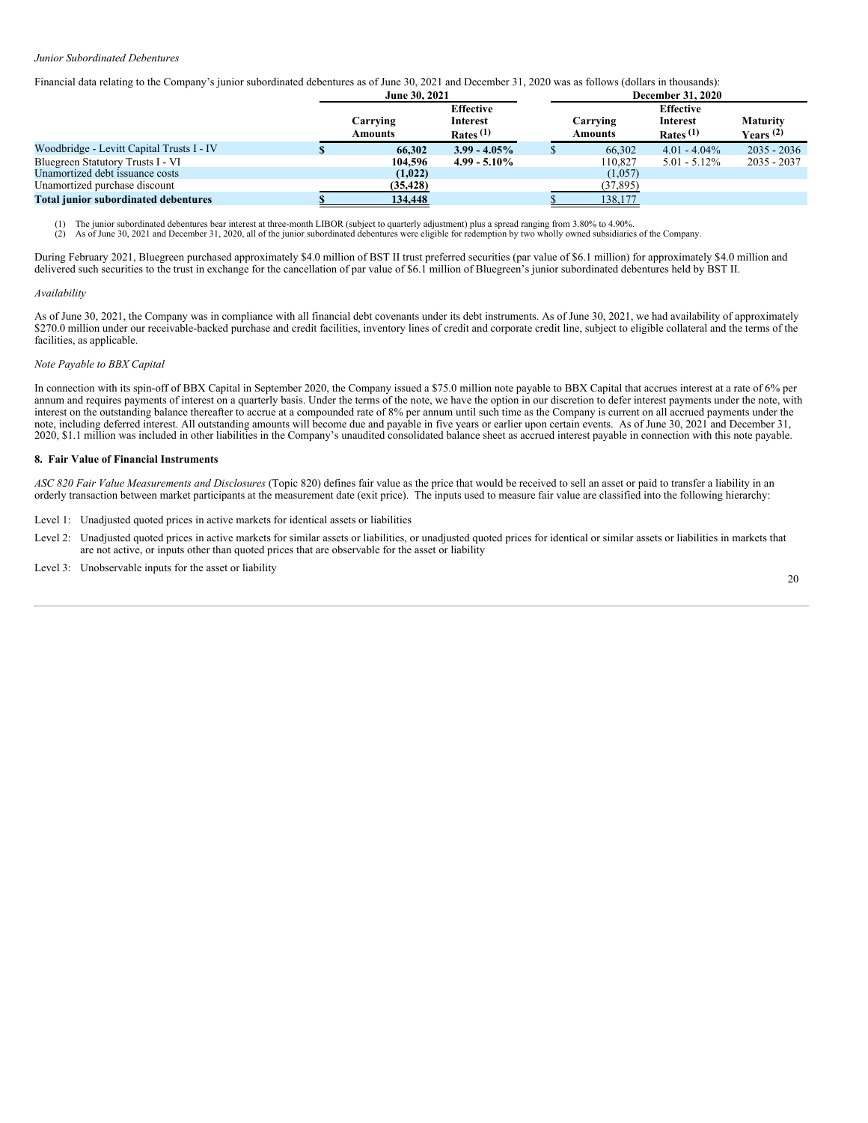#### *Junior Subordinated Debentures*

Financial data relating to the Company's junior subordinated debentures as of June 30, 2021 and December 31, 2020 was as follows (dollars in thousands):

|                                             | June 30, 2021       |                                                        |   | <b>December 31, 2020</b>                                                      |                 |                                                      |  |  |  |  |
|---------------------------------------------|---------------------|--------------------------------------------------------|---|-------------------------------------------------------------------------------|-----------------|------------------------------------------------------|--|--|--|--|
|                                             | Carrying<br>Amounts | <b>Effective</b><br>Interest<br>$Rate3$ <sup>(1)</sup> |   | <b>Effective</b><br>Carrving<br>Interest<br>$Rate3$ <sup>(1)</sup><br>Amounts |                 | <b>Maturity</b><br>Years <sup><math>(2)</math></sup> |  |  |  |  |
| Woodbridge - Levitt Capital Trusts I - IV   | 66.302              | $3.99 - 4.05\%$                                        | Ф | 66,302                                                                        | $4.01 - 4.04\%$ | $2035 - 2036$                                        |  |  |  |  |
| Bluegreen Statutory Trusts I - VI           | 104.596             | $4.99 - 5.10\%$                                        |   | 110,827                                                                       | $5.01 - 5.12\%$ | 2035 - 2037                                          |  |  |  |  |
| Unamortized debt issuance costs             | (1,022)             |                                                        |   | (1,057)                                                                       |                 |                                                      |  |  |  |  |
| Unamortized purchase discount               | (35, 428)           |                                                        |   | (37, 895)                                                                     |                 |                                                      |  |  |  |  |
| <b>Total junior subordinated debentures</b> | 134,448             |                                                        |   | 138,177                                                                       |                 |                                                      |  |  |  |  |

(1) The junior subordinated debentures bear interest at three-month LIBOR (subject to quarterly adjustment) plus a spread ranging from 3.80% to 4.90%.

(2) As of June 30, 2021 and December 31, 2020, all of the junior subordinated debentures were eligible for redemption by two wholly owned subsidiaries of the Company.

During February 2021, Bluegreen purchased approximately \$4.0 million of BST II trust preferred securities (par value of \$6.1 million) for approximately \$4.0 million and delivered such securities to the trust in exchange for the cancellation of par value of \$6.1 million of Bluegreen's junior subordinated debentures held by BST II.

#### *Availability*

As of June 30, 2021, the Company was in compliance with all financial debt covenants under its debt instruments. As of June 30, 2021, we had availability of approximately \$270.0 million under our receivable-backed purchase and credit facilities, inventory lines of credit and corporate credit line, subject to eligible collateral and the terms of the facilities, as applicable.

# *Note Payable to BBX Capital*

In connection with its spin-off of BBX Capital in September 2020, the Company issued a \$75.0 million note payable to BBX Capital that accrues interest at a rate of 6% per annum and requires payments of interest on a quarterly basis. Under the terms of the note, we have the option in our discretion to defer interest payments under the note, with interest on the outstanding balance thereafter to accrue at a compounded rate of 8% per annum until such time as the Company is current on all accrued payments under the note, including deferred interest. All outstanding amounts will become due and payable in five years or earlier upon certain events. As of June 30, 2021 and December 31, 2020, \$1.1 million was included in other liabilities in the Company's unaudited consolidated balance sheet as accrued interest payable in connection with this note payable.

# **8. Fair Value of Financial Instruments**

*ASC 820 Fair Value Measurements and Disclosures* (Topic 820) defines fair value as the price that would be received to sell an asset or paid to transfer a liability in an orderly transaction between market participants at the measurement date (exit price). The inputs used to measure fair value are classified into the following hierarchy:

Level 1: Unadjusted quoted prices in active markets for identical assets or liabilities

Level 2: Unadjusted quoted prices in active markets for similar assets or liabilities, or unadjusted quoted prices for identical or similar assets or liabilities in markets that are not active, or inputs other than quoted prices that are observable for the asset or liability

Level 3: Unobservable inputs for the asset or liability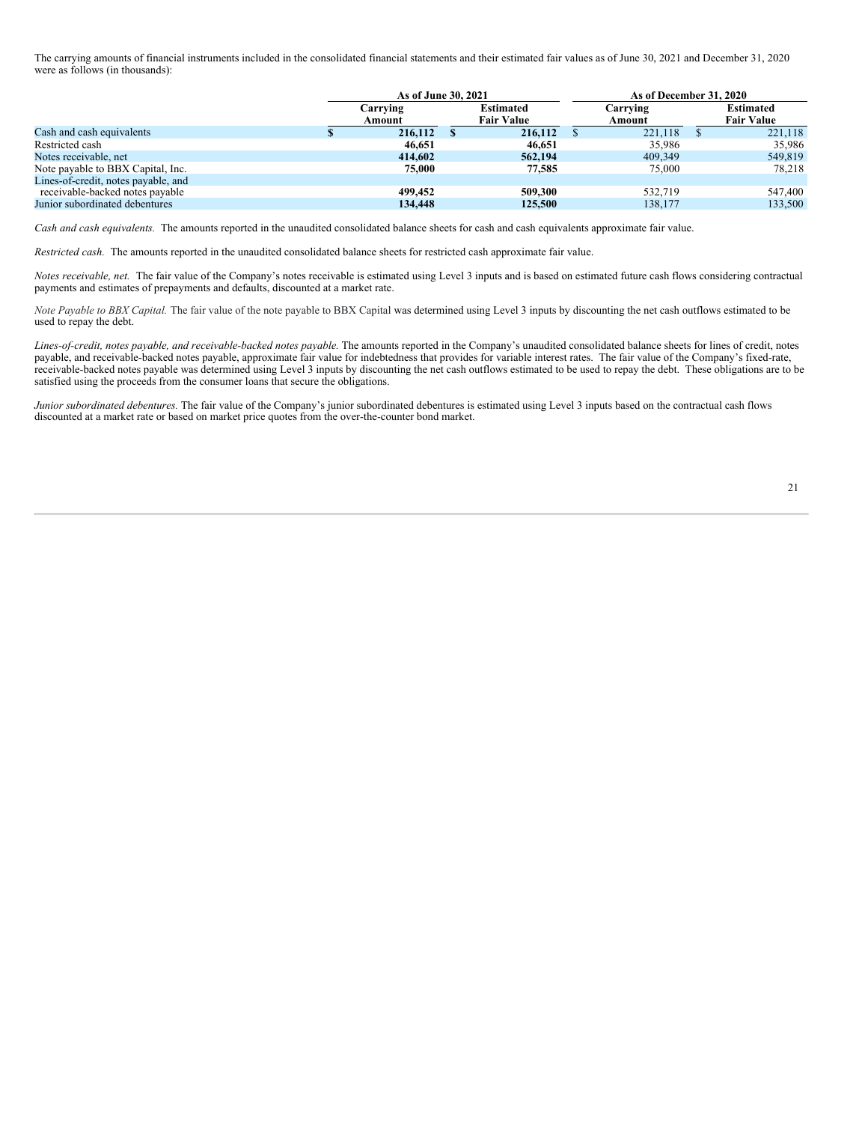The carrying amounts of financial instruments included in the consolidated financial statements and their estimated fair values as of June 30, 2021 and December 31, 2020 were as follows (in thousands):

|                                     | As of June 30, 2021 |        |                                       | As of December 31, 2020 |                    |  |                                       |  |
|-------------------------------------|---------------------|--------|---------------------------------------|-------------------------|--------------------|--|---------------------------------------|--|
|                                     | Carrying<br>Amount  |        | <b>Estimated</b><br><b>Fair Value</b> |                         | Carrying<br>Amount |  | <b>Estimated</b><br><b>Fair Value</b> |  |
| Cash and cash equivalents           | 216,112             |        | 216,112                               |                         | 221,118            |  | 221,118                               |  |
| Restricted cash                     | 46.651              |        | 46.651                                |                         | 35,986             |  | 35,986                                |  |
| Notes receivable, net               | 414,602             |        | 562,194                               |                         | 409.349            |  | 549.819                               |  |
| Note payable to BBX Capital, Inc.   |                     | 75,000 | 77,585                                |                         | 75,000             |  | 78,218                                |  |
| Lines-of-credit, notes payable, and |                     |        |                                       |                         |                    |  |                                       |  |
| receivable-backed notes payable     | 499,452             |        | 509,300                               |                         | 532,719            |  | 547,400                               |  |
| Junior subordinated debentures      | 134,448             |        | 125,500                               |                         | 138,177            |  | 133,500                               |  |

*Cash and cash equivalents.* The amounts reported in the unaudited consolidated balance sheets for cash and cash equivalents approximate fair value.

*Restricted cash.* The amounts reported in the unaudited consolidated balance sheets for restricted cash approximate fair value.

*Notes receivable, net.* The fair value of the Company's notes receivable is estimated using Level 3 inputs and is based on estimated future cash flows considering contractual payments and estimates of prepayments and defaults, discounted at a market rate.

*Note Payable to BBX Capital.* The fair value of the note payable to BBX Capital was determined using Level 3 inputs by discounting the net cash outflows estimated to be used to repay the debt.

*Lines-of-credit, notes payable, and receivable-backed notes payable.* The amounts reported in the Company's unaudited consolidated balance sheets for lines of credit, notes payable, and receivable-backed notes payable, approximate fair value for indebtedness that provides for variable interest rates. The fair value of the Company's fixed-rate, receivable-backed notes payable was determined using Level 3 inputs by discounting the net cash outflows estimated to be used to repay the debt. These obligations are to be satisfied using the proceeds from the consumer loans that secure the obligations.

*Junior subordinated debentures.* The fair value of the Company's junior subordinated debentures is estimated using Level 3 inputs based on the contractual cash flows discounted at a market rate or based on market price quotes from the over-the-counter bond market.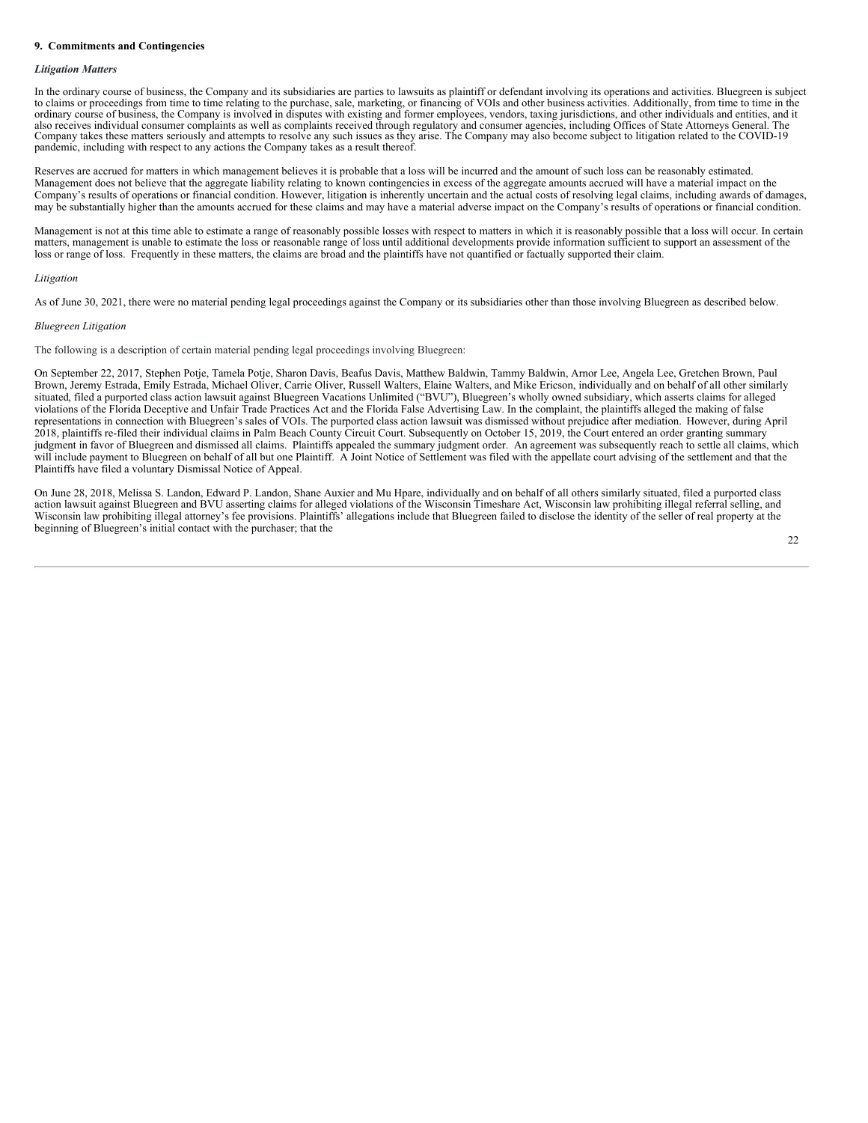# **9. Commitments and Contingencies**

#### *Litigation Matters*

In the ordinary course of business, the Company and its subsidiaries are parties to lawsuits as plaintiff or defendant involving its operations and activities. Bluegreen is subject to claims or proceedings from time to tim ordinary course of business, the Company is involved in disputes with existing and former employees, vendors, taxing jurisdictions, and other individuals and entities, and it<br>also receives individual consumer complaints as Company takes these matters seriously and attempts to resolve any such issues as they arise. The Company may also become subject to litigation related to the COVID-19 pandemic, including with respect to any actions the Com

Reserves are accrued for matters in which management believes it is probable that a loss will be incurred and the amount of such loss can be reasonably estimated. Management does not believe that the aggregate liability relating to known contingencies in excess of the aggregate amounts accrued will have a material impact on the Company's results of operations or financial condition. However, litigation is inherently uncertain and the actual costs of resolving legal claims, including awards of damages, may be substantially higher than the amounts accrued for these claims and may have a material adverse impact on the Company's results of operations or financial condition.

Management is not at this time able to estimate a range of reasonably possible losses with respect to matters in which it is reasonably possible that a loss will occur. In certain matters, management is unable to estimate the loss or reasonable range of loss until additional developments provide information sufficient to support an assessment of the loss or range of loss. Frequently in these matters, the claims are broad and the plaintiffs have not quantified or factually supported their claim.

# *Litigation*

As of June 30, 2021, there were no material pending legal proceedings against the Company or its subsidiaries other than those involving Bluegreen as described below.

### *Bluegreen Litigation*

The following is a description of certain material pending legal proceedings involving Bluegreen:

On September 22, 2017, Stephen Potje, Tamela Potje, Sharon Davis, Beafus Davis, Matthew Baldwin, Tammy Baldwin, Arnor Lee, Angela Lee, Gretchen Brown, Paul Brown, Jeremy Estrada, Emily Estrada, Michael Oliver, Carrie Oliver, Russell Walters, Elaine Walters, and Mike Ericson, individually and on behalf of all other similarly situated, filed a purported class action lawsuit against Bluegreen Vacations Unlimited ("BVU"), Bluegreen's wholly owned subsidiary, which asserts claims for alleged violations of the Florida Deceptive and Unfair Trade Practices Act and the Florida False Advertising Law. In the complaint, the plaintiffs alleged the making of false representations in connection with Bluegreen's sales of VOIs. The purported class action lawsuit was dismissed without prejudice after mediation. However, during April 2018, plaintiffs re-filed their individual claims in Palm Beach County Circuit Court. Subsequently on October 15, 2019, the Court entered an order granting summary judgment in favor of Bluegreen and dismissed all claims. Plaintiffs appealed the summary judgment order. An agreement was subsequently reach to settle all claims, which will include payment to Bluegreen on behalf of all but one Plaintiff. A Joint Notice of Settlement was filed with the appellate court advising of the settlement and that the Plaintiffs have filed a voluntary Dismissal Notice of Appeal.

On June 28, 2018, Melissa S. Landon, Edward P. Landon, Shane Auxier and Mu Hpare, individually and on behalf of all others similarly situated, filed a purported class action lawsuit against Bluegreen and BVU asserting claims for alleged violations of the Wisconsin Timeshare Act, Wisconsin law prohibiting illegal referral selling, and Wisconsin law prohibiting illegal attorney's fee provisions. Plaintiffs' allegations include that Bluegreen failed to disclose the identity of the seller of real property at the beginning of Bluegreen's initial contact with the purchaser; that the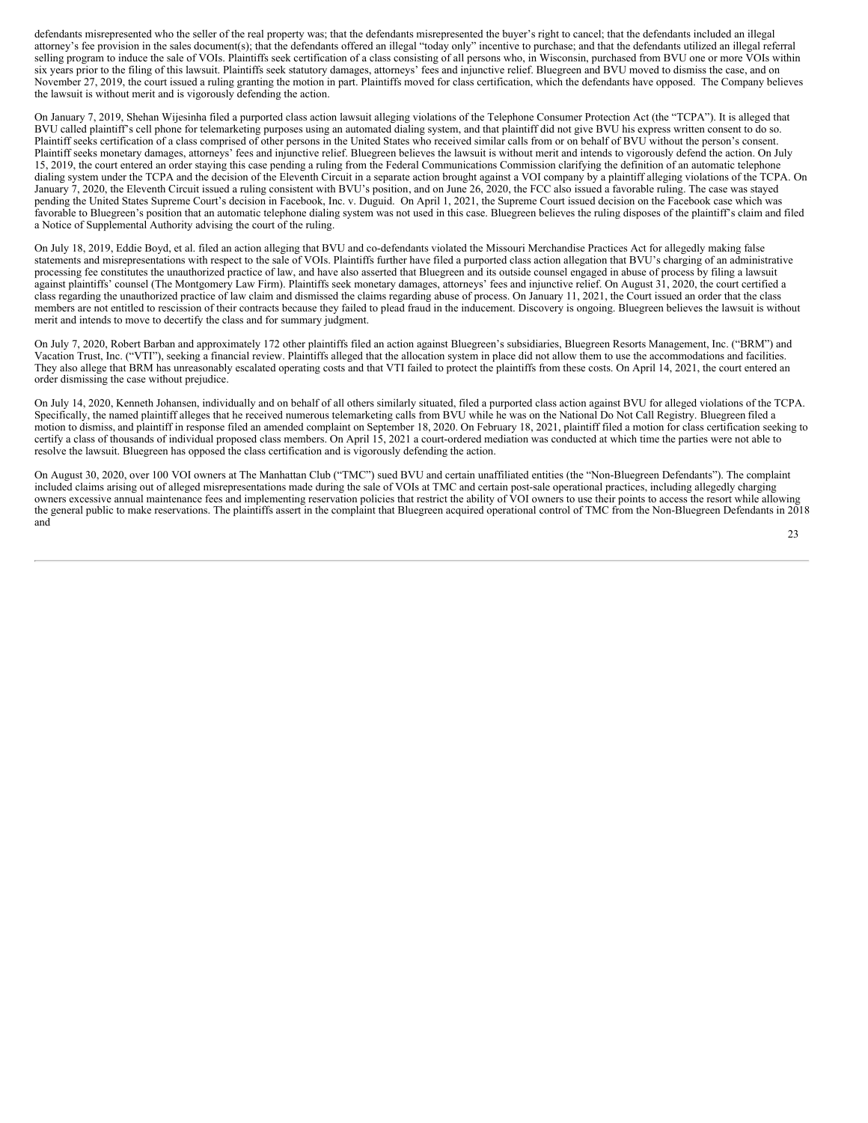defendants misrepresented who the seller of the real property was; that the defendants misrepresented the buyer's right to cancel; that the defendants included an illegal attorney's fee provision in the sales document(s); that the defendants offered an illegal "today only" incentive to purchase; and that the defendants utilized an illegal referral selling program to induce the sale of VOIs. Plaintiffs seek certification of a class consisting of all persons who, in Wisconsin, purchased from BVU one or more VOIs within six years prior to the filing of this lawsuit. Plaintiffs seek statutory damages, attorneys' fees and injunctive relief. Bluegreen and BVU moved to dismiss the case, and on November 27, 2019, the court issued a ruling granting the motion in part. Plaintiffs moved for class certification, which the defendants have opposed. The Company believes the lawsuit is without merit and is vigorously defending the action.

On January 7, 2019, Shehan Wijesinha filed a purported class action lawsuit alleging violations of the Telephone Consumer Protection Act (the "TCPA"). It is alleged that BVU called plaintiff's cell phone for telemarketing purposes using an automated dialing system, and that plaintiff did not give BVU his express written consent to do so. Plaintiff seeks certification of a class comprised of other persons in the United States who received similar calls from or on behalf of BVU without the person's consent. Plaintiff seeks monetary damages, attorneys' fees and injunctive relief. Bluegreen believes the lawsuit is without merit and intends to vigorously defend the action. On July 15, 2019, the court entered an order staying this case pending a ruling from the Federal Communications Commission clarifying the definition of an automatic telephone dialing system under the TCPA and the decision of the Eleventh Circuit in a separate action brought against a VOI company by a plaintiff alleging violations of the TCPA. On January 7, 2020, the Eleventh Circuit issued a ruling consistent with BVU's position, and on June 26, 2020, the FCC also issued a favorable ruling. The case was stayed pending the United States Supreme Court's decision in Facebook, Inc. v. Duguid. On April 1, 2021, the Supreme Court issued decision on the Facebook case which was favorable to Bluegreen's position that an automatic telephone dialing system was not used in this case. Bluegreen believes the ruling disposes of the plaintiff's claim and filed a Notice of Supplemental Authority advising the court of the ruling.

On July 18, 2019, Eddie Boyd, et al. filed an action alleging that BVU and co-defendants violated the Missouri Merchandise Practices Act for allegedly making false statements and misrepresentations with respect to the sale of VOIs. Plaintiffs further have filed a purported class action allegation that BVU's charging of an administrative processing fee constitutes the unauthorized practice of law, and have also asserted that Bluegreen and its outside counsel engaged in abuse of process by filing a lawsuit against plaintiffs' counsel (The Montgomery Law Firm). Plaintiffs seek monetary damages, attorneys' fees and injunctive relief. On August 31, 2020, the court certified a class regarding the unauthorized practice of law claim and dismissed the claims regarding abuse of process. On January 11, 2021, the Court issued an order that the class members are not entitled to rescission of their contracts because they failed to plead fraud in the inducement. Discovery is ongoing. Bluegreen believes the lawsuit is without merit and intends to move to decertify the class and for summary judgment.

On July 7, 2020, Robert Barban and approximately 172 other plaintiffs filed an action against Bluegreen's subsidiaries, Bluegreen Resorts Management, Inc. ("BRM") and Vacation Trust, Inc. ("VTI"), seeking a financial review. Plaintiffs alleged that the allocation system in place did not allow them to use the accommodations and facilities. They also allege that BRM has unreasonably escalated operating costs and that VTI failed to protect the plaintiffs from these costs. On April 14, 2021, the court entered an order dismissing the case without prejudice.

On July 14, 2020, Kenneth Johansen, individually and on behalf of all others similarly situated, filed a purported class action against BVU for alleged violations of the TCPA. Specifically, the named plaintiff alleges that he received numerous telemarketing calls from BVU while he was on the National Do Not Call Registry. Bluegreen filed a motion to dismiss, and plaintiff in response filed an amended complaint on September 18, 2020. On February 18, 2021, plaintiff filed a motion for class certification seeking to certify a class of thousands of individual proposed class members. On April 15, 2021 a court-ordered mediation was conducted at which time the parties were not able to resolve the lawsuit. Bluegreen has opposed the class certification and is vigorously defending the action.

On August 30, 2020, over 100 VOI owners at The Manhattan Club ("TMC") sued BVU and certain unaffiliated entities (the "Non-Bluegreen Defendants"). The complaint included claims arising out of alleged misrepresentations made during the sale of VOIs at TMC and certain post-sale operational practices, including allegedly charging owners excessive annual maintenance fees and implementing reservation policies that restrict the ability of VOI owners to use their points to access the resort while allowing the general public to make reservations. The plaintiffs assert in the complaint that Bluegreen acquired operational control of TMC from the Non-Bluegreen Defendants in 2018 and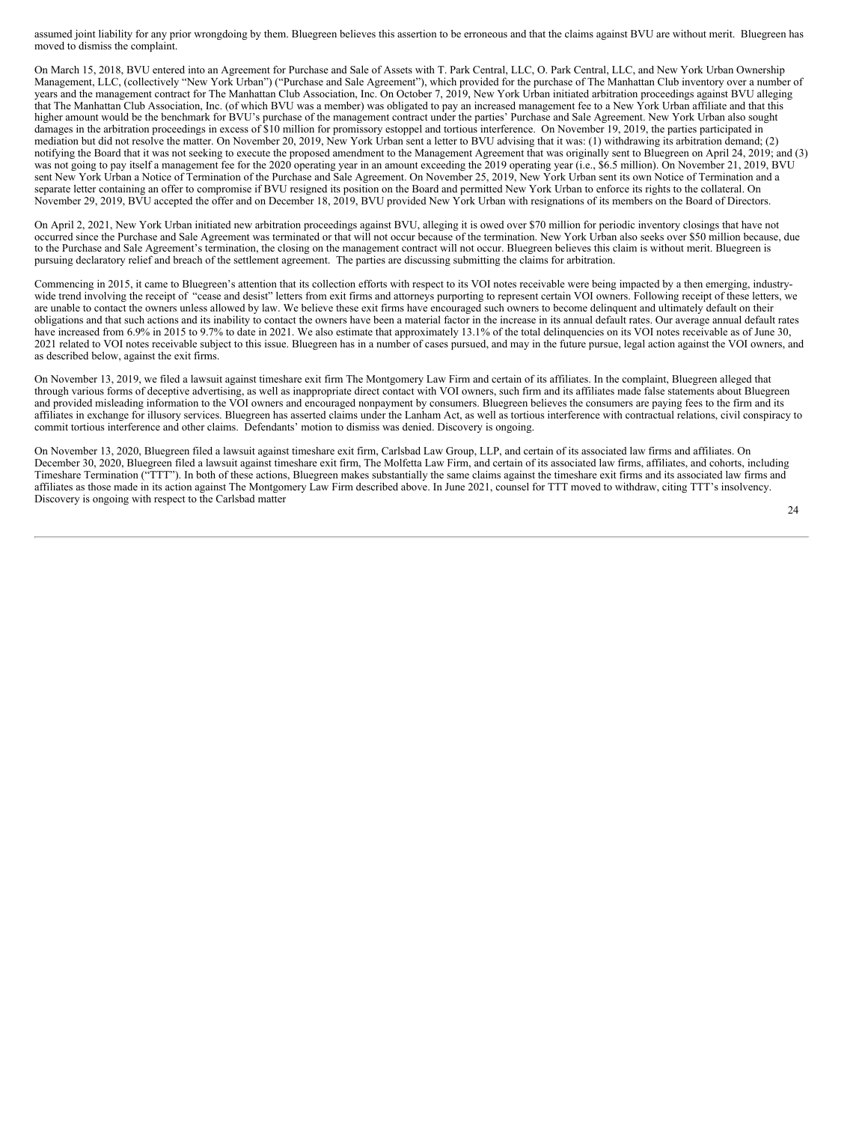assumed joint liability for any prior wrongdoing by them. Bluegreen believes this assertion to be erroneous and that the claims against BVU are without merit. Bluegreen has moved to dismiss the complaint.

On March 15, 2018, BVU entered into an Agreement for Purchase and Sale of Assets with T. Park Central, LLC, O. Park Central, LLC, and New York Urban Ownership Management, LLC, (collectively "New York Urban") ("Purchase and Sale Agreement"), which provided for the purchase of The Manhattan Club inventory over a number of years and the management contract for The Manhattan Club Association, Inc. On October 7, 2019, New York Urban initiated arbitration proceedings against BVU alleging that The Manhattan Club Association, Inc. (of which BVU was a member) was obligated to pay an increased management fee to a New York Urban affiliate and that this higher amount would be the benchmark for BVU's purchase of the management contract under the parties' Purchase and Sale Agreement. New York Urban also sought damages in the arbitration proceedings in excess of \$10 million for promissory estoppel and tortious interference. On November 19, 2019, the parties participated in mediation but did not resolve the matter. On November 20, 2019, New York Urban sent a letter to BVU advising that it was: (1) withdrawing its arbitration demand; (2) notifying the Board that it was not seeking to execute the proposed amendment to the Management Agreement that was originally sent to Bluegreen on April 24, 2019; and (3) was not going to pay itself a management fee for the 2020 operating year in an amount exceeding the 2019 operating year (i.e., \$6.5 million). On November 21, 2019, BVU sent New York Urban a Notice of Termination of the Purchase and Sale Agreement. On November 25, 2019, New York Urban sent its own Notice of Termination and a separate letter containing an offer to compromise if BVU resigned its position on the Board and permitted New York Urban to enforce its rights to the collateral. On November 29, 2019, BVU accepted the offer and on December 18, 2019, BVU provided New York Urban with resignations of its members on the Board of Directors.

On April 2, 2021, New York Urban initiated new arbitration proceedings against BVU, alleging it is owed over \$70 million for periodic inventory closings that have not occurred since the Purchase and Sale Agreement was terminated or that will not occur because of the termination. New York Urban also seeks over \$50 million because, due to the Purchase and Sale Agreement's termination, the closing on the management contract will not occur. Bluegreen believes this claim is without merit. Bluegreen is pursuing declaratory relief and breach of the settlement agreement. The parties are discussing submitting the claims for arbitration.

Commencing in 2015, it came to Bluegreen's attention that its collection efforts with respect to its VOI notes receivable were being impacted by a then emerging, industrywide trend involving the receipt of "cease and desist" letters from exit firms and attorneys purporting to represent certain VOI owners. Following receipt of these letters, we are unable to contact the owners unless allowed by law. We believe these exit firms have encouraged such owners to become delinquent and ultimately default on their obligations and that such actions and its inability to contact the owners have been a material factor in the increase in its annual default rates. Our average annual default rates have increased from 6.9% in 2015 to 9.7% to date in 2021. We also estimate that approximately 13.1% of the total delinquencies on its VOI notes receivable as of June 30, 2021 related to VOI notes receivable subject to this issue. Bluegreen has in a number of cases pursued, and may in the future pursue, legal action against the VOI owners, and as described below, against the exit firms.

On November 13, 2019, we filed a lawsuit against timeshare exit firm The Montgomery Law Firm and certain of its affiliates. In the complaint, Bluegreen alleged that through various forms of deceptive advertising, as well as inappropriate direct contact with VOI owners, such firm and its affiliates made false statements about Bluegreen and provided misleading information to the VOI owners and encouraged nonpayment by consumers. Bluegreen believes the consumers are paying fees to the firm and its affiliates in exchange for illusory services. Bluegreen has asserted claims under the Lanham Act, as well as tortious interference with contractual relations, civil conspiracy to commit tortious interference and other claims. Defendants' motion to dismiss was denied. Discovery is ongoing.

On November 13, 2020, Bluegreen filed a lawsuit against timeshare exit firm, Carlsbad Law Group, LLP, and certain of its associated law firms and affiliates. On December 30, 2020, Bluegreen filed a lawsuit against timeshare exit firm, The Molfetta Law Firm, and certain of its associated law firms, affiliates, and cohorts, including Timeshare Termination ("TTT"). In both of these actions, Bluegreen makes substantially the same claims against the timeshare exit firms and its associated law firms and affiliates as those made in its action against The Montgomery Law Firm described above. In June 2021, counsel for TTT moved to withdraw, citing TTT's insolvency. Discovery is ongoing with respect to the Carlsbad matter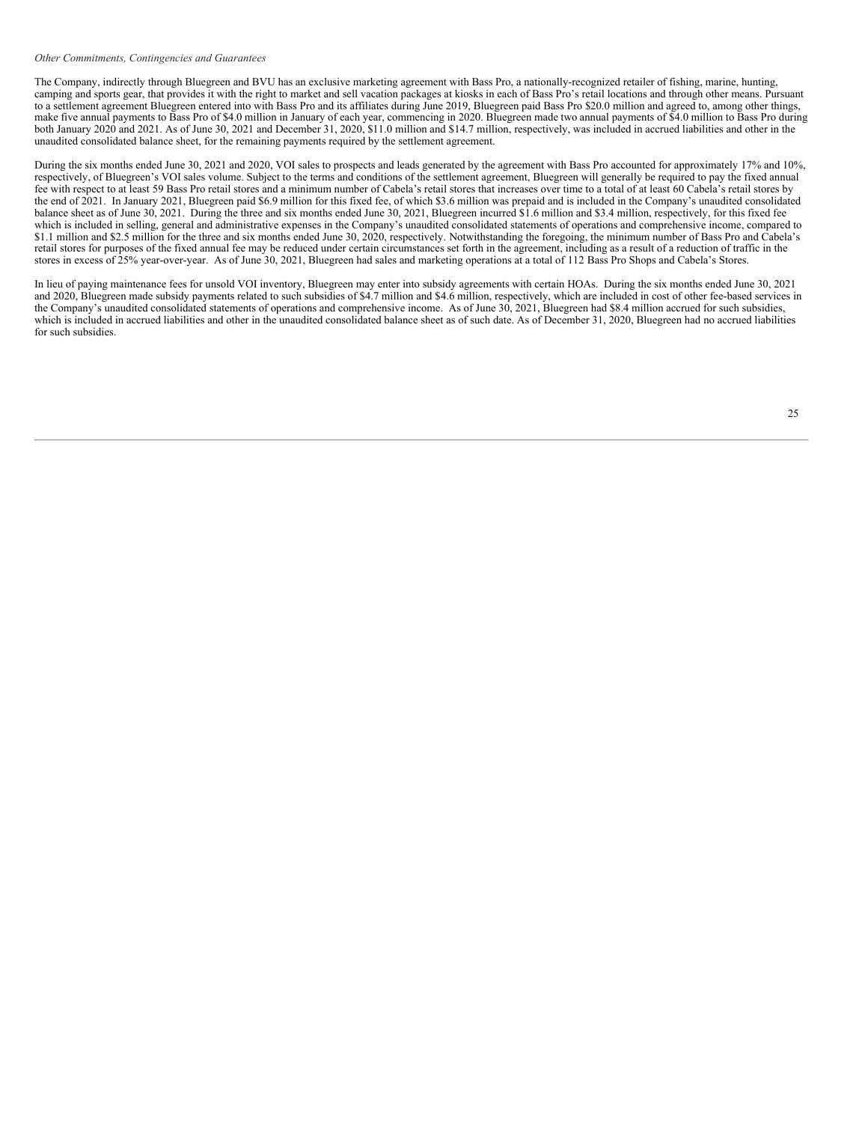#### *Other Commitments, Contingencies and Guarantees*

The Company, indirectly through Bluegreen and BVU has an exclusive marketing agreement with Bass Pro, a nationally-recognized retailer of fishing, marine, hunting, camping and sports gear, that provides it with the right to market and sell vacation packages at kiosks in each of Bass Pro's retail locations and through other means. Pursuant to a settlement agreement Bluegreen entered into with Bass Pro and its affiliates during June 2019, Bluegreen paid Bass Pro \$20.0 million and agreed to, among other things, make five annual payments to Bass Pro of \$4.0 million in January of each year, commencing in 2020. Bluegreen made two annual payments of \$4.0 million to Bass Pro during both January 2020 and 2021. As of June 30, 2021 and December 31, 2020, \$11.0 million and \$14.7 million, respectively, was included in accrued liabilities and other in the unaudited consolidated balance sheet, for the remaining payments required by the settlement agreement.

During the six months ended June 30, 2021 and 2020, VOI sales to prospects and leads generated by the agreement with Bass Pro accounted for approximately 17% and 10%, respectively, of Bluegreen's VOI sales volume. Subject to the terms and conditions of the settlement agreement, Bluegreen will generally be required to pay the fixed annual fee with respect to at least 59 Bass Pro retail stores and a minimum number of Cabela's retail stores that increases over time to a total of at least 60 Cabela's retail stores by the end of 2021. In January 2021, Bluegreen paid \$6.9 million for this fixed fee, of which \$3.6 million was prepaid and is included in the Company's unaudited consolidated balance sheet as of June 30, 2021. During the three and six months ended June 30, 2021, Bluegreen incurred \$1.6 million and \$3.4 million, respectively, for this fixed fee which is included in selling, general and administrative expenses in the Company's unaudited consolidated statements of operations and comprehensive income, compared to \$1.1 million and \$2.5 million for the three and six months ended June 30, 2020, respectively. Notwithstanding the foregoing, the minimum number of Bass Pro and Cabela's retail stores for purposes of the fixed annual fee may be reduced under certain circumstances set forth in the agreement, including as a result of a reduction of traffic in the stores in excess of 25% year-over-year. As of June 30, 2021, Bluegreen had sales and marketing operations at a total of 112 Bass Pro Shops and Cabela's Stores.

In lieu of paying maintenance fees for unsold VOI inventory, Bluegreen may enter into subsidy agreements with certain HOAs. During the six months ended June 30, 2021 and 2020, Bluegreen made subsidy payments related to such subsidies of \$4.7 million and \$4.6 million, respectively, which are included in cost of other fee-based services in the Company's unaudited consolidated statements of operations and comprehensive income. As of June 30, 2021, Bluegreen had \$8.4 million accrued for such subsidies, which is included in accrued liabilities and other in the unaudited consolidated balance sheet as of such date. As of December 31, 2020, Bluegreen had no accrued liabilities for such subsidies.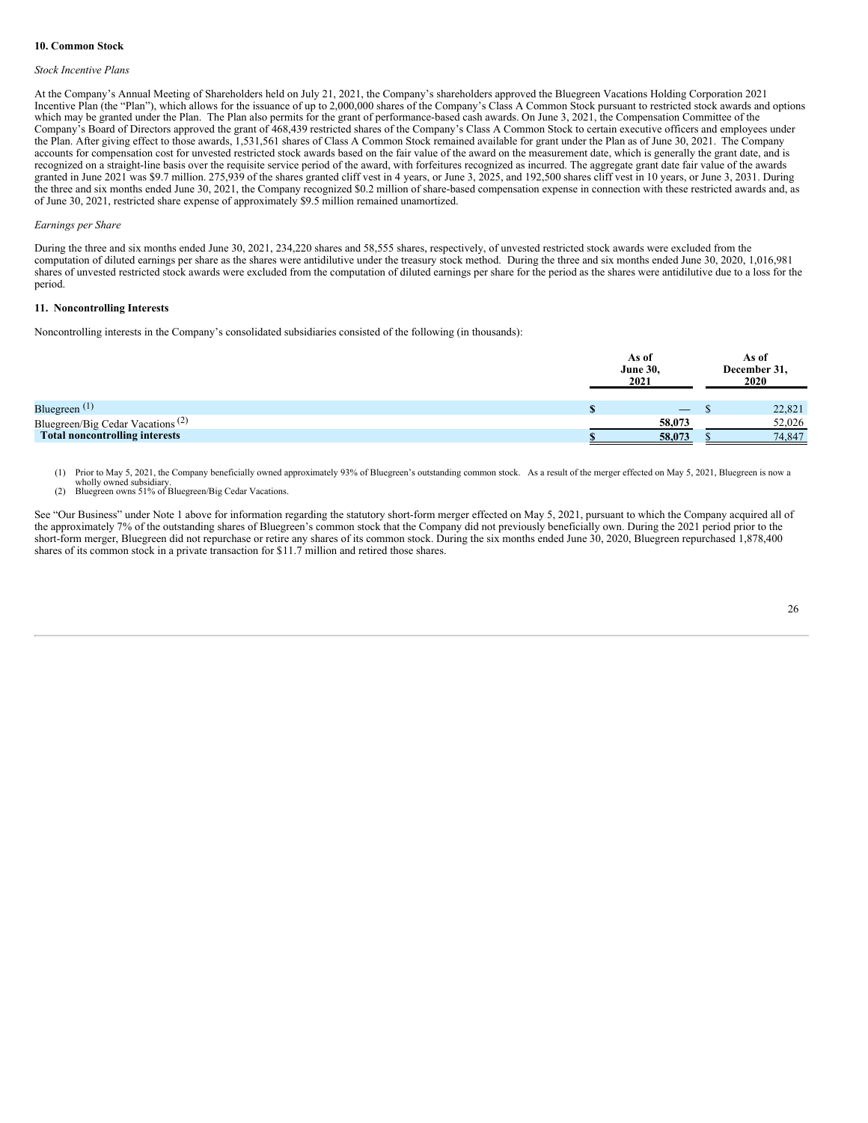#### **10. Common Stock**

#### *Stock Incentive Plans*

At the Company's Annual Meeting of Shareholders held on July 21, 2021, the Company's shareholders approved the Bluegreen Vacations Holding Corporation 2021 Incentive Plan (the "Plan"), which allows for the issuance of up to 2,000,000 shares of the Company's Class A Common Stock pursuant to restricted stock awards and options which may be granted under the Plan. The Plan also permits for the grant of performance-based cash awards. On June 3, 2021, the Compensation Committee of the Company's Board of Directors approved the grant of 468,439 restricted shares of the Company's Class A Common Stock to certain executive officers and employees under the Plan. After giving effect to those awards, 1,531,561 shares of Class A Common Stock remained available for grant under the Plan as of June 30, 2021. The Company accounts for compensation cost for unvested restricted stock awards based on the fair value of the award on the measurement date, which is generally the grant date, and is recognized on a straight-line basis over the requisite service period of the award, with forfeitures recognized as incurred. The aggregate grant date fair value of the awards granted in June 2021 was \$9.7 million. 275,939 of the shares granted cliff vest in 4 years, or June 3, 2025, and 192,500 shares cliff vest in 10 years, or June 3, 2031. During the three and six months ended June 30, 2021, the Company recognized \$0.2 million of share-based compensation expense in connection with these restricted awards and, as of June 30, 2021, restricted share expense of approximately \$9.5 million remained unamortized.

#### *Earnings per Share*

During the three and six months ended June 30, 2021, 234,220 shares and 58,555 shares, respectively, of unvested restricted stock awards were excluded from the computation of diluted earnings per share as the shares were antidilutive under the treasury stock method. During the three and six months ended June 30, 2020, 1,016,981 shares of unvested restricted stock awards were excluded from the computation of diluted earnings per share for the period as the shares were antidilutive due to a loss for the period.

# **11. Noncontrolling Interests**

Noncontrolling interests in the Company's consolidated subsidiaries consisted of the following (in thousands):

|                                              |  | As of<br><b>June 30,</b><br>2021 |  | As of<br>December 31,<br>2020 |  |
|----------------------------------------------|--|----------------------------------|--|-------------------------------|--|
| Bluegreen $(1)$                              |  | $\overbrace{\phantom{aaaaa}}$    |  | 22,821                        |  |
| Bluegreen/Big Cedar Vacations <sup>(2)</sup> |  | 58,073                           |  | 52,026                        |  |
| <b>Total noncontrolling interests</b>        |  | 58,073                           |  | 74,847                        |  |

(1) Prior to May 5, 2021, the Company beneficially owned approximately 93% of Bluegreen's outstanding common stock. As a result of the merger effected on May 5, 2021, Bluegreen is now a<br>wholly owned subsidiary.<br>(2) Bluegre

See "Our Business" under Note 1 above for information regarding the statutory short-form merger effected on May 5, 2021, pursuant to which the Company acquired all of the approximately 7% of the outstanding shares of Bluegreen's common stock that the Company did not previously beneficially own. During the 2021 period prior to the short-form merger, Bluegreen did not repurchase or retire any shares of its common stock. During the six months ended June 30, 2020, Bluegreen repurchased 1,878,400 shares of its common stock in a private transaction for \$11.7 million and retired those shares.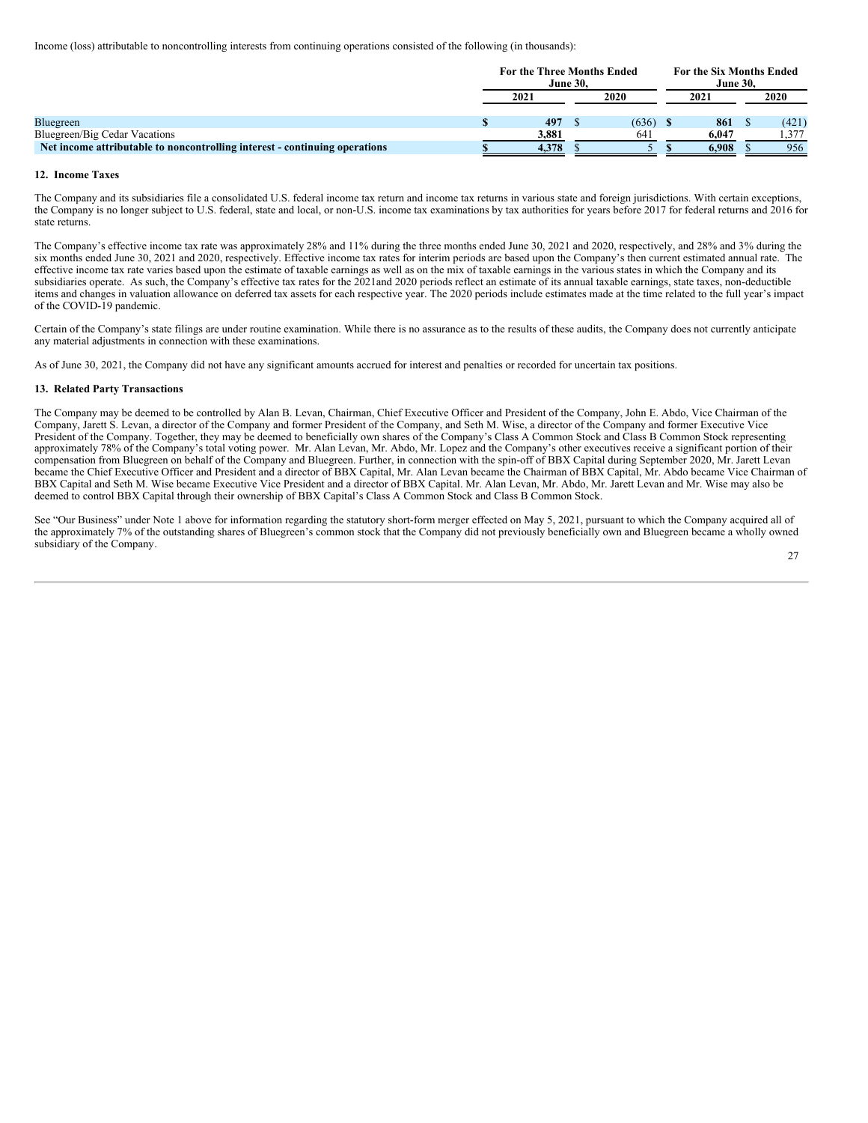Income (loss) attributable to noncontrolling interests from continuing operations consisted of the following (in thousands):

|                                                                            | For the Three Months Ended<br><b>June 30.</b> |  |       | For the Six Months Ended<br><b>June 30.</b> |  |       |
|----------------------------------------------------------------------------|-----------------------------------------------|--|-------|---------------------------------------------|--|-------|
|                                                                            | 2021                                          |  | 2020  | 2021                                        |  | 2020  |
| Bluegreen                                                                  | 497                                           |  | (636) | 861                                         |  | (421) |
| Bluegreen/Big Cedar Vacations                                              | 3.881                                         |  | 641   | 6.047                                       |  | .377  |
| Net income attributable to noncontrolling interest - continuing operations | 4.378                                         |  |       | 6.908                                       |  | 956   |

# **12. Income Taxes**

The Company and its subsidiaries file a consolidated U.S. federal income tax return and income tax returns in various state and foreign jurisdictions. With certain exceptions, the Company is no longer subject to U.S. federal, state and local, or non-U.S. income tax examinations by tax authorities for years before 2017 for federal returns and 2016 for state returns.

The Company's effective income tax rate was approximately 28% and 11% during the three months ended June 30, 2021 and 2020, respectively, and 28% and 3% during the six months ended June 30, 2021 and 2020, respectively. Effective income tax rates for interim periods are based upon the Company's then current estimated annual rate. The effective income tax rate varies based upon the estimate of taxable earnings as well as on the mix of taxable earnings in the various states in which the Company and its subsidiaries operate. As such, the Company's effective tax rates for the 2021and 2020 periods reflect an estimate of its annual taxable earnings, state taxes, non-deductible items and changes in valuation allowance on deferred tax assets for each respective year. The 2020 periods include estimates made at the time related to the full year's impact of the COVID-19 pandemic.

Certain of the Company's state filings are under routine examination. While there is no assurance as to the results of these audits, the Company does not currently anticipate any material adjustments in connection with these examinations.

As of June 30, 2021, the Company did not have any significant amounts accrued for interest and penalties or recorded for uncertain tax positions.

# **13. Related Party Transactions**

The Company may be deemed to be controlled by Alan B. Levan, Chairman, Chief Executive Officer and President of the Company, John E. Abdo, Vice Chairman of the Company, Jarett S. Levan, a director of the Company and former President of the Company, and Seth M. Wise, a director of the Company and former Executive Vice President of the Company. Together, they may be deemed to beneficially own shares of the Company's Class A Common Stock and Class B Common Stock representing approximately 78% of the Company's total voting power. Mr. Alan Levan, Mr. Abdo, Mr. Lopez and the Company's other executives receive a significant portion of their compensation from Bluegreen on behalf of the Company and Bluegreen. Further, in connection with the spin-off of BBX Capital during September 2020, Mr. Jarett Levan became the Chief Executive Officer and President and a director of BBX Capital, Mr. Alan Levan became the Chairman of BBX Capital, Mr. Abdo became Vice Chairman of BBX Capital and Seth M. Wise became Executive Vice President and a director of BBX Capital. Mr. Alan Levan, Mr. Abdo, Mr. Jarett Levan and Mr. Wise may also be deemed to control BBX Capital through their ownership of BBX Capital's Class A Common Stock and Class B Common Stock.

See "Our Business" under Note 1 above for information regarding the statutory short-form merger effected on May 5, 2021, pursuant to which the Company acquired all of the approximately 7% of the outstanding shares of Bluegreen's common stock that the Company did not previously beneficially own and Bluegreen became a wholly owned subsidiary of the Company.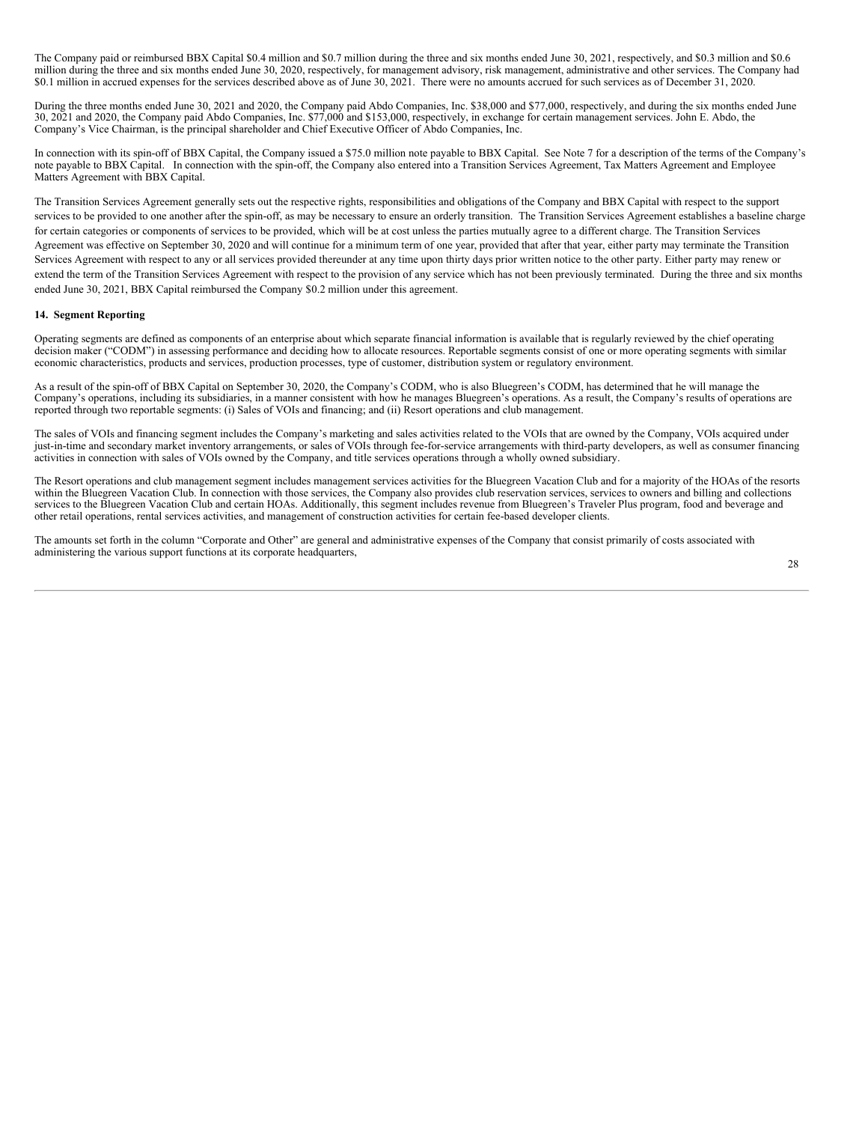The Company paid or reimbursed BBX Capital \$0.4 million and \$0.7 million during the three and six months ended June 30, 2021, respectively, and \$0.3 million and \$0.6 million during the three and six months ended June 30, 2020, respectively, for management advisory, risk management, administrative and other services. The Company had \$0.1 million in accrued expenses for the services described above as of June 30, 2021. There were no amounts accrued for such services as of December 31, 2020.

During the three months ended June 30, 2021 and 2020, the Company paid Abdo Companies, Inc. \$38,000 and \$77,000, respectively, and during the six months ended June 30, 2021 and 2020, the Company paid Abdo Companies, Inc. \$77,000 and \$153,000, respectively, in exchange for certain management services. John E. Abdo, the Company's Vice Chairman, is the principal shareholder and Chief Executive Officer of Abdo Companies, Inc.

In connection with its spin-off of BBX Capital, the Company issued a \$75.0 million note payable to BBX Capital. See Note 7 for a description of the terms of the Company's note payable to BBX Capital. In connection with the spin-off, the Company also entered into a Transition Services Agreement, Tax Matters Agreement and Employee Matters Agreement with BBX Capital.

The Transition Services Agreement generally sets out the respective rights, responsibilities and obligations of the Company and BBX Capital with respect to the support services to be provided to one another after the spin-off, as may be necessary to ensure an orderly transition. The Transition Services Agreement establishes a baseline charge for certain categories or components of services to be provided, which will be at cost unless the parties mutually agree to a different charge. The Transition Services Agreement was effective on September 30, 2020 and will continue for a minimum term of one year, provided that after that year, either party may terminate the Transition Services Agreement with respect to any or all services provided thereunder at any time upon thirty days prior written notice to the other party. Either party may renew or extend the term of the Transition Services Agreement with respect to the provision of any service which has not been previously terminated. During the three and six months ended June 30, 2021, BBX Capital reimbursed the Company \$0.2 million under this agreement.

#### **14. Segment Reporting**

Operating segments are defined as components of an enterprise about which separate financial information is available that is regularly reviewed by the chief operating decision maker ("CODM") in assessing performance and deciding how to allocate resources. Reportable segments consist of one or more operating segments with similar economic characteristics, products and services, production processes, type of customer, distribution system or regulatory environment.

As a result of the spin-off of BBX Capital on September 30, 2020, the Company's CODM, who is also Bluegreen's CODM, has determined that he will manage the Company's operations, including its subsidiaries, in a manner consistent with how he manages Bluegreen's operations. As a result, the Company's results of operations are reported through two reportable segments: (i) Sales of VOIs and financing; and (ii) Resort operations and club management.

The sales of VOIs and financing segment includes the Company's marketing and sales activities related to the VOIs that are owned by the Company, VOIs acquired under just-in-time and secondary market inventory arrangements, or sales of VOIs through fee-for-service arrangements with third-party developers, as well as consumer financing activities in connection with sales of VOIs owned by the Company, and title services operations through a wholly owned subsidiary.

The Resort operations and club management segment includes management services activities for the Bluegreen Vacation Club and for a majority of the HOAs of the resorts within the Bluegreen Vacation Club. In connection with those services, the Company also provides club reservation services, services to owners and billing and collections services to the Bluegreen Vacation Club and certain HOAs. Additionally, this segment includes revenue from Bluegreen's Traveler Plus program, food and beverage and other retail operations, rental services activities, and management of construction activities for certain fee-based developer clients.

The amounts set forth in the column "Corporate and Other" are general and administrative expenses of the Company that consist primarily of costs associated with administering the various support functions at its corporate headquarters,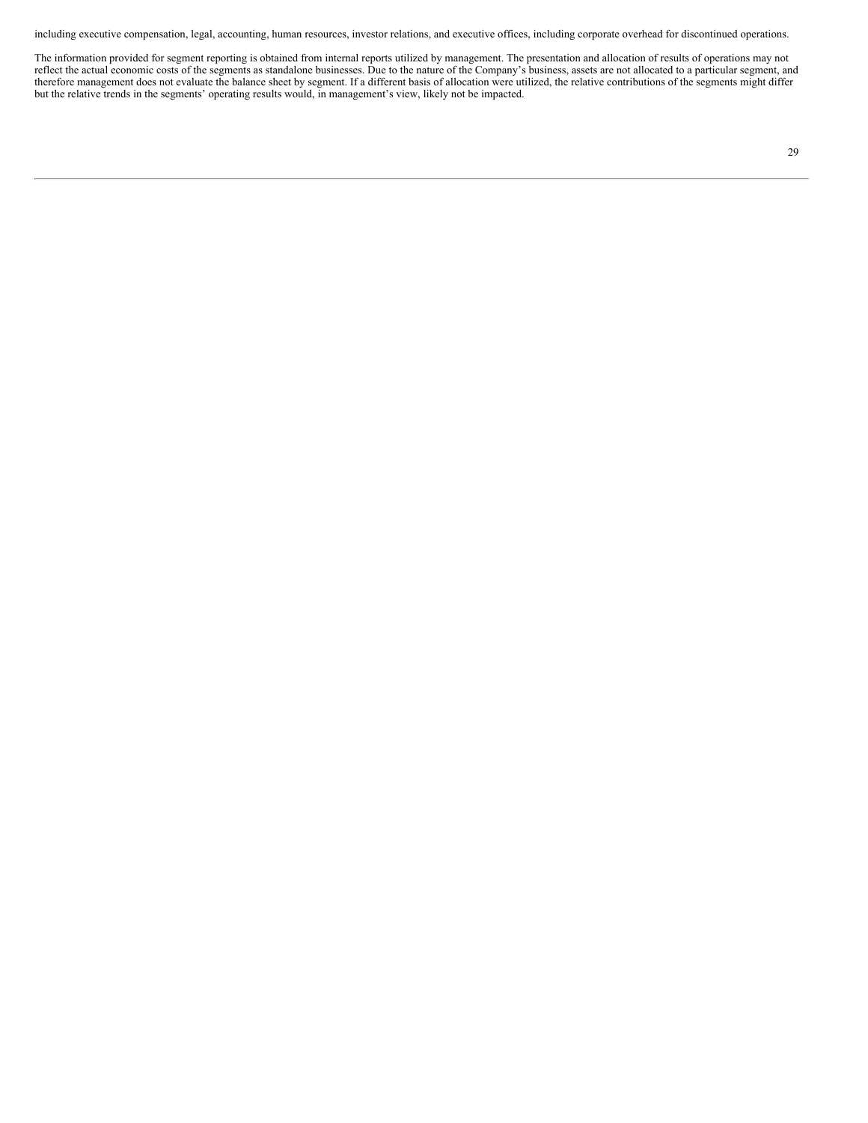including executive compensation, legal, accounting, human resources, investor relations, and executive offices, including corporate overhead for discontinued operations.

The information provided for segment reporting is obtained from internal reports utilized by management. The presentation and allocation of results of operations may not reflect the actual economic costs of the segments as standalone businesses. Due to the nature of the Company's business, assets are not allocated to a particular segment, and therefore management does not evaluate the balance sheet by segment. If a different basis of allocation were utilized, the relative contributions of the segments might differ but the relative trends in the segments' operating results would, in management's view, likely not be impacted.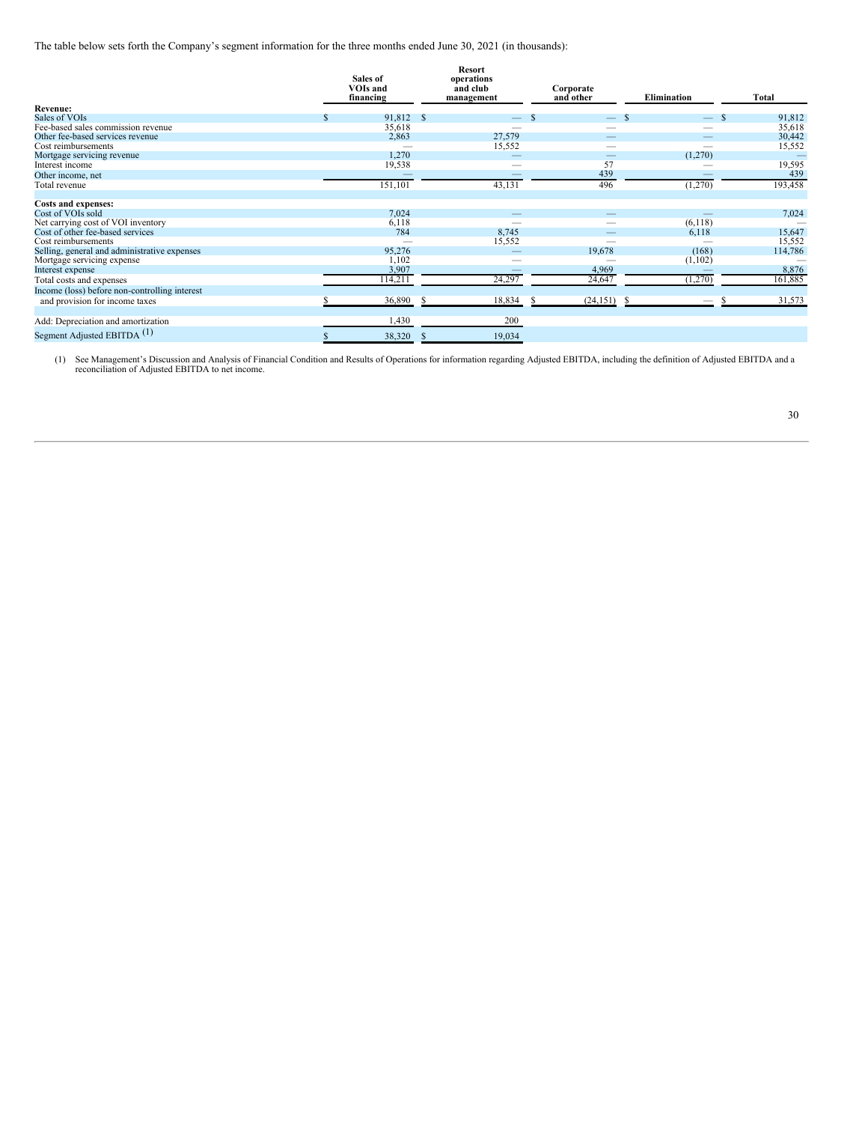The table below sets forth the Company's segment information for the three months ended June 30, 2021 (in thousands):

|                                               | Sales of<br>VOIs and<br>financing | <b>Resort</b><br>operations<br>and club<br>management | Corporate<br>and other   | Elimination                     | <b>Total</b> |
|-----------------------------------------------|-----------------------------------|-------------------------------------------------------|--------------------------|---------------------------------|--------------|
| Revenue:                                      |                                   |                                                       |                          |                                 |              |
| Sales of VOIs                                 | 91,812 \$                         |                                                       | $\overline{\phantom{m}}$ |                                 | 91,812       |
| Fee-based sales commission revenue            | 35,618                            |                                                       |                          |                                 | 35,618       |
| Other fee-based services revenue              | 2,863                             | 27,579                                                |                          |                                 | 30,442       |
| Cost reimbursements                           |                                   | 15,552                                                | --                       |                                 | 15,552       |
| Mortgage servicing revenue                    | 1,270                             |                                                       |                          | (1,270)                         |              |
| Interest income                               | 19,538                            | $\overline{\phantom{a}}$                              | 57                       |                                 | 19,595       |
| Other income, net                             |                                   |                                                       | 439                      | _                               | 439          |
| Total revenue                                 | 151,101                           | 43,131                                                | 496                      | (1,270)                         | 193,458      |
| <b>Costs and expenses:</b>                    |                                   |                                                       |                          |                                 |              |
| Cost of VOIs sold                             | 7,024                             |                                                       |                          |                                 | 7,024        |
| Net carrying cost of VOI inventory            | 6,118                             |                                                       |                          | (6,118)                         |              |
| Cost of other fee-based services              | 784                               | 8,745                                                 |                          | 6,118                           | 15,647       |
| Cost reimbursements                           |                                   | 15,552                                                |                          |                                 | 15,552       |
| Selling, general and administrative expenses  | 95,276                            |                                                       | 19,678                   | (168)                           | 114,786      |
| Mortgage servicing expense                    | 1,102                             |                                                       |                          | (1,102)                         |              |
| Interest expense                              | 3,907                             |                                                       | 4,969                    |                                 | 8,876        |
| Total costs and expenses                      | 114,211                           | 24,297                                                | 24,647                   | (1,270)                         | 161,885      |
| Income (loss) before non-controlling interest |                                   |                                                       |                          |                                 |              |
| and provision for income taxes                | 36,890                            | 18,834<br>-S                                          | $(24, 151)$ \$<br>-S     | $\hspace{0.1mm}-\hspace{0.1mm}$ | 31,573<br>S  |
| Add: Depreciation and amortization            | 1,430                             | 200                                                   |                          |                                 |              |
| Segment Adjusted EBITDA <sup>(1)</sup>        | 38,320                            | 19,034<br><b>S</b>                                    |                          |                                 |              |

(1) See Management's Discussion and Analysis of Financial Condition and Results of Operations for information regarding Adjusted EBITDA, including the definition of Adjusted EBITDA and a reconciliation of Adjusted EBITDA a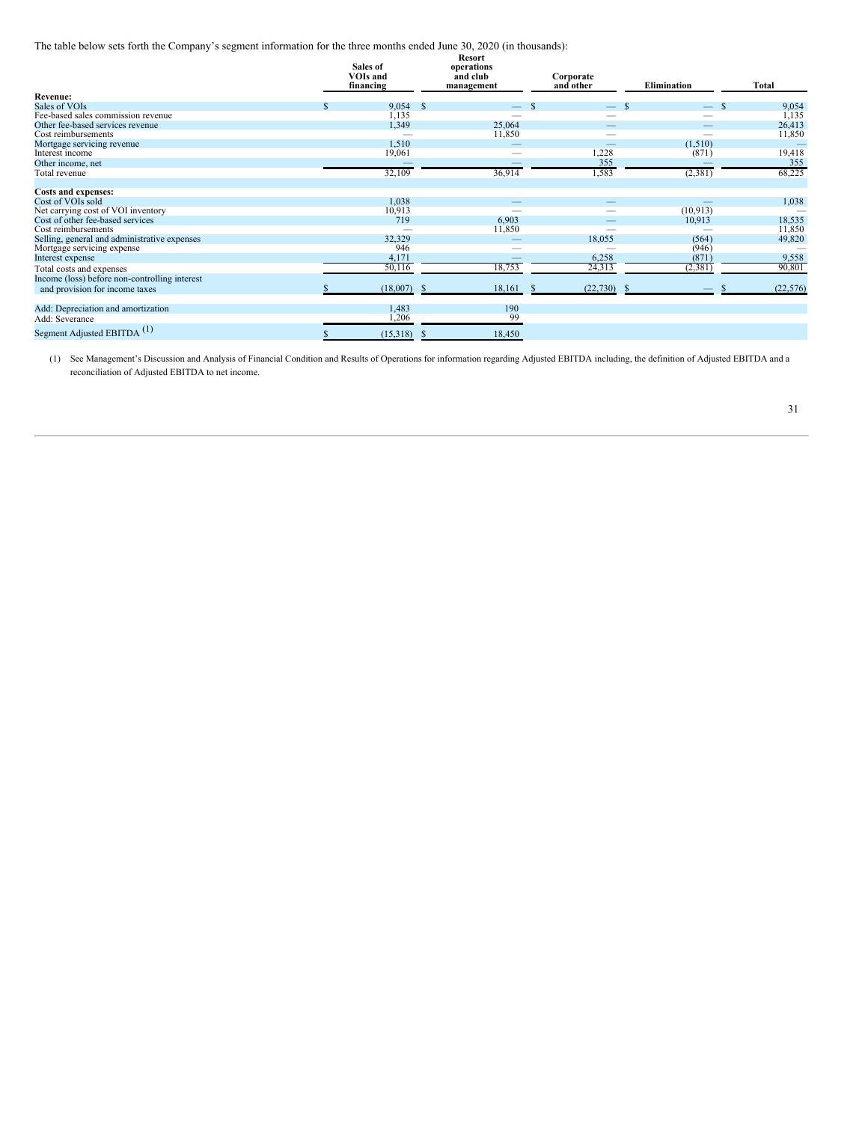The table below sets forth the Company's segment information for the three months ended June 30, 2020 (in thousands): **Resort**

|                                               | Resort |                              |    |                          |                          |                          |              |
|-----------------------------------------------|--------|------------------------------|----|--------------------------|--------------------------|--------------------------|--------------|
|                                               |        | Sales of                     |    | operations<br>and club   |                          |                          |              |
|                                               |        | <b>VOIs and</b><br>financing |    | management               | Corporate<br>and other   | Elimination              | <b>Total</b> |
| Revenue:                                      |        |                              |    |                          |                          |                          |              |
| Sales of VOIs                                 |        | 9,054                        | -S |                          | $\overline{\phantom{0}}$ | $\overline{\phantom{0}}$ | 9,054        |
| Fee-based sales commission revenue            |        | 1,135                        |    | --                       |                          |                          | 1,135        |
| Other fee-based services revenue              |        | 1,349                        |    | 25,064                   |                          |                          | 26,413       |
| Cost reimbursements                           |        |                              |    | 11,850                   |                          |                          | 11,850       |
| Mortgage servicing revenue                    |        | 1,510                        |    |                          |                          | (1,510)                  |              |
| Interest income                               |        | 19,061                       |    |                          | 1,228                    | (871)                    | 19,418       |
| Other income, net                             |        |                              |    |                          | 355                      |                          | 355          |
| Total revenue                                 |        | 32,109                       |    | 36,914                   | 1,583                    | (2,381)                  | 68,225       |
| Costs and expenses:                           |        |                              |    |                          |                          |                          |              |
| Cost of VOIs sold                             |        | 1,038                        |    |                          |                          |                          | 1,038        |
| Net carrying cost of VOI inventory            |        | 10,913                       |    | --                       |                          | (10,913)                 |              |
| Cost of other fee-based services              |        | 719                          |    | 6,903                    |                          | 10,913                   | 18,535       |
| Cost reimbursements                           |        |                              |    | 11,850                   |                          |                          | 11,850       |
| Selling, general and administrative expenses  |        | 32,329                       |    |                          | 18,055                   | (564)                    | 49,820       |
| Mortgage servicing expense                    |        | 946                          |    | $\overline{\phantom{a}}$ |                          | (946)                    |              |
| Interest expense                              |        | 4,171                        |    |                          | 6,258                    | (871)                    | 9,558        |
| Total costs and expenses                      |        | 50,116                       |    | 18,753                   | 24,313                   | (2,381)                  | 90,801       |
| Income (loss) before non-controlling interest |        |                              |    |                          |                          |                          |              |
| and provision for income taxes                |        | $(18,007)$ \$                |    | 18,161                   | $(22,730)$ \$            |                          | (22, 576)    |
| Add: Depreciation and amortization            |        | 1,483                        |    | 190                      |                          |                          |              |
| Add: Severance                                |        | 1,206                        |    | 99                       |                          |                          |              |
| Segment Adjusted EBITDA <sup>(1)</sup>        |        | (15,318)                     |    | 18,450                   |                          |                          |              |
|                                               |        |                              |    |                          |                          |                          |              |

(1) See Management's Discussion and Analysis of Financial Condition and Results of Operations for information regarding Adjusted EBITDA including, the definition of Adjusted EBITDA and a reconciliation of Adjusted EBITDA to net income.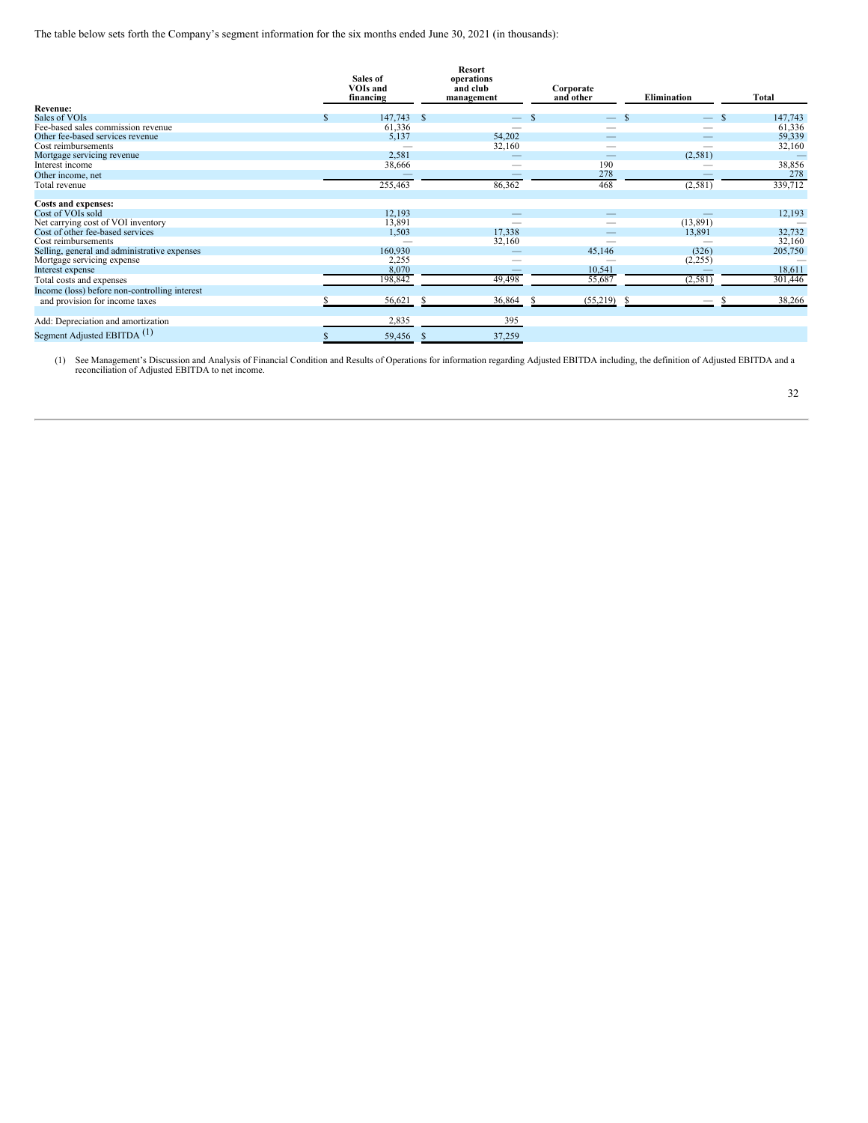The table below sets forth the Company's segment information for the six months ended June 30, 2021 (in thousands):

|                                               | Sales of<br><b>VOIs and</b><br>financing |    | <b>Resort</b><br>operations<br>and club<br>management | Corporate<br>and other   | <b>Elimination</b>              |   | <b>Total</b> |
|-----------------------------------------------|------------------------------------------|----|-------------------------------------------------------|--------------------------|---------------------------------|---|--------------|
| Revenue:                                      |                                          |    |                                                       |                          |                                 |   |              |
| Sales of VOIs                                 | 147,743                                  | -S |                                                       | $\overline{\phantom{m}}$ | $\overline{\phantom{0}}$        |   | 147,743      |
| Fee-based sales commission revenue            | 61,336                                   |    |                                                       |                          |                                 |   | 61,336       |
| Other fee-based services revenue              | 5,137                                    |    | 54,202                                                | __                       |                                 |   | 59,339       |
| Cost reimbursements                           |                                          |    | 32,160                                                | __                       |                                 |   | 32,160       |
| Mortgage servicing revenue                    | 2,581                                    |    |                                                       |                          | (2,581)                         |   |              |
| Interest income                               | 38,666                                   |    |                                                       | 190                      |                                 |   | 38,856       |
| Other income, net                             |                                          |    |                                                       | 278                      |                                 |   | 278          |
| Total revenue                                 | 255,463                                  |    | 86,362                                                | 468                      | (2, 581)                        |   | 339,712      |
| Costs and expenses:                           |                                          |    |                                                       |                          |                                 |   |              |
| Cost of VOIs sold                             | 12,193                                   |    |                                                       | _                        |                                 |   | 12,193       |
| Net carrying cost of VOI inventory            | 13,891                                   |    |                                                       |                          | (13,891)                        |   |              |
| Cost of other fee-based services              | 1,503                                    |    | 17,338                                                |                          | 13,891                          |   | 32,732       |
| Cost reimbursements                           |                                          |    | 32,160                                                |                          |                                 |   | 32,160       |
| Selling, general and administrative expenses  | 160,930                                  |    |                                                       | 45,146                   | (326)                           |   | 205,750      |
| Mortgage servicing expense                    | 2,255                                    |    |                                                       |                          | (2, 255)                        |   |              |
| Interest expense                              | 8,070                                    |    |                                                       | 10,541                   |                                 |   | 18,611       |
| Total costs and expenses                      | 198,842                                  |    | 49,498                                                | 55,687                   | (2,581)                         |   | 301,446      |
| Income (loss) before non-controlling interest |                                          |    |                                                       |                          |                                 |   |              |
| and provision for income taxes                | 56,621                                   | -S | 36,864                                                | $(55,219)$ \$<br>S       | $\hspace{0.1mm}-\hspace{0.1mm}$ | S | 38,266       |
|                                               |                                          |    |                                                       |                          |                                 |   |              |
| Add: Depreciation and amortization            | 2,835                                    |    | 395                                                   |                          |                                 |   |              |
| Segment Adjusted EBITDA <sup>(1)</sup>        | 59,456                                   |    | 37,259                                                |                          |                                 |   |              |

(1) See Management's Discussion and Analysis of Financial Condition and Results of Operations for information regarding Adjusted EBITDA including, the definition of Adjusted EBITDA and a reconciliation of Adjusted EBITDA a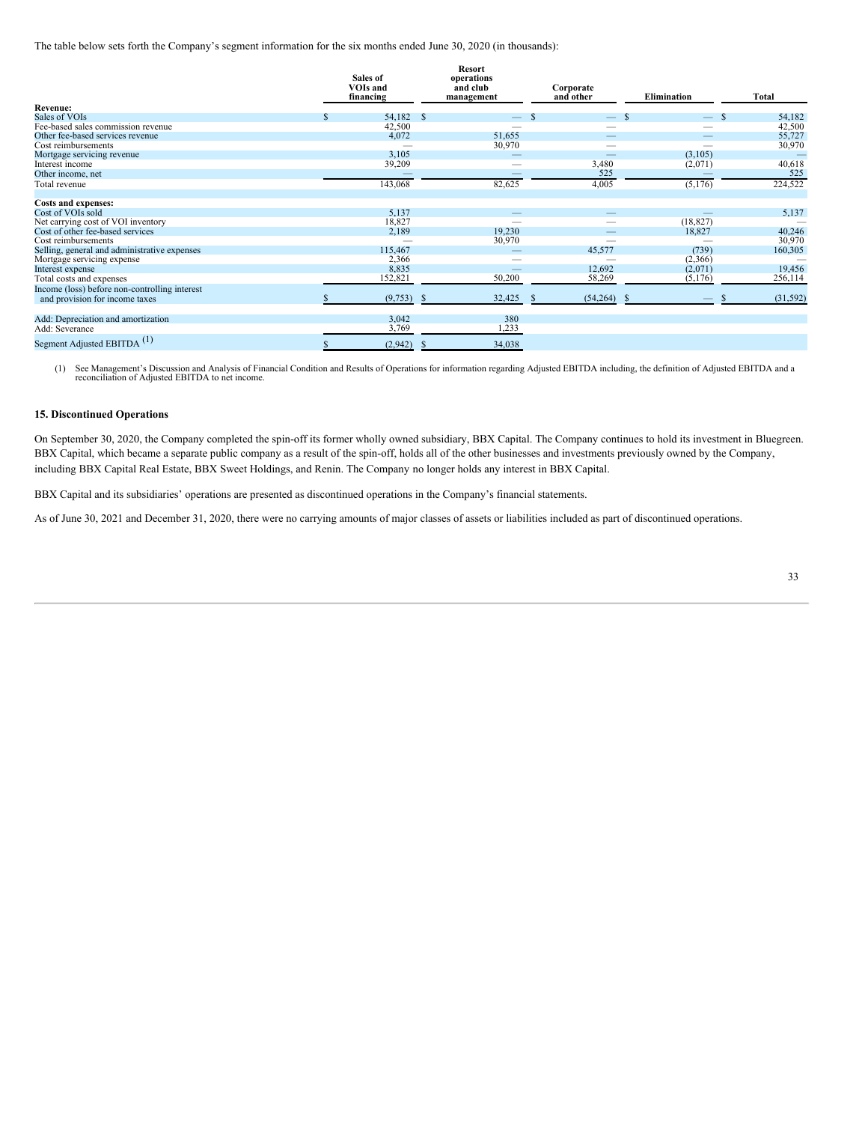The table below sets forth the Company's segment information for the six months ended June 30, 2020 (in thousands):

|                                               | Sales of<br><b>VOIs and</b><br>financing |     | <b>Resort</b><br>operations<br>and club<br>management | Corporate<br>and other | Elimination | Total    |
|-----------------------------------------------|------------------------------------------|-----|-------------------------------------------------------|------------------------|-------------|----------|
| Revenue:                                      |                                          |     |                                                       |                        |             |          |
| Sales of VOIs                                 | 54,182                                   | - S |                                                       |                        |             | 54,182   |
| Fee-based sales commission revenue            | 42,500                                   |     |                                                       |                        |             | 42,500   |
| Other fee-based services revenue              | 4,072                                    |     | 51,655                                                |                        |             | 55,727   |
| Cost reimbursements                           |                                          |     | 30,970                                                |                        |             | 30,970   |
| Mortgage servicing revenue                    | 3,105                                    |     |                                                       |                        | (3,105)     |          |
| Interest income                               | 39,209                                   |     | $\overline{\phantom{a}}$                              | 3,480                  | (2,071)     | 40,618   |
| Other income, net                             |                                          |     |                                                       | 525                    |             | 525      |
| Total revenue                                 | 143,068                                  |     | 82,625                                                | 4,005                  | (5,176)     | 224,522  |
| Costs and expenses:                           |                                          |     |                                                       |                        |             |          |
| Cost of VOIs sold                             | 5,137                                    |     |                                                       |                        |             | 5,137    |
| Net carrying cost of VOI inventory            | 18,827                                   |     |                                                       |                        | (18, 827)   |          |
| Cost of other fee-based services              | 2,189                                    |     | 19.230                                                |                        | 18,827      | 40,246   |
| Cost reimbursements                           |                                          |     | 30,970                                                |                        |             | 30,970   |
| Selling, general and administrative expenses  | 115,467                                  |     |                                                       | 45,577                 | (739)       | 160,305  |
| Mortgage servicing expense                    | 2,366                                    |     |                                                       |                        | (2,366)     |          |
| Interest expense                              | 8,835                                    |     |                                                       | 12,692                 | (2,071)     | 19,456   |
| Total costs and expenses                      | 152,821                                  |     | 50,200                                                | 58,269                 | (5,176)     | 256,114  |
| Income (loss) before non-controlling interest |                                          |     |                                                       |                        |             |          |
| and provision for income taxes                | $(9,753)$ \$                             |     | 32,425                                                | $(54,264)$ \$<br>- 55  |             | (31,592) |
| Add: Depreciation and amortization            | 3,042                                    |     | 380                                                   |                        |             |          |
| Add: Severance                                | 3,769                                    |     | 1,233                                                 |                        |             |          |
| Segment Adjusted EBITDA <sup>(1)</sup>        | (2,942)                                  |     | 34,038                                                |                        |             |          |

(1) See Management's Discussion and Analysis of Financial Condition and Results of Operations for information regarding Adjusted EBITDA including, the definition of Adjusted EBITDA and a reconciliation of Adjusted EBITDA a

# **15. Discontinued Operations**

On September 30, 2020, the Company completed the spin-off its former wholly owned subsidiary, BBX Capital. The Company continues to hold its investment in Bluegreen. BBX Capital, which became a separate public company as a result of the spin-off, holds all of the other businesses and investments previously owned by the Company, including BBX Capital Real Estate, BBX Sweet Holdings, and Renin. The Company no longer holds any interest in BBX Capital.

BBX Capital and its subsidiaries' operations are presented as discontinued operations in the Company's financial statements.

As of June 30, 2021 and December 31, 2020, there were no carrying amounts of major classes of assets or liabilities included as part of discontinued operations.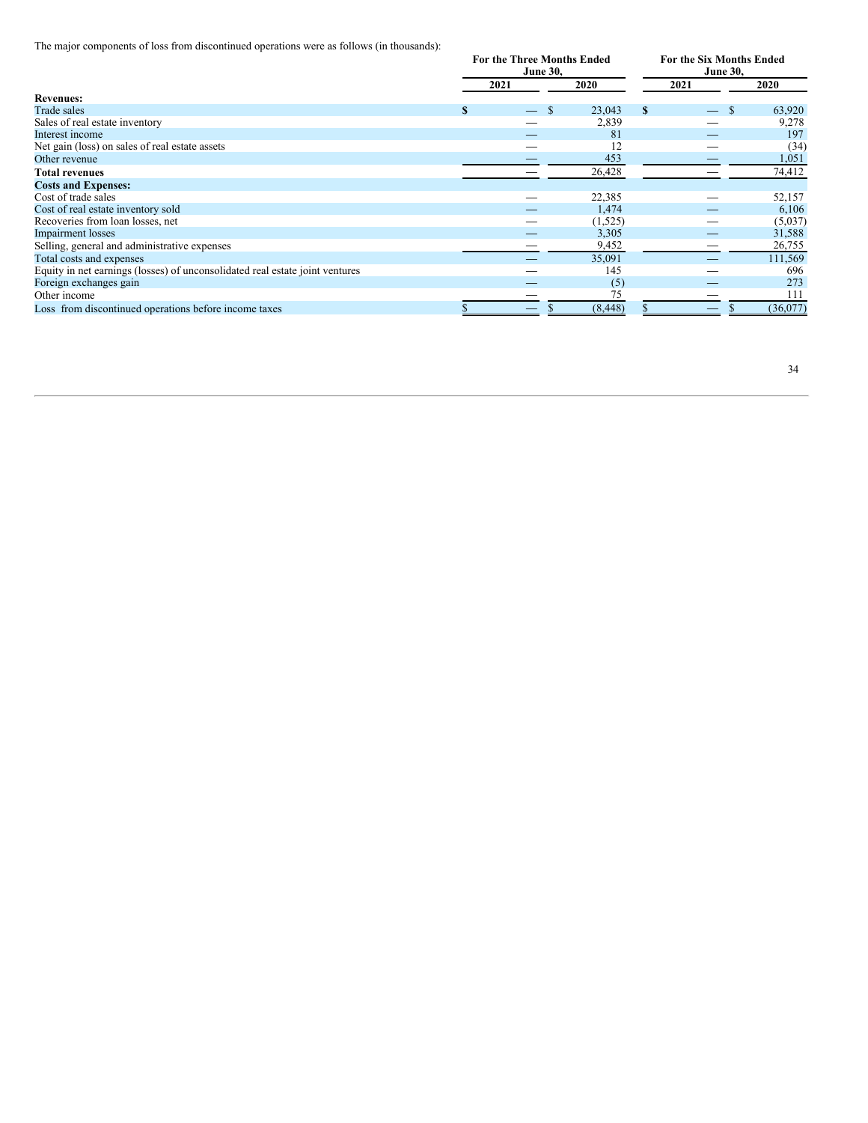The major components of loss from discontinued operations were as follows (in thousands):

|                                                                              |              | <b>For the Three Months Ended</b><br><b>June 30,</b> | <b>For the Six Months Ended</b><br><b>June 30,</b> |      |          |          |
|------------------------------------------------------------------------------|--------------|------------------------------------------------------|----------------------------------------------------|------|----------|----------|
|                                                                              |              | 2021                                                 | 2020                                               | 2021 |          | 2020     |
| <b>Revenues:</b>                                                             |              |                                                      |                                                    |      |          |          |
| Trade sales                                                                  | $\mathbf{s}$ | $\overline{\phantom{0}}$                             | 23,043                                             | S    | <b>S</b> | 63,920   |
| Sales of real estate inventory                                               |              |                                                      | 2,839                                              |      |          | 9,278    |
| Interest income                                                              |              |                                                      | 81                                                 |      |          | 197      |
| Net gain (loss) on sales of real estate assets                               |              |                                                      | 12                                                 |      |          | (34)     |
| Other revenue                                                                |              |                                                      | 453                                                |      |          | 1,051    |
| <b>Total revenues</b>                                                        |              |                                                      | 26,428                                             |      |          | 74,412   |
| <b>Costs and Expenses:</b>                                                   |              |                                                      |                                                    |      |          |          |
| Cost of trade sales                                                          |              |                                                      | 22,385                                             |      |          | 52,157   |
| Cost of real estate inventory sold                                           |              |                                                      | 1.474                                              |      |          | 6,106    |
| Recoveries from loan losses, net                                             |              |                                                      | (1, 525)                                           |      |          | (5,037)  |
| <b>Impairment</b> losses                                                     |              |                                                      | 3,305                                              |      |          | 31,588   |
| Selling, general and administrative expenses                                 |              |                                                      | 9,452                                              |      |          | 26,755   |
| Total costs and expenses                                                     |              |                                                      | 35,091                                             |      |          | 111,569  |
| Equity in net earnings (losses) of unconsolidated real estate joint ventures |              |                                                      | 145                                                |      |          | 696      |
| Foreign exchanges gain                                                       |              |                                                      | (5)                                                |      |          | 273      |
| Other income                                                                 |              |                                                      | 75                                                 |      |          | 111      |
| Loss from discontinued operations before income taxes                        |              |                                                      | (8, 448)                                           |      |          | (36,077) |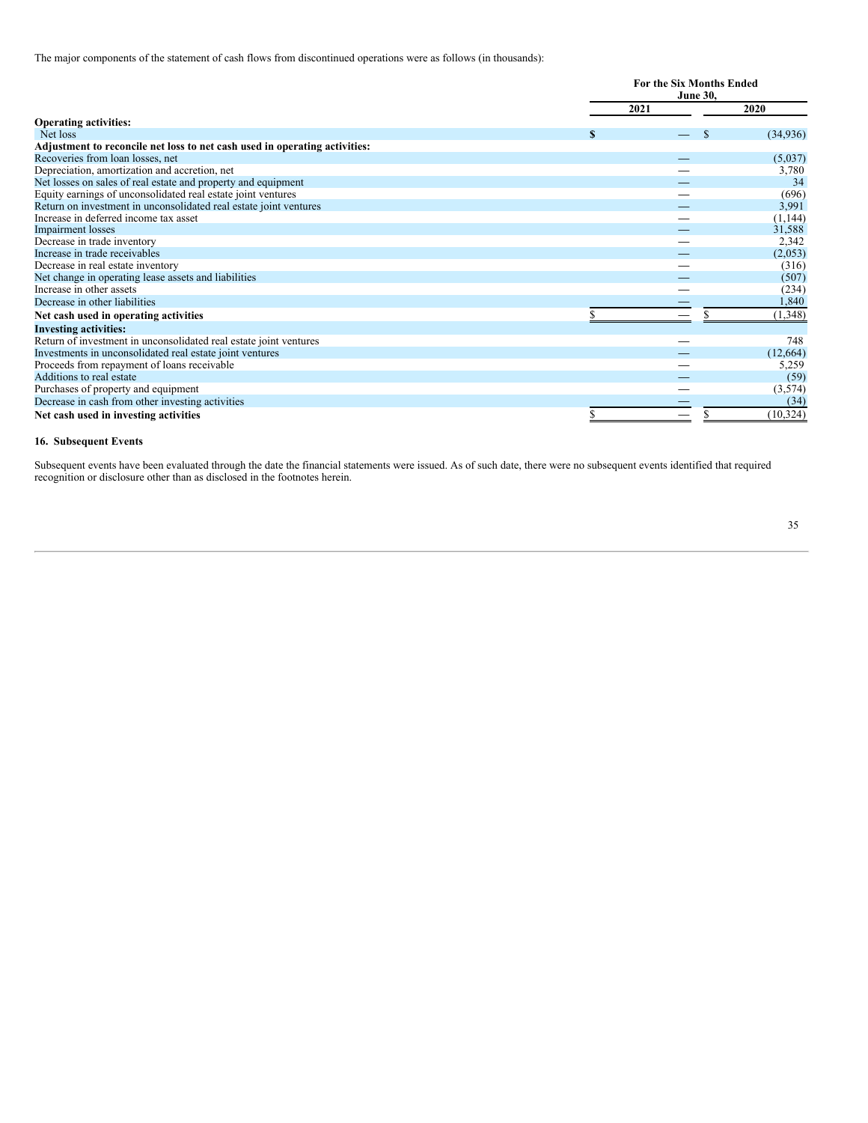The major components of the statement of cash flows from discontinued operations were as follows (in thousands):

|                                                                            | <b>For the Six Months Ended</b><br><b>June 30,</b> |      |           |
|----------------------------------------------------------------------------|----------------------------------------------------|------|-----------|
|                                                                            |                                                    | 2021 | 2020      |
| <b>Operating activities:</b>                                               |                                                    |      |           |
| Net loss                                                                   | S                                                  |      | (34,936)  |
| Adjustment to reconcile net loss to net cash used in operating activities: |                                                    |      |           |
| Recoveries from loan losses, net                                           |                                                    |      | (5,037)   |
| Depreciation, amortization and accretion, net                              |                                                    |      | 3,780     |
| Net losses on sales of real estate and property and equipment              |                                                    |      | 34        |
| Equity earnings of unconsolidated real estate joint ventures               |                                                    |      | (696)     |
| Return on investment in unconsolidated real estate joint ventures          |                                                    |      | 3,991     |
| Increase in deferred income tax asset                                      |                                                    |      | (1, 144)  |
| <b>Impairment</b> losses                                                   |                                                    |      | 31,588    |
| Decrease in trade inventory                                                |                                                    |      | 2,342     |
| Increase in trade receivables                                              |                                                    |      | (2,053)   |
| Decrease in real estate inventory                                          |                                                    |      | (316)     |
| Net change in operating lease assets and liabilities                       |                                                    |      | (507)     |
| Increase in other assets                                                   |                                                    |      | (234)     |
| Decrease in other liabilities                                              |                                                    |      | 1,840     |
| Net cash used in operating activities                                      |                                                    |      | (1,348)   |
| <b>Investing activities:</b>                                               |                                                    |      |           |
| Return of investment in unconsolidated real estate joint ventures          |                                                    |      | 748       |
| Investments in unconsolidated real estate joint ventures                   |                                                    |      | (12, 664) |
| Proceeds from repayment of loans receivable                                |                                                    |      | 5,259     |
| Additions to real estate                                                   |                                                    |      | (59)      |
| Purchases of property and equipment                                        |                                                    |      | (3,574)   |
| Decrease in cash from other investing activities                           |                                                    |      | (34)      |
| Net cash used in investing activities                                      |                                                    |      | (10, 324) |

# **16. Subsequent Events**

Subsequent events have been evaluated through the date the financial statements were issued. As of such date, there were no subsequent events identified that required recognition or disclosure other than as disclosed in the footnotes herein.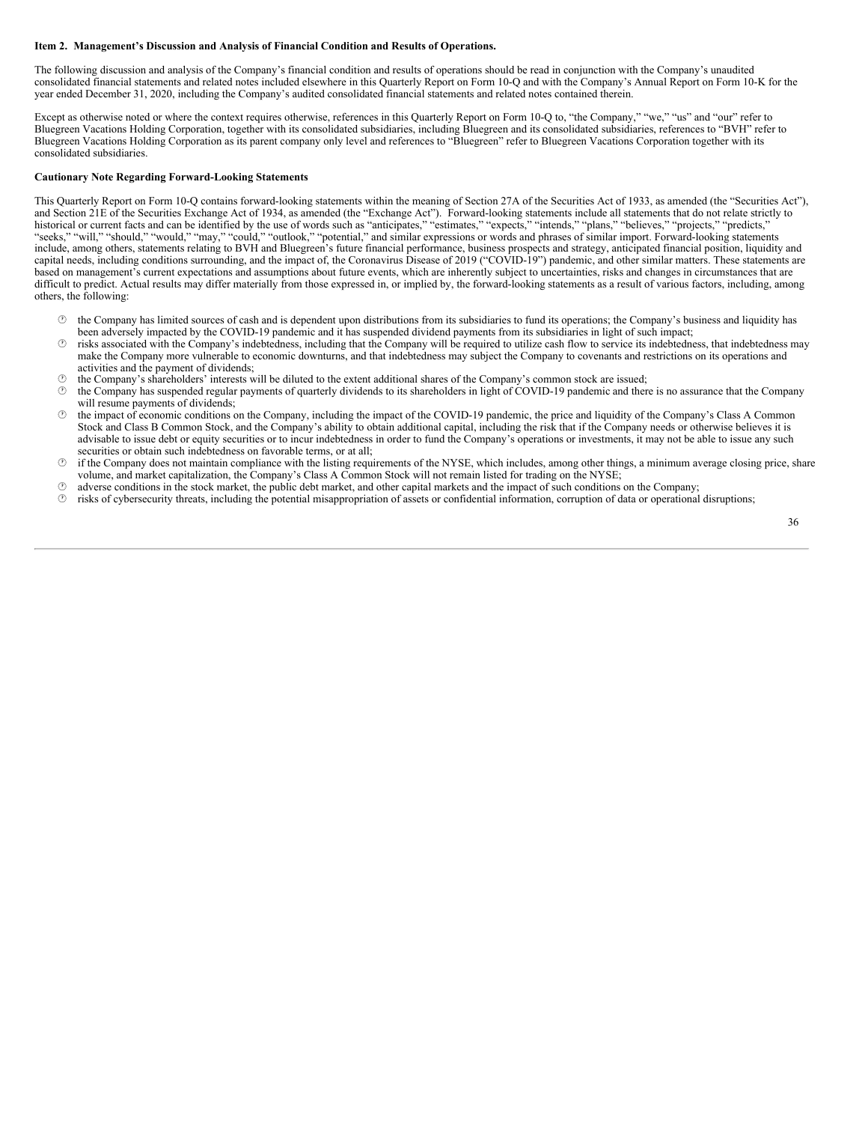# <span id="page-35-0"></span>**Item 2. Management's Discussion and Analysis of Financial Condition and Results of Operations.**

The following discussion and analysis of the Company's financial condition and results of operations should be read in conjunction with the Company's unaudited consolidated financial statements and related notes included elsewhere in this Quarterly Report on Form 10-Q and with the Company's Annual Report on Form 10-K for the year ended December 31, 2020, including the Company's audited consolidated financial statements and related notes contained therein.

Except as otherwise noted or where the context requires otherwise, references in this Quarterly Report on Form 10-Q to, "the Company," "we," "us" and "our" refer to Bluegreen Vacations Holding Corporation, together with its consolidated subsidiaries, including Bluegreen and its consolidated subsidiaries, references to "BVH" refer to Bluegreen Vacations Holding Corporation as its parent company only level and references to "Bluegreen" refer to Bluegreen Vacations Corporation together with its consolidated subsidiaries.

# **Cautionary Note Regarding Forward-Looking Statements**

This Quarterly Report on Form 10-Q contains forward-looking statements within the meaning of Section 27A of the Securities Act of 1933, as amended (the "Securities Act"), and Section 21E of the Securities Exchange Act of 1934, as amended (the "Exchange Act"). Forward-looking statements include all statements that do not relate strictly to historical or current facts and can be identified by the use of words such as "anticipates," "estimates," "expects," "intends," "plans," "believes," "projects," "predicts," "seeks," "will," "should," "would," "may," "could," "outlook," "potential," and similar expressions or words and phrases of similar import. Forward-looking statements include, among others, statements relating to BVH and Bluegreen's future financial performance, business prospects and strategy, anticipated financial position, liquidity and capital needs, including conditions surrounding, and the impact of, the Coronavirus Disease of 2019 ("COVID-19") pandemic, and other similar matters. These statements are based on management's current expectations and assumptions about future events, which are inherently subject to uncertainties, risks and changes in circumstances that are difficult to predict. Actual results may differ materially from those expressed in, or implied by, the forward-looking statements as a result of various factors, including, among others, the following:

- $<sup>①</sup>$  the Company has limited sources of cash and is dependent upon distributions from its subsidiaries to fund its operations; the Company's business and liquidity has</sup> been adversely impacted by the COVID-19 pandemic and it has suspended dividend payments from its subsidiaries in light of such impact;
- · risks associated with the Company's indebtedness, including that the Company will be required to utilize cash flow to service its indebtedness, that indebtedness may make the Company more vulnerable to economic downturns, and that indebtedness may subject the Company to covenants and restrictions on its operations and activities and the payment of dividends;
- $<sup>①</sup>$  the Company's shareholders' interests will be diluted to the extent additional shares of the Company's common stock are issued;</sup>
- · the Company has suspended regular payments of quarterly dividends to its shareholders in light of COVID-19 pandemic and there is no assurance that the Company will resume payments of dividends;
- · the impact of economic conditions on the Company, including the impact of the COVID-19 pandemic, the price and liquidity of the Company's Class A Common Stock and Class B Common Stock, and the Company's ability to obtain additional capital, including the risk that if the Company needs or otherwise believes it is advisable to issue debt or equity securities or to incur indebtedness in order to fund the Company's operations or investments, it may not be able to issue any such securities or obtain such indebtedness on favorable terms, or at all;
- · if the Company does not maintain compliance with the listing requirements of the NYSE, which includes, among other things, a minimum average closing price, share volume, and market capitalization, the Company's Class A Common Stock will not remain listed for trading on the NYSE;
- $\circled{r}$  adverse conditions in the stock market, the public debt market, and other capital markets and the impact of such conditions on the Company;<br> $\circled{r}$  risks of evbersecurity threats, including the notential misanpr
- · risks of cybersecurity threats, including the potential misappropriation of assets or confidential information, corruption of data or operational disruptions;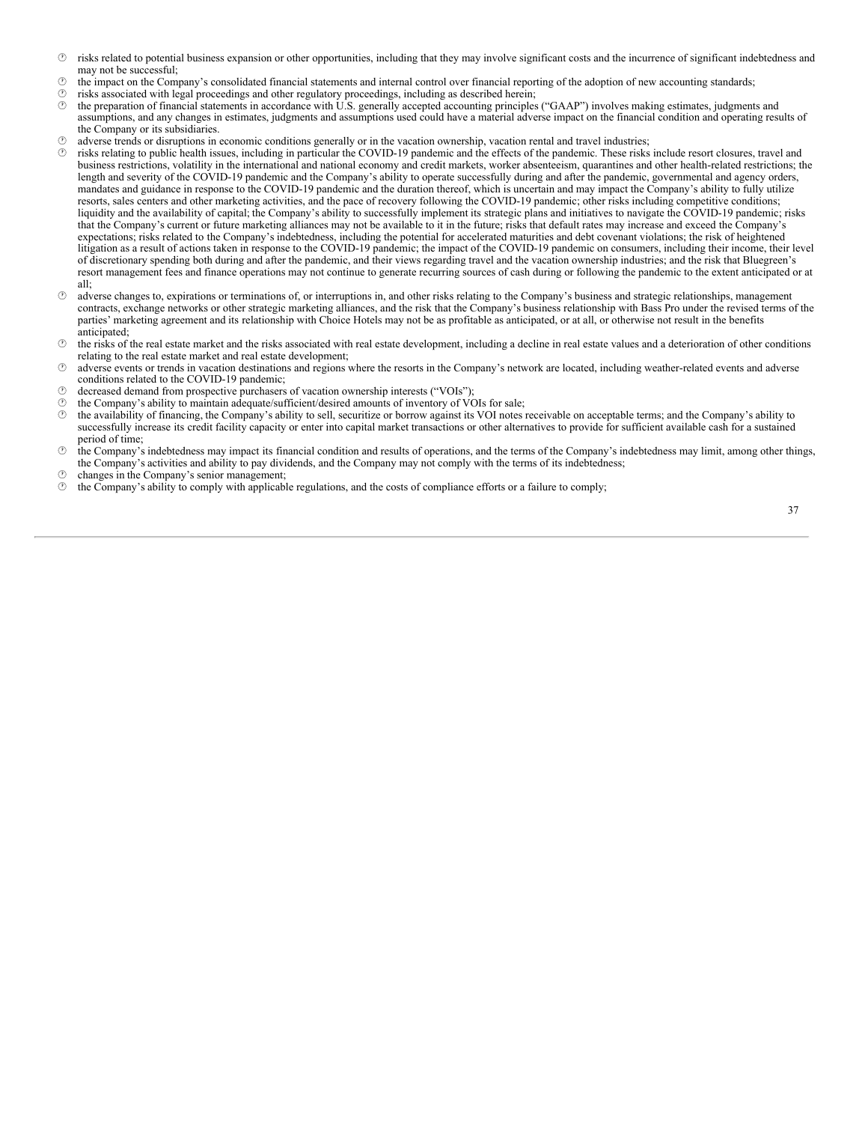- $\circled{b}$  risks related to potential business expansion or other opportunities, including that they may involve significant costs and the incurrence of significant indebtedness and may not be successful;
- $\circled{b}$  the impact on the Company's consolidated financial statements and internal control over financial reporting of the adoption of new accounting standards;
- $\circled{r}$  risks associated with legal proceedings and other regulatory proceedings, including as described herein;<br> $\circled{r}$  the preparation of financial statements in accordance with U.S. generally accepted accounting prin
- the preparation of financial statements in accordance with U.S. generally accepted accounting principles ("GAAP") involves making estimates, judgments and assumptions, and any changes in estimates, judgments and assumptions used could have a material adverse impact on the financial condition and operating results of the Company or its subsidiaries.
- · adverse trends or disruptions in economic conditions generally or in the vacation ownership, vacation rental and travel industries;
- risks relating to public health issues, including in particular the COVID-19 pandemic and the effects of the pandemic. These risks include resort closures, travel and business restrictions, volatility in the international and national economy and credit markets, worker absenteeism, quarantines and other health-related restrictions; the length and severity of the COVID-19 pandemic and the Company's ability to operate successfully during and after the pandemic, governmental and agency orders, mandates and guidance in response to the COVID-19 pandemic and the duration thereof, which is uncertain and may impact the Company's ability to fully utilize resorts, sales centers and other marketing activities, and the pace of recovery following the COVID-19 pandemic; other risks including competitive conditions; liquidity and the availability of capital; the Company's ability to successfully implement its strategic plans and initiatives to navigate the COVID-19 pandemic; risks that the Company's current or future marketing alliances may not be available to it in the future; risks that default rates may increase and exceed the Company's expectations; risks related to the Company's indebtedness, including the potential for accelerated maturities and debt covenant violations; the risk of heightened litigation as a result of actions taken in response to the COVID-19 pandemic; the impact of the COVID-19 pandemic on consumers, including their income, their level of discretionary spending both during and after the pandemic, and their views regarding travel and the vacation ownership industries; and the risk that Bluegreen's resort management fees and finance operations may not continue to generate recurring sources of cash during or following the pandemic to the extent anticipated or at all;
- $\circled{ }$  adverse changes to, expirations or terminations of, or interruptions in, and other risks relating to the Company's business and strategic relationships, management contracts, exchange networks or other strategic marketing alliances, and the risk that the Company's business relationship with Bass Pro under the revised terms of the parties' marketing agreement and its relationship with Choice Hotels may not be as profitable as anticipated, or at all, or otherwise not result in the benefits anticipated;
- $<sup>①</sup>$  the risks of the real estate market and the risks associated with real estate development, including a decline in real estate values and a deterioration of other conditions</sup> relating to the real estate market and real estate development;
- $\circled{ }$  adverse events or trends in vacation destinations and regions where the resorts in the Company's network are located, including weather-related events and adverse conditions related to the COVID-19 pandemic;
- · decreased demand from prospective purchasers of vacation ownership interests ("VOIs");
- the Company's ability to maintain adequate/sufficient/desired amounts of inventory of VOIs for sale;
- · the availability of financing, the Company's ability to sell, securitize or borrow against its VOI notes receivable on acceptable terms; and the Company's ability to successfully increase its credit facility capacity or enter into capital market transactions or other alternatives to provide for sufficient available cash for a sustained period of time;
- $\circled{b}$  the Company's indebtedness may impact its financial condition and results of operations, and the terms of the Company's indebtedness may limit, among other things, the Company's activities and ability to pay dividends, and the Company may not comply with the terms of its indebtedness;
- $\circled{?}$  changes in the Company's senior management;<br> $\circled{?}$  the Company's ability to comply with applicable
- · the Company's ability to comply with applicable regulations, and the costs of compliance efforts or a failure to comply;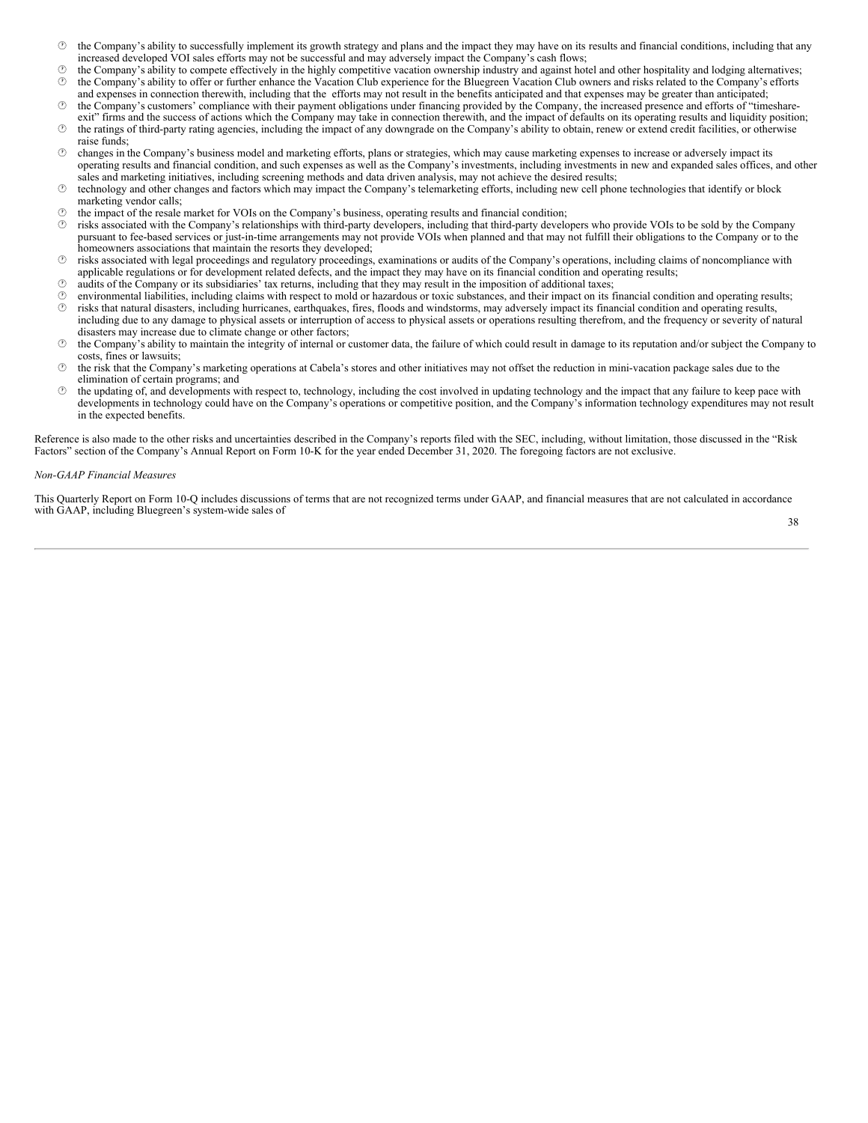- $\circled{}$  the Company's ability to successfully implement its growth strategy and plans and the impact they may have on its results and financial conditions, including that any increased developed VOI sales efforts may not be successful and may adversely impact the Company's cash flows;
- $\circled{r}$  the Company's ability to compete effectively in the highly competitive vacation ownership industry and against hotel and other hospitality and lodging alternatives;<br>The Company's ability to offer or further enhan the Company's ability to offer or further enhance the Vacation Club experience for the Bluegreen Vacation Club owners and risks related to the Company's efforts
- and expenses in connection therewith, including that the efforts may not result in the benefits anticipated and that expenses may be greater than anticipated; · the Company's customers' compliance with their payment obligations under financing provided by the Company, the increased presence and efforts of "timeshare-
- exit" firms and the success of actions which the Company may take in connection therewith, and the impact of defaults on its operating results and liquidity position; · the ratings of third-party rating agencies, including the impact of any downgrade on the Company's ability to obtain, renew or extend credit facilities, or otherwise
- raise funds; · changes in the Company's business model and marketing efforts, plans or strategies, which may cause marketing expenses to increase or adversely impact its
- operating results and financial condition, and such expenses as well as the Company's investments, including investments in new and expanded sales offices, and other sales and marketing initiatives, including screening methods and data driven analysis, may not achieve the desired results;
- · technology and other changes and factors which may impact the Company's telemarketing efforts, including new cell phone technologies that identify or block marketing vendor calls;
- $\circled{b}$  the impact of the resale market for VOIs on the Company's business, operating results and financial condition;<br> $\circled{b}$  risks associated with the Company's relationships with third-party developers including that
- · risks associated with the Company's relationships with third-party developers, including that third-party developers who provide VOIs to be sold by the Company pursuant to fee-based services or just-in-time arrangements may not provide VOIs when planned and that may not fulfill their obligations to the Company or to the homeowners associations that maintain the resorts they developed;
- $\circled{b}$  risks associated with legal proceedings and regulatory proceedings, examinations or audits of the Company's operations, including claims of noncompliance with applicable regulations or for development related defects, and the impact they may have on its financial condition and operating results;
- audits of the Company or its subsidiaries' tax returns, including that they may result in the imposition of additional taxes;
- $\circled{1}$  environmental liabilities, including claims with respect to mold or hazardous or toxic substances, and their impact on its financial condition and operating results;<br> $\circled{1}$  risks that natural disasters, includi · risks that natural disasters, including hurricanes, earthquakes, fires, floods and windstorms, may adversely impact its financial condition and operating results, including due to any damage to physical assets or interruption of access to physical assets or operations resulting therefrom, and the frequency or severity of natural disasters may increase due to climate change or other factors;
- · the Company's ability to maintain the integrity of internal or customer data, the failure of which could result in damage to its reputation and/or subject the Company to costs, fines or lawsuits;
- · the risk that the Company's marketing operations at Cabela's stores and other initiatives may not offset the reduction in mini-vacation package sales due to the elimination of certain programs; and
- · the updating of, and developments with respect to, technology, including the cost involved in updating technology and the impact that any failure to keep pace with developments in technology could have on the Company's operations or competitive position, and the Company's information technology expenditures may not result in the expected benefits.

Reference is also made to the other risks and uncertainties described in the Company's reports filed with the SEC, including, without limitation, those discussed in the "Risk Factors" section of the Company's Annual Report on Form 10-K for the year ended December 31, 2020. The foregoing factors are not exclusive.

## *Non-GAAP Financial Measures*

This Quarterly Report on Form 10-Q includes discussions of terms that are not recognized terms under GAAP, and financial measures that are not calculated in accordance with GAAP, including Bluegreen's system-wide sales of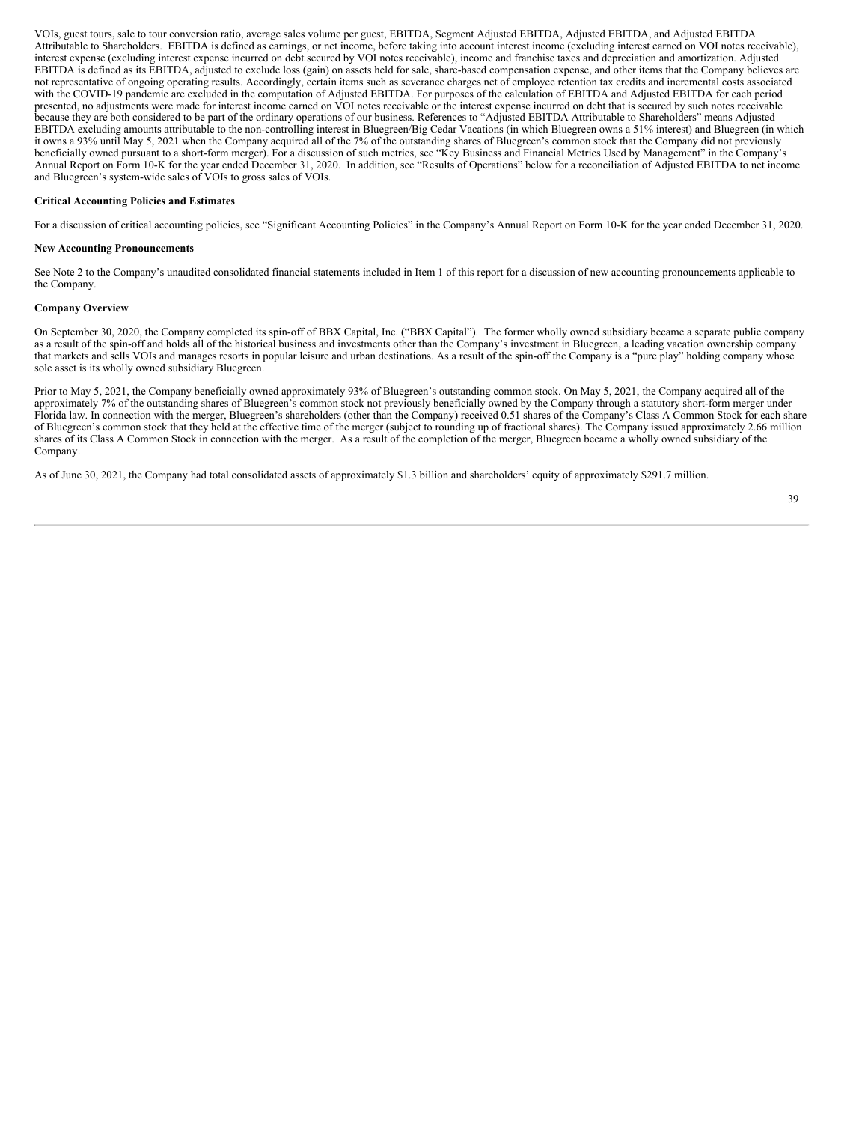VOIs, guest tours, sale to tour conversion ratio, average sales volume per guest, EBITDA, Segment Adjusted EBITDA, Adjusted EBITDA, and Adjusted EBITDA Attributable to Shareholders. EBITDA is defined as earnings, or net income, before taking into account interest income (excluding interest earned on VOI notes receivable), interest expense (excluding interest expense incurred on debt secured by VOI notes receivable), income and franchise taxes and depreciation and amortization. Adjusted EBITDA is defined as its EBITDA, adjusted to exclude loss (gain) on assets held for sale, share-based compensation expense, and other items that the Company believes are not representative of ongoing operating results. Accordingly, certain items such as severance charges net of employee retention tax credits and incremental costs associated with the COVID-19 pandemic are excluded in the computation of Adjusted EBITDA. For purposes of the calculation of EBITDA and Adjusted EBITDA for each period presented, no adjustments were made for interest income earned on VOI notes receivable or the interest expense incurred on debt that is secured by such notes receivable because they are both considered to be part of the ordinary operations of our business. References to "Adjusted EBITDA Attributable to Shareholders" means Adjusted EBITDA excluding amounts attributable to the non-controlling interest in Bluegreen/Big Cedar Vacations (in which Bluegreen owns a 51% interest) and Bluegreen (in which it owns a 93% until May 5, 2021 when the Company acquired all of the 7% of the outstanding shares of Bluegreen's common stock that the Company did not previously beneficially owned pursuant to a short-form merger). For a discussion of such metrics, see "Key Business and Financial Metrics Used by Management" in the Company's Annual Report on Form 10-K for the year ended December 31, 2020. In addition, see "Results of Operations" below for a reconciliation of Adjusted EBITDA to net income and Bluegreen's system-wide sales of VOIs to gross sales of VOIs.

#### **Critical Accounting Policies and Estimates**

For a discussion of critical accounting policies, see "Significant Accounting Policies" in the Company's Annual Report on Form 10-K for the year ended December 31, 2020.

#### **New Accounting Pronouncements**

See Note 2 to the Company's unaudited consolidated financial statements included in Item 1 of this report for a discussion of new accounting pronouncements applicable to the Company.

#### **Company Overview**

On September 30, 2020, the Company completed its spin-off of BBX Capital, Inc. ("BBX Capital"). The former wholly owned subsidiary became a separate public company as a result of the spin-off and holds all of the historical business and investments other than the Company's investment in Bluegreen, a leading vacation ownership company that markets and sells VOIs and manages resorts in popular leisure and urban destinations. As a result of the spin-off the Company is a "pure play" holding company whose sole asset is its wholly owned subsidiary Bluegreen.

Prior to May 5, 2021, the Company beneficially owned approximately 93% of Bluegreen's outstanding common stock. On May 5, 2021, the Company acquired all of the approximately 7% of the outstanding shares of Bluegreen's common stock not previously beneficially owned by the Company through a statutory short-form merger under Florida law. In connection with the merger, Bluegreen's shareholders (other than the Company) received 0.51 shares of the Company's Class A Common Stock for each share of Bluegreen's common stock that they held at the effective time of the merger (subject to rounding up of fractional shares). The Company issued approximately 2.66 million shares of its Class A Common Stock in connection with the merger. As a result of the completion of the merger, Bluegreen became a wholly owned subsidiary of the Company.

As of June 30, 2021, the Company had total consolidated assets of approximately \$1.3 billion and shareholders' equity of approximately \$291.7 million.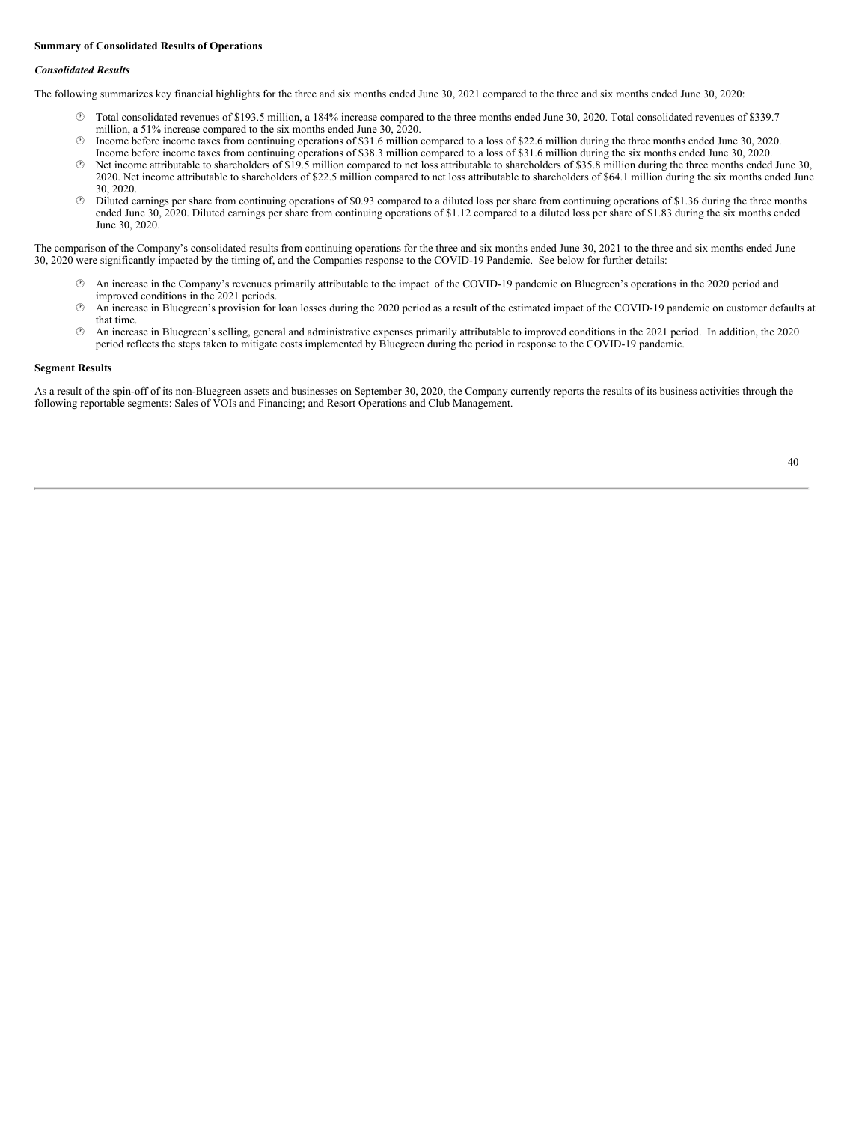## **Summary of Consolidated Results of Operations**

#### *Consolidated Results*

The following summarizes key financial highlights for the three and six months ended June 30, 2021 compared to the three and six months ended June 30, 2020:

- · Total consolidated revenues of \$193.5 million, a 184% increase compared to the three months ended June 30, 2020. Total consolidated revenues of \$339.7 million, a 51% increase compared to the six months ended June 30, 2020.
- · Income before income taxes from continuing operations of \$31.6 million compared to a loss of \$22.6 million during the three months ended June 30, 2020. Income before income taxes from continuing operations of \$38.3 million compared to a loss of \$31.6 million during the six months ended June 30, 2020.
- · Net income attributable to shareholders of \$19.5 million compared to net loss attributable to shareholders of \$35.8 million during the three months ended June 30, 2020. Net income attributable to shareholders of \$22.5 million compared to net loss attributable to shareholders of \$64.1 million during the six months ended June 30, 2020.
- · Diluted earnings per share from continuing operations of \$0.93 compared to a diluted loss per share from continuing operations of \$1.36 during the three months ended June 30, 2020. Diluted earnings per share from continuing operations of \$1.12 compared to a diluted loss per share of \$1.83 during the six months ended June 30, 2020.

The comparison of the Company's consolidated results from continuing operations for the three and six months ended June 30, 2021 to the three and six months ended June 30, 2020 were significantly impacted by the timing of, and the Companies response to the COVID-19 Pandemic. See below for further details:

- · An increase in the Company's revenues primarily attributable to the impact of the COVID-19 pandemic on Bluegreen's operations in the 2020 period and improved conditions in the 2021 periods.
- $\circ$  An increase in Bluegreen's provision for loan losses during the 2020 period as a result of the estimated impact of the COVID-19 pandemic on customer defaults at that time.
- · An increase in Bluegreen's selling, general and administrative expenses primarily attributable to improved conditions in the 2021 period. In addition, the 2020 period reflects the steps taken to mitigate costs implemented by Bluegreen during the period in response to the COVID-19 pandemic.

## **Segment Results**

As a result of the spin-off of its non-Bluegreen assets and businesses on September 30, 2020, the Company currently reports the results of its business activities through the following reportable segments: Sales of VOIs and Financing; and Resort Operations and Club Management.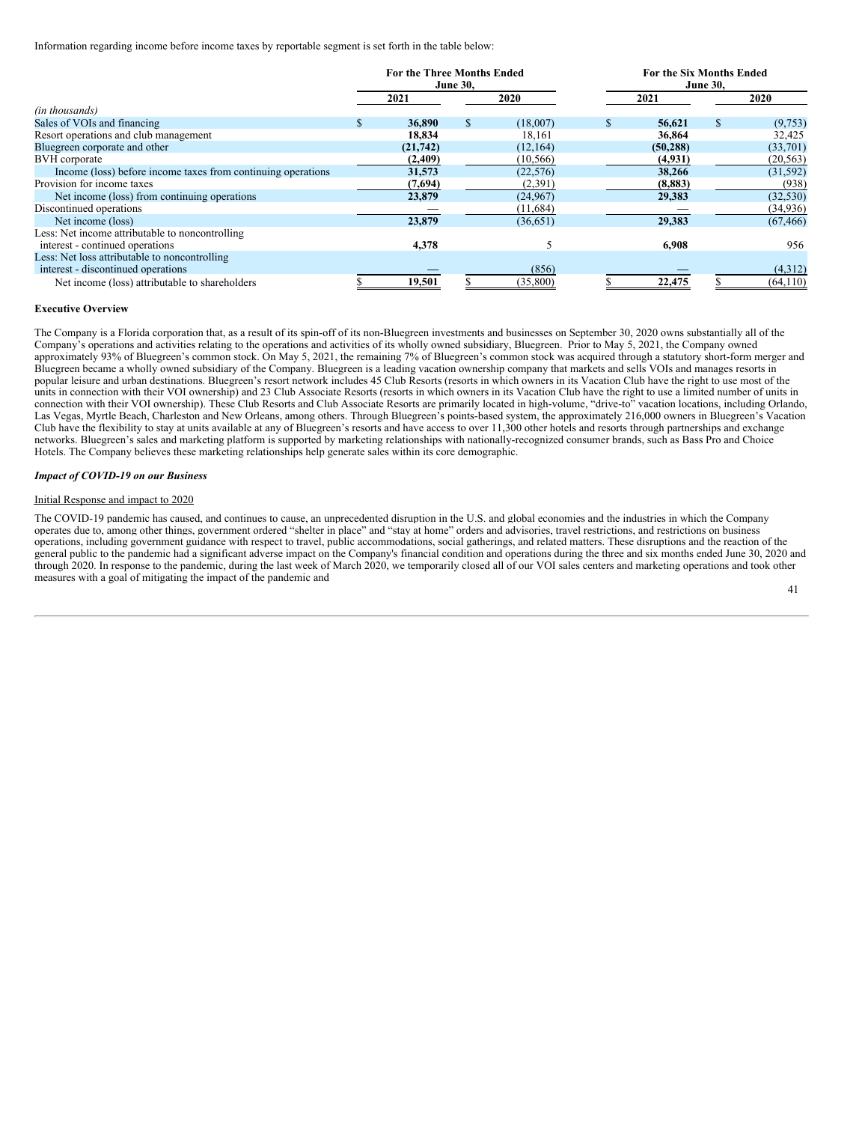Information regarding income before income taxes by reportable segment is set forth in the table below:

|                                                              | <b>For the Three Months Ended</b><br><b>June 30,</b> |          |    |           | For the Six Months Ended<br><b>June 30,</b> |           |    |           |  |
|--------------------------------------------------------------|------------------------------------------------------|----------|----|-----------|---------------------------------------------|-----------|----|-----------|--|
|                                                              |                                                      | 2021     |    | 2020      |                                             | 2021      |    | 2020      |  |
| (in thousands)                                               |                                                      |          |    |           |                                             |           |    |           |  |
| Sales of VOIs and financing                                  |                                                      | 36,890   | S. | (18,007)  | ъ                                           | 56,621    | \$ | (9,753)   |  |
| Resort operations and club management                        |                                                      | 18,834   |    | 18,161    |                                             | 36,864    |    | 32,425    |  |
| Bluegreen corporate and other                                |                                                      | (21,742) |    | (12, 164) |                                             | (50, 288) |    | (33,701)  |  |
| <b>BVH</b> corporate                                         |                                                      | (2,409)  |    | (10, 566) |                                             | (4,931)   |    | (20, 563) |  |
| Income (loss) before income taxes from continuing operations |                                                      | 31,573   |    | (22, 576) |                                             | 38,266    |    | (31, 592) |  |
| Provision for income taxes                                   |                                                      | (7,694)  |    | (2,391)   |                                             | (8, 883)  |    | (938)     |  |
| Net income (loss) from continuing operations                 |                                                      | 23,879   |    | (24,967)  |                                             | 29,383    |    | (32, 530) |  |
| Discontinued operations                                      |                                                      |          |    | (11,684)  |                                             |           |    | (34,936)  |  |
| Net income (loss)                                            |                                                      | 23,879   |    | (36,651)  |                                             | 29.383    |    | (67, 466) |  |
| Less: Net income attributable to noncontrolling              |                                                      |          |    |           |                                             |           |    |           |  |
| interest - continued operations                              |                                                      | 4,378    |    |           |                                             | 6,908     |    | 956       |  |
| Less: Net loss attributable to noncontrolling                |                                                      |          |    |           |                                             |           |    |           |  |
| interest - discontinued operations                           |                                                      |          |    | (856)     |                                             |           |    | (4,312)   |  |
| Net income (loss) attributable to shareholders               |                                                      | 19,501   |    | (35,800)  |                                             | 22,475    |    | (64, 110) |  |

#### **Executive Overview**

The Company is a Florida corporation that, as a result of its spin-off of its non-Bluegreen investments and businesses on September 30, 2020 owns substantially all of the Company's operations and activities relating to the operations and activities of its wholly owned subsidiary, Bluegreen. Prior to May 5, 2021, the Company owned approximately 93% of Bluegreen's common stock. On May 5, 2021, the remaining 7% of Bluegreen's common stock was acquired through a statutory short-form merger and Bluegreen became a wholly owned subsidiary of the Company. Bluegreen is a leading vacation ownership company that markets and sells VOIs and manages resorts in popular leisure and urban destinations. Bluegreen's resort network includes 45 Club Resorts (resorts in which owners in its Vacation Club have the right to use most of the units in connection with their VOI ownership) and 23 Club Associate Resorts (resorts in which owners in its Vacation Club have the right to use a limited number of units in connection with their VOI ownership). These Club Resorts and Club Associate Resorts are primarily located in high-volume, "drive-to" vacation locations, including Orlando, Las Vegas, Myrtle Beach, Charleston and New Orleans, among others. Through Bluegreen's points-based system, the approximately 216,000 owners in Bluegreen's Vacation Club have the flexibility to stay at units available at any of Bluegreen's resorts and have access to over 11,300 other hotels and resorts through partnerships and exchange networks. Bluegreen's sales and marketing platform is supported by marketing relationships with nationally-recognized consumer brands, such as Bass Pro and Choice Hotels. The Company believes these marketing relationships help generate sales within its core demographic.

## *Impact of COVID-19 on our Business*

## Initial Response and impact to 2020

The COVID-19 pandemic has caused, and continues to cause, an unprecedented disruption in the U.S. and global economies and the industries in which the Company operates due to, among other things, government ordered "shelter in place" and "stay at home" orders and advisories, travel restrictions, and restrictions on business operations, including government guidance with respect to travel, public accommodations, social gatherings, and related matters. These disruptions and the reaction of the general public to the pandemic had a significant adverse impact on the Company's financial condition and operations during the three and six months ended June 30, 2020 and through 2020. In response to the pandemic, during the last week of March 2020, we temporarily closed all of our VOI sales centers and marketing operations and took other measures with a goal of mitigating the impact of the pandemic and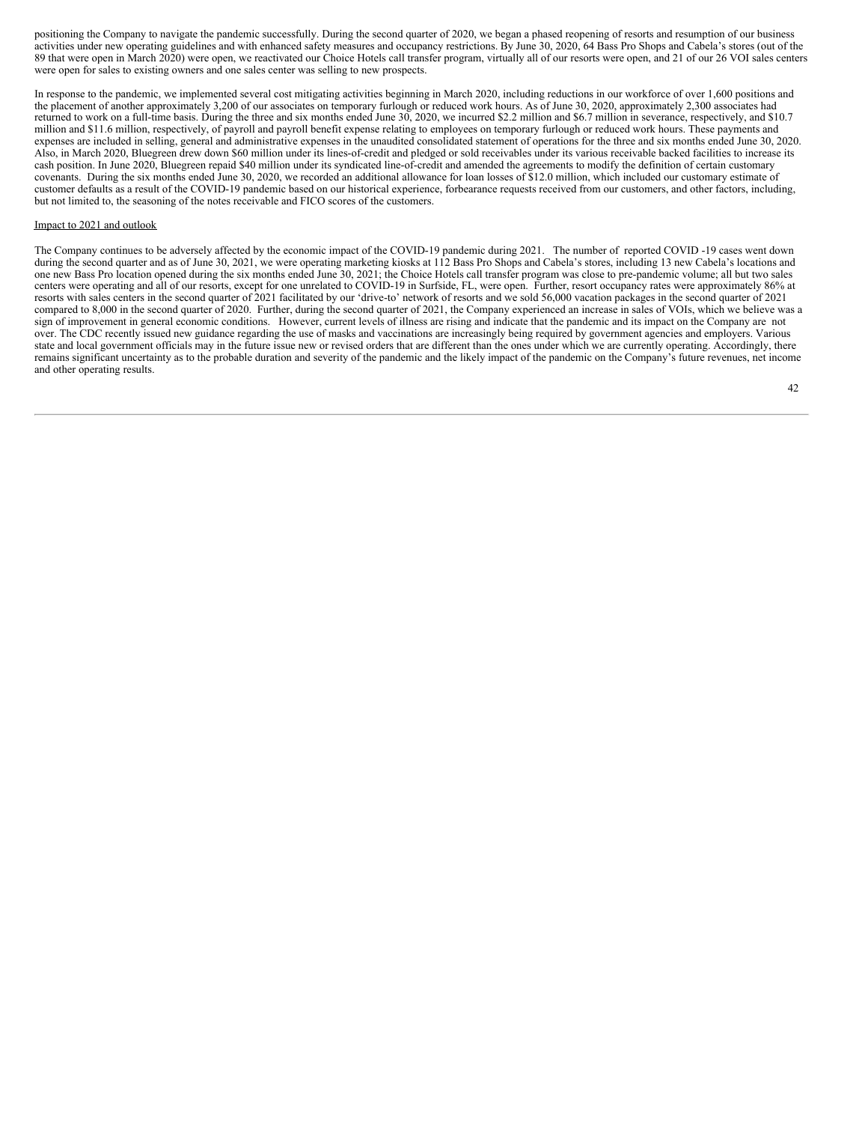positioning the Company to navigate the pandemic successfully. During the second quarter of 2020, we began a phased reopening of resorts and resumption of our business activities under new operating guidelines and with enhanced safety measures and occupancy restrictions. By June 30, 2020, 64 Bass Pro Shops and Cabela's stores (out of the 89 that were open in March 2020) were open, we reactivated our Choice Hotels call transfer program, virtually all of our resorts were open, and 21 of our 26 VOI sales centers were open for sales to existing owners and one sales center was selling to new prospects.

In response to the pandemic, we implemented several cost mitigating activities beginning in March 2020, including reductions in our workforce of over 1,600 positions and the placement of another approximately 3,200 of our associates on temporary furlough or reduced work hours. As of June 30, 2020, approximately 2,300 associates had returned to work on a full-time basis. During the three and six months ended June 30, 2020, we incurred \$2.2 million and \$6.7 million in severance, respectively, and \$10.7 million and \$11.6 million, respectively, of payroll and payroll benefit expense relating to employees on temporary furlough or reduced work hours. These payments and expenses are included in selling, general and administrative expenses in the unaudited consolidated statement of operations for the three and six months ended June 30, 2020. Also, in March 2020, Bluegreen drew down \$60 million under its lines-of-credit and pledged or sold receivables under its various receivable backed facilities to increase its cash position. In June 2020, Bluegreen repaid \$40 million under its syndicated line-of-credit and amended the agreements to modify the definition of certain customary covenants. During the six months ended June 30, 2020, we recorded an additional allowance for loan losses of \$12.0 million, which included our customary estimate of customer defaults as a result of the COVID-19 pandemic based on our historical experience, forbearance requests received from our customers, and other factors, including, but not limited to, the seasoning of the notes receivable and FICO scores of the customers.

## Impact to 2021 and outlook

The Company continues to be adversely affected by the economic impact of the COVID-19 pandemic during 2021. The number of reported COVID -19 cases went down during the second quarter and as of June 30, 2021, we were operating marketing kiosks at 112 Bass Pro Shops and Cabela's stores, including 13 new Cabela's locations and one new Bass Pro location opened during the six months ended June 30, 2021; the Choice Hotels call transfer program was close to pre-pandemic volume; all but two sales centers were operating and all of our resorts, except for one unrelated to COVID-19 in Surfside, FL, were open. Further, resort occupancy rates were approximately 86% at resorts with sales centers in the second quarter of 2021 facilitated by our 'drive-to' network of resorts and we sold 56,000 vacation packages in the second quarter of 2021 compared to 8,000 in the second quarter of 2020. Further, during the second quarter of 2021, the Company experienced an increase in sales of VOIs, which we believe was a sign of improvement in general economic conditions. However, current levels of illness are rising and indicate that the pandemic and its impact on the Company are not over. The CDC recently issued new guidance regarding the use of masks and vaccinations are increasingly being required by government agencies and employers. Various state and local government officials may in the future issue new or revised orders that are different than the ones under which we are currently operating. Accordingly, there remains significant uncertainty as to the probable duration and severity of the pandemic and the likely impact of the pandemic on the Company's future revenues, net income and other operating results.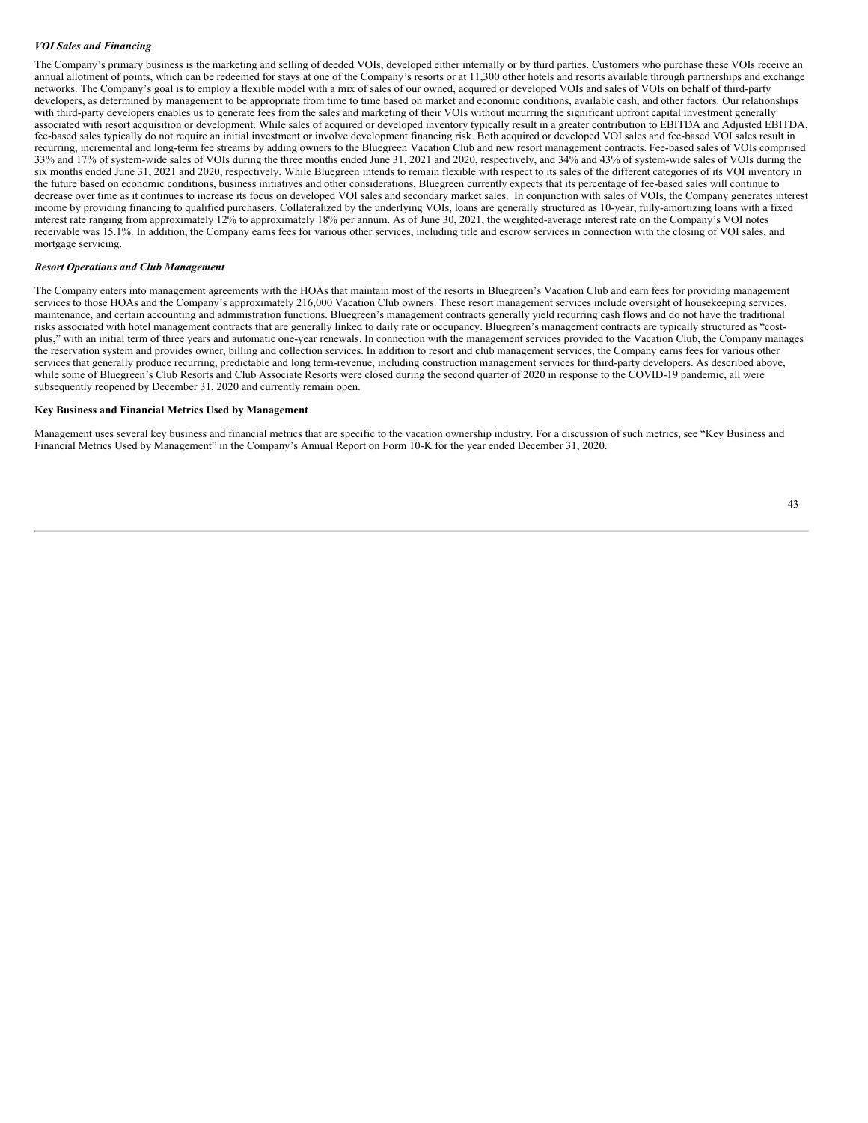### *VOI Sales and Financing*

The Company's primary business is the marketing and selling of deeded VOIs, developed either internally or by third parties. Customers who purchase these VOIs receive an annual allotment of points, which can be redeemed for stays at one of the Company's resorts or at 11,300 other hotels and resorts available through partnerships and exchange networks. The Company's goal is to employ a flexible model with a mix of sales of our owned, acquired or developed VOIs and sales of VOIs on behalf of third-party developers, as determined by management to be appropriate from time to time based on market and economic conditions, available cash, and other factors. Our relationships with third-party developers enables us to generate fees from the sales and marketing of their VOIs without incurring the significant upfront capital investment generally associated with resort acquisition or development. While sales of acquired or developed inventory typically result in a greater contribution to EBITDA and Adjusted EBITDA, fee-based sales typically do not require an initial investment or involve development financing risk. Both acquired or developed VOI sales and fee-based VOI sales result in recurring, incremental and long-term fee streams by adding owners to the Bluegreen Vacation Club and new resort management contracts. Fee-based sales of VOIs comprised 33% and 17% of system-wide sales of VOIs during the three months ended June 31, 2021 and 2020, respectively, and 34% and 43% of system-wide sales of VOIs during the six months ended June 31, 2021 and 2020, respectively. While Bluegreen intends to remain flexible with respect to its sales of the different categories of its VOI inventory in the future based on economic conditions, business initiatives and other considerations, Bluegreen currently expects that its percentage of fee-based sales will continue to decrease over time as it continues to increase its focus on developed VOI sales and secondary market sales. In conjunction with sales of VOIs, the Company generates interest income by providing financing to qualified purchasers. Collateralized by the underlying VOIs, loans are generally structured as 10-year, fully-amortizing loans with a fixed interest rate ranging from approximately 12% to approximately 18% per annum. As of June 30, 2021, the weighted-average interest rate on the Company's VOI notes receivable was 15.1%. In addition, the Company earns fees for various other services, including title and escrow services in connection with the closing of VOI sales, and mortgage servicing.

#### *Resort Operations and Club Management*

The Company enters into management agreements with the HOAs that maintain most of the resorts in Bluegreen's Vacation Club and earn fees for providing management services to those HOAs and the Company's approximately 216,000 Vacation Club owners. These resort management services include oversight of housekeeping services, maintenance, and certain accounting and administration functions. Bluegreen's management contracts generally yield recurring cash flows and do not have the traditional risks associated with hotel management contracts that are generally linked to daily rate or occupancy. Bluegreen's management contracts are typically structured as "costplus," with an initial term of three years and automatic one-year renewals. In connection with the management services provided to the Vacation Club, the Company manages the reservation system and provides owner, billing and collection services. In addition to resort and club management services, the Company earns fees for various other services that generally produce recurring, predictable and long term-revenue, including construction management services for third-party developers. As described above, while some of Bluegreen's Club Resorts and Club Associate Resorts were closed during the second quarter of 2020 in response to the COVID-19 pandemic, all were subsequently reopened by December 31, 2020 and currently remain open.

#### **Key Business and Financial Metrics Used by Management**

Management uses several key business and financial metrics that are specific to the vacation ownership industry. For a discussion of such metrics, see "Key Business and Financial Metrics Used by Management" in the Company's Annual Report on Form 10-K for the year ended December 31, 2020.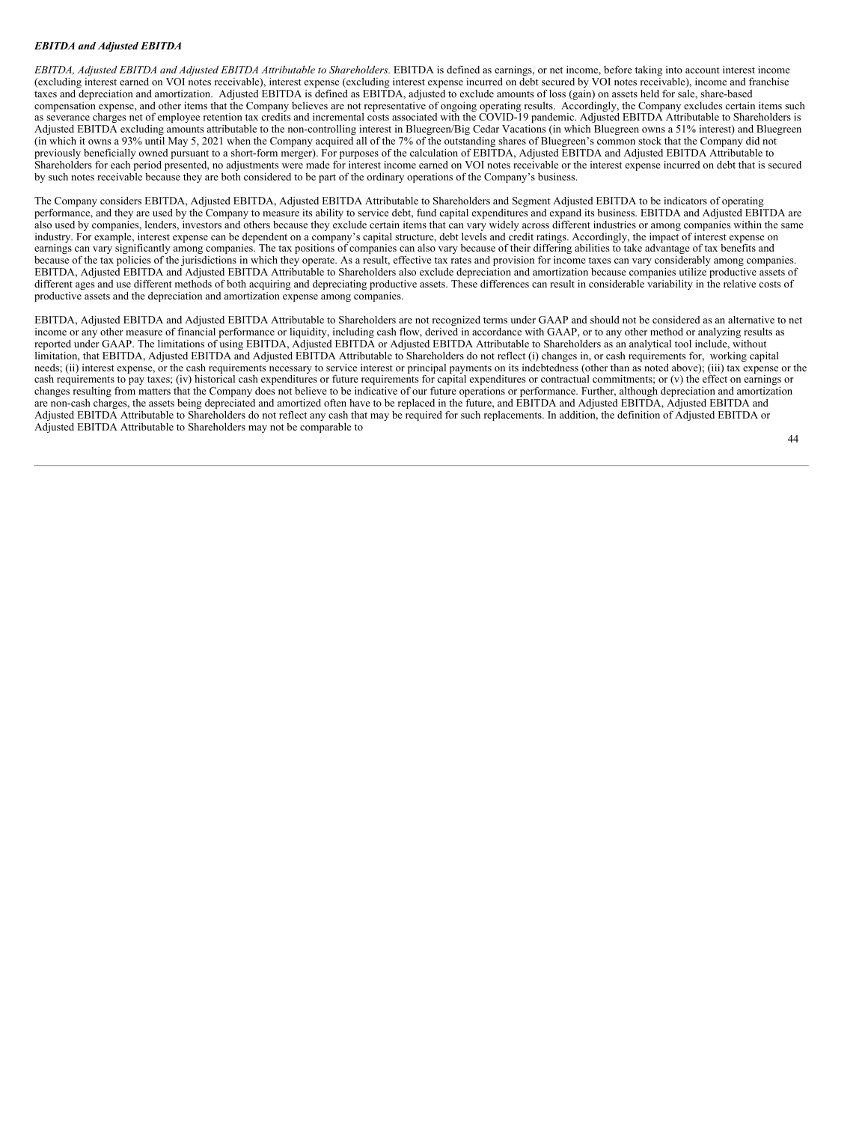## *EBITDA and Adjusted EBITDA*

EBITDA, Adjusted EBITDA and Adjusted EBITDA Attributable to Shareholders. EBITDA is defined as earnings, or net income, before taking into account interest income (excluding interest earned on VOI notes receivable), interest expense (excluding interest expense incurred on debt secured by VOI notes receivable), income and franchise taxes and depreciation and amortization. Adjusted EBITDA is defined as EBITDA, adjusted to exclude amounts of loss (gain) on assets held for sale, share-based compensation expense, and other items that the Company believes are not representative of ongoing operating results. Accordingly, the Company excludes certain items such as severance charges net of employee retention tax credits and incremental costs associated with the COVID-19 pandemic. Adjusted EBITDA Attributable to Shareholders is Adjusted EBITDA excluding amounts attributable to the non-controlling interest in Bluegreen/Big Cedar Vacations (in which Bluegreen owns a 51% interest) and Bluegreen (in which it owns a 93% until May 5, 2021 when the Company acquired all of the 7% of the outstanding shares of Bluegreen's common stock that the Company did not previously beneficially owned pursuant to a short-form merger). For purposes of the calculation of EBITDA, Adjusted EBITDA and Adjusted EBITDA Attributable to Shareholders for each period presented, no adjustments were made for interest income earned on VOI notes receivable or the interest expense incurred on debt that is secured by such notes receivable because they are both considered to be part of the ordinary operations of the Company's business.

The Company considers EBITDA, Adjusted EBITDA, Adjusted EBITDA Attributable to Shareholders and Segment Adjusted EBITDA to be indicators of operating performance, and they are used by the Company to measure its ability to service debt, fund capital expenditures and expand its business. EBITDA and Adjusted EBITDA are also used by companies, lenders, investors and others because they exclude certain items that can vary widely across different industries or among companies within the same industry. For example, interest expense can be dependent on a company's capital structure, debt levels and credit ratings. Accordingly, the impact of interest expense on earnings can vary significantly among companies. The tax positions of companies can also vary because of their differing abilities to take advantage of tax benefits and because of the tax policies of the jurisdictions in which they operate. As a result, effective tax rates and provision for income taxes can vary considerably among companies. EBITDA, Adjusted EBITDA and Adjusted EBITDA Attributable to Shareholders also exclude depreciation and amortization because companies utilize productive assets of different ages and use different methods of both acquiring and depreciating productive assets. These differences can result in considerable variability in the relative costs of productive assets and the depreciation and amortization expense among companies.

EBITDA, Adjusted EBITDA and Adjusted EBITDA Attributable to Shareholders are not recognized terms under GAAP and should not be considered as an alternative to net income or any other measure of financial performance or liquidity, including cash flow, derived in accordance with GAAP, or to any other method or analyzing results as reported under GAAP. The limitations of using EBITDA, Adjusted EBITDA or Adjusted EBITDA Attributable to Shareholders as an analytical tool include, without limitation, that EBITDA, Adjusted EBITDA and Adjusted EBITDA Attributable to Shareholders do not reflect (i) changes in, or cash requirements for, working capital needs; (ii) interest expense, or the cash requirements necessary to service interest or principal payments on its indebtedness (other than as noted above); (iii) tax expense or the cash requirements to pay taxes; (iv) historical cash expenditures or future requirements for capital expenditures or contractual commitments; or (v) the effect on earnings or changes resulting from matters that the Company does not believe to be indicative of our future operations or performance. Further, although depreciation and amortization are non-cash charges, the assets being depreciated and amortized often have to be replaced in the future, and EBITDA and Adjusted EBITDA, Adjusted EBITDA and Adjusted EBITDA Attributable to Shareholders do not reflect any cash that may be required for such replacements. In addition, the definition of Adjusted EBITDA or Adjusted EBITDA Attributable to Shareholders may not be comparable to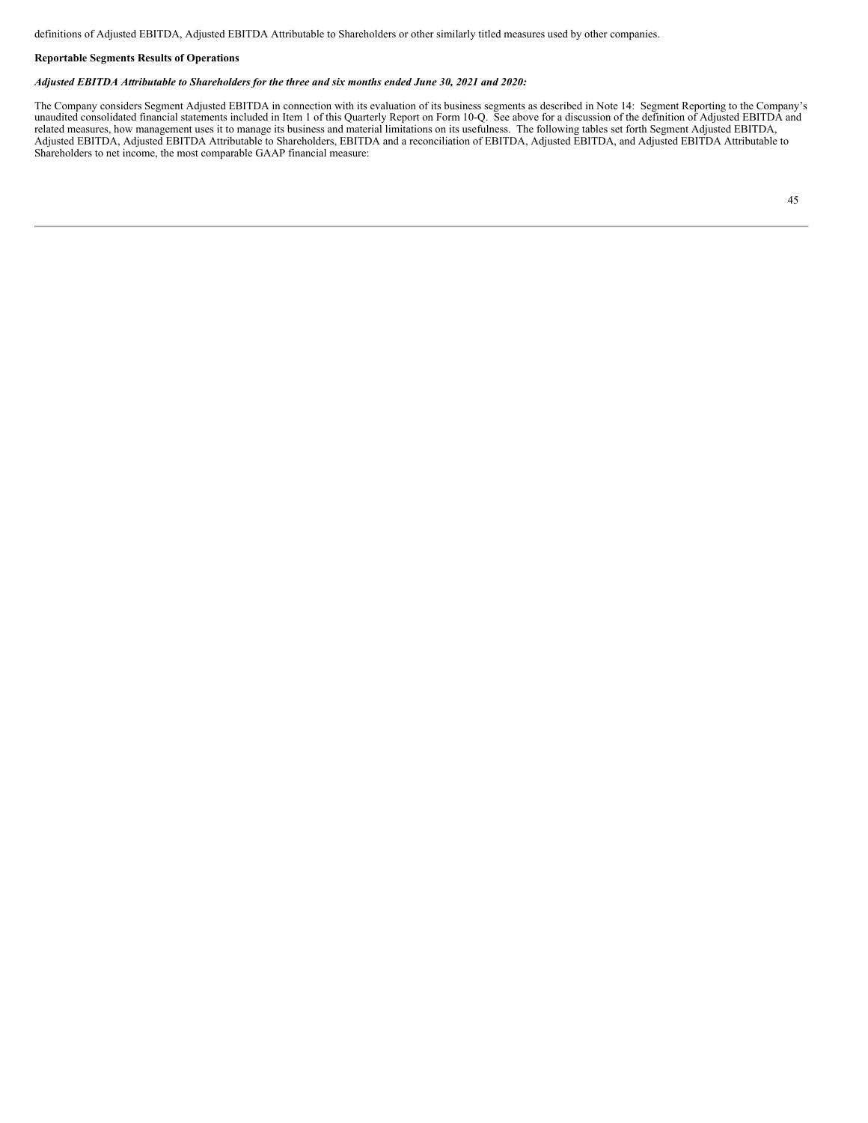definitions of Adjusted EBITDA, Adjusted EBITDA Attributable to Shareholders or other similarly titled measures used by other companies.

### **Reportable Segments Results of Operations**

### *Adjusted EBITDA Attributable to Shareholders for the three and six months ended June 30, 2021 and 2020:*

The Company considers Segment Adjusted EBITDA in connection with its evaluation of its business segments as described in Note 14: Segment Reporting to the Company's unaudited consolidated financial statements included in Item 1 of this Quarterly Report on Form 10-Q. See above for a discussion of the definition of Adjusted EBITDA and related measures, how management uses it to manage its business and material limitations on its usefulness. The following tables set forth Segment Adjusted EBITDA, Adjusted EBITDA, Adjusted EBITDA Attributable to Shareholders, EBITDA and a reconciliation of EBITDA, Adjusted EBITDA, and Adjusted EBITDA Attributable to Shareholders to net income, the most comparable GAAP financial measure: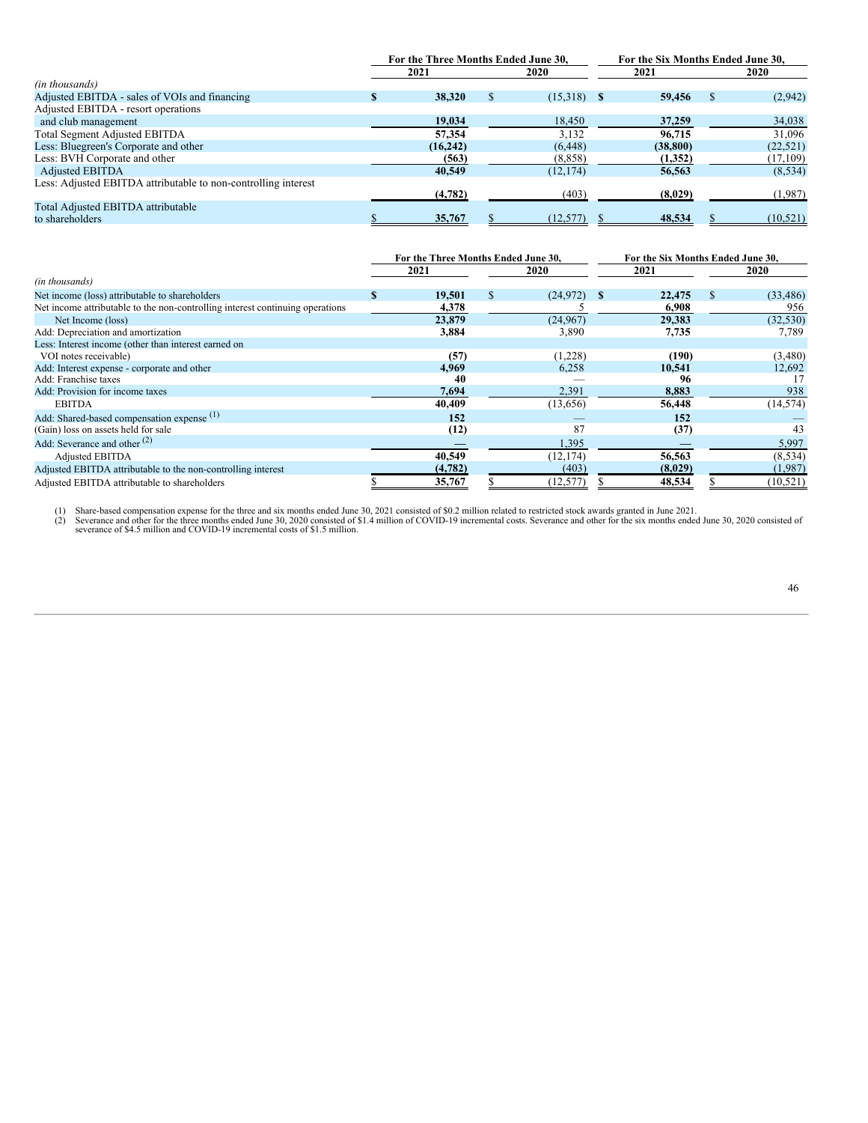|                                                                | For the Three Months Ended June 30. |  | For the Six Months Ended June 30. |  |           |      |           |
|----------------------------------------------------------------|-------------------------------------|--|-----------------------------------|--|-----------|------|-----------|
|                                                                | 2021                                |  | 2020                              |  | 2021      | 2020 |           |
| (in thousands)                                                 |                                     |  |                                   |  |           |      |           |
| Adjusted EBITDA - sales of VOIs and financing                  | 38,320                              |  | $(15,318)$ \$                     |  | 59,456    |      | (2,942)   |
| Adjusted EBITDA - resort operations                            |                                     |  |                                   |  |           |      |           |
| and club management                                            | 19,034                              |  | 18,450                            |  | 37,259    |      | 34,038    |
| <b>Total Segment Adjusted EBITDA</b>                           | 57.354                              |  | 3,132                             |  | 96,715    |      | 31,096    |
| Less: Bluegreen's Corporate and other                          | (16,242)                            |  | (6, 448)                          |  | (38, 800) |      | (22, 521) |
| Less: BVH Corporate and other                                  | (563)                               |  | (8,858)                           |  | (1,352)   |      | (17,109)  |
| <b>Adjusted EBITDA</b>                                         | 40,549                              |  | (12, 174)                         |  | 56.563    |      | (8, 534)  |
| Less: Adjusted EBITDA attributable to non-controlling interest |                                     |  |                                   |  |           |      |           |
|                                                                | (4,782)                             |  | (403)                             |  | (8,029)   |      | (1,987)   |
| Total Adjusted EBITDA attributable                             |                                     |  |                                   |  |           |      |           |
| to shareholders                                                | 35,767                              |  | (12, 577)                         |  | 48,534    |      | (10, 521) |

|                                                                               | For the Three Months Ended June 30, |                 |     |         |          | For the Six Months Ended June 30, |  |  |
|-------------------------------------------------------------------------------|-------------------------------------|-----------------|-----|---------|----------|-----------------------------------|--|--|
|                                                                               | 2021                                | 2020            |     | 2021    |          | 2020                              |  |  |
| (in thousands)                                                                |                                     |                 |     |         |          |                                   |  |  |
| Net income (loss) attributable to shareholders                                | 19,501                              | \$<br>(24, 972) | - S | 22,475  | <b>S</b> | (33, 486)                         |  |  |
| Net income attributable to the non-controlling interest continuing operations | 4,378                               |                 |     | 6,908   |          | 956                               |  |  |
| Net Income (loss)                                                             | 23,879                              | (24,967)        |     | 29,383  |          | (32, 530)                         |  |  |
| Add: Depreciation and amortization                                            | 3,884                               | 3,890           |     | 7,735   |          | 7,789                             |  |  |
| Less: Interest income (other than interest earned on                          |                                     |                 |     |         |          |                                   |  |  |
| VOI notes receivable)                                                         | (57)                                | (1,228)         |     | (190)   |          | (3,480)                           |  |  |
| Add: Interest expense - corporate and other                                   | 4,969                               | 6,258           |     | 10,541  |          | 12,692                            |  |  |
| Add: Franchise taxes                                                          | 40                                  |                 |     | 96      |          |                                   |  |  |
| Add: Provision for income taxes                                               | 7,694                               | 2,391           |     | 8,883   |          | 938                               |  |  |
| <b>EBITDA</b>                                                                 | 40,409                              | (13, 656)       |     | 56,448  |          | (14, 574)                         |  |  |
| Add: Shared-based compensation expense (1)                                    | 152                                 |                 |     | 152     |          |                                   |  |  |
| (Gain) loss on assets held for sale                                           | (12)                                | 87              |     | (37)    |          | 43                                |  |  |
| Add: Severance and other $(2)$                                                |                                     | 1,395           |     |         |          | 5,997                             |  |  |
| <b>Adjusted EBITDA</b>                                                        | 40,549                              | (12, 174)       |     | 56,563  |          | (8, 534)                          |  |  |
| Adjusted EBITDA attributable to the non-controlling interest                  | (4,782)                             | (403)           |     | (8,029) |          | (1,987)                           |  |  |
| Adjusted EBITDA attributable to shareholders                                  | 35,767                              | (12, 577)       |     | 48,534  |          | (10, 521)                         |  |  |

(1) Share-based compensation expense for the three and six months ended June 30, 2021 consisted of \$0.2 million related to restricted stock awards granted in June 2021.<br>(2) Severance and other for the three months ended Ju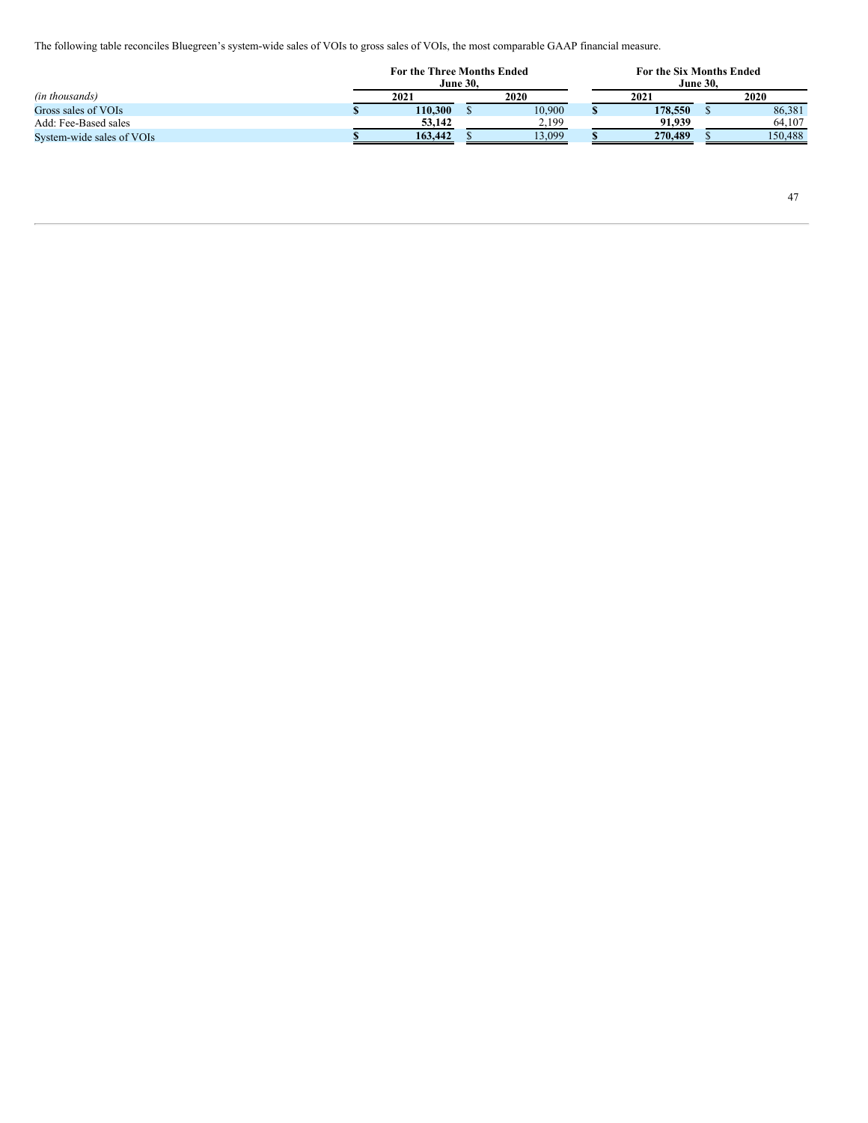The following table reconciles Bluegreen's system-wide sales of VOIs to gross sales of VOIs, the most comparable GAAP financial measure.

|                           | For the Three Months Ended<br><b>June 30.</b> |        | For the Six Months Ended<br><b>June 30.</b> |  |         |  |
|---------------------------|-----------------------------------------------|--------|---------------------------------------------|--|---------|--|
| (in thousands)            | 2021                                          | 2020   | 2021                                        |  | 2020    |  |
| Gross sales of VOIs       | 110.300                                       | 10.900 | 178,550                                     |  | 86,381  |  |
| Add: Fee-Based sales      | 53,142                                        | 2,199  | 91.939                                      |  | 64.107  |  |
| System-wide sales of VOIs | 163,442                                       | 13.099 | 270,489                                     |  | 150.488 |  |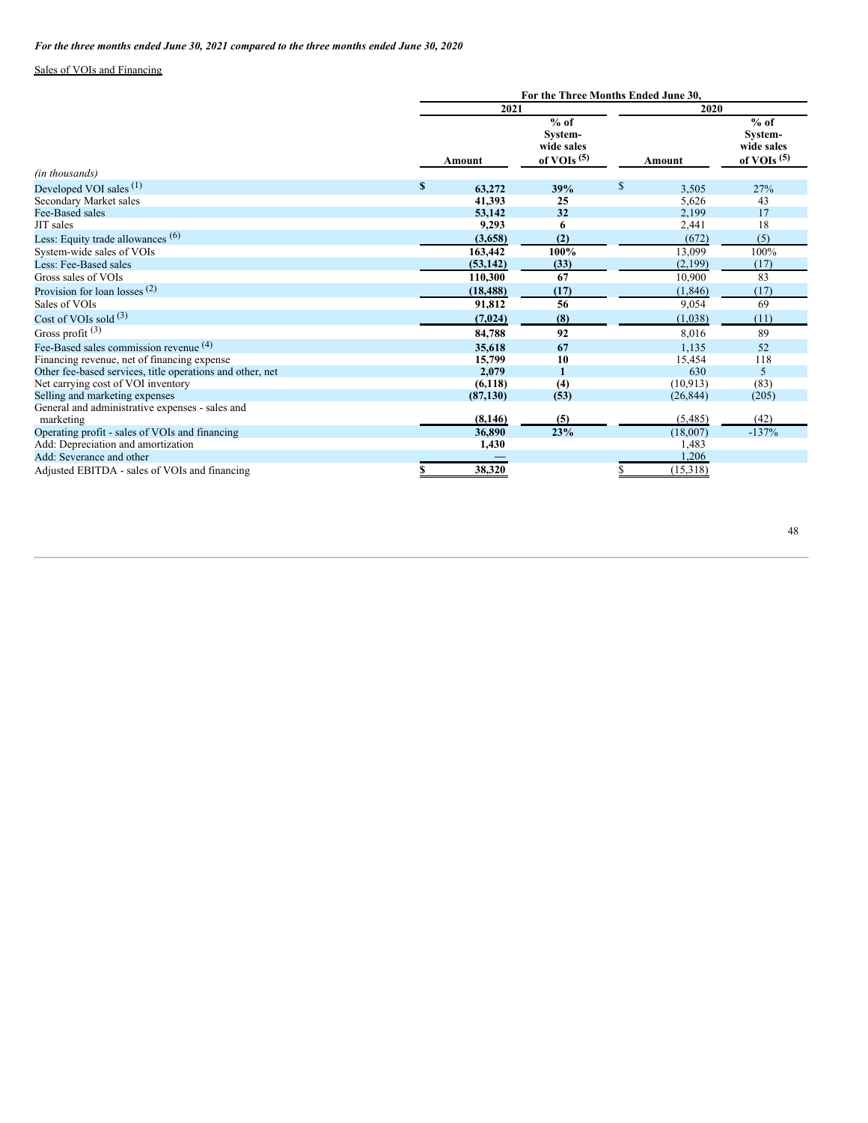# *For the three months ended June 30, 2021 compared to the three months ended June 30, 2020*

# Sales of VOIs and Financing

|                                                           | For the Three Months Ended June 30, |           |                                                  |      |           |                                                  |  |  |  |  |
|-----------------------------------------------------------|-------------------------------------|-----------|--------------------------------------------------|------|-----------|--------------------------------------------------|--|--|--|--|
|                                                           |                                     | 2021      |                                                  | 2020 |           |                                                  |  |  |  |  |
|                                                           |                                     | Amount    | $%$ of<br>System-<br>wide sales<br>of VOIs $(5)$ |      | Amount    | $%$ of<br>System-<br>wide sales<br>of VOIs $(5)$ |  |  |  |  |
| (in thousands)                                            |                                     |           |                                                  |      |           |                                                  |  |  |  |  |
| Developed VOI sales <sup>(1)</sup>                        | \$                                  | 63,272    | 39%                                              | \$   | 3,505     | 27%                                              |  |  |  |  |
| Secondary Market sales                                    |                                     | 41.393    | 25                                               |      | 5,626     | 43                                               |  |  |  |  |
| Fee-Based sales<br>JIT sales                              |                                     | 53,142    | 32                                               |      | 2,199     | 17<br>18                                         |  |  |  |  |
|                                                           |                                     | 9,293     | 6                                                |      | 2,441     |                                                  |  |  |  |  |
| Less: Equity trade allowances (6)                         |                                     | (3,658)   | (2)                                              |      | (672)     | (5)                                              |  |  |  |  |
| System-wide sales of VOIs                                 |                                     | 163,442   | 100%                                             |      | 13,099    | 100%                                             |  |  |  |  |
| Less: Fee-Based sales                                     |                                     | (53, 142) | (33)                                             |      | (2,199)   | (17)                                             |  |  |  |  |
| Gross sales of VOIs                                       |                                     | 110,300   | 67                                               |      | 10.900    | 83                                               |  |  |  |  |
| Provision for loan losses $(2)$                           |                                     | (18, 488) | (17)                                             |      | (1, 846)  | (17)                                             |  |  |  |  |
| Sales of VOIs                                             |                                     | 91,812    | 56                                               |      | 9,054     | 69                                               |  |  |  |  |
| Cost of VOIs sold $(3)$                                   |                                     | (7,024)   | (8)                                              |      | (1,038)   | (11)                                             |  |  |  |  |
| Gross profit $(3)$                                        |                                     | 84,788    | 92                                               |      | 8,016     | 89                                               |  |  |  |  |
| Fee-Based sales commission revenue (4)                    |                                     | 35.618    | 67                                               |      | 1,135     | 52                                               |  |  |  |  |
| Financing revenue, net of financing expense               |                                     | 15,799    | 10                                               |      | 15,454    | 118                                              |  |  |  |  |
| Other fee-based services, title operations and other, net |                                     | 2.079     |                                                  |      | 630       | 5                                                |  |  |  |  |
| Net carrying cost of VOI inventory                        |                                     | (6, 118)  | (4)                                              |      | (10.913)  | (83)                                             |  |  |  |  |
| Selling and marketing expenses                            |                                     | (87, 130) | (53)                                             |      | (26, 844) | (205)                                            |  |  |  |  |
| General and administrative expenses - sales and           |                                     |           |                                                  |      |           |                                                  |  |  |  |  |
| marketing                                                 |                                     | (8, 146)  | (5)                                              |      | (5,485)   | (42)                                             |  |  |  |  |
| Operating profit - sales of VOIs and financing            |                                     | 36,890    | 23%                                              |      | (18,007)  | $-137%$                                          |  |  |  |  |
| Add: Depreciation and amortization                        |                                     | 1,430     |                                                  |      | 1,483     |                                                  |  |  |  |  |
| Add: Severance and other                                  |                                     |           |                                                  |      | 1,206     |                                                  |  |  |  |  |
| Adjusted EBITDA - sales of VOIs and financing             |                                     | 38,320    |                                                  |      | (15,318)  |                                                  |  |  |  |  |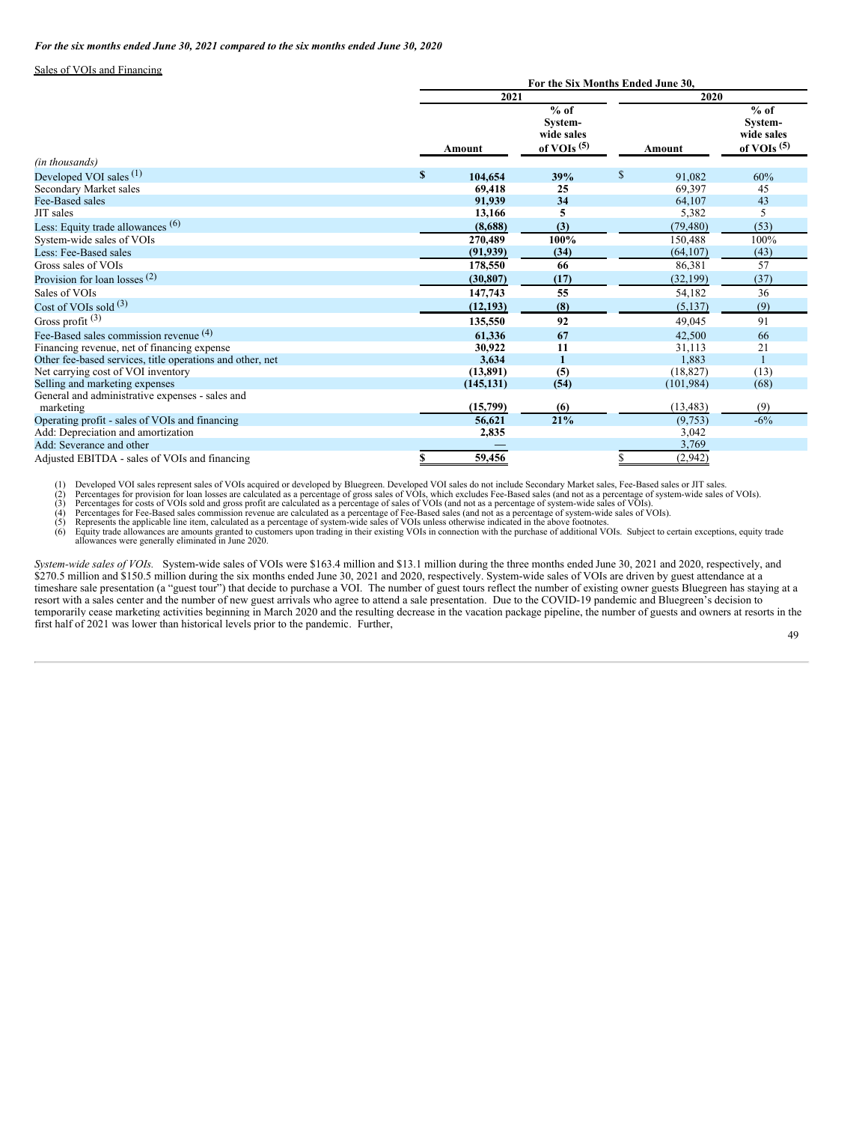## *For the six months ended June 30, 2021 compared to the six months ended June 30, 2020*

Sales of VOIs and Financing

|                                                           | For the Six Months Ended June 30. |                  |                                                           |      |                 |                                                           |  |  |  |  |
|-----------------------------------------------------------|-----------------------------------|------------------|-----------------------------------------------------------|------|-----------------|-----------------------------------------------------------|--|--|--|--|
|                                                           |                                   | 2021             |                                                           | 2020 |                 |                                                           |  |  |  |  |
|                                                           |                                   | Amount           | $%$ of<br>System-<br>wide sales<br>of VOIs <sup>(5)</sup> |      | Amount          | $%$ of<br>System-<br>wide sales<br>of VOIs <sup>(5)</sup> |  |  |  |  |
| (in thousands)                                            | S                                 |                  |                                                           | \$   |                 |                                                           |  |  |  |  |
| Developed VOI sales <sup>(1)</sup>                        |                                   | 104.654          | 39%                                                       |      | 91.082          | 60%                                                       |  |  |  |  |
| Secondary Market sales<br>Fee-Based sales                 |                                   | 69.418           | 25<br>34                                                  |      | 69,397          | 45                                                        |  |  |  |  |
| JIT sales                                                 |                                   | 91,939<br>13,166 | 5                                                         |      | 64,107<br>5,382 | 43<br>5                                                   |  |  |  |  |
|                                                           |                                   | (8,688)          | (3)                                                       |      | (79, 480)       | (53)                                                      |  |  |  |  |
| Less: Equity trade allowances (6)                         |                                   | 270.489          | 100%                                                      |      |                 |                                                           |  |  |  |  |
| System-wide sales of VOIs<br>Less: Fee-Based sales        |                                   |                  |                                                           |      | 150,488         | 100%                                                      |  |  |  |  |
| Gross sales of VOIs                                       |                                   | (91, 939)        | (34)                                                      |      | (64, 107)       | (43)<br>57                                                |  |  |  |  |
|                                                           |                                   | 178,550          | 66                                                        |      | 86,381          |                                                           |  |  |  |  |
| Provision for loan losses $(2)$                           |                                   | (30, 807)        | (17)                                                      |      | (32, 199)       | (37)                                                      |  |  |  |  |
| Sales of VOIs                                             |                                   | 147,743          | 55                                                        |      | 54,182          | 36                                                        |  |  |  |  |
| Cost of VOIs sold $(3)$                                   |                                   | (12, 193)        | (8)                                                       |      | (5, 137)        | (9)                                                       |  |  |  |  |
| Gross profit $(3)$                                        |                                   | 135,550          | 92                                                        |      | 49,045          | 91                                                        |  |  |  |  |
| Fee-Based sales commission revenue $(4)$                  |                                   | 61,336           | 67                                                        |      | 42,500          | 66                                                        |  |  |  |  |
| Financing revenue, net of financing expense               |                                   | 30,922           | 11                                                        |      | 31,113          | 21                                                        |  |  |  |  |
| Other fee-based services, title operations and other, net |                                   | 3.634            | $\mathbf{1}$                                              |      | 1.883           |                                                           |  |  |  |  |
| Net carrying cost of VOI inventory                        |                                   | (13,891)         | (5)                                                       |      | (18, 827)       | (13)                                                      |  |  |  |  |
| Selling and marketing expenses                            |                                   | (145, 131)       | (54)                                                      |      | (101, 984)      | (68)                                                      |  |  |  |  |
| General and administrative expenses - sales and           |                                   |                  |                                                           |      |                 |                                                           |  |  |  |  |
| marketing                                                 |                                   | (15,799)         | (6)                                                       |      | (13, 483)       | (9)                                                       |  |  |  |  |
| Operating profit - sales of VOIs and financing            |                                   | 56,621           | 21%                                                       |      | (9,753)         | $-6%$                                                     |  |  |  |  |
| Add: Depreciation and amortization                        |                                   | 2,835            |                                                           |      | 3,042           |                                                           |  |  |  |  |
| Add: Severance and other                                  |                                   |                  |                                                           |      | 3,769           |                                                           |  |  |  |  |
| Adjusted EBITDA - sales of VOIs and financing             |                                   | 59,456           |                                                           |      | (2,942)         |                                                           |  |  |  |  |

(1) Developed VOI sales represent sales of VOIs acquired or developed by Bluegreen. Developed VOI sales do not include Secondary Market sales, Fee-Based sales or JIT sales.<br>(2) Percentages for provision for loan losses are

(5) Represents the applicable line item, calculated as a percentage of system-wide sales of VOIs unless otherwise indicated in the above footnotes.<br>(6) Equity trade allowances are amounts granted to customers upon trading allowances were generally eliminated in June 2020.

*System-wide sales of VOIs.* System-wide sales of VOIs were \$163.4 million and \$13.1 million during the three months ended June 30, 2021 and 2020, respectively, and \$270.5 million and \$150.5 million during the six months ended June 30, 2021 and 2020, respectively. System-wide sales of VOIs are driven by guest attendance at a timeshare sale presentation (a "guest tour") that decide to purchase a VOI. The number of guest tours reflect the number of existing owner guests Bluegreen has staying at a resort with a sales center and the number of new guest arrivals who agree to attend a sale presentation. Due to the COVID-19 pandemic and Bluegreen's decision to temporarily cease marketing activities beginning in March 2020 and the resulting decrease in the vacation package pipeline, the number of guests and owners at resorts in the first half of 2021 was lower than historical levels prior to the pandemic. Further,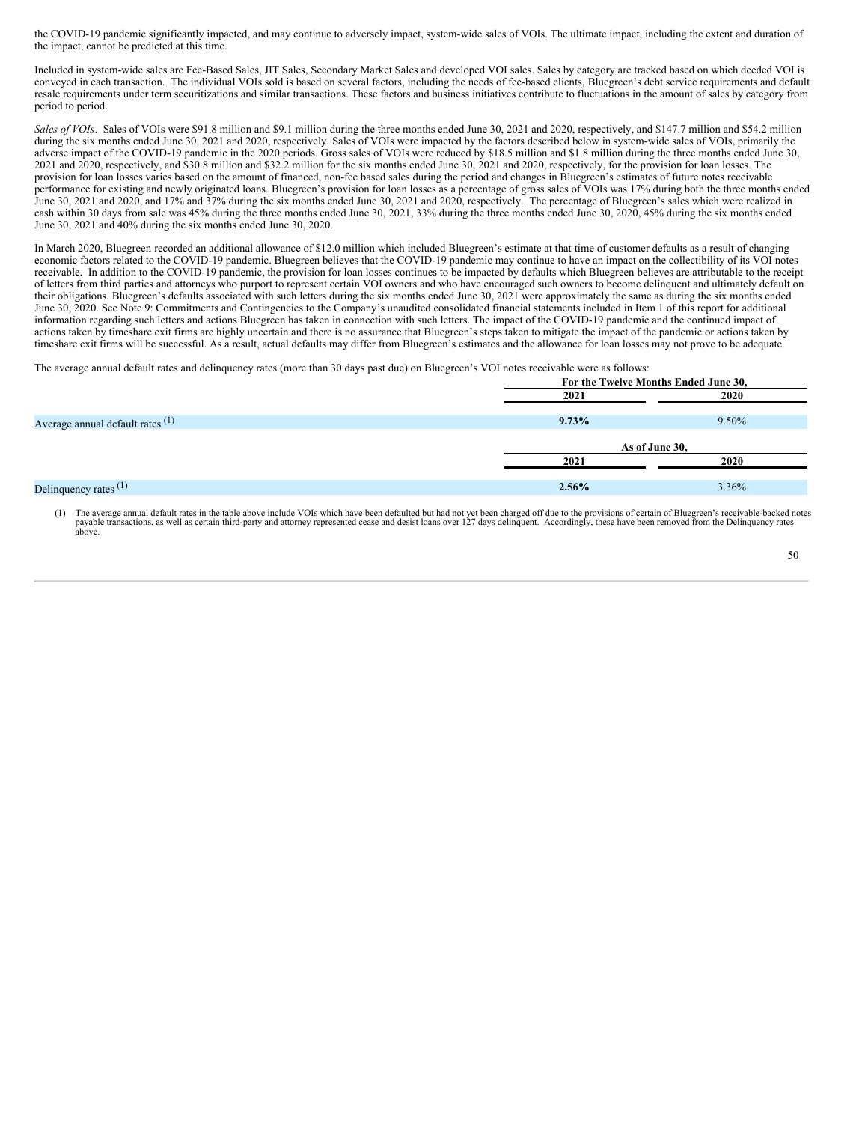the COVID-19 pandemic significantly impacted, and may continue to adversely impact, system-wide sales of VOIs. The ultimate impact, including the extent and duration of the impact, cannot be predicted at this time.

Included in system-wide sales are Fee-Based Sales, JIT Sales, Secondary Market Sales and developed VOI sales. Sales by category are tracked based on which deeded VOI is conveyed in each transaction. The individual VOIs sold is based on several factors, including the needs of fee-based clients, Bluegreen's debt service requirements and default resale requirements under term securitizations and similar transactions. These factors and business initiatives contribute to fluctuations in the amount of sales by category from period to period.

Sales of *VOIs*. Sales of VOIs were \$91.8 million and \$9.1 million during the three months ended June 30, 2021 and 2020, respectively, and \$147.7 million and \$54.2 million during the six months ended June 30, 2021 and 2020, respectively. Sales of VOIs were impacted by the factors described below in system-wide sales of VOIs, primarily the adverse impact of the COVID-19 pandemic in the 2020 periods. Gross sales of VOIs were reduced by \$18.5 million and \$1.8 million during the three months ended June 30, 2021 and 2020, respectively, and \$30.8 million and \$32.2 million for the six months ended June 30, 2021 and 2020, respectively, for the provision for loan losses. The provision for loan losses varies based on the amount of financed, non-fee based sales during the period and changes in Bluegreen's estimates of future notes receivable performance for existing and newly originated loans. Bluegreen's provision for loan losses as a percentage of gross sales of VOIs was 17% during both the three months ended June 30, 2021 and 2020, and 17% and 37% during the six months ended June 30, 2021 and 2020, respectively. The percentage of Bluegreen's sales which were realized in cash within 30 days from sale was 45% during the three months ended June 30, 2021, 33% during the three months ended June 30, 2020, 45% during the six months ended June 30, 2021 and 40% during the six months ended June 30, 2020.

In March 2020, Bluegreen recorded an additional allowance of \$12.0 million which included Bluegreen's estimate at that time of customer defaults as a result of changing economic factors related to the COVID-19 pandemic. Bluegreen believes that the COVID-19 pandemic may continue to have an impact on the collectibility of its VOI notes receivable. In addition to the COVID-19 pandemic, the provision for loan losses continues to be impacted by defaults which Bluegreen believes are attributable to the receipt of letters from third parties and attorneys who purport to represent certain VOI owners and who have encouraged such owners to become delinquent and ultimately default on their obligations. Bluegreen's defaults associated with such letters during the six months ended June 30, 2021 were approximately the same as during the six months ended June 30, 2020. See Note 9: Commitments and Contingencies to the Company's unaudited consolidated financial statements included in Item 1 of this report for additional information regarding such letters and actions Bluegreen has taken in connection with such letters. The impact of the COVID-19 pandemic and the continued impact of actions taken by timeshare exit firms are highly uncertain and there is no assurance that Bluegreen's steps taken to mitigate the impact of the pandemic or actions taken by timeshare exit firms will be successful. As a result, actual defaults may differ from Bluegreen's estimates and the allowance for loan losses may not prove to be adequate.

The average annual default rates and delinquency rates (more than 30 days past due) on Bluegreen's VOI notes receivable were as follows:

|                                             | For the Twelve Months Ended June 30, |          |
|---------------------------------------------|--------------------------------------|----------|
|                                             | 2021                                 | 2020     |
| Average annual default rates <sup>(1)</sup> | 9.73%                                | 9.50%    |
|                                             | As of June 30,                       |          |
|                                             | 2021                                 | 2020     |
| Delinquency rates $(1)$                     | 2.56%                                | $3.36\%$ |

The average annual default rates in the table above include VOIs which have been defaulted but had not yet been charged off due to the provisions of certain of Bluegreen's receivable-backed notes payable transactions, as well as certain third-party and attorney represented cease and desist loans over 127 days delinquent. Accordingly, these have been removed from the Delinquency rates above.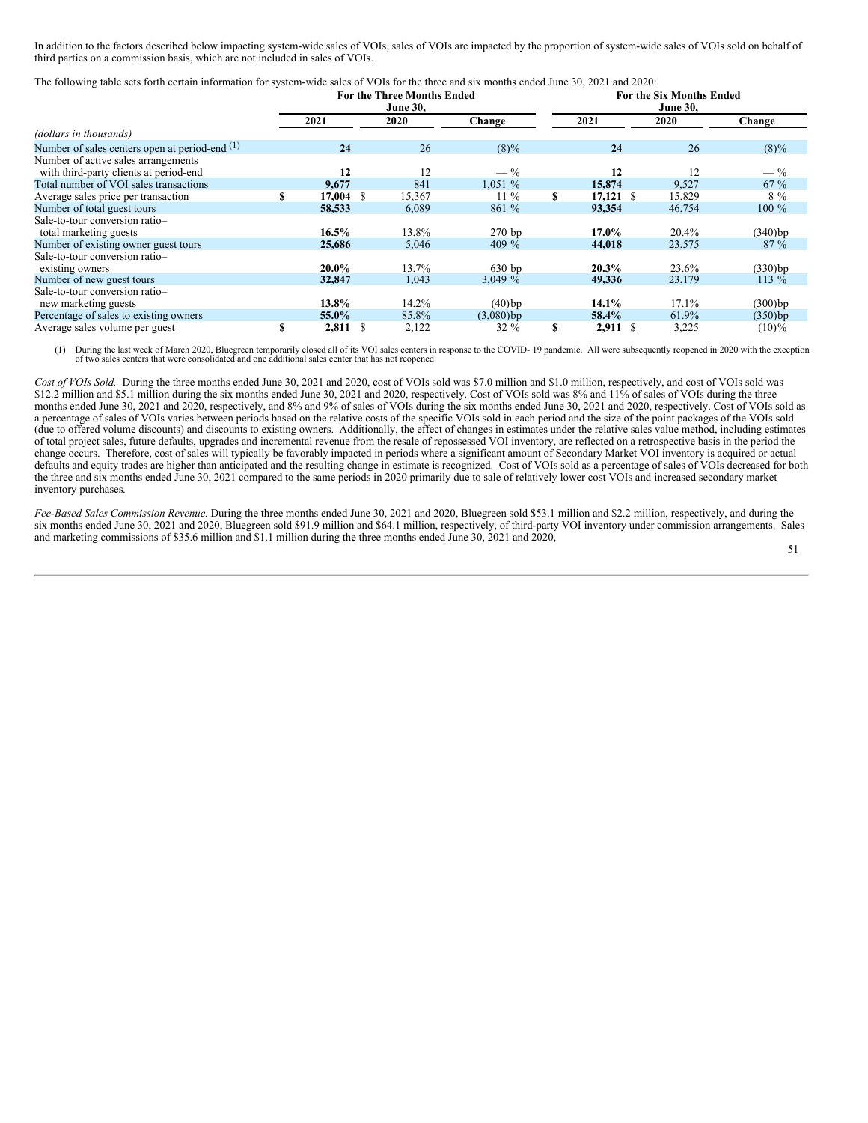In addition to the factors described below impacting system-wide sales of VOIs, sales of VOIs are impacted by the proportion of system-wide sales of VOIs sold on behalf of third parties on a commission basis, which are not included in sales of VOIs.

The following table sets forth certain information for system-wide sales of VOIs for the three and six months ended June 30, 2021 and 2020:

|                                                  |   | <b>For the Three Months Ended</b><br><b>June 30,</b> |  |        |                 |   | <b>For the Six Months Ended</b><br><b>June 30,</b> |          |                |  |  |
|--------------------------------------------------|---|------------------------------------------------------|--|--------|-----------------|---|----------------------------------------------------|----------|----------------|--|--|
|                                                  |   | 2021                                                 |  | 2020   | Change          |   | 2021                                               | 2020     | Change         |  |  |
| (dollars in thousands)                           |   |                                                      |  |        |                 |   |                                                    |          |                |  |  |
| Number of sales centers open at period-end $(1)$ |   | 24                                                   |  | 26     | $(8)\%$         |   | 24                                                 | 26       | $(8)\%$        |  |  |
| Number of active sales arrangements              |   |                                                      |  |        |                 |   |                                                    |          |                |  |  |
| with third-party clients at period-end           |   | 12                                                   |  | 12     | $- \frac{9}{6}$ |   | 12                                                 | 12       | $-\frac{9}{6}$ |  |  |
| Total number of VOI sales transactions           |   | 9,677                                                |  | 841    | 1,051 %         |   | 15,874                                             | 9,527    | $67 \%$        |  |  |
| Average sales price per transaction              | S | 17.004 S                                             |  | 15,367 | $11\%$          | S | $17,121$ \$                                        | 15,829   | $8\%$          |  |  |
| Number of total guest tours                      |   | 58,533                                               |  | 6,089  | 861 %           |   | 93,354                                             | 46,754   | $100\%$        |  |  |
| Sale-to-tour conversion ratio-                   |   |                                                      |  |        |                 |   |                                                    |          |                |  |  |
| total marketing guests                           |   | $16.5\%$                                             |  | 13.8%  | $270$ bp        |   | $17.0\%$                                           | 20.4%    | (340)bp        |  |  |
| Number of existing owner guest tours             |   | 25,686                                               |  | 5,046  | 409 %           |   | 44,018                                             | 23,575   | 87 %           |  |  |
| Sale-to-tour conversion ratio-                   |   |                                                      |  |        |                 |   |                                                    |          |                |  |  |
| existing owners                                  |   | $20.0\%$                                             |  | 13.7%  | $630$ bp        |   | $20.3\%$                                           | 23.6%    | (330)bp        |  |  |
| Number of new guest tours                        |   | 32,847                                               |  | 1,043  | 3,049 %         |   | 49,336                                             | 23,179   | $113\%$        |  |  |
| Sale-to-tour conversion ratio-                   |   |                                                      |  |        |                 |   |                                                    |          |                |  |  |
| new marketing guests                             |   | 13.8%                                                |  | 14.2%  | (40)bp          |   | $14.1\%$                                           | $17.1\%$ | (300)bp        |  |  |
| Percentage of sales to existing owners           |   | 55.0%                                                |  | 85.8%  | $(3,080)$ bp    |   | 58.4%                                              | 61.9%    | (350)bp        |  |  |
| Average sales volume per guest                   | S | $2,811$ \$                                           |  | 2,122  | $32\%$          | S | $2,911$ \$                                         | 3,225    | $(10)\%$       |  |  |

(1) During the last week of March 2020, Bluegreen temporarily closed all of its VOI sales centers in response to the COVID-19 pandemic. All were subsequently reopened in 2020 with the exception of two sales centers that we

Cost of *VOIs Sold.* During the three months ended June 30, 2021 and 2020, cost of VOIs sold was \$7.0 million and \$1.0 million, respectively, and cost of VOIs sold was \$12.2 million and \$5.1 million during the six months ended June 30, 2021 and 2020, respectively. Cost of VOIs sold was 8% and 11% of sales of VOIs during the three months ended June 30, 2021 and 2020, respectively, and 8% and 9% of sales of VOIs during the six months ended June 30, 2021 and 2020, respectively. Cost of VOIs sold as a percentage of sales of VOIs varies between periods based on the relative costs of the specific VOIs sold in each period and the size of the point packages of the VOIs sold (due to offered volume discounts) and discounts to existing owners. Additionally, the effect of changes in estimates under the relative sales value method, including estimates of total project sales, future defaults, upgrades and incremental revenue from the resale of repossessed VOI inventory, are reflected on a retrospective basis in the period the change occurs. Therefore, cost of sales will typically be favorably impacted in periods where a significant amount of Secondary Market VOI inventory is acquired or actual defaults and equity trades are higher than anticipated and the resulting change in estimate is recognized. Cost of VOIs sold as a percentage of sales of VOIs decreased for both the three and six months ended June 30, 2021 compared to the same periods in 2020 primarily due to sale of relatively lower cost VOIs and increased secondary market inventory purchases.

*Fee-Based Sales Commission Revenue.* During the three months ended June 30, 2021 and 2020, Bluegreen sold \$53.1 million and \$2.2 million, respectively, and during the six months ended June 30, 2021 and 2020, Bluegreen sold \$91.9 million and \$64.1 million, respectively, of third-party VOI inventory under commission arrangements. Sales and marketing commissions of \$35.6 million and \$1.1 million during the three months ended June 30, 2021 and 2020,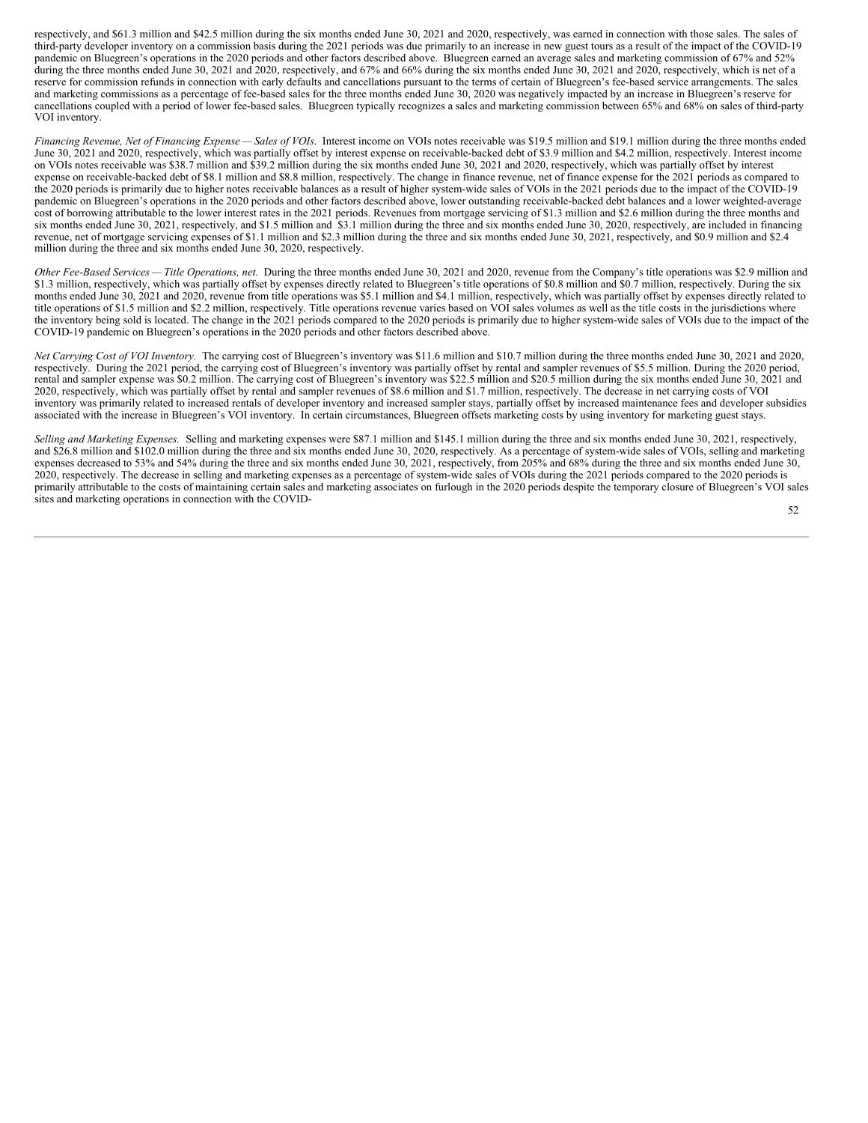respectively, and \$61.3 million and \$42.5 million during the six months ended June 30, 2021 and 2020, respectively, was earned in connection with those sales. The sales of third-party developer inventory on a commission basis during the 2021 periods was due primarily to an increase in new guest tours as a result of the impact of the COVID-19 pandemic on Bluegreen's operations in the 2020 periods and other factors described above. Bluegreen earned an average sales and marketing commission of 67% and 52% during the three months ended June 30, 2021 and 2020, respectively, and 67% and 66% during the six months ended June 30, 2021 and 2020, respectively, which is net of a reserve for commission refunds in connection with early defaults and cancellations pursuant to the terms of certain of Bluegreen's fee-based service arrangements. The sales and marketing commissions as a percentage of fee-based sales for the three months ended June 30, 2020 was negatively impacted by an increase in Bluegreen's reserve for cancellations coupled with a period of lower fee-based sales. Bluegreen typically recognizes a sales and marketing commission between 65% and 68% on sales of third-party VOI inventory.

Financing Revenue, Net of Financing Expense - Sales of VOIs. Interest income on VOIs notes receivable was \$19.5 million and \$19.1 million during the three months ended June 30, 2021 and 2020, respectively, which was partially offset by interest expense on receivable-backed debt of \$3.9 million and \$4.2 million, respectively. Interest income on VOIs notes receivable was \$38.7 million and \$39.2 million during the six months ended June 30, 2021 and 2020, respectively, which was partially offset by interest expense on receivable-backed debt of \$8.1 million and \$8.8 million, respectively. The change in finance revenue, net of finance expense for the 2021 periods as compared to the 2020 periods is primarily due to higher notes receivable balances as a result of higher system-wide sales of VOIs in the 2021 periods due to the impact of the COVID-19 pandemic on Bluegreen's operations in the 2020 periods and other factors described above, lower outstanding receivable-backed debt balances and a lower weighted-average cost of borrowing attributable to the lower interest rates in the 2021 periods. Revenues from mortgage servicing of \$1.3 million and \$2.6 million during the three months and six months ended June 30, 2021, respectively, and \$1.5 million and \$3.1 million during the three and six months ended June 30, 2020, respectively, are included in financing revenue, net of mortgage servicing expenses of \$1.1 million and \$2.3 million during the three and six months ended June 30, 2021, respectively, and \$0.9 million and \$2.4 million during the three and six months ended June 30, 2020, respectively.

*Other Fee-Based Services — Title Operations, net*. During the three months ended June 30, 2021 and 2020, revenue from the Company's title operations was \$2.9 million and \$1.3 million, respectively, which was partially offset by expenses directly related to Bluegreen's title operations of \$0.8 million and \$0.7 million, respectively. During the six months ended June 30, 2021 and 2020, revenue from title operations was \$5.1 million and \$4.1 million, respectively, which was partially offset by expenses directly related to title operations of \$1.5 million and \$2.2 million, respectively. Title operations revenue varies based on VOI sales volumes as well as the title costs in the jurisdictions where the inventory being sold is located. The change in the 2021 periods compared to the 2020 periods is primarily due to higher system-wide sales of VOIs due to the impact of the COVID-19 pandemic on Bluegreen's operations in the 2020 periods and other factors described above.

*Net Carrying Cost of VOI Inventory.* The carrying cost of Bluegreen's inventory was \$11.6 million and \$10.7 million during the three months ended June 30, 2021 and 2020, respectively. During the 2021 period, the carrying cost of Bluegreen's inventory was partially offset by rental and sampler revenues of \$5.5 million. During the 2020 period, rental and sampler expense was \$0.2 million. The carrying cost of Bluegreen's inventory was \$22.5 million and \$20.5 million during the six months ended June 30, 2021 and 2020, respectively, which was partially offset by rental and sampler revenues of \$8.6 million and \$1.7 million, respectively. The decrease in net carrying costs of VOI inventory was primarily related to increased rentals of developer inventory and increased sampler stays, partially offset by increased maintenance fees and developer subsidies associated with the increase in Bluegreen's VOI inventory. In certain circumstances, Bluegreen offsets marketing costs by using inventory for marketing guest stays.

*Selling and Marketing Expenses.* Selling and marketing expenses were \$87.1 million and \$145.1 million during the three and six months ended June 30, 2021, respectively, and \$26.8 million and \$102.0 million during the three and six months ended June 30, 2020, respectively. As a percentage of system-wide sales of VOIs, selling and marketing expenses decreased to 53% and 54% during the three and six months ended June 30, 2021, respectively, from 205% and 68% during the three and six months ended June 30, 2020, respectively. The decrease in selling and marketing expenses as a percentage of system-wide sales of VOIs during the 2021 periods compared to the 2020 periods is primarily attributable to the costs of maintaining certain sales and marketing associates on furlough in the 2020 periods despite the temporary closure of Bluegreen's VOI sales sites and marketing operations in connection with the COVID-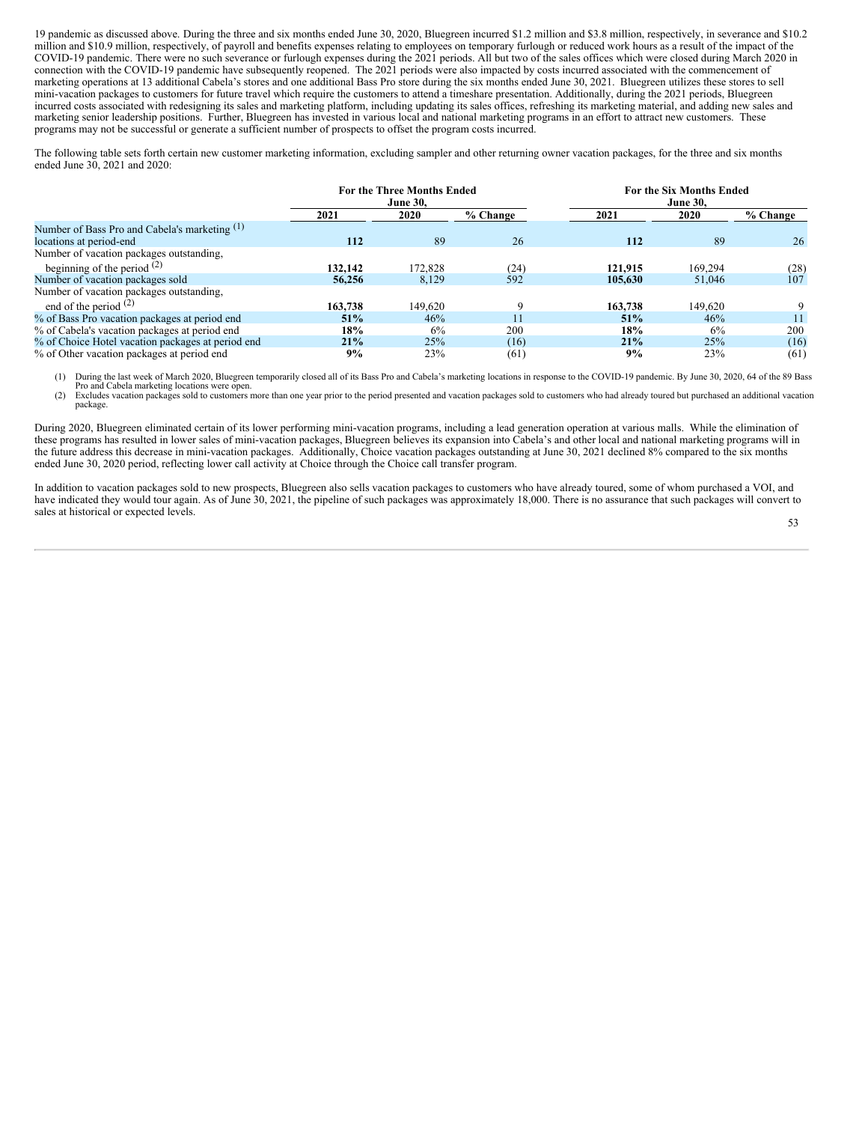19 pandemic as discussed above. During the three and six months ended June 30, 2020, Bluegreen incurred \$1.2 million and \$3.8 million, respectively, in severance and \$10.2 million and \$10.9 million, respectively, of payroll and benefits expenses relating to employees on temporary furlough or reduced work hours as a result of the impact of the COVID-19 pandemic. There were no such severance or furlough expenses during the 2021 periods. All but two of the sales offices which were closed during March 2020 in connection with the COVID-19 pandemic have subsequently reopened. The 2021 periods were also impacted by costs incurred associated with the commencement of marketing operations at 13 additional Cabela's stores and one additional Bass Pro store during the six months ended June 30, 2021. Bluegreen utilizes these stores to sell mini-vacation packages to customers for future travel which require the customers to attend a timeshare presentation. Additionally, during the 2021 periods, Bluegreen incurred costs associated with redesigning its sales and marketing platform, including updating its sales offices, refreshing its marketing material, and adding new sales and marketing senior leadership positions. Further, Bluegreen has invested in various local and national marketing programs in an effort to attract new customers. These programs may not be successful or generate a sufficient number of prospects to offset the program costs incurred.

The following table sets forth certain new customer marketing information, excluding sampler and other returning owner vacation packages, for the three and six months ended June 30, 2021 and 2020:

|                                                          |         | <b>For the Three Months Ended</b><br><b>June 30.</b> |            |         | For the Six Months Ended<br><b>June 30.</b> |            |  |  |  |
|----------------------------------------------------------|---------|------------------------------------------------------|------------|---------|---------------------------------------------|------------|--|--|--|
|                                                          | 2021    | 2020                                                 | $%$ Change | 2021    | 2020                                        | $%$ Change |  |  |  |
| Number of Bass Pro and Cabela's marketing <sup>(1)</sup> |         |                                                      |            |         |                                             |            |  |  |  |
| locations at period-end                                  | 112     | 89                                                   | 26         | 112     | 89                                          | 26         |  |  |  |
| Number of vacation packages outstanding,                 |         |                                                      |            |         |                                             |            |  |  |  |
| beginning of the period $(2)$                            | 132.142 | 172,828                                              | (24        | 121.915 | 169.294                                     | (28)       |  |  |  |
| Number of vacation packages sold                         | 56,256  | 8.129                                                | 592        | 105.630 | 51,046                                      | 107        |  |  |  |
| Number of vacation packages outstanding,                 |         |                                                      |            |         |                                             |            |  |  |  |
| end of the period $(2)$                                  | 163.738 | 149.620                                              |            | 163,738 | 149.620                                     | 9          |  |  |  |
| % of Bass Pro vacation packages at period end            | 51%     | 46%                                                  | 11         | 51\%    | 46%                                         |            |  |  |  |
| % of Cabela's vacation packages at period end            | 18%     | 6%                                                   | 200        | 18%     | $6\%$                                       | 200        |  |  |  |
| % of Choice Hotel vacation packages at period end        | 21%     | 25%                                                  | (16)       | 21%     | 25%                                         | (16)       |  |  |  |
| % of Other vacation packages at period end               | 9%      | 23%                                                  | (61)       | 9%      | 23%                                         | (61)       |  |  |  |

(1) During the last week of March 2020, Bluegreen temporarily closed all of its Bass Pro and Cabela's marketing locations in response to the COVID-19 pandemic. By June 30, 2020, 64 of the 89 Bass Pro and Cabela marketing locations were open.

(2) Excludes vacation packages sold to customers more than one year prior to the period presented and vacation packages sold to customers who had already toured but purchased an additional vacation package.

During 2020, Bluegreen eliminated certain of its lower performing mini-vacation programs, including a lead generation operation at various malls. While the elimination of these programs has resulted in lower sales of mini-vacation packages, Bluegreen believes its expansion into Cabela's and other local and national marketing programs will in the future address this decrease in mini-vacation packages. Additionally, Choice vacation packages outstanding at June 30, 2021 declined 8% compared to the six months ended June 30, 2020 period, reflecting lower call activity at Choice through the Choice call transfer program.

In addition to vacation packages sold to new prospects, Bluegreen also sells vacation packages to customers who have already toured, some of whom purchased a VOI, and have indicated they would tour again. As of June 30, 2021, the pipeline of such packages was approximately 18,000. There is no assurance that such packages will convert to sales at historical or expected levels.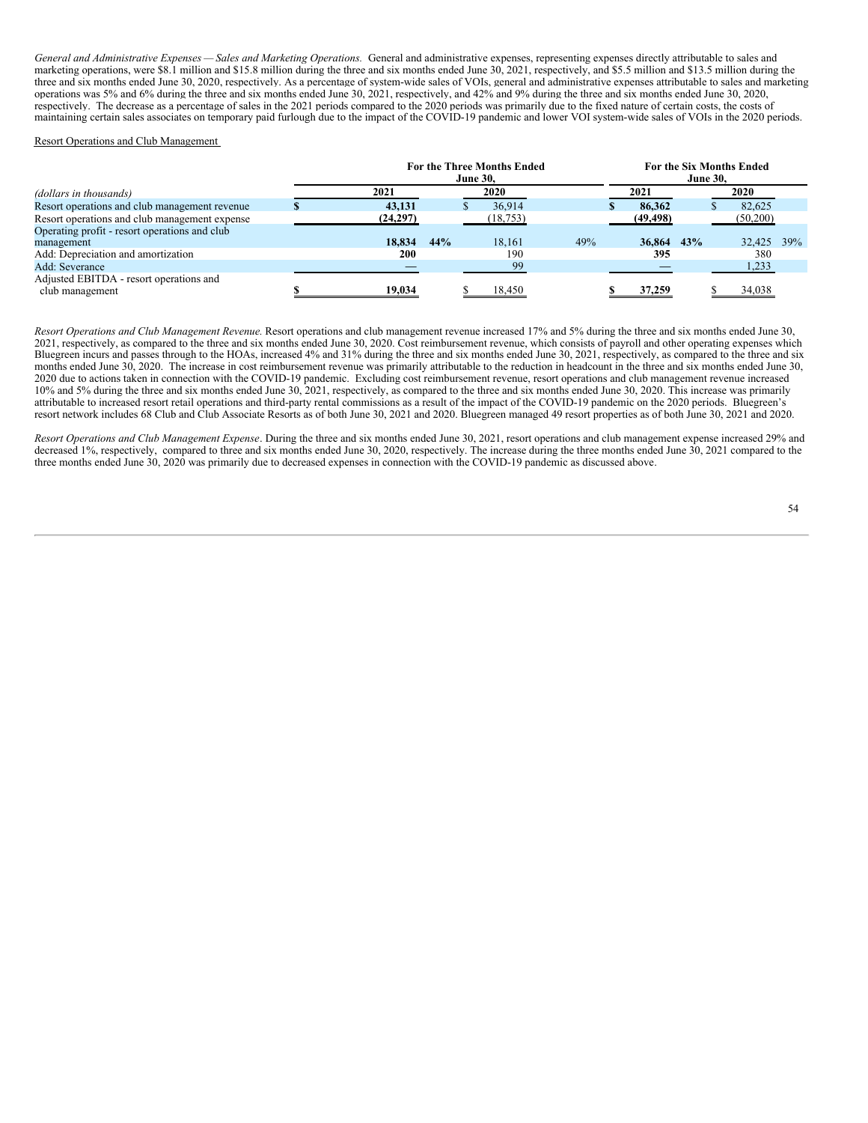General and Administrative Expenses - Sales and Marketing Operations. General and administrative expenses, representing expenses directly attributable to sales and marketing operations, were \$8.1 million and \$15.8 million during the three and six months ended June 30, 2021, respectively, and \$5.5 million and \$13.5 million during the three and six months ended June 30, 2020, respectively. As a percentage of system-wide sales of VOIs, general and administrative expenses attributable to sales and marketing operations was 5% and 6% during the three and six months ended June 30, 2021, respectively, and 42% and 9% during the three and six months ended June 30, 2020, respectively. The decrease as a percentage of sales in the 2021 periods compared to the 2020 periods was primarily due to the fixed nature of certain costs, the costs of maintaining certain sales associates on temporary paid furlough due to the impact of the COVID-19 pandemic and lower VOI system-wide sales of VOIs in the 2020 periods.

## Resort Operations and Club Management

|                                                            | <b>For the Three Months Ended</b><br><b>June 30,</b> |     |  |           |     |  |           | For the Six Months Ended<br><b>June 30.</b> |  |            |  |
|------------------------------------------------------------|------------------------------------------------------|-----|--|-----------|-----|--|-----------|---------------------------------------------|--|------------|--|
| (dollars in thousands)                                     | 2021                                                 |     |  | 2020      |     |  | 2021      |                                             |  | 2020       |  |
| Resort operations and club management revenue              | 43.131                                               |     |  | 36.914    |     |  | 86,362    |                                             |  | 82.625     |  |
| Resort operations and club management expense              | (24, 297)                                            |     |  | (18, 753) |     |  | (49, 498) |                                             |  | (50,200)   |  |
| Operating profit - resort operations and club              |                                                      |     |  |           |     |  |           |                                             |  |            |  |
| management                                                 | 18.834                                               | 44% |  | 18.161    | 49% |  | 36,864    | 43%                                         |  | 32.425 39% |  |
| Add: Depreciation and amortization                         | <b>200</b>                                           |     |  | 190       |     |  | 395       |                                             |  | 380        |  |
| Add: Severance                                             |                                                      |     |  | 99        |     |  |           |                                             |  | 1,233      |  |
| Adjusted EBITDA - resort operations and<br>club management | 19,034                                               |     |  | 18.450    |     |  | 37,259    |                                             |  | 34,038     |  |

*Resort Operations and Club Management Revenue.* Resort operations and club management revenue increased 17% and 5% during the three and six months ended June 30, 2021, respectively, as compared to the three and six months ended June 30, 2020. Cost reimbursement revenue, which consists of payroll and other operating expenses which Bluegreen incurs and passes through to the HOAs, increased 4% and 31% during the three and six months ended June 30, 2021, respectively, as compared to the three and six months ended June 30, 2020. The increase in cost reimbursement revenue was primarily attributable to the reduction in headcount in the three and six months ended June 30, 2020 due to actions taken in connection with the COVID-19 pandemic. Excluding cost reimbursement revenue, resort operations and club management revenue increased 10% and 5% during the three and six months ended June 30, 2021, respectively, as compared to the three and six months ended June 30, 2020. This increase was primarily attributable to increased resort retail operations and third-party rental commissions as a result of the impact of the COVID-19 pandemic on the 2020 periods. Bluegreen's resort network includes 68 Club and Club Associate Resorts as of both June 30, 2021 and 2020. Bluegreen managed 49 resort properties as of both June 30, 2021 and 2020.

*Resort Operations and Club Management Expense*. During the three and six months ended June 30, 2021, resort operations and club management expense increased 29% and decreased 1%, respectively, compared to three and six months ended June 30, 2020, respectively. The increase during the three months ended June 30, 2021 compared to the three months ended June 30, 2020 was primarily due to decreased expenses in connection with the COVID-19 pandemic as discussed above.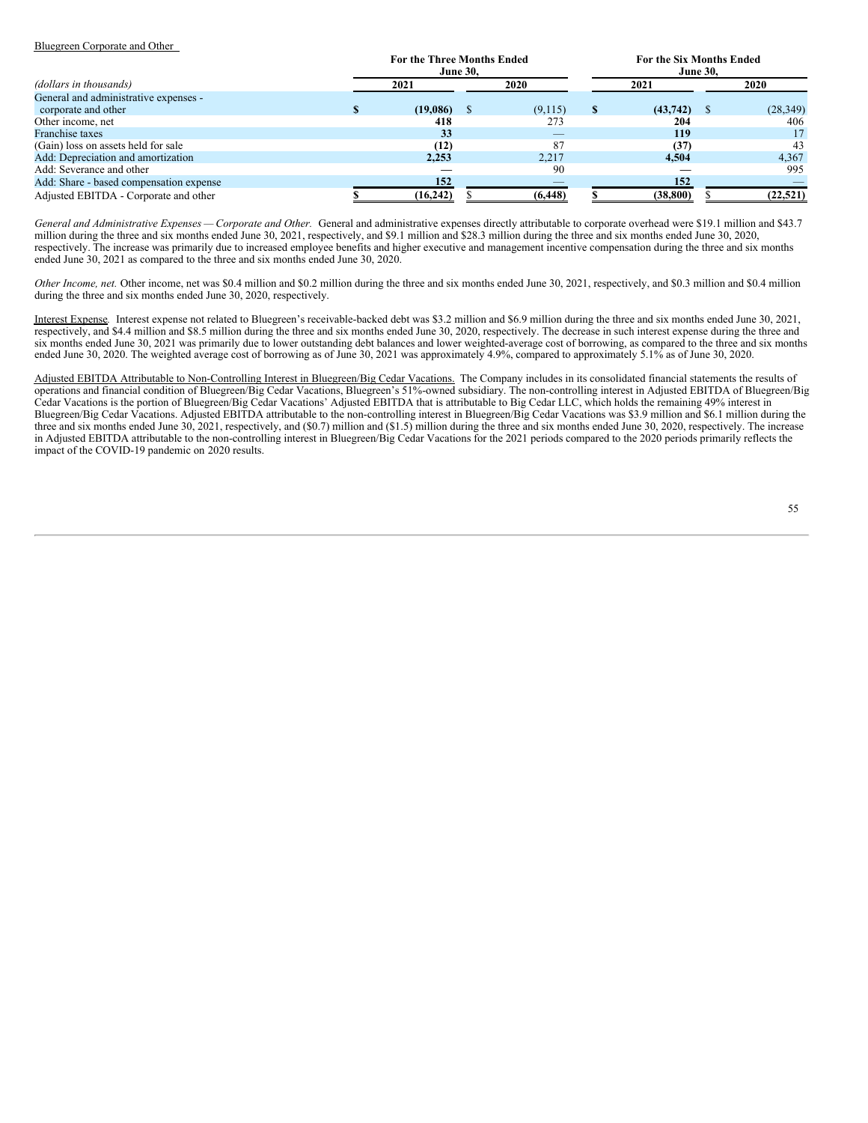## Bluegreen Corporate and Other

|                                         | <b>For the Three Months Ended</b> | <b>June 30.</b> | <b>For the Six Months Ended</b><br><b>June 30,</b> |   |           |  |           |
|-----------------------------------------|-----------------------------------|-----------------|----------------------------------------------------|---|-----------|--|-----------|
| (dollars in thousands)                  | 2021                              |                 | 2020                                               |   | 2021      |  | 2020      |
| General and administrative expenses -   |                                   |                 |                                                    |   |           |  |           |
| corporate and other                     | (19,086)                          |                 | (9,115)                                            | S | (43,742)  |  | (28, 349) |
| Other income, net                       | 418                               |                 | 273                                                |   | 204       |  | 406       |
| Franchise taxes                         | 33                                |                 |                                                    |   | 119       |  |           |
| (Gain) loss on assets held for sale     | (12)                              |                 | 87                                                 |   | (37)      |  | 43        |
| Add: Depreciation and amortization      | 2,253                             |                 | 2.217                                              |   | 4.504     |  | 4,367     |
| Add: Severance and other                |                                   |                 | -90                                                |   |           |  | 995       |
| Add: Share - based compensation expense | 152                               |                 |                                                    |   | 152       |  |           |
| Adjusted EBITDA - Corporate and other   | (16, 242)                         |                 | (6, 448)                                           |   | (38, 800) |  | (22, 521) |

*General and Administrative Expenses — Corporate and Other.* General and administrative expenses directly attributable to corporate overhead were \$19.1 million and \$43.7 million during the three and six months ended June 30, 2021, respectively, and \$9.1 million and \$28.3 million during the three and six months ended June 30, 2020, respectively. The increase was primarily due to increased employee benefits and higher executive and management incentive compensation during the three and six months ended June 30, 2021 as compared to the three and six months ended June 30, 2020.

*Other Income, net.* Other income, net was \$0.4 million and \$0.2 million during the three and six months ended June 30, 2021, respectively, and \$0.3 million and \$0.4 million during the three and six months ended June 30, 2020, respectively.

Interest Expense*.* Interest expense not related to Bluegreen's receivable-backed debt was \$3.2 million and \$6.9 million during the three and six months ended June 30, 2021, respectively, and \$4.4 million and \$8.5 million during the three and six months ended June 30, 2020, respectively. The decrease in such interest expense during the three and six months ended June 30, 2021 was primarily due to lower outstanding debt balances and lower weighted-average cost of borrowing, as compared to the three and six months ended June 30, 2020. The weighted average cost of borrowing as of June 30, 2021 was approximately 4.9%, compared to approximately 5.1% as of June 30, 2020.

Adjusted EBITDA Attributable to Non-Controlling Interest in Bluegreen/Big Cedar Vacations. The Company includes in its consolidated financial statements the results of operations and financial condition of Bluegreen/Big Cedar Vacations, Bluegreen's 51%-owned subsidiary. The non-controlling interest in Adjusted EBITDA of Bluegreen/Big Cedar Vacations is the portion of Bluegreen/Big Cedar Vacations' Adjusted EBITDA that is attributable to Big Cedar LLC, which holds the remaining 49% interest in Bluegreen/Big Cedar Vacations. Adjusted EBITDA attributable to the non-controlling interest in Bluegreen/Big Cedar Vacations was \$3.9 million and \$6.1 million during the three and six months ended June 30, 2021, respectively, and (\$0.7) million and (\$1.5) million during the three and six months ended June 30, 2020, respectively. The increase in Adjusted EBITDA attributable to the non-controlling interest in Bluegreen/Big Cedar Vacations for the 2021 periods compared to the 2020 periods primarily reflects the impact of the COVID-19 pandemic on 2020 results.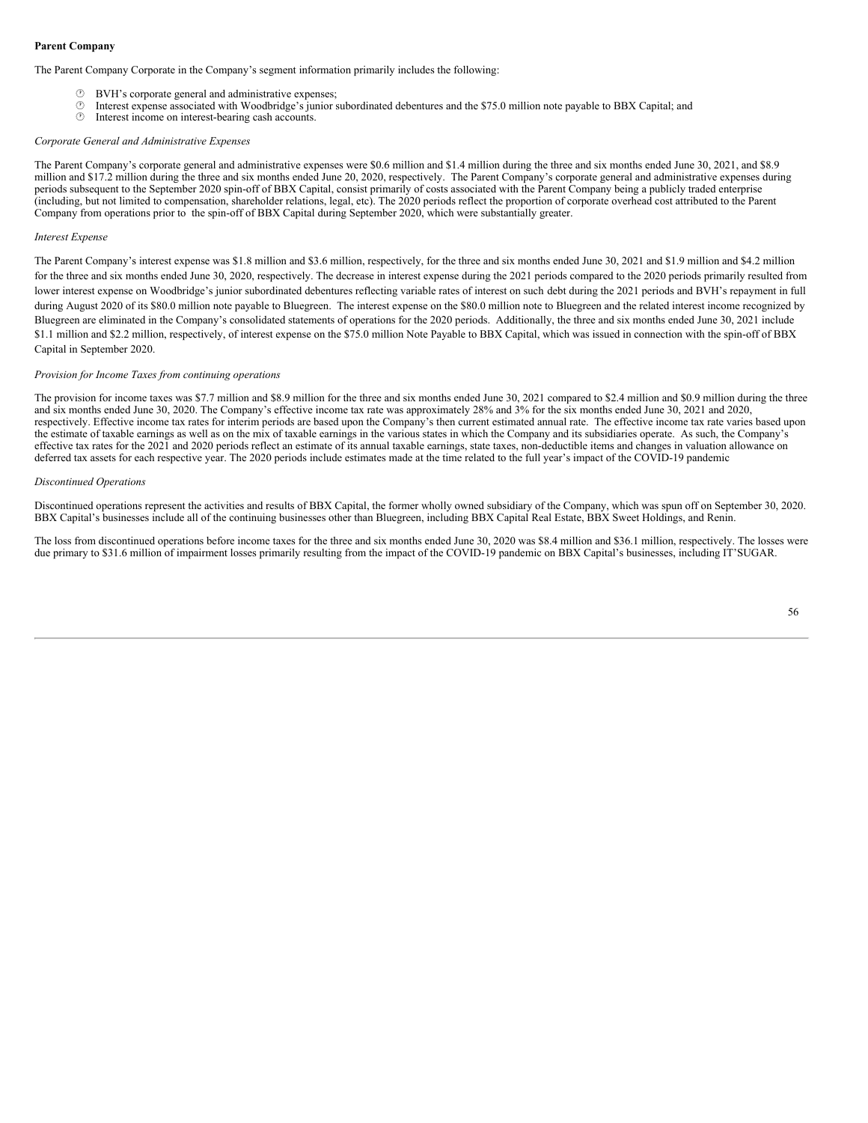## **Parent Company**

The Parent Company Corporate in the Company's segment information primarily includes the following:

- $\circled{B}$  BVH's corporate general and administrative expenses;<br> $\circled{D}$  Interest expense associated with Woodbridge's junior s
- $\circled{b}$  Interest expense associated with Woodbridge's junior subordinated debentures and the \$75.0 million note payable to BBX Capital; and  $\circled{b}$  Interest income on interest-bearing cash accounts.
- Interest income on interest-bearing cash accounts.

#### *Corporate General and Administrative Expenses*

The Parent Company's corporate general and administrative expenses were \$0.6 million and \$1.4 million during the three and six months ended June 30, 2021, and \$8.9 million and \$17.2 million during the three and six months ended June 20, 2020, respectively. The Parent Company's corporate general and administrative expenses during periods subsequent to the September 2020 spin-off of BBX Capital, consist primarily of costs associated with the Parent Company being a publicly traded enterprise (including, but not limited to compensation, shareholder relations, legal, etc). The 2020 periods reflect the proportion of corporate overhead cost attributed to the Parent Company from operations prior to the spin-off of BBX Capital during September 2020, which were substantially greater.

#### *Interest Expense*

The Parent Company's interest expense was \$1.8 million and \$3.6 million, respectively, for the three and six months ended June 30, 2021 and \$1.9 million and \$4.2 million for the three and six months ended June 30, 2020, respectively. The decrease in interest expense during the 2021 periods compared to the 2020 periods primarily resulted from lower interest expense on Woodbridge's junior subordinated debentures reflecting variable rates of interest on such debt during the 2021 periods and BVH's repayment in full during August 2020 of its \$80.0 million note payable to Bluegreen. The interest expense on the \$80.0 million note to Bluegreen and the related interest income recognized by Bluegreen are eliminated in the Company's consolidated statements of operations for the 2020 periods. Additionally, the three and six months ended June 30, 2021 include \$1.1 million and \$2.2 million, respectively, of interest expense on the \$75.0 million Note Payable to BBX Capital, which was issued in connection with the spin-off of BBX Capital in September 2020.

#### *Provision for Income Taxes from continuing operations*

The provision for income taxes was \$7.7 million and \$8.9 million for the three and six months ended June 30, 2021 compared to \$2.4 million and \$0.9 million during the three and six months ended June 30, 2020. The Company's effective income tax rate was approximately 28% and 3% for the six months ended June 30, 2021 and 2020, respectively. Effective income tax rates for interim periods are based upon the Company's then current estimated annual rate. The effective income tax rate varies based upon the estimate of taxable earnings as well as on the mix of taxable earnings in the various states in which the Company and its subsidiaries operate. As such, the Company's effective tax rates for the 2021 and 2020 periods reflect an estimate of its annual taxable earnings, state taxes, non-deductible items and changes in valuation allowance on deferred tax assets for each respective year. The 2020 periods include estimates made at the time related to the full year's impact of the COVID-19 pandemic

#### *Discontinued Operations*

Discontinued operations represent the activities and results of BBX Capital, the former wholly owned subsidiary of the Company, which was spun off on September 30, 2020. BBX Capital's businesses include all of the continuing businesses other than Bluegreen, including BBX Capital Real Estate, BBX Sweet Holdings, and Renin.

The loss from discontinued operations before income taxes for the three and six months ended June 30, 2020 was \$8.4 million and \$36.1 million, respectively. The losses were due primary to \$31.6 million of impairment losses primarily resulting from the impact of the COVID-19 pandemic on BBX Capital's businesses, including IT'SUGAR.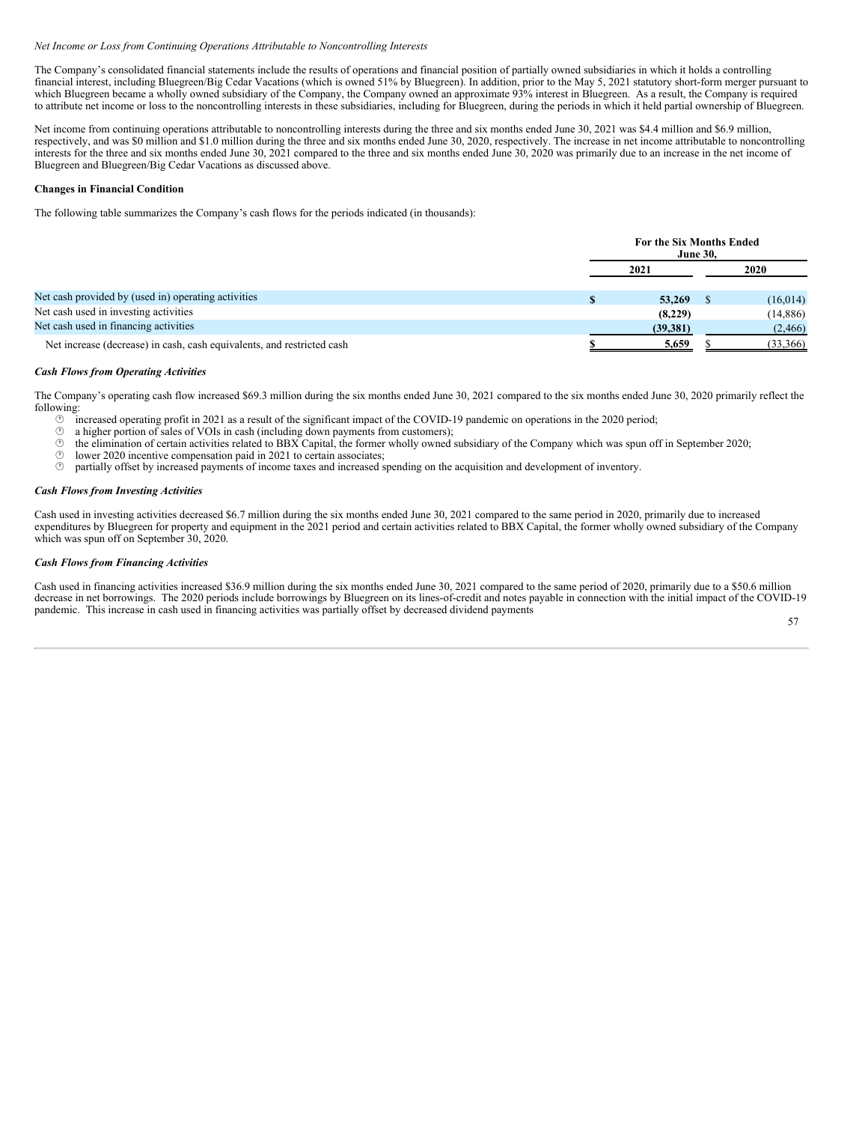#### *Net Income or Loss from Continuing Operations Attributable to Noncontrolling Interests*

The Company's consolidated financial statements include the results of operations and financial position of partially owned subsidiaries in which it holds a controlling financial interest, including Bluegreen/Big Cedar Vacations (which is owned 51% by Bluegreen). In addition, prior to the May 5, 2021 statutory short-form merger pursuant to which Bluegreen became a wholly owned subsidiary of the Company, the Company owned an approximate 93% interest in Bluegreen. As a result, the Company is required to attribute net income or loss to the noncontrolling interests in these subsidiaries, including for Bluegreen, during the periods in which it held partial ownership of Bluegreen.

Net income from continuing operations attributable to noncontrolling interests during the three and six months ended June 30, 2021 was \$4.4 million and \$6.9 million, respectively, and was \$0 million and \$1.0 million during the three and six months ended June 30, 2020, respectively. The increase in net income attributable to noncontrolling interests for the three and six months ended June 30, 2021 compared to the three and six months ended June 30, 2020 was primarily due to an increase in the net income of Bluegreen and Bluegreen/Big Cedar Vacations as discussed above.

#### **Changes in Financial Condition**

The following table summarizes the Company's cash flows for the periods indicated (in thousands):

|                                                                        | For the Six Months Ended | <b>June 30,</b> |           |
|------------------------------------------------------------------------|--------------------------|-----------------|-----------|
|                                                                        | 2021                     |                 | 2020      |
| Net cash provided by (used in) operating activities                    | 53,269                   |                 | (16, 014) |
| Net cash used in investing activities                                  | (8,229)                  |                 | (14, 886) |
| Net cash used in financing activities                                  | (39, 381)                |                 | (2, 466)  |
| Net increase (decrease) in cash, cash equivalents, and restricted cash | 5,659                    |                 | (33,366)  |

### *Cash Flows from Operating Activities*

The Company's operating cash flow increased \$69.3 million during the six months ended June 30, 2021 compared to the six months ended June 30, 2020 primarily reflect the following:

 $\circled{?}$  increased operating profit in 2021 as a result of the significant impact of the COVID-19 pandemic on operations in the 2020 period;<br> $\circled{?}$  a higher portion of sales of VOIs in cash (including down payments from

- $\circled{?}$  a higher portion of sales of VOIs in cash (including down payments from customers);<br> $\circled{>}$  the elimination of certain activities related to BBX Capital, the former wholly owned  $\circled{b}$  the elimination of certain activities related to BBX Capital, the former wholly owned subsidiary of the Company which was spun off in September 2020;<br> $\circled{b}$  lower 2020 incentive compensation paid in 2021 to cer
- 
- $\circled{1}$  lower 2020 incentive compensation paid in 2021 to certain associates;<br> $\circled{1}$  partially offset by increased nayments of income taxes and increased s partially offset by increased payments of income taxes and increased spending on the acquisition and development of inventory.

## *Cash Flows from Investing Activities*

Cash used in investing activities decreased \$6.7 million during the six months ended June 30, 2021 compared to the same period in 2020, primarily due to increased expenditures by Bluegreen for property and equipment in the 2021 period and certain activities related to BBX Capital, the former wholly owned subsidiary of the Company which was spun off on September 30, 2020.

## *Cash Flows from Financing Activities*

Cash used in financing activities increased \$36.9 million during the six months ended June 30, 2021 compared to the same period of 2020, primarily due to a \$50.6 million decrease in net borrowings. The 2020 periods include borrowings by Bluegreen on its lines-of-credit and notes payable in connection with the initial impact of the COVID-19 pandemic. This increase in cash used in financing activities was partially offset by decreased dividend payments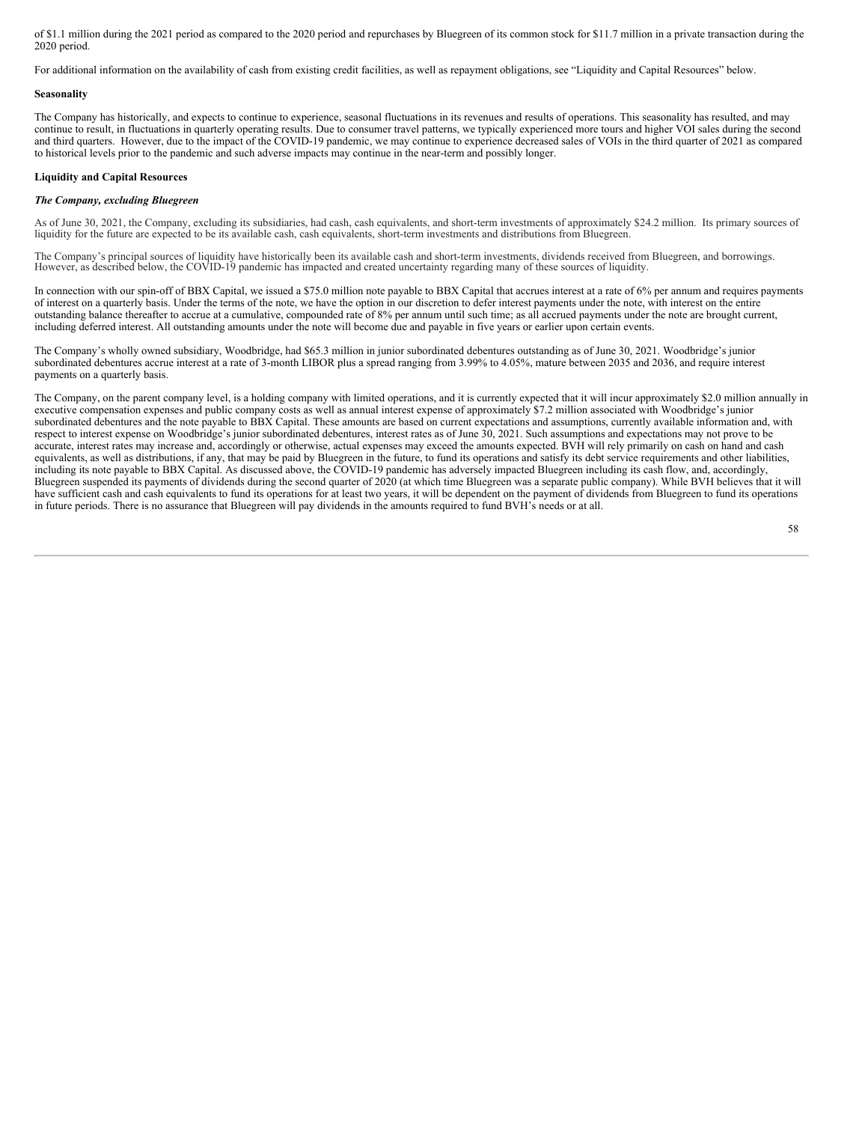of \$1.1 million during the 2021 period as compared to the 2020 period and repurchases by Bluegreen of its common stock for \$11.7 million in a private transaction during the 2020 period.

For additional information on the availability of cash from existing credit facilities, as well as repayment obligations, see "Liquidity and Capital Resources" below.

## **Seasonality**

The Company has historically, and expects to continue to experience, seasonal fluctuations in its revenues and results of operations. This seasonality has resulted, and may continue to result, in fluctuations in quarterly operating results. Due to consumer travel patterns, we typically experienced more tours and higher VOI sales during the second and third quarters. However, due to the impact of the COVID-19 pandemic, we may continue to experience decreased sales of VOIs in the third quarter of 2021 as compared to historical levels prior to the pandemic and such adverse impacts may continue in the near-term and possibly longer.

## **Liquidity and Capital Resources**

#### *The Company, excluding Bluegreen*

As of June 30, 2021, the Company, excluding its subsidiaries, had cash, cash equivalents, and short-term investments of approximately \$24.2 million. Its primary sources of liquidity for the future are expected to be its available cash, cash equivalents, short-term investments and distributions from Bluegreen.

The Company's principal sources of liquidity have historically been its available cash and short-term investments, dividends received from Bluegreen, and borrowings. However, as described below, the COVID-19 pandemic has impacted and created uncertainty regarding many of these sources of liquidity.

In connection with our spin-off of BBX Capital, we issued a \$75.0 million note payable to BBX Capital that accrues interest at a rate of 6% per annum and requires payments of interest on a quarterly basis. Under the terms of the note, we have the option in our discretion to defer interest payments under the note, with interest on the entire outstanding balance thereafter to accrue at a cumulative, compounded rate of 8% per annum until such time; as all accrued payments under the note are brought current, including deferred interest. All outstanding amounts under the note will become due and payable in five years or earlier upon certain events.

The Company's wholly owned subsidiary, Woodbridge, had \$65.3 million in junior subordinated debentures outstanding as of June 30, 2021. Woodbridge's junior subordinated debentures accrue interest at a rate of 3-month LIBOR plus a spread ranging from 3.99% to 4.05%, mature between 2035 and 2036, and require interest payments on a quarterly basis.

The Company, on the parent company level, is a holding company with limited operations, and it is currently expected that it will incur approximately \$2.0 million annually in executive compensation expenses and public company costs as well as annual interest expense of approximately \$7.2 million associated with Woodbridge's junior subordinated debentures and the note payable to BBX Capital. These amounts are based on current expectations and assumptions, currently available information and, with respect to interest expense on Woodbridge's junior subordinated debentures, interest rates as of June 30, 2021. Such assumptions and expectations may not prove to be accurate, interest rates may increase and, accordingly or otherwise, actual expenses may exceed the amounts expected. BVH will rely primarily on cash on hand and cash equivalents, as well as distributions, if any, that may be paid by Bluegreen in the future, to fund its operations and satisfy its debt service requirements and other liabilities, including its note payable to BBX Capital. As discussed above, the COVID-19 pandemic has adversely impacted Bluegreen including its cash flow, and, accordingly, Bluegreen suspended its payments of dividends during the second quarter of 2020 (at which time Bluegreen was a separate public company). While BVH believes that it will have sufficient cash and cash equivalents to fund its operations for at least two years, it will be dependent on the payment of dividends from Bluegreen to fund its operations in future periods. There is no assurance that Bluegreen will pay dividends in the amounts required to fund BVH's needs or at all.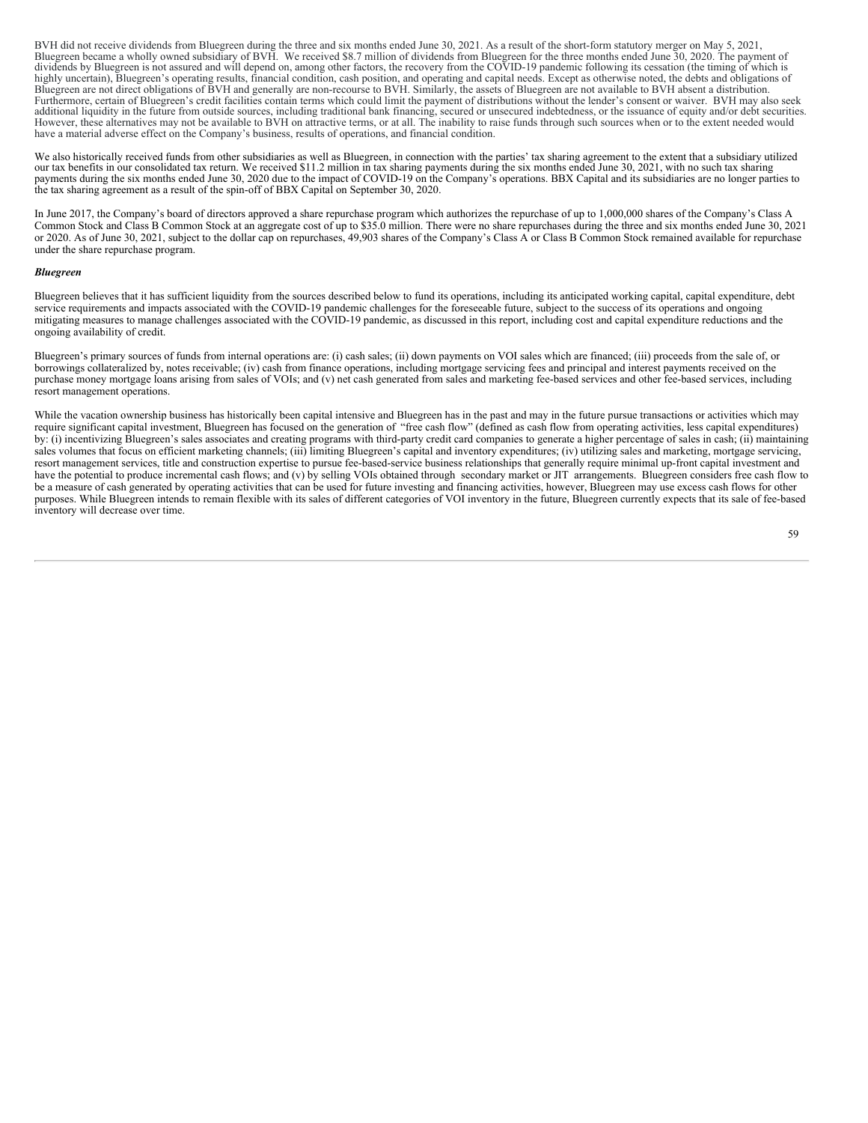BVH did not receive dividends from Bluegreen during the three and six months ended June 30, 2021. As a result of the short-form statutory merger on May 5, 2021,<br>Bluegreen became a wholly owned subsidiary of BVH. We receive dividends by Bluegreen is not assured and will depend on, among other factors, the recovery from the COVID-19 pandemic following its cessation (the timing of which is highly uncertain), Bluegreen's operating results, financial condition, cash position, and operating and capital needs. Except as otherwise noted, the debts and obligations of Bluegreen are not direct obligations of BVH and generally are non-recourse to BVH. Similarly, the assets of Bluegreen are not available to BVH absent a distribution. Furthermore, certain of Bluegreen's credit facilities contain terms which could limit the payment of distributions without the lender's consent or waiver. BVH may also seek additional liquidity in the future from outside sources, including traditional bank financing, secured or unsecured indebtedness, or the issuance of equity and/or debt securities. However, these alternatives may not be available to BVH on attractive terms, or at all. The inability to raise funds through such sources when or to the extent needed would have a material adverse effect on the Company's business, results of operations, and financial condition.

We also historically received funds from other subsidiaries as well as Bluegreen, in connection with the parties' tax sharing agreement to the extent that a subsidiary utilized our tax benefits in our consolidated tax return. We received \$11.2 million in tax sharing payments during the six months ended June 30, 2021, with no such tax sharing payments during the six months ended June 30, 2020 due to the impact of COVID-19 on the Company's operations. BBX Capital and its subsidiaries are no longer parties to the tax sharing agreement as a result of the spin-off of BBX Capital on September 30, 2020.

In June 2017, the Company's board of directors approved a share repurchase program which authorizes the repurchase of up to 1,000,000 shares of the Company's Class A Common Stock and Class B Common Stock at an aggregate cost of up to \$35.0 million. There were no share repurchases during the three and six months ended June 30, 2021 or 2020. As of June 30, 2021, subject to the dollar cap on repurchases, 49,903 shares of the Company's Class A or Class B Common Stock remained available for repurchase under the share repurchase program.

#### *Bluegreen*

Bluegreen believes that it has sufficient liquidity from the sources described below to fund its operations, including its anticipated working capital, capital expenditure, debt service requirements and impacts associated with the COVID-19 pandemic challenges for the foreseeable future, subject to the success of its operations and ongoing mitigating measures to manage challenges associated with the COVID-19 pandemic, as discussed in this report, including cost and capital expenditure reductions and the ongoing availability of credit.

Bluegreen's primary sources of funds from internal operations are: (i) cash sales; (ii) down payments on VOI sales which are financed; (iii) proceeds from the sale of, or borrowings collateralized by, notes receivable; (iv) cash from finance operations, including mortgage servicing fees and principal and interest payments received on the purchase money mortgage loans arising from sales of VOIs; and (v) net cash generated from sales and marketing fee-based services and other fee-based services, including resort management operations.

While the vacation ownership business has historically been capital intensive and Bluegreen has in the past and may in the future pursue transactions or activities which may require significant capital investment, Bluegreen has focused on the generation of "free cash flow" (defined as cash flow from operating activities, less capital expenditures) by: (i) incentivizing Bluegreen's sales associates and creating programs with third-party credit card companies to generate a higher percentage of sales in cash; (ii) maintaining sales volumes that focus on efficient marketing channels; (iii) limiting Bluegreen's capital and inventory expenditures; (iv) utilizing sales and marketing, mortgage servicing, resort management services, title and construction expertise to pursue fee-based-service business relationships that generally require minimal up-front capital investment and have the potential to produce incremental cash flows; and (v) by selling VOIs obtained through secondary market or JIT arrangements. Bluegreen considers free cash flow to be a measure of cash generated by operating activities that can be used for future investing and financing activities, however, Bluegreen may use excess cash flows for other purposes. While Bluegreen intends to remain flexible with its sales of different categories of VOI inventory in the future, Bluegreen currently expects that its sale of fee-based inventory will decrease over time.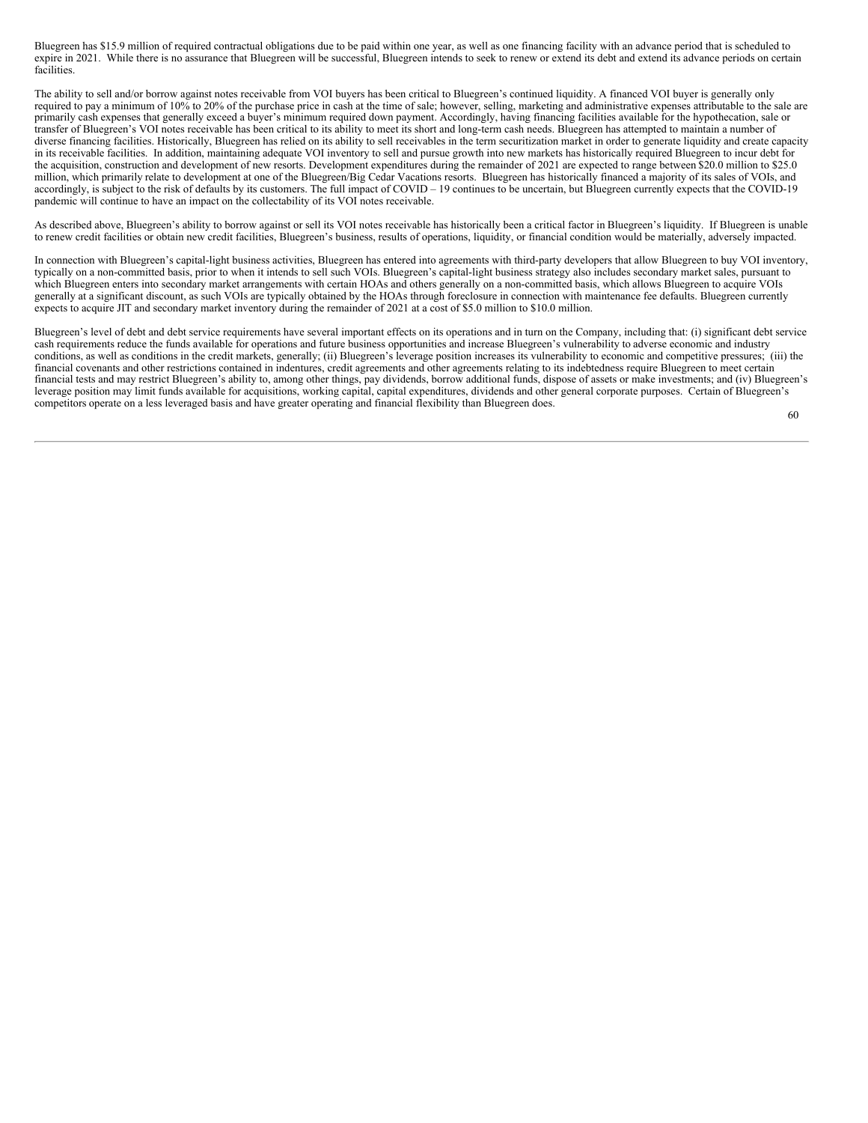Bluegreen has \$15.9 million of required contractual obligations due to be paid within one year, as well as one financing facility with an advance period that is scheduled to expire in 2021. While there is no assurance that Bluegreen will be successful, Bluegreen intends to seek to renew or extend its debt and extend its advance periods on certain facilities.

The ability to sell and/or borrow against notes receivable from VOI buyers has been critical to Bluegreen's continued liquidity. A financed VOI buyer is generally only required to pay a minimum of 10% to 20% of the purchase price in cash at the time of sale; however, selling, marketing and administrative expenses attributable to the sale are primarily cash expenses that generally exceed a buyer's minimum required down payment. Accordingly, having financing facilities available for the hypothecation, sale or transfer of Bluegreen's VOI notes receivable has been critical to its ability to meet its short and long-term cash needs. Bluegreen has attempted to maintain a number of diverse financing facilities. Historically, Bluegreen has relied on its ability to sell receivables in the term securitization market in order to generate liquidity and create capacity in its receivable facilities. In addition, maintaining adequate VOI inventory to sell and pursue growth into new markets has historically required Bluegreen to incur debt for the acquisition, construction and development of new resorts. Development expenditures during the remainder of 2021 are expected to range between \$20.0 million to \$25.0 million, which primarily relate to development at one of the Bluegreen/Big Cedar Vacations resorts. Bluegreen has historically financed a majority of its sales of VOIs, and accordingly, is subject to the risk of defaults by its customers. The full impact of COVID – 19 continues to be uncertain, but Bluegreen currently expects that the COVID-19 pandemic will continue to have an impact on the collectability of its VOI notes receivable.

As described above, Bluegreen's ability to borrow against or sell its VOI notes receivable has historically been a critical factor in Bluegreen's liquidity. If Bluegreen is unable to renew credit facilities or obtain new credit facilities, Bluegreen's business, results of operations, liquidity, or financial condition would be materially, adversely impacted.

In connection with Bluegreen's capital-light business activities, Bluegreen has entered into agreements with third-party developers that allow Bluegreen to buy VOI inventory, typically on a non-committed basis, prior to when it intends to sell such VOIs. Bluegreen's capital-light business strategy also includes secondary market sales, pursuant to which Bluegreen enters into secondary market arrangements with certain HOAs and others generally on a non-committed basis, which allows Bluegreen to acquire VOIs generally at a significant discount, as such VOIs are typically obtained by the HOAs through foreclosure in connection with maintenance fee defaults. Bluegreen currently expects to acquire JIT and secondary market inventory during the remainder of 2021 at a cost of \$5.0 million to \$10.0 million.

Bluegreen's level of debt and debt service requirements have several important effects on its operations and in turn on the Company, including that: (i) significant debt service cash requirements reduce the funds available for operations and future business opportunities and increase Bluegreen's vulnerability to adverse economic and industry conditions, as well as conditions in the credit markets, generally; (ii) Bluegreen's leverage position increases its vulnerability to economic and competitive pressures; (iii) the financial covenants and other restrictions contained in indentures, credit agreements and other agreements relating to its indebtedness require Bluegreen to meet certain financial tests and may restrict Bluegreen's ability to, among other things, pay dividends, borrow additional funds, dispose of assets or make investments; and (iv) Bluegreen's leverage position may limit funds available for acquisitions, working capital, capital expenditures, dividends and other general corporate purposes. Certain of Bluegreen's competitors operate on a less leveraged basis and have greater operating and financial flexibility than Bluegreen does.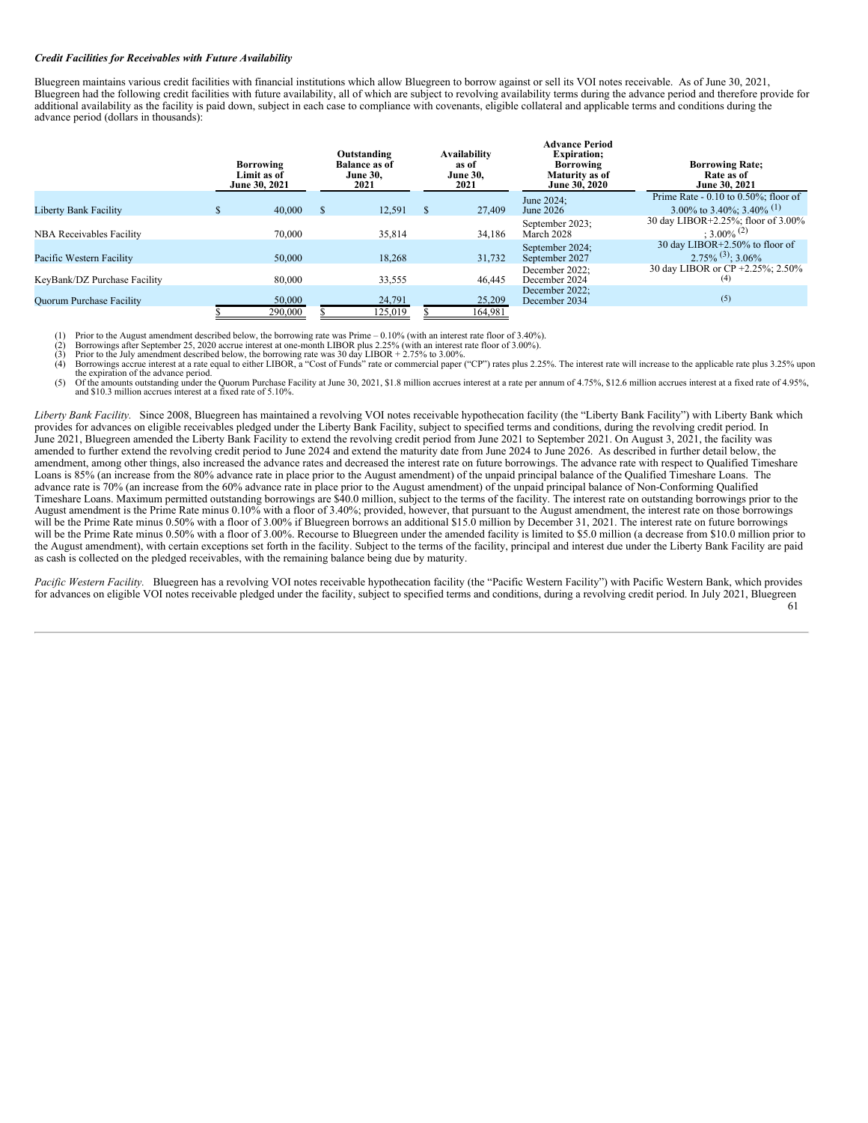#### *Credit Facilities for Receivables with Future Availability*

Bluegreen maintains various credit facilities with financial institutions which allow Bluegreen to borrow against or sell its VOI notes receivable. As of June 30, 2021, Bluegreen had the following credit facilities with future availability, all of which are subject to revolving availability terms during the advance period and therefore provide for additional availability as the facility is paid down, subject in each case to compliance with covenants, eligible collateral and applicable terms and conditions during the advance period (dollars in thousands):

**Advance Period**

|                                 | <b>Borrowing</b><br>Limit as of<br>June 30, 2021 | Outstanding<br><b>Balance as of</b><br><b>June 30.</b><br>2021 |         | <b>Availability</b><br>as of<br><b>June 30.</b><br>2021 |         | Advance Period<br><b>Expiration;</b><br>Borrowing<br>Maturity as of<br>June 30, 2020 | <b>Borrowing Rate:</b><br>Rate as of<br>June 30, 2021 |  |  |
|---------------------------------|--------------------------------------------------|----------------------------------------------------------------|---------|---------------------------------------------------------|---------|--------------------------------------------------------------------------------------|-------------------------------------------------------|--|--|
|                                 |                                                  |                                                                |         |                                                         |         | June 2024:                                                                           | Prime Rate - $0.10$ to $0.50\%$ ; floor of            |  |  |
| <b>Liberty Bank Facility</b>    | 40,000                                           | <b>S</b>                                                       | 12,591  | - 55                                                    | 27,409  | June 2026                                                                            | 3.00% to 3.40%; 3.40% <sup>(1)</sup>                  |  |  |
|                                 |                                                  |                                                                |         |                                                         |         | September 2023;                                                                      | 30 day LIBOR+2.25%; floor of 3.00%                    |  |  |
| NBA Receivables Facility        | 70,000                                           |                                                                | 35,814  |                                                         | 34,186  | March 2028                                                                           | $:3.00\%$ <sup>(2)</sup>                              |  |  |
|                                 |                                                  |                                                                |         |                                                         |         | September 2024;                                                                      | 30 day LIBOR+2.50% to floor of                        |  |  |
| Pacific Western Facility        | 50,000                                           |                                                                | 18.268  |                                                         | 31,732  | September 2027                                                                       | $2.75\%$ <sup>(3)</sup> : 3.06%                       |  |  |
|                                 |                                                  |                                                                |         |                                                         |         | December 2022:                                                                       | 30 day LIBOR or CP +2.25%; 2.50%                      |  |  |
| KeyBank/DZ Purchase Facility    | 80,000                                           |                                                                | 33,555  |                                                         | 46,445  | December 2024                                                                        | (4)                                                   |  |  |
|                                 |                                                  |                                                                |         |                                                         |         | December 2022:                                                                       |                                                       |  |  |
| <b>Ouorum Purchase Facility</b> | 50,000                                           |                                                                | 24,791  |                                                         | 25,209  | December 2034                                                                        | (5)                                                   |  |  |
|                                 | 290,000                                          |                                                                | 125,019 |                                                         | 164.981 |                                                                                      |                                                       |  |  |

(1) Prior to the August amendment described below, the borrowing rate was Prime – 0.10% (with an interest rate floor of 3.40%).<br>(2) Borrowings after September 25, 2020 accrue interest at one-month LIBOR plus 2.25% (with an the expiration of the advance period.

(5) Of the amounts outstanding under the Quorum Purchase Facility at June 30, 2021, \$1.8 million accrues interest at a rate per annum of 4.75%, \$12.6 million accrues interest at a fixed rate of 4.95%, and \$10.3 million accrues interest at a fixed rate of 5.10%.

*Liberty Bank Facility.* Since 2008, Bluegreen has maintained a revolving VOI notes receivable hypothecation facility (the "Liberty Bank Facility") with Liberty Bank which provides for advances on eligible receivables pledged under the Liberty Bank Facility, subject to specified terms and conditions, during the revolving credit period. In June 2021, Bluegreen amended the Liberty Bank Facility to extend the revolving credit period from June 2021 to September 2021. On August 3, 2021, the facility was amended to further extend the revolving credit period to June 2024 and extend the maturity date from June 2024 to June 2026. As described in further detail below, the amendment, among other things, also increased the advance rates and decreased the interest rate on future borrowings. The advance rate with respect to Qualified Timeshare Loans is 85% (an increase from the 80% advance rate in place prior to the August amendment) of the unpaid principal balance of the Qualified Timeshare Loans. The advance rate is 70% (an increase from the 60% advance rate in place prior to the August amendment) of the unpaid principal balance of Non-Conforming Qualified Timeshare Loans. Maximum permitted outstanding borrowings are \$40.0 million, subject to the terms of the facility. The interest rate on outstanding borrowings prior to the August amendment is the Prime Rate minus 0.10% with a floor of 3.40%; provided, however, that pursuant to the August amendment, the interest rate on those borrowings will be the Prime Rate minus 0.50% with a floor of 3.00% if Bluegreen borrows an additional \$15.0 million by December 31, 2021. The interest rate on future borrowings will be the Prime Rate minus 0.50% with a floor of 3.00%. Recourse to Bluegreen under the amended facility is limited to \$5.0 million (a decrease from \$10.0 million prior to the August amendment), with certain exceptions set forth in the facility. Subject to the terms of the facility, principal and interest due under the Liberty Bank Facility are paid as cash is collected on the pledged receivables, with the remaining balance being due by maturity.

*Pacific Western Facility.* Bluegreen has a revolving VOI notes receivable hypothecation facility (the "Pacific Western Facility") with Pacific Western Bank, which provides for advances on eligible VOI notes receivable pledged under the facility, subject to specified terms and conditions, during a revolving credit period. In July 2021, Bluegreen

61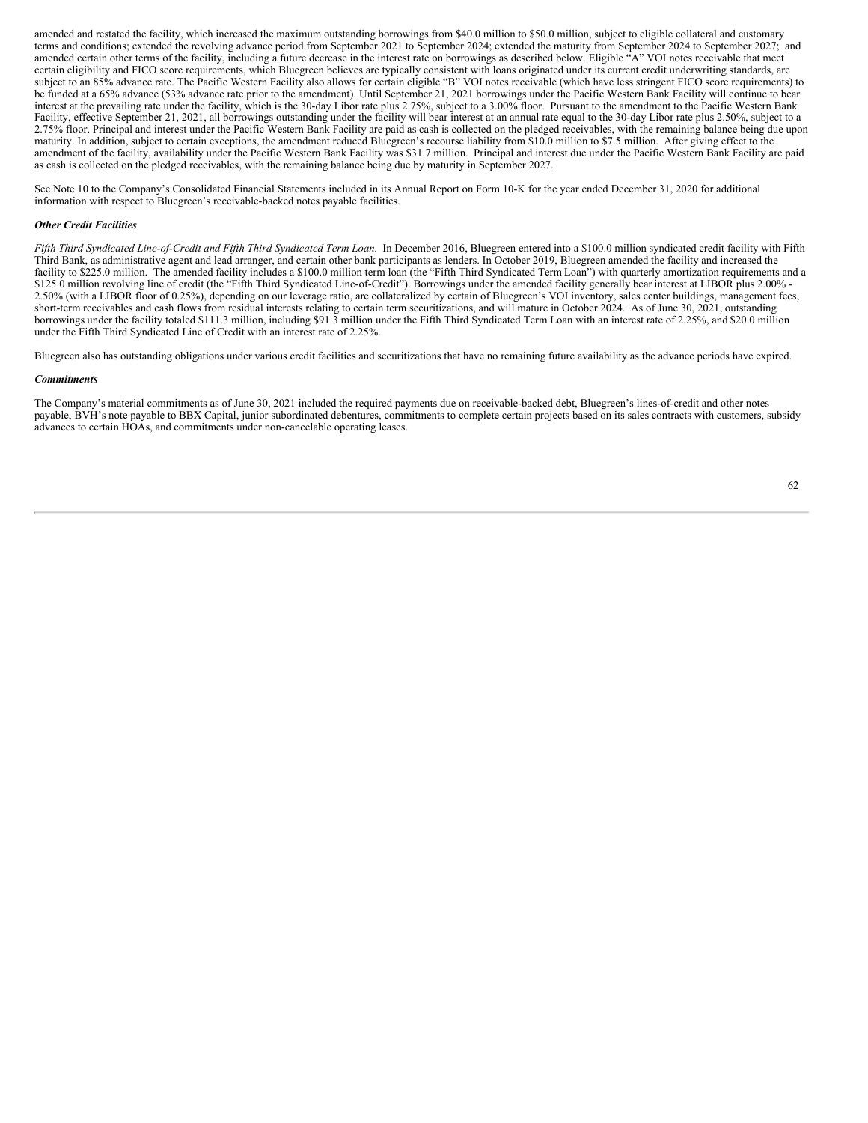amended and restated the facility, which increased the maximum outstanding borrowings from \$40.0 million to \$50.0 million, subject to eligible collateral and customary terms and conditions; extended the revolving advance period from September 2021 to September 2024; extended the maturity from September 2024 to September 2027; and amended certain other terms of the facility, including a future decrease in the interest rate on borrowings as described below. Eligible "A" VOI notes receivable that meet certain eligibility and FICO score requirements, which Bluegreen believes are typically consistent with loans originated under its current credit underwriting standards, are subject to an 85% advance rate. The Pacific Western Facility also allows for certain eligible "B" VOI notes receivable (which have less stringent FICO score requirements) to be funded at a 65% advance (53% advance rate prior to the amendment). Until September 21, 2021 borrowings under the Pacific Western Bank Facility will continue to bear interest at the prevailing rate under the facility, which is the 30-day Libor rate plus 2.75%, subject to a 3.00% floor. Pursuant to the amendment to the Pacific Western Bank Facility, effective September 21, 2021, all borrowings outstanding under the facility will bear interest at an annual rate equal to the 30-day Libor rate plus 2.50%, subject to a 2.75% floor. Principal and interest under the Pacific Western Bank Facility are paid as cash is collected on the pledged receivables, with the remaining balance being due upon maturity. In addition, subject to certain exceptions, the amendment reduced Bluegreen's recourse liability from \$10.0 million to \$7.5 million. After giving effect to the amendment of the facility, availability under the Pacific Western Bank Facility was \$31.7 million. Principal and interest due under the Pacific Western Bank Facility are paid as cash is collected on the pledged receivables, with the remaining balance being due by maturity in September 2027.

See Note 10 to the Company's Consolidated Financial Statements included in its Annual Report on Form 10-K for the year ended December 31, 2020 for additional information with respect to Bluegreen's receivable-backed notes payable facilities.

## *Other Credit Facilities*

Fifth Third Syndicated Line-of-Credit and Fifth Third Syndicated Term Loan. In December 2016, Bluegreen entered into a \$100.0 million syndicated credit facility with Fifth Third Bank, as administrative agent and lead arranger, and certain other bank participants as lenders. In October 2019, Bluegreen amended the facility and increased the facility to \$225.0 million. The amended facility includes a \$100.0 million term loan (the "Fifth Third Syndicated Term Loan") with quarterly amortization requirements and a \$125.0 million revolving line of credit (the "Fifth Third Syndicated Line-of-Credit"). Borrowings under the amended facility generally bear interest at LIBOR plus 2.00% -2.50% (with a LIBOR floor of 0.25%), depending on our leverage ratio, are collateralized by certain of Bluegreen's VOI inventory, sales center buildings, management fees, short-term receivables and cash flows from residual interests relating to certain term securitizations, and will mature in October 2024. As of June 30, 2021, outstanding borrowings under the facility totaled \$111.3 million, including \$91.3 million under the Fifth Third Syndicated Term Loan with an interest rate of 2.25%, and \$20.0 million under the Fifth Third Syndicated Line of Credit with an interest rate of 2.25%.

Bluegreen also has outstanding obligations under various credit facilities and securitizations that have no remaining future availability as the advance periods have expired.

#### *Commitments*

The Company's material commitments as of June 30, 2021 included the required payments due on receivable-backed debt, Bluegreen's lines-of-credit and other notes payable, BVH's note payable to BBX Capital, junior subordinated debentures, commitments to complete certain projects based on its sales contracts with customers, subsidy advances to certain HOAs, and commitments under non-cancelable operating leases.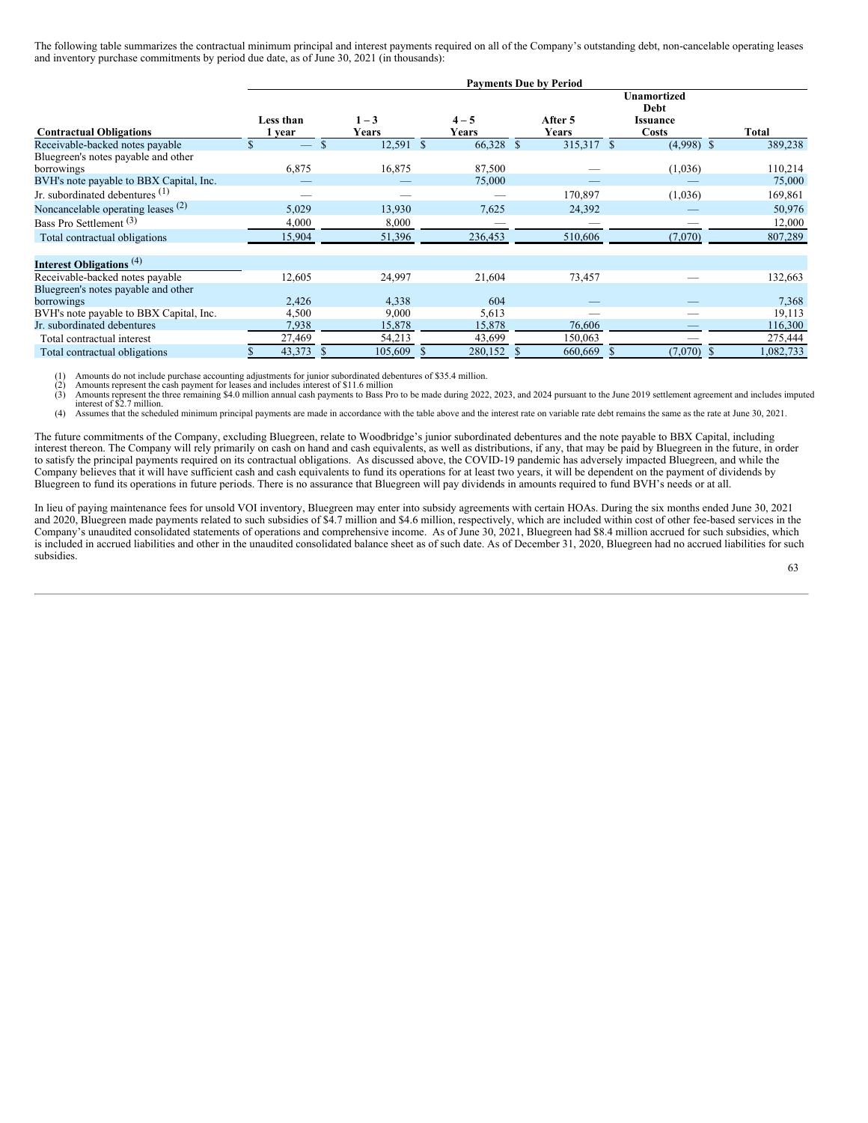The following table summarizes the contractual minimum principal and interest payments required on all of the Company's outstanding debt, non-cancelable operating leases and inventory purchase commitments by period due date, as of June 30, 2021 (in thousands):

| <b>Payments Due by Period</b>                 |           |        |         |           |  |                    |  |                 |  |              |  |           |
|-----------------------------------------------|-----------|--------|---------|-----------|--|--------------------|--|-----------------|--|--------------|--|-----------|
|                                               |           |        |         |           |  | <b>Unamortized</b> |  |                 |  |              |  |           |
|                                               | Debt      |        |         |           |  |                    |  |                 |  |              |  |           |
|                                               | Less than |        | $1 - 3$ | $4 - 5$   |  | After 5            |  | <b>Issuance</b> |  |              |  |           |
| <b>Contractual Obligations</b>                |           | vear   |         | Years     |  | Years              |  | Years           |  | Costs        |  | Total     |
| Receivable-backed notes payable               |           |        |         | 12,591 \$ |  | 66,328 \$          |  | 315,317 \$      |  | $(4,998)$ \$ |  | 389,238   |
| Bluegreen's notes payable and other           |           |        |         |           |  |                    |  |                 |  |              |  |           |
| borrowings                                    |           | 6,875  |         | 16,875    |  | 87,500             |  |                 |  | (1,036)      |  | 110,214   |
| BVH's note payable to BBX Capital, Inc.       |           |        |         |           |  | 75,000             |  |                 |  |              |  | 75,000    |
| Jr. subordinated debentures <sup>(1)</sup>    |           |        |         |           |  |                    |  | 170,897         |  | (1,036)      |  | 169,861   |
| Noncancelable operating leases <sup>(2)</sup> |           | 5.029  |         | 13,930    |  | 7,625              |  | 24,392          |  |              |  | 50,976    |
| Bass Pro Settlement <sup>(3)</sup>            |           | 4,000  |         | 8,000     |  |                    |  |                 |  |              |  | 12,000    |
| Total contractual obligations                 |           | 15,904 |         | 51,396    |  | 236,453            |  | 510,606         |  | (7,070)      |  | 807,289   |
| Interest Obligations <sup>(4)</sup>           |           |        |         |           |  |                    |  |                 |  |              |  |           |
| Receivable-backed notes payable               |           | 12,605 |         | 24,997    |  | 21,604             |  | 73,457          |  |              |  | 132,663   |
| Bluegreen's notes payable and other           |           |        |         |           |  |                    |  |                 |  |              |  |           |
| borrowings                                    |           | 2,426  |         | 4,338     |  | 604                |  |                 |  |              |  | 7,368     |
| BVH's note payable to BBX Capital, Inc.       |           | 4,500  |         | 9,000     |  | 5,613              |  |                 |  |              |  | 19,113    |
| Jr. subordinated debentures                   |           | 7,938  |         | 15,878    |  | 15,878             |  | 76,606          |  |              |  | 116,300   |
| Total contractual interest                    |           | 27,469 |         | 54,213    |  | 43,699             |  | 150,063         |  |              |  | 275,444   |
| Total contractual obligations                 |           | 43,373 |         | 105,609   |  | 280,152            |  | 660,669         |  | (7,070)      |  | 1,082,733 |

(1) Amounts do not include purchase accounting adjustments for junior subordinated debentures of \$35.4 million.

(2) Amounts represent the cash payment for leases and includes interest of \$11.6 million (3) Amounts represent the three remaining \$4.0 million annual cash payments to Bass Pr

Amounts represent the three remaining \$4.0 million annual cash payments to Bass Pro to be made during 2022, 2023, and 2024 pursuant to the June 2019 settlement agreement and includes imputed interest of \$2.7 million.

(4) Assumes that the scheduled minimum principal payments are made in accordance with the table above and the interest rate on variable rate debt remains the same as the rate at June 30, 2021.

The future commitments of the Company, excluding Bluegreen, relate to Woodbridge's junior subordinated debentures and the note payable to BBX Capital, including interest thereon. The Company will rely primarily on cash on hand and cash equivalents, as well as distributions, if any, that may be paid by Bluegreen in the future, in order to satisfy the principal payments required on its contractual obligations. As discussed above, the COVID-19 pandemic has adversely impacted Bluegreen, and while the Company believes that it will have sufficient cash and cash equivalents to fund its operations for at least two years, it will be dependent on the payment of dividends by Bluegreen to fund its operations in future periods. There is no assurance that Bluegreen will pay dividends in amounts required to fund BVH's needs or at all.

In lieu of paying maintenance fees for unsold VOI inventory, Bluegreen may enter into subsidy agreements with certain HOAs. During the six months ended June 30, 2021 and 2020, Bluegreen made payments related to such subsidies of \$4.7 million and \$4.6 million, respectively, which are included within cost of other fee-based services in the Company's unaudited consolidated statements of operations and comprehensive income. As of June 30, 2021, Bluegreen had \$8.4 million accrued for such subsidies, which is included in accrued liabilities and other in the unaudited consolidated balance sheet as of such date. As of December 31, 2020, Bluegreen had no accrued liabilities for such subsidies.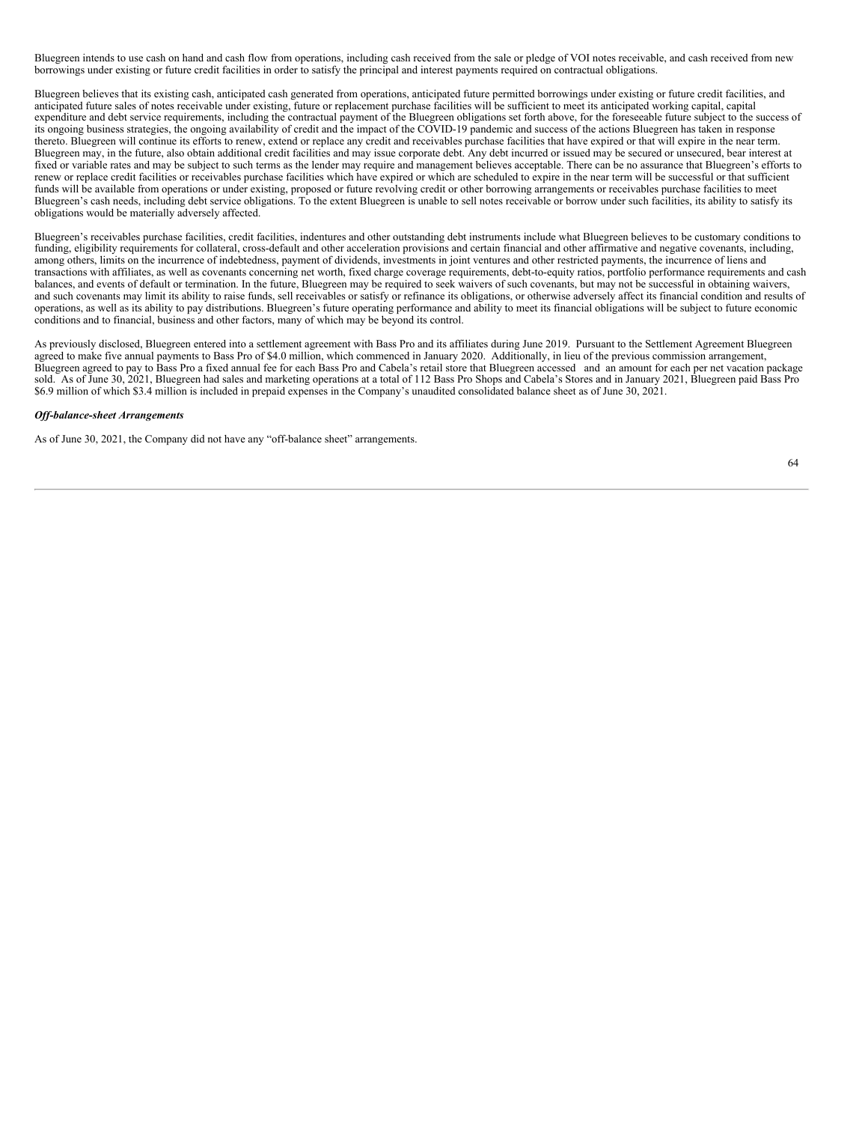Bluegreen intends to use cash on hand and cash flow from operations, including cash received from the sale or pledge of VOI notes receivable, and cash received from new borrowings under existing or future credit facilities in order to satisfy the principal and interest payments required on contractual obligations.

Bluegreen believes that its existing cash, anticipated cash generated from operations, anticipated future permitted borrowings under existing or future credit facilities, and anticipated future sales of notes receivable under existing, future or replacement purchase facilities will be sufficient to meet its anticipated working capital, capital expenditure and debt service requirements, including the contractual payment of the Bluegreen obligations set forth above, for the foreseeable future subject to the success of its ongoing business strategies, the ongoing availability of credit and the impact of the COVID-19 pandemic and success of the actions Bluegreen has taken in response thereto. Bluegreen will continue its efforts to renew, extend or replace any credit and receivables purchase facilities that have expired or that will expire in the near term. Bluegreen may, in the future, also obtain additional credit facilities and may issue corporate debt. Any debt incurred or issued may be secured or unsecured, bear interest at fixed or variable rates and may be subject to such terms as the lender may require and management believes acceptable. There can be no assurance that Bluegreen's efforts to renew or replace credit facilities or receivables purchase facilities which have expired or which are scheduled to expire in the near term will be successful or that sufficient funds will be available from operations or under existing, proposed or future revolving credit or other borrowing arrangements or receivables purchase facilities to meet Bluegreen's cash needs, including debt service obligations. To the extent Bluegreen is unable to sell notes receivable or borrow under such facilities, its ability to satisfy its obligations would be materially adversely affected.

Bluegreen's receivables purchase facilities, credit facilities, indentures and other outstanding debt instruments include what Bluegreen believes to be customary conditions to funding, eligibility requirements for collateral, cross-default and other acceleration provisions and certain financial and other affirmative and negative covenants, including, among others, limits on the incurrence of indebtedness, payment of dividends, investments in joint ventures and other restricted payments, the incurrence of liens and transactions with affiliates, as well as covenants concerning net worth, fixed charge coverage requirements, debt-to-equity ratios, portfolio performance requirements and cash balances, and events of default or termination. In the future, Bluegreen may be required to seek waivers of such covenants, but may not be successful in obtaining waivers, and such covenants may limit its ability to raise funds, sell receivables or satisfy or refinance its obligations, or otherwise adversely affect its financial condition and results of operations, as well as its ability to pay distributions. Bluegreen's future operating performance and ability to meet its financial obligations will be subject to future economic conditions and to financial, business and other factors, many of which may be beyond its control.

As previously disclosed, Bluegreen entered into a settlement agreement with Bass Pro and its affiliates during June 2019. Pursuant to the Settlement Agreement Bluegreen agreed to make five annual payments to Bass Pro of \$4.0 million, which commenced in January 2020. Additionally, in lieu of the previous commission arrangement, Bluegreen agreed to pay to Bass Pro a fixed annual fee for each Bass Pro and Cabela's retail store that Bluegreen accessed and an amount for each per net vacation package sold. As of June 30, 2021, Bluegreen had sales and marketing operations at a total of 112 Bass Pro Shops and Cabela's Stores and in January 2021, Bluegreen paid Bass Pro \$6.9 million of which \$3.4 million is included in prepaid expenses in the Company's unaudited consolidated balance sheet as of June 30, 2021.

#### *Of -balance-sheet Arrangements*

As of June 30, 2021, the Company did not have any "off-balance sheet" arrangements.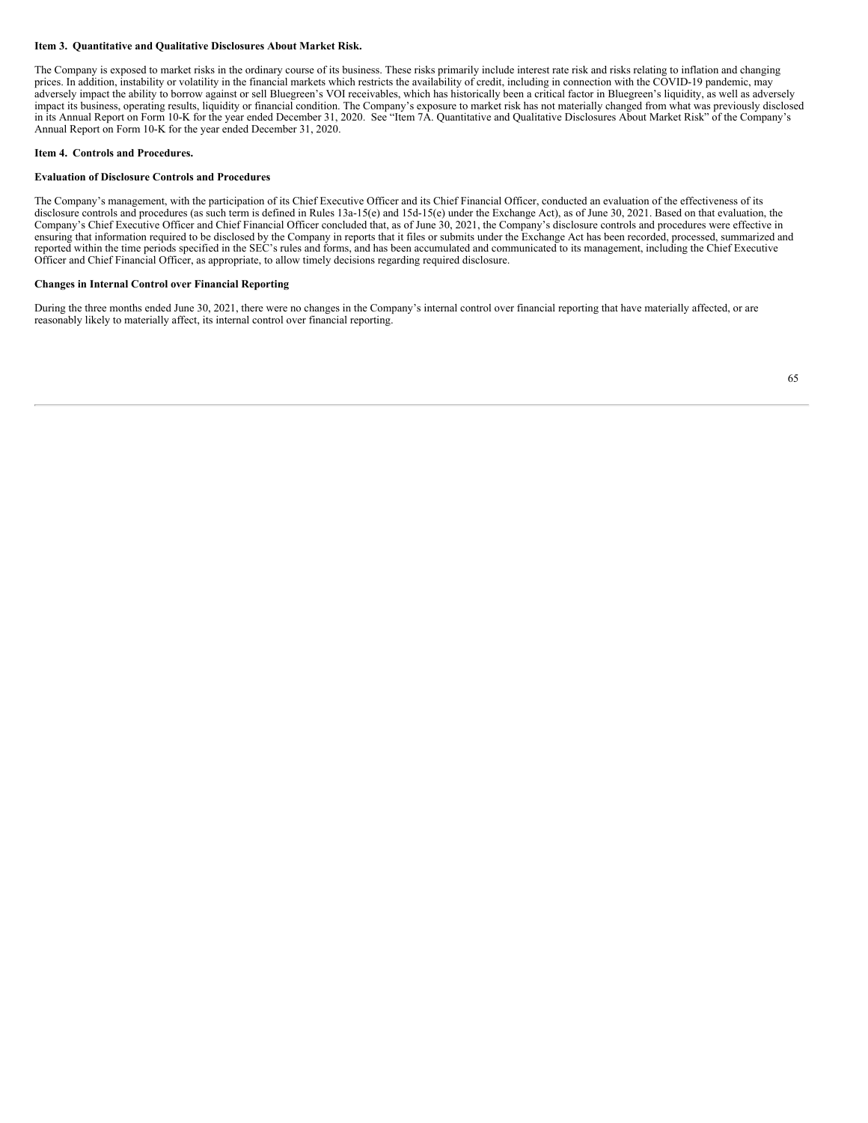## **Item 3. Quantitative and Qualitative Disclosures About Market Risk.**

The Company is exposed to market risks in the ordinary course of its business. These risks primarily include interest rate risk and risks relating to inflation and changing prices. In addition, instability or volatility in the financial markets which restricts the availability of credit, including in connection with the COVID-19 pandemic, may adversely impact the ability to borrow against or sell Bluegreen's VOI receivables, which has historically been a critical factor in Bluegreen's liquidity, as well as adversely impact its business, operating results, liquidity or financial condition. The Company's exposure to market risk has not materially changed from what was previously disclosed in its Annual Report on Form 10-K for the year ended December 31, 2020. See "Item 7A. Quantitative and Qualitative Disclosures About Market Risk" of the Company's Annual Report on Form 10-K for the year ended December 31, 2020.

#### **Item 4. Controls and Procedures.**

## **Evaluation of Disclosure Controls and Procedures**

The Company's management, with the participation of its Chief Executive Officer and its Chief Financial Officer, conducted an evaluation of the effectiveness of its disclosure controls and procedures (as such term is defined in Rules 13a-15(e) and 15d-15(e) under the Exchange Act), as of June 30, 2021. Based on that evaluation, the Company's Chief Executive Officer and Chief Financial Officer concluded that, as of June 30, 2021, the Company's disclosure controls and procedures were effective in ensuring that information required to be disclosed by the Company in reports that it files or submits under the Exchange Act has been recorded, processed, summarized and reported within the time periods specified in the SEC's rules and forms, and has been accumulated and communicated to its management, including the Chief Executive Officer and Chief Financial Officer, as appropriate, to allow timely decisions regarding required disclosure.

## **Changes in Internal Control over Financial Reporting**

During the three months ended June 30, 2021, there were no changes in the Company's internal control over financial reporting that have materially affected, or are reasonably likely to materially affect, its internal control over financial reporting.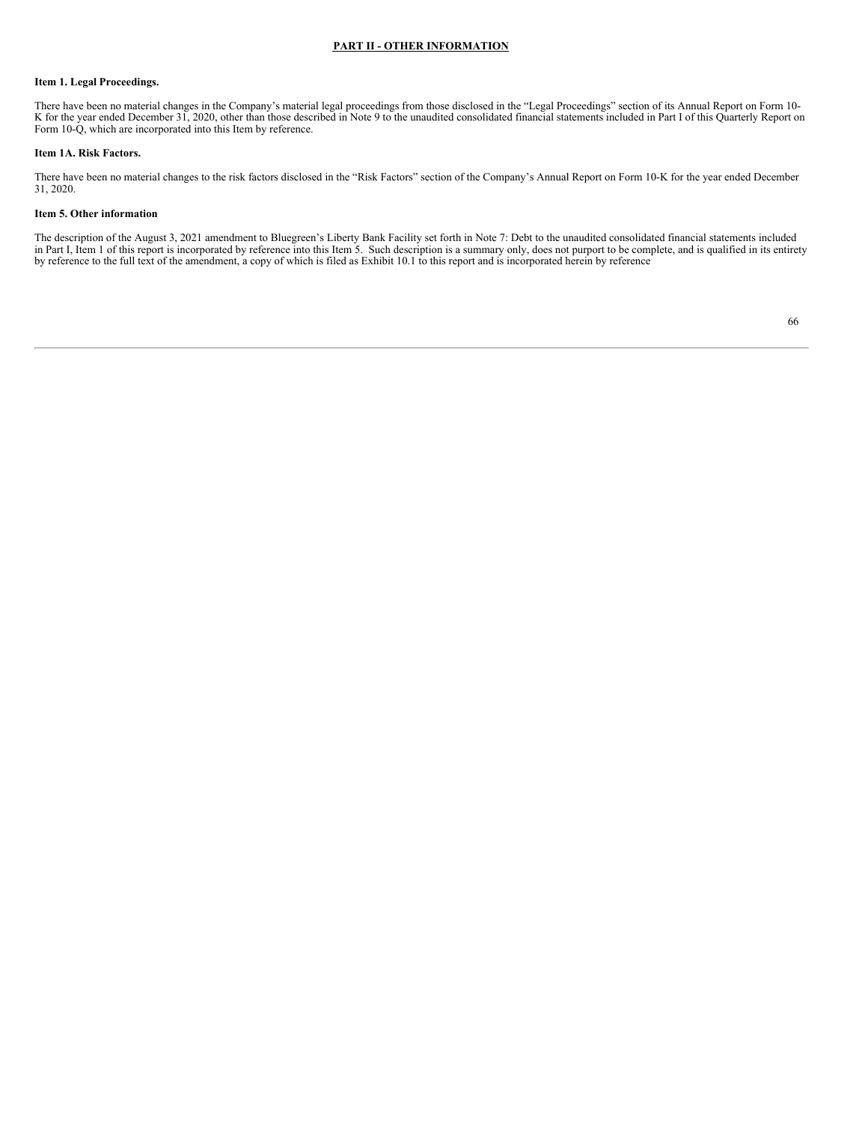## **PART II - OTHER INFORMATION**

#### **Item 1. Legal Proceedings.**

There have been no material changes in the Company's material legal proceedings from those disclosed in the "Legal Proceedings" section of its Annual Report on Form 10- K for the year ended December 31, 2020, other than those described in Note 9 to the unaudited consolidated financial statements included in Part I of this Quarterly Report on Form 10-Q, which are incorporated into this Item by reference.

## **Item 1A. Risk Factors.**

There have been no material changes to the risk factors disclosed in the "Risk Factors" section of the Company's Annual Report on Form 10-K for the year ended December 31, 2020.

## **Item 5. Other information**

The description of the August 3, 2021 amendment to Bluegreen's Liberty Bank Facility set forth in Note 7: Debt to the unaudited consolidated financial statements included in Part I, Item 1 of this report is incorporated by reference into this Item 5. Such description is a summary only, does not purport to be complete, and is qualified in its entirety by reference to the full text of the amendment, a copy of which is filed as Exhibit 10.1 to this report and is incorporated herein by reference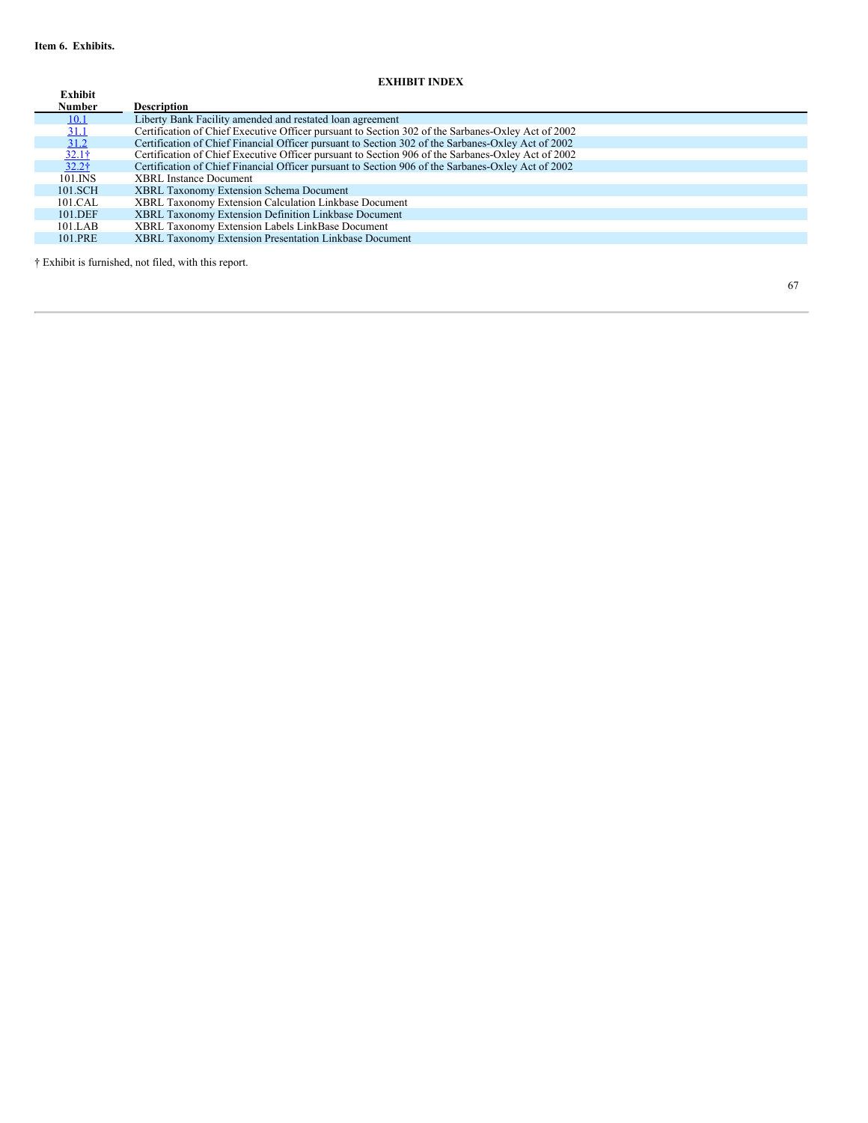# **EXHIBIT INDEX**

| Exhibit           |                                                                                                    |
|-------------------|----------------------------------------------------------------------------------------------------|
| <b>Number</b>     | <b>Description</b>                                                                                 |
| <u>10.1</u>       | Liberty Bank Facility amended and restated loan agreement                                          |
| <u>31.1</u>       | Certification of Chief Executive Officer pursuant to Section 302 of the Sarbanes-Oxley Act of 2002 |
| 31.2              | Certification of Chief Financial Officer pursuant to Section 302 of the Sarbanes-Oxley Act of 2002 |
| 32.1 <sup>†</sup> | Certification of Chief Executive Officer pursuant to Section 906 of the Sarbanes-Oxley Act of 2002 |
| 32.2 <sup>†</sup> | Certification of Chief Financial Officer pursuant to Section 906 of the Sarbanes-Oxley Act of 2002 |
| 101.INS           | <b>XBRL</b> Instance Document                                                                      |
| 101.SCH           | XBRL Taxonomy Extension Schema Document                                                            |
| 101.CAL           | XBRL Taxonomy Extension Calculation Linkbase Document                                              |
| 101.DEF           | XBRL Taxonomy Extension Definition Linkbase Document                                               |
| 101.LAB           | XBRL Taxonomy Extension Labels LinkBase Document                                                   |
| 101.PRE           | XBRL Taxonomy Extension Presentation Linkbase Document                                             |
|                   |                                                                                                    |

† Exhibit is furnished, not filed, with this report.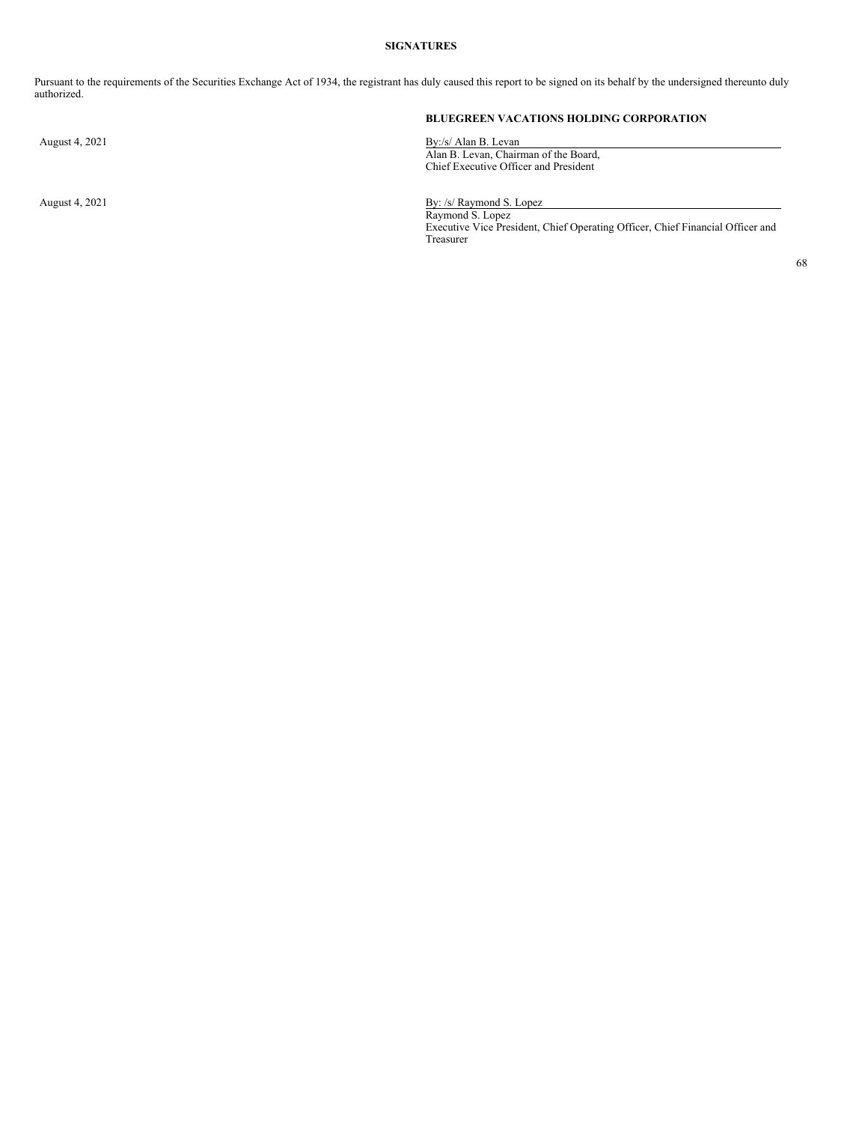## **SIGNATURES**

Pursuant to the requirements of the Securities Exchange Act of 1934, the registrant has duly caused this report to be signed on its behalf by the undersigned thereunto duly authorized.

# **BLUEGREEN VACATIONS HOLDING CORPORATION**

August 4, 2021 By:/s/ Alan B. Levan Alan B. Levan, Chairman of the Board, Chief Executive Officer and President

August 4, 2021 **By:** /s/ Raymond S. Lopez Raymond S. Lopez Executive Vice President, Chief Operating Officer, Chief Financial Officer and Treasurer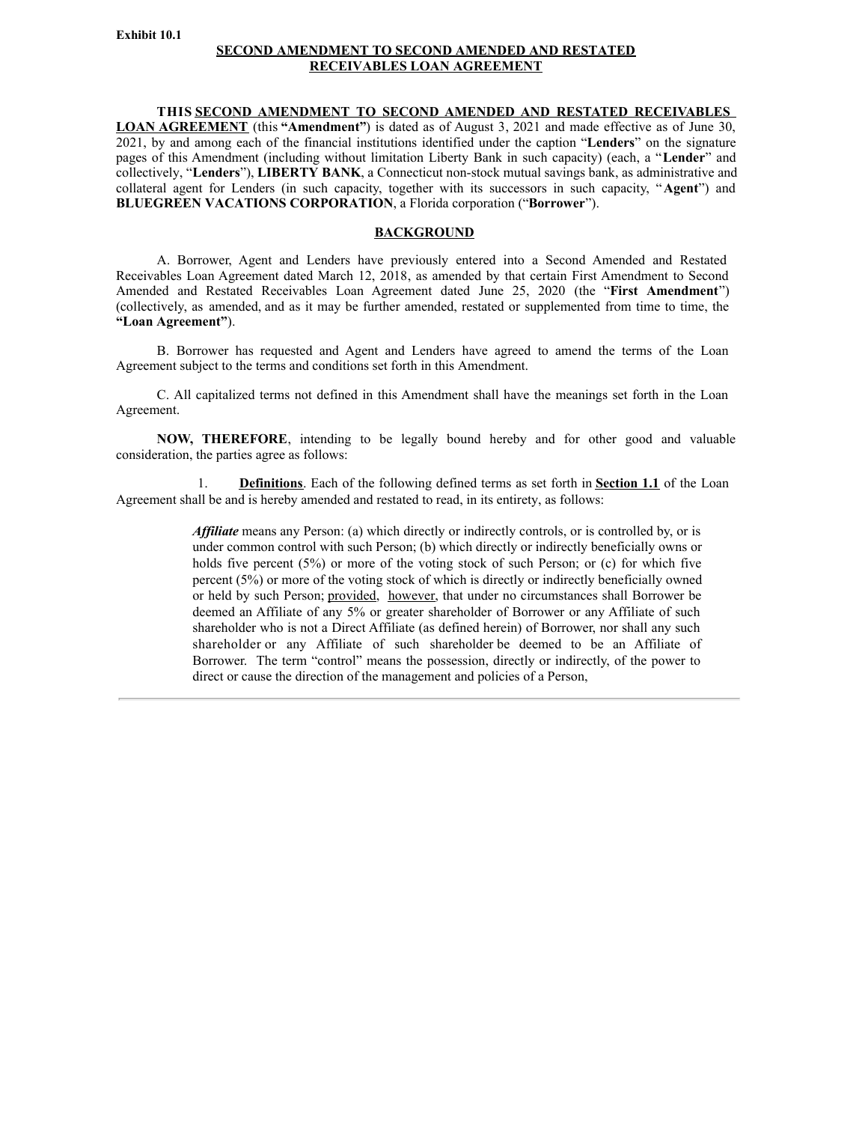# **SECOND AMENDMENT TO SECOND AMENDED AND RESTATED RECEIVABLES LOAN AGREEMENT**

# **THIS SECOND AMENDMENT TO SECOND AMENDED AND RESTATED RECEIVABLES**

**LOAN AGREEMENT** (this **"Amendment"**) is dated as of August 3, 2021 and made effective as of June 30, 2021, by and among each of the financial institutions identified under the caption "**Lenders**" on the signature pages of this Amendment (including without limitation Liberty Bank in such capacity) (each, a "**Lender**" and collectively, "**Lenders**"), **LIBERTY BANK**, a Connecticut non-stock mutual savings bank, as administrative and collateral agent for Lenders (in such capacity, together with its successors in such capacity, "**Agent**") and **BLUEGREEN VACATIONS CORPORATION**, a Florida corporation ("**Borrower**").

# **BACKGROUND**

A. Borrower, Agent and Lenders have previously entered into a Second Amended and Restated Receivables Loan Agreement dated March 12, 2018, as amended by that certain First Amendment to Second Amended and Restated Receivables Loan Agreement dated June 25, 2020 (the "**First Amendment**") (collectively, as amended, and as it may be further amended, restated or supplemented from time to time, the **"Loan Agreement"**).

B. Borrower has requested and Agent and Lenders have agreed to amend the terms of the Loan Agreement subject to the terms and conditions set forth in this Amendment.

C. All capitalized terms not defined in this Amendment shall have the meanings set forth in the Loan Agreement.

**NOW, THEREFORE**, intending to be legally bound hereby and for other good and valuable consideration, the parties agree as follows:

1. **Definitions**. Each of the following defined terms as set forth in **Section 1.1** of the Loan Agreement shall be and is hereby amended and restated to read, in its entirety, as follows:

> *Affiliate* means any Person: (a) which directly or indirectly controls, or is controlled by, or is under common control with such Person; (b) which directly or indirectly beneficially owns or holds five percent (5%) or more of the voting stock of such Person; or (c) for which five percent (5%) or more of the voting stock of which is directly or indirectly beneficially owned or held by such Person; provided, however, that under no circumstances shall Borrower be deemed an Affiliate of any 5% or greater shareholder of Borrower or any Affiliate of such shareholder who is not a Direct Affiliate (as defined herein) of Borrower, nor shall any such shareholder or any Affiliate of such shareholder be deemed to be an Affiliate of Borrower. The term "control" means the possession, directly or indirectly, of the power to direct or cause the direction of the management and policies of a Person,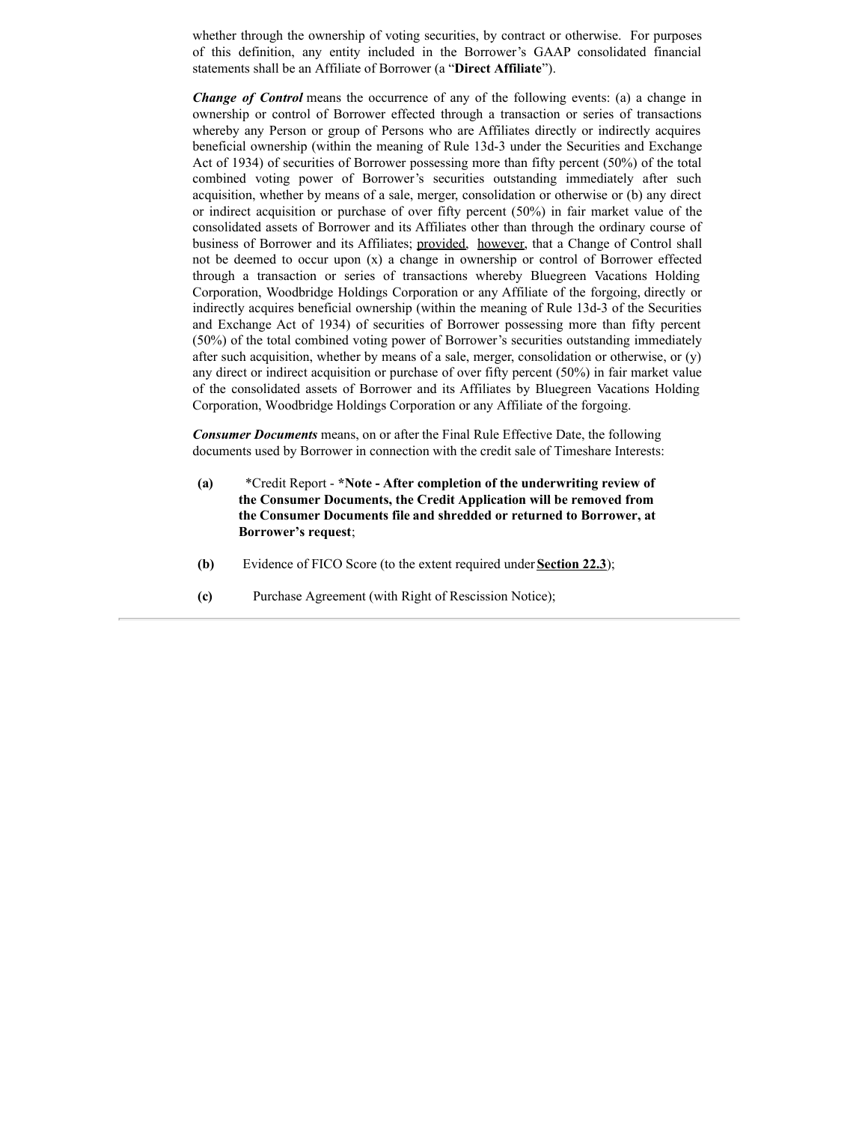whether through the ownership of voting securities, by contract or otherwise. For purposes of this definition, any entity included in the Borrower's GAAP consolidated financial statements shall be an Affiliate of Borrower (a "**Direct Affiliate**").

*Change of Control* means the occurrence of any of the following events: (a) a change in ownership or control of Borrower effected through a transaction or series of transactions whereby any Person or group of Persons who are Affiliates directly or indirectly acquires beneficial ownership (within the meaning of Rule 13d-3 under the Securities and Exchange Act of 1934) of securities of Borrower possessing more than fifty percent (50%) of the total combined voting power of Borrower's securities outstanding immediately after such acquisition, whether by means of a sale, merger, consolidation or otherwise or (b) any direct or indirect acquisition or purchase of over fifty percent (50%) in fair market value of the consolidated assets of Borrower and its Affiliates other than through the ordinary course of business of Borrower and its Affiliates; provided, however, that a Change of Control shall not be deemed to occur upon (x) a change in ownership or control of Borrower effected through a transaction or series of transactions whereby Bluegreen Vacations Holding Corporation, Woodbridge Holdings Corporation or any Affiliate of the forgoing, directly or indirectly acquires beneficial ownership (within the meaning of Rule 13d-3 of the Securities and Exchange Act of 1934) of securities of Borrower possessing more than fifty percent (50%) of the total combined voting power of Borrower's securities outstanding immediately after such acquisition, whether by means of a sale, merger, consolidation or otherwise, or (y) any direct or indirect acquisition or purchase of over fifty percent (50%) in fair market value of the consolidated assets of Borrower and its Affiliates by Bluegreen Vacations Holding Corporation, Woodbridge Holdings Corporation or any Affiliate of the forgoing.

*Consumer Documents* means, on or after the Final Rule Effective Date, the following documents used by Borrower in connection with the credit sale of Timeshare Interests:

- **(a)** \*Credit Report **\*Note - After completion of the underwriting review of the Consumer Documents, the Credit Application will be removed from the Consumer Documents file and shredded or returned to Borrower, at Borrower's request**;
- **(b)** Evidence of FICO Score (to the extent required under **Section 22.3**);
- **(c)** Purchase Agreement (with Right of Rescission Notice);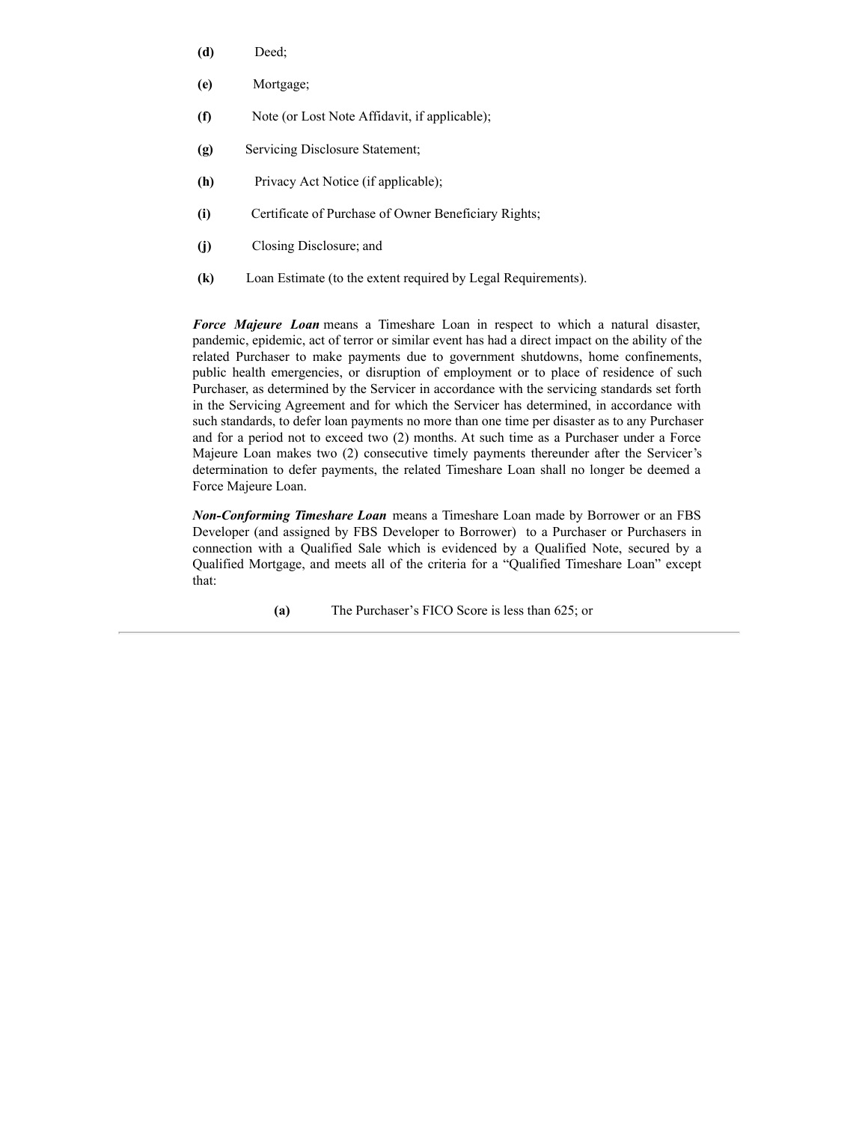- **(d)** Deed;
- **(e)** Mortgage;
- **(f)** Note (or Lost Note Affidavit, if applicable);
- **(g)** Servicing Disclosure Statement;
- **(h)** Privacy Act Notice (if applicable);
- **(i)** Certificate of Purchase of Owner Beneficiary Rights;
- **(j)** Closing Disclosure; and
- **(k)** Loan Estimate (to the extent required by Legal Requirements).

*Force Majeure Loan* means a Timeshare Loan in respect to which a natural disaster, pandemic, epidemic, act of terror or similar event has had a direct impact on the ability of the related Purchaser to make payments due to government shutdowns, home confinements, public health emergencies, or disruption of employment or to place of residence of such Purchaser, as determined by the Servicer in accordance with the servicing standards set forth in the Servicing Agreement and for which the Servicer has determined, in accordance with such standards, to defer loan payments no more than one time per disaster as to any Purchaser and for a period not to exceed two (2) months. At such time as a Purchaser under a Force Majeure Loan makes two (2) consecutive timely payments thereunder after the Servicer's determination to defer payments, the related Timeshare Loan shall no longer be deemed a Force Majeure Loan.

*Non-Conforming Timeshare Loan* means a Timeshare Loan made by Borrower or an FBS Developer (and assigned by FBS Developer to Borrower) to a Purchaser or Purchasers in connection with a Qualified Sale which is evidenced by a Qualified Note, secured by a Qualified Mortgage, and meets all of the criteria for a "Qualified Timeshare Loan" except that:

**(a)** The Purchaser's FICO Score is less than 625; or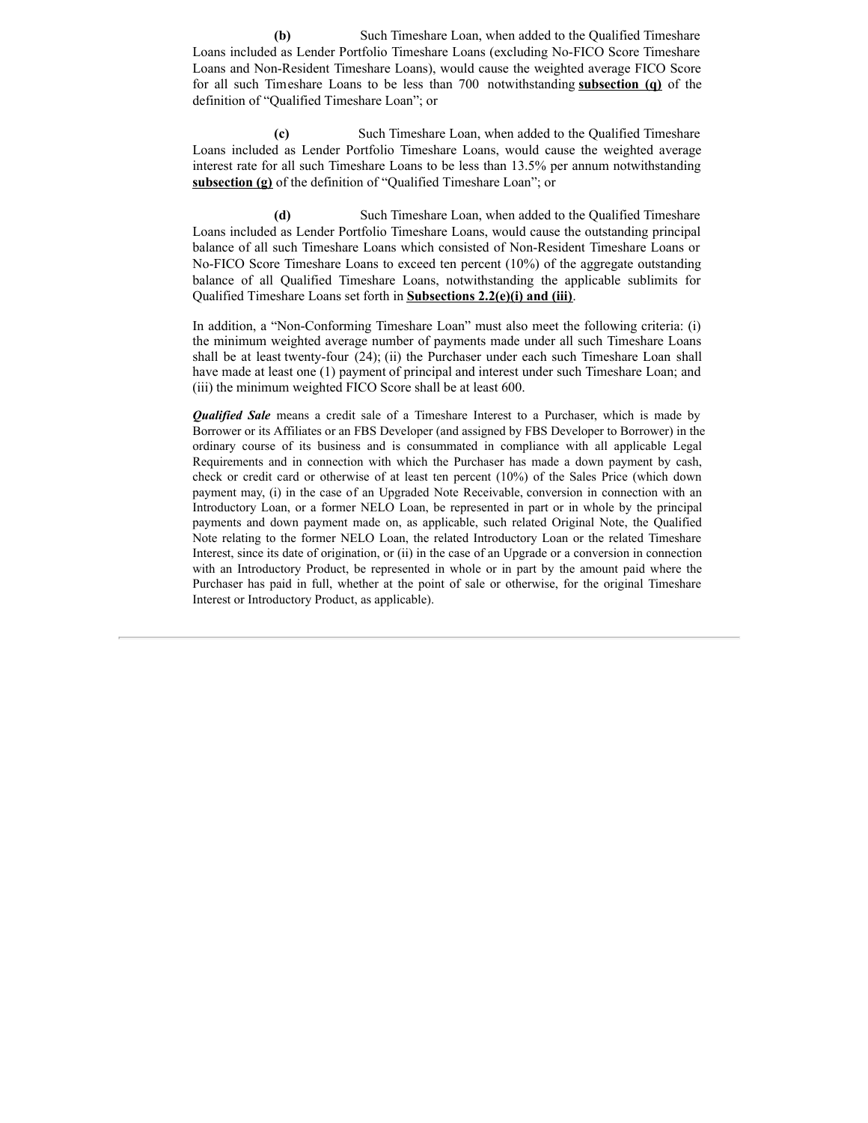**(b)** Such Timeshare Loan, when added to the Qualified Timeshare Loans included as Lender Portfolio Timeshare Loans (excluding No-FICO Score Timeshare Loans and Non-Resident Timeshare Loans), would cause the weighted average FICO Score for all such Timeshare Loans to be less than 700 notwithstanding **subsection (q)** of the definition of "Qualified Timeshare Loan"; or

**(c)** Such Timeshare Loan, when added to the Qualified Timeshare Loans included as Lender Portfolio Timeshare Loans, would cause the weighted average interest rate for all such Timeshare Loans to be less than 13.5% per annum notwithstanding **subsection (g)** of the definition of "Qualified Timeshare Loan"; or

**(d)** Such Timeshare Loan, when added to the Qualified Timeshare Loans included as Lender Portfolio Timeshare Loans, would cause the outstanding principal balance of all such Timeshare Loans which consisted of Non-Resident Timeshare Loans or No-FICO Score Timeshare Loans to exceed ten percent (10%) of the aggregate outstanding balance of all Qualified Timeshare Loans, notwithstanding the applicable sublimits for Qualified Timeshare Loans set forth in **Subsections 2.2(e)(i) and (iii)**.

In addition, a "Non-Conforming Timeshare Loan" must also meet the following criteria: (i) the minimum weighted average number of payments made under all such Timeshare Loans shall be at least twenty-four (24); (ii) the Purchaser under each such Timeshare Loan shall have made at least one (1) payment of principal and interest under such Timeshare Loan; and (iii) the minimum weighted FICO Score shall be at least 600.

*Qualified Sale* means a credit sale of a Timeshare Interest to a Purchaser, which is made by Borrower or its Affiliates or an FBS Developer (and assigned by FBS Developer to Borrower) in the ordinary course of its business and is consummated in compliance with all applicable Legal Requirements and in connection with which the Purchaser has made a down payment by cash, check or credit card or otherwise of at least ten percent (10%) of the Sales Price (which down payment may, (i) in the case of an Upgraded Note Receivable, conversion in connection with an Introductory Loan, or a former NELO Loan, be represented in part or in whole by the principal payments and down payment made on, as applicable, such related Original Note, the Qualified Note relating to the former NELO Loan, the related Introductory Loan or the related Timeshare Interest, since its date of origination, or (ii) in the case of an Upgrade or a conversion in connection with an Introductory Product, be represented in whole or in part by the amount paid where the Purchaser has paid in full, whether at the point of sale or otherwise, for the original Timeshare Interest or Introductory Product, as applicable).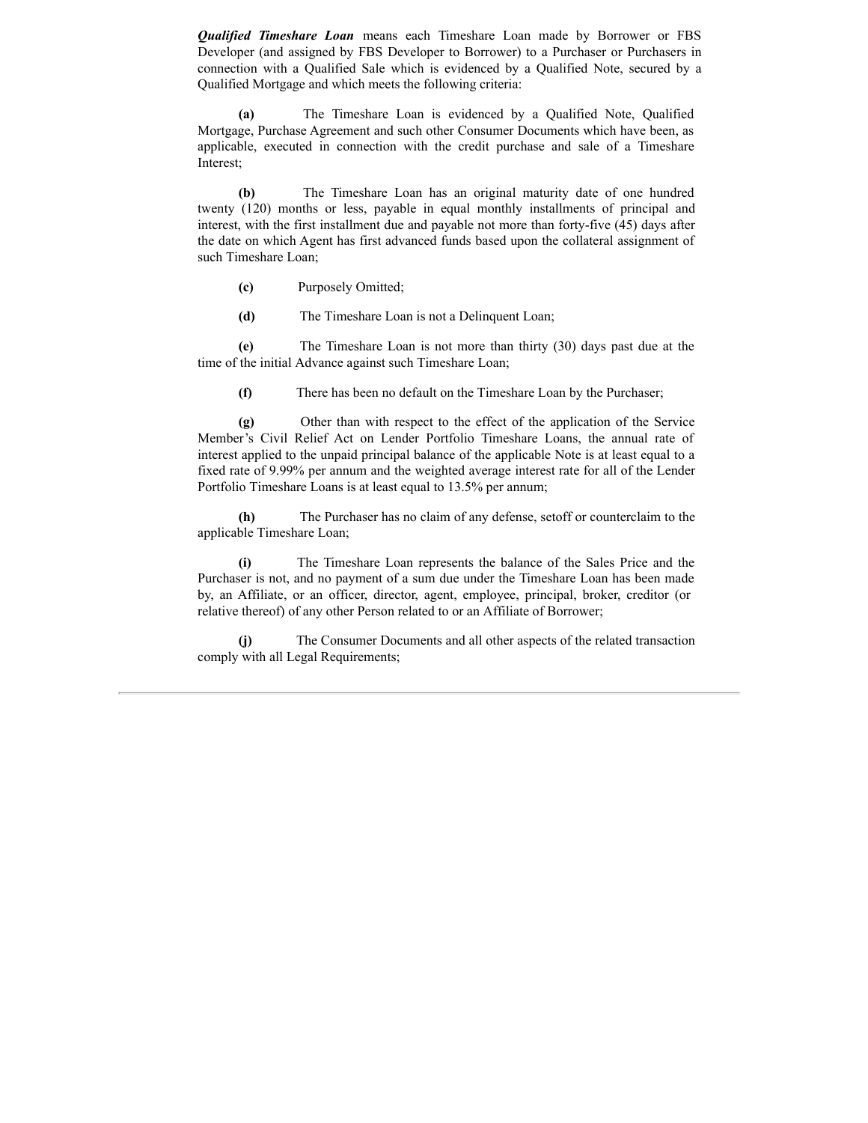*Qualified Timeshare Loan* means each Timeshare Loan made by Borrower or FBS Developer (and assigned by FBS Developer to Borrower) to a Purchaser or Purchasers in connection with a Qualified Sale which is evidenced by a Qualified Note, secured by a Qualified Mortgage and which meets the following criteria:

**(a)** The Timeshare Loan is evidenced by a Qualified Note, Qualified Mortgage, Purchase Agreement and such other Consumer Documents which have been, as applicable, executed in connection with the credit purchase and sale of a Timeshare Interest;

**(b)** The Timeshare Loan has an original maturity date of one hundred twenty (120) months or less, payable in equal monthly installments of principal and interest, with the first installment due and payable not more than forty-five (45) days after the date on which Agent has first advanced funds based upon the collateral assignment of such Timeshare Loan;

**(c)** Purposely Omitted;

**(d)** The Timeshare Loan is not a Delinquent Loan;

**(e)** The Timeshare Loan is not more than thirty (30) days past due at the time of the initial Advance against such Timeshare Loan;

**(f)** There has been no default on the Timeshare Loan by the Purchaser;

**(g)** Other than with respect to the effect of the application of the Service Member's Civil Relief Act on Lender Portfolio Timeshare Loans, the annual rate of interest applied to the unpaid principal balance of the applicable Note is at least equal to a fixed rate of 9.99% per annum and the weighted average interest rate for all of the Lender Portfolio Timeshare Loans is at least equal to 13.5% per annum;

**(h)** The Purchaser has no claim of any defense, setoff or counterclaim to the applicable Timeshare Loan;

**(i)** The Timeshare Loan represents the balance of the Sales Price and the Purchaser is not, and no payment of a sum due under the Timeshare Loan has been made by, an Affiliate, or an officer, director, agent, employee, principal, broker, creditor (or relative thereof) of any other Person related to or an Affiliate of Borrower;

**(j)** The Consumer Documents and all other aspects of the related transaction comply with all Legal Requirements;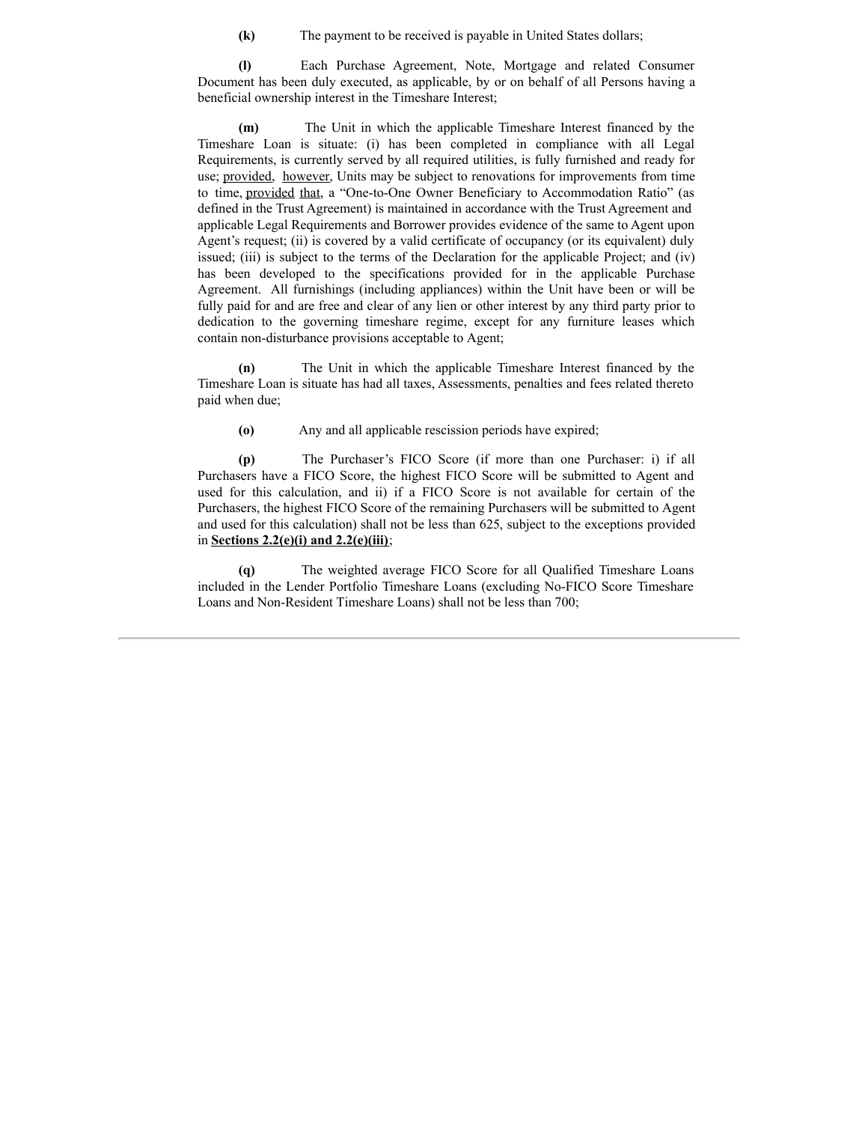**(k)** The payment to be received is payable in United States dollars;

**(l)** Each Purchase Agreement, Note, Mortgage and related Consumer Document has been duly executed, as applicable, by or on behalf of all Persons having a beneficial ownership interest in the Timeshare Interest;

**(m)** The Unit in which the applicable Timeshare Interest financed by the Timeshare Loan is situate: (i) has been completed in compliance with all Legal Requirements, is currently served by all required utilities, is fully furnished and ready for use; provided, however, Units may be subject to renovations for improvements from time to time, provided that, a "One-to-One Owner Beneficiary to Accommodation Ratio" (as defined in the Trust Agreement) is maintained in accordance with the Trust Agreement and applicable Legal Requirements and Borrower provides evidence of the same to Agent upon Agent's request; (ii) is covered by a valid certificate of occupancy (or its equivalent) duly issued; (iii) is subject to the terms of the Declaration for the applicable Project; and (iv) has been developed to the specifications provided for in the applicable Purchase Agreement. All furnishings (including appliances) within the Unit have been or will be fully paid for and are free and clear of any lien or other interest by any third party prior to dedication to the governing timeshare regime, except for any furniture leases which contain non-disturbance provisions acceptable to Agent;

**(n)** The Unit in which the applicable Timeshare Interest financed by the Timeshare Loan is situate has had all taxes, Assessments, penalties and fees related thereto paid when due;

**(o)** Any and all applicable rescission periods have expired;

**(p)** The Purchaser's FICO Score (if more than one Purchaser: i) if all Purchasers have a FICO Score, the highest FICO Score will be submitted to Agent and used for this calculation, and ii) if a FICO Score is not available for certain of the Purchasers, the highest FICO Score of the remaining Purchasers will be submitted to Agent and used for this calculation) shall not be less than 625, subject to the exceptions provided in **Sections 2.2(e)(i) and 2.2(e)(iii)**;

**(q)** The weighted average FICO Score for all Qualified Timeshare Loans included in the Lender Portfolio Timeshare Loans (excluding No-FICO Score Timeshare Loans and Non-Resident Timeshare Loans) shall not be less than 700;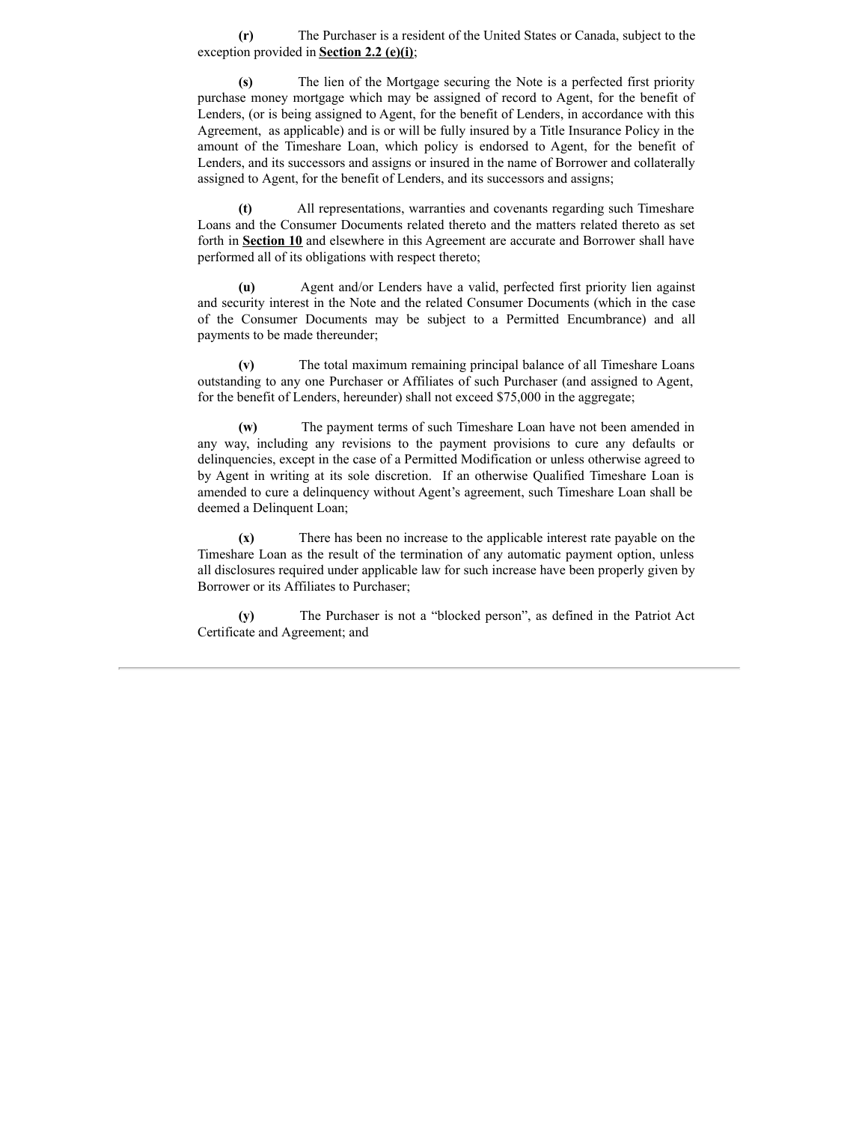**(r)** The Purchaser is a resident of the United States or Canada, subject to the exception provided in **Section 2.2 (e)(i)**;

**(s)** The lien of the Mortgage securing the Note is a perfected first priority purchase money mortgage which may be assigned of record to Agent, for the benefit of Lenders, (or is being assigned to Agent, for the benefit of Lenders, in accordance with this Agreement, as applicable) and is or will be fully insured by a Title Insurance Policy in the amount of the Timeshare Loan, which policy is endorsed to Agent, for the benefit of Lenders, and its successors and assigns or insured in the name of Borrower and collaterally assigned to Agent, for the benefit of Lenders, and its successors and assigns;

**(t)** All representations, warranties and covenants regarding such Timeshare Loans and the Consumer Documents related thereto and the matters related thereto as set forth in **Section 10** and elsewhere in this Agreement are accurate and Borrower shall have performed all of its obligations with respect thereto;

**(u)** Agent and/or Lenders have a valid, perfected first priority lien against and security interest in the Note and the related Consumer Documents (which in the case of the Consumer Documents may be subject to a Permitted Encumbrance) and all payments to be made thereunder;

**(v)** The total maximum remaining principal balance of all Timeshare Loans outstanding to any one Purchaser or Affiliates of such Purchaser (and assigned to Agent, for the benefit of Lenders, hereunder) shall not exceed \$75,000 in the aggregate;

**(w)** The payment terms of such Timeshare Loan have not been amended in any way, including any revisions to the payment provisions to cure any defaults or delinquencies, except in the case of a Permitted Modification or unless otherwise agreed to by Agent in writing at its sole discretion. If an otherwise Qualified Timeshare Loan is amended to cure a delinquency without Agent's agreement, such Timeshare Loan shall be deemed a Delinquent Loan;

**(x)** There has been no increase to the applicable interest rate payable on the Timeshare Loan as the result of the termination of any automatic payment option, unless all disclosures required under applicable law for such increase have been properly given by Borrower or its Affiliates to Purchaser;

**(y)** The Purchaser is not a "blocked person", as defined in the Patriot Act Certificate and Agreement; and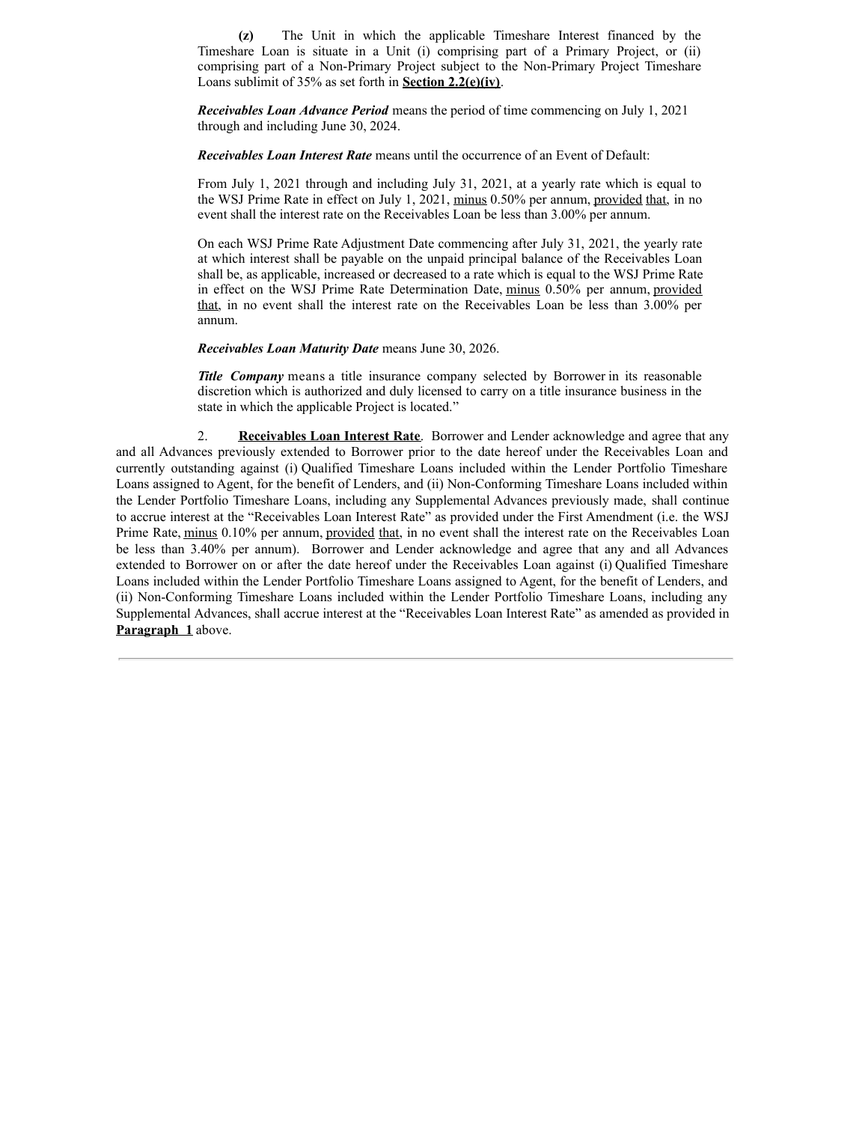**(z)** The Unit in which the applicable Timeshare Interest financed by the Timeshare Loan is situate in a Unit (i) comprising part of a Primary Project, or (ii) comprising part of a Non-Primary Project subject to the Non-Primary Project Timeshare Loans sublimit of 35% as set forth in **Section 2.2(e)(iv)**.

*Receivables Loan Advance Period* means the period of time commencing on July 1, 2021 through and including June 30, 2024.

*Receivables Loan Interest Rate* means until the occurrence of an Event of Default:

From July 1, 2021 through and including July 31, 2021, at a yearly rate which is equal to the WSJ Prime Rate in effect on July 1, 2021, minus 0.50% per annum, provided that, in no event shall the interest rate on the Receivables Loan be less than 3.00% per annum.

On each WSJ Prime Rate Adjustment Date commencing after July 31, 2021, the yearly rate at which interest shall be payable on the unpaid principal balance of the Receivables Loan shall be, as applicable, increased or decreased to a rate which is equal to the WSJ Prime Rate in effect on the WSJ Prime Rate Determination Date, minus 0.50% per annum, provided that, in no event shall the interest rate on the Receivables Loan be less than 3.00% per annum.

### *Receivables Loan Maturity Date* means June 30, 2026.

*Title Company* means a title insurance company selected by Borrower in its reasonable discretion which is authorized and duly licensed to carry on a title insurance business in the state in which the applicable Project is located."

2. **Receivables Loan Interest Rate**. Borrower and Lender acknowledge and agree that any and all Advances previously extended to Borrower prior to the date hereof under the Receivables Loan and currently outstanding against (i) Qualified Timeshare Loans included within the Lender Portfolio Timeshare Loans assigned to Agent, for the benefit of Lenders, and (ii) Non-Conforming Timeshare Loans included within the Lender Portfolio Timeshare Loans, including any Supplemental Advances previously made, shall continue to accrue interest at the "Receivables Loan Interest Rate" as provided under the First Amendment (i.e. the WSJ Prime Rate, minus 0.10% per annum, provided that, in no event shall the interest rate on the Receivables Loan be less than 3.40% per annum). Borrower and Lender acknowledge and agree that any and all Advances extended to Borrower on or after the date hereof under the Receivables Loan against (i) Qualified Timeshare Loans included within the Lender Portfolio Timeshare Loans assigned to Agent, for the benefit of Lenders, and (ii) Non-Conforming Timeshare Loans included within the Lender Portfolio Timeshare Loans, including any Supplemental Advances, shall accrue interest at the "Receivables Loan Interest Rate" as amended as provided in **Paragraph 1** above.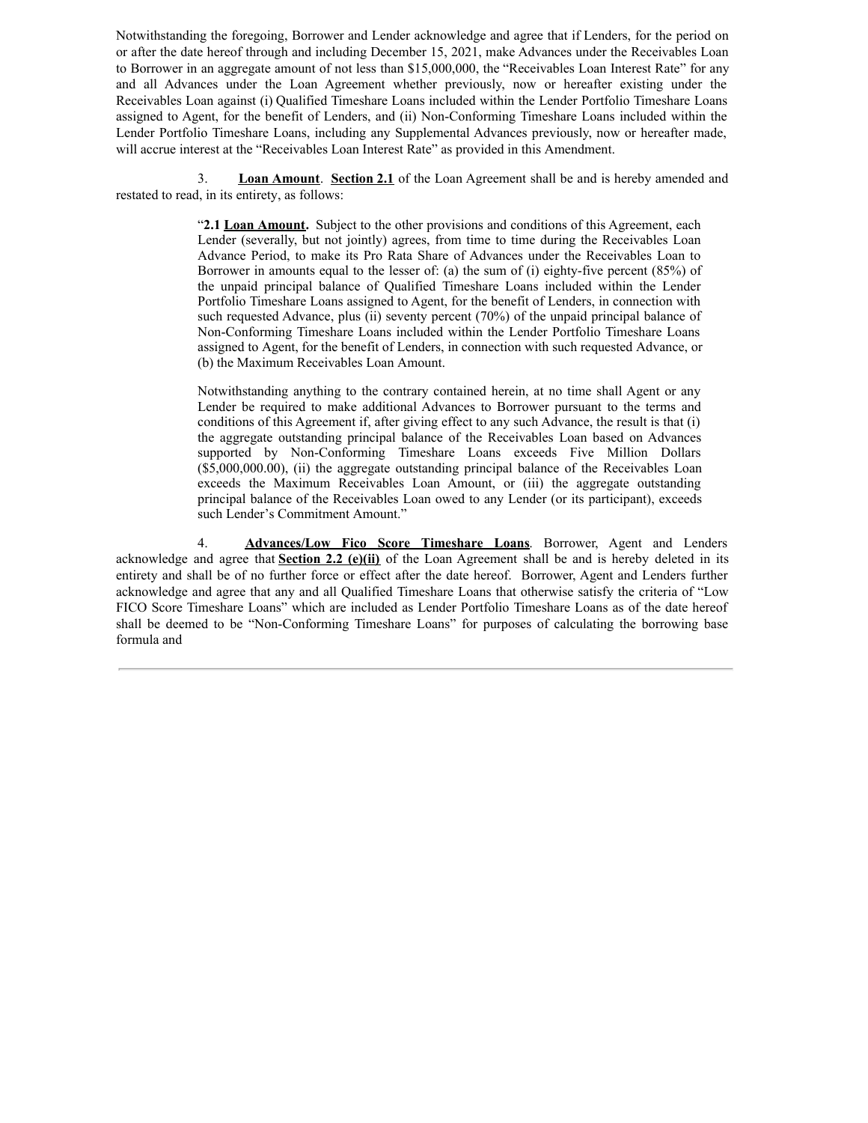Notwithstanding the foregoing, Borrower and Lender acknowledge and agree that if Lenders, for the period on or after the date hereof through and including December 15, 2021, make Advances under the Receivables Loan to Borrower in an aggregate amount of not less than \$15,000,000, the "Receivables Loan Interest Rate" for any and all Advances under the Loan Agreement whether previously, now or hereafter existing under the Receivables Loan against (i) Qualified Timeshare Loans included within the Lender Portfolio Timeshare Loans assigned to Agent, for the benefit of Lenders, and (ii) Non-Conforming Timeshare Loans included within the Lender Portfolio Timeshare Loans, including any Supplemental Advances previously, now or hereafter made, will accrue interest at the "Receivables Loan Interest Rate" as provided in this Amendment.

3. **Loan Amount**. **Section 2.1** of the Loan Agreement shall be and is hereby amended and restated to read, in its entirety, as follows:

> "**2.1 Loan Amount.** Subject to the other provisions and conditions of this Agreement, each Lender (severally, but not jointly) agrees, from time to time during the Receivables Loan Advance Period, to make its Pro Rata Share of Advances under the Receivables Loan to Borrower in amounts equal to the lesser of: (a) the sum of (i) eighty-five percent (85%) of the unpaid principal balance of Qualified Timeshare Loans included within the Lender Portfolio Timeshare Loans assigned to Agent, for the benefit of Lenders, in connection with such requested Advance, plus (ii) seventy percent (70%) of the unpaid principal balance of Non-Conforming Timeshare Loans included within the Lender Portfolio Timeshare Loans assigned to Agent, for the benefit of Lenders, in connection with such requested Advance, or (b) the Maximum Receivables Loan Amount.

> Notwithstanding anything to the contrary contained herein, at no time shall Agent or any Lender be required to make additional Advances to Borrower pursuant to the terms and conditions of this Agreement if, after giving effect to any such Advance, the result is that (i) the aggregate outstanding principal balance of the Receivables Loan based on Advances supported by Non-Conforming Timeshare Loans exceeds Five Million Dollars (\$5,000,000.00), (ii) the aggregate outstanding principal balance of the Receivables Loan exceeds the Maximum Receivables Loan Amount, or (iii) the aggregate outstanding principal balance of the Receivables Loan owed to any Lender (or its participant), exceeds such Lender's Commitment Amount."

4. **Advances/Low Fico Score Timeshare Loans**. Borrower, Agent and Lenders acknowledge and agree that **Section 2.2 (e)(ii)** of the Loan Agreement shall be and is hereby deleted in its entirety and shall be of no further force or effect after the date hereof. Borrower, Agent and Lenders further acknowledge and agree that any and all Qualified Timeshare Loans that otherwise satisfy the criteria of "Low FICO Score Timeshare Loans" which are included as Lender Portfolio Timeshare Loans as of the date hereof shall be deemed to be "Non-Conforming Timeshare Loans" for purposes of calculating the borrowing base formula and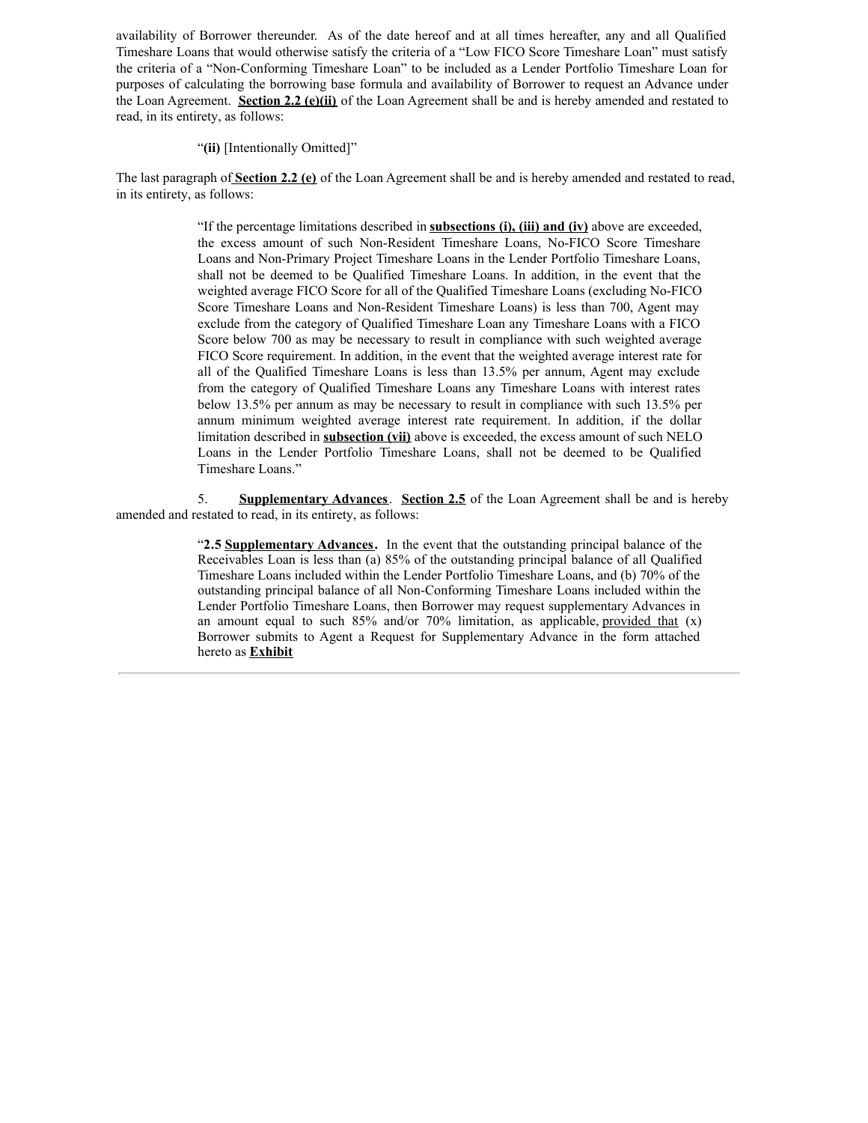availability of Borrower thereunder. As of the date hereof and at all times hereafter, any and all Qualified Timeshare Loans that would otherwise satisfy the criteria of a "Low FICO Score Timeshare Loan" must satisfy the criteria of a "Non-Conforming Timeshare Loan" to be included as a Lender Portfolio Timeshare Loan for purposes of calculating the borrowing base formula and availability of Borrower to request an Advance under the Loan Agreement. **Section 2.2 (e)(ii)** of the Loan Agreement shall be and is hereby amended and restated to read, in its entirety, as follows:

## "**(ii)** [Intentionally Omitted]"

The last paragraph of **Section 2.2 (e)** of the Loan Agreement shall be and is hereby amended and restated to read, in its entirety, as follows:

> "If the percentage limitations described in **subsections (i), (iii) and (iv)** above are exceeded, the excess amount of such Non-Resident Timeshare Loans, No-FICO Score Timeshare Loans and Non-Primary Project Timeshare Loans in the Lender Portfolio Timeshare Loans, shall not be deemed to be Qualified Timeshare Loans. In addition, in the event that the weighted average FICO Score for all of the Qualified Timeshare Loans (excluding No-FICO Score Timeshare Loans and Non-Resident Timeshare Loans) is less than 700, Agent may exclude from the category of Qualified Timeshare Loan any Timeshare Loans with a FICO Score below 700 as may be necessary to result in compliance with such weighted average FICO Score requirement. In addition, in the event that the weighted average interest rate for all of the Qualified Timeshare Loans is less than 13.5% per annum, Agent may exclude from the category of Qualified Timeshare Loans any Timeshare Loans with interest rates below 13.5% per annum as may be necessary to result in compliance with such 13.5% per annum minimum weighted average interest rate requirement. In addition, if the dollar limitation described in **subsection (vii)** above is exceeded, the excess amount of such NELO Loans in the Lender Portfolio Timeshare Loans, shall not be deemed to be Qualified Timeshare Loans."

5. **Supplementary Advances**. **Section 2.5** of the Loan Agreement shall be and is hereby amended and restated to read, in its entirety, as follows:

> "**2.5 Supplementary Advances.** In the event that the outstanding principal balance of the Receivables Loan is less than (a) 85% of the outstanding principal balance of all Qualified Timeshare Loans included within the Lender Portfolio Timeshare Loans, and (b) 70% of the outstanding principal balance of all Non-Conforming Timeshare Loans included within the Lender Portfolio Timeshare Loans, then Borrower may request supplementary Advances in an amount equal to such  $85\%$  and/or  $70\%$  limitation, as applicable, provided that  $(x)$ Borrower submits to Agent a Request for Supplementary Advance in the form attached hereto as **Exhibit**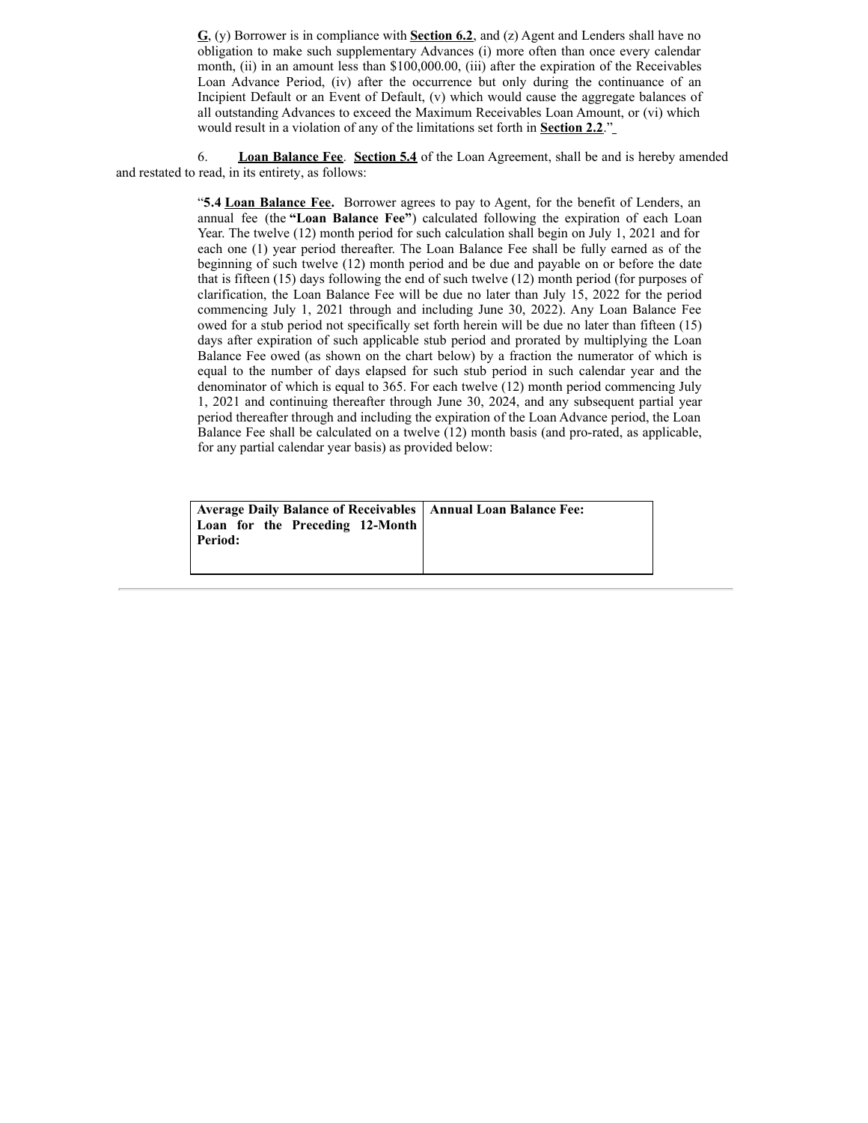**G**, (y) Borrower is in compliance with **Section 6.2**, and (z) Agent and Lenders shall have no obligation to make such supplementary Advances (i) more often than once every calendar month, (ii) in an amount less than \$100,000.00, (iii) after the expiration of the Receivables Loan Advance Period, (iv) after the occurrence but only during the continuance of an Incipient Default or an Event of Default, (v) which would cause the aggregate balances of all outstanding Advances to exceed the Maximum Receivables Loan Amount, or (vi) which would result in a violation of any of the limitations set forth in **Section 2.2**."

6. **Loan Balance Fee**. **Section 5.4** of the Loan Agreement, shall be and is hereby amended and restated to read, in its entirety, as follows:

> "**5.4 Loan Balance Fee.** Borrower agrees to pay to Agent, for the benefit of Lenders, an annual fee (the **"Loan Balance Fee"**) calculated following the expiration of each Loan Year. The twelve (12) month period for such calculation shall begin on July 1, 2021 and for each one (1) year period thereafter. The Loan Balance Fee shall be fully earned as of the beginning of such twelve (12) month period and be due and payable on or before the date that is fifteen (15) days following the end of such twelve (12) month period (for purposes of clarification, the Loan Balance Fee will be due no later than July 15, 2022 for the period commencing July 1, 2021 through and including June 30, 2022). Any Loan Balance Fee owed for a stub period not specifically set forth herein will be due no later than fifteen (15) days after expiration of such applicable stub period and prorated by multiplying the Loan Balance Fee owed (as shown on the chart below) by a fraction the numerator of which is equal to the number of days elapsed for such stub period in such calendar year and the denominator of which is equal to 365. For each twelve (12) month period commencing July 1, 2021 and continuing thereafter through June 30, 2024, and any subsequent partial year period thereafter through and including the expiration of the Loan Advance period, the Loan Balance Fee shall be calculated on a twelve (12) month basis (and pro-rated, as applicable, for any partial calendar year basis) as provided below:

| Average Daily Balance of Receivables   Annual Loan Balance Fee: |  |
|-----------------------------------------------------------------|--|
| Loan for the Preceding 12-Month                                 |  |
| Period:                                                         |  |
|                                                                 |  |
|                                                                 |  |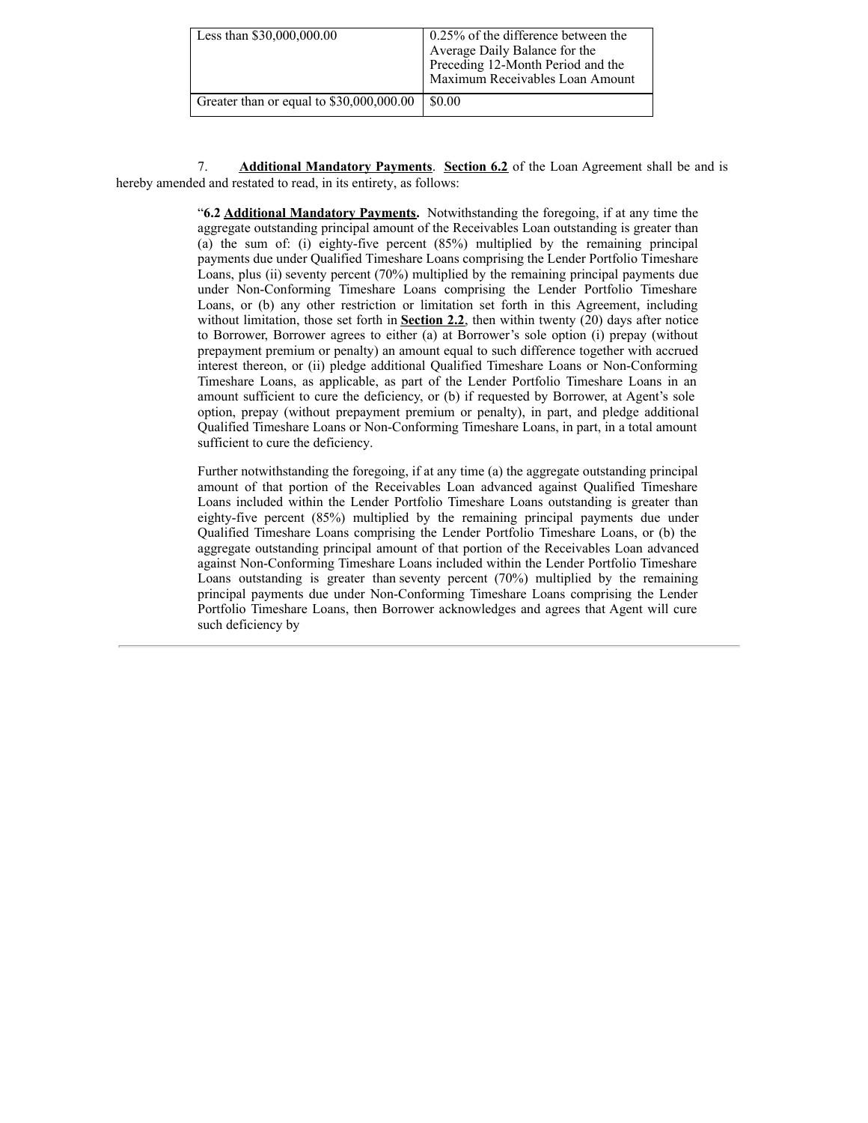| Less than \$30,000,000.00                 | $0.25\%$ of the difference between the<br>Average Daily Balance for the<br>Preceding 12-Month Period and the<br>Maximum Receivables Loan Amount |
|-------------------------------------------|-------------------------------------------------------------------------------------------------------------------------------------------------|
| Greater than or equal to $$30,000,000.00$ | \$0.00                                                                                                                                          |

7. **Additional Mandatory Payments**. **Section 6.2** of the Loan Agreement shall be and is hereby amended and restated to read, in its entirety, as follows:

> "**6.2 Additional Mandatory Payments.** Notwithstanding the foregoing, if at any time the aggregate outstanding principal amount of the Receivables Loan outstanding is greater than (a) the sum of: (i) eighty-five percent (85%) multiplied by the remaining principal payments due under Qualified Timeshare Loans comprising the Lender Portfolio Timeshare Loans, plus (ii) seventy percent (70%) multiplied by the remaining principal payments due under Non-Conforming Timeshare Loans comprising the Lender Portfolio Timeshare Loans, or (b) any other restriction or limitation set forth in this Agreement, including without limitation, those set forth in **Section 2.2**, then within twenty (20) days after notice to Borrower, Borrower agrees to either (a) at Borrower's sole option (i) prepay (without prepayment premium or penalty) an amount equal to such difference together with accrued interest thereon, or (ii) pledge additional Qualified Timeshare Loans or Non-Conforming Timeshare Loans, as applicable, as part of the Lender Portfolio Timeshare Loans in an amount sufficient to cure the deficiency, or (b) if requested by Borrower, at Agent's sole option, prepay (without prepayment premium or penalty), in part, and pledge additional Qualified Timeshare Loans or Non-Conforming Timeshare Loans, in part, in a total amount sufficient to cure the deficiency.

> Further notwithstanding the foregoing, if at any time (a) the aggregate outstanding principal amount of that portion of the Receivables Loan advanced against Qualified Timeshare Loans included within the Lender Portfolio Timeshare Loans outstanding is greater than eighty-five percent (85%) multiplied by the remaining principal payments due under Qualified Timeshare Loans comprising the Lender Portfolio Timeshare Loans, or (b) the aggregate outstanding principal amount of that portion of the Receivables Loan advanced against Non-Conforming Timeshare Loans included within the Lender Portfolio Timeshare Loans outstanding is greater than seventy percent (70%) multiplied by the remaining principal payments due under Non-Conforming Timeshare Loans comprising the Lender Portfolio Timeshare Loans, then Borrower acknowledges and agrees that Agent will cure such deficiency by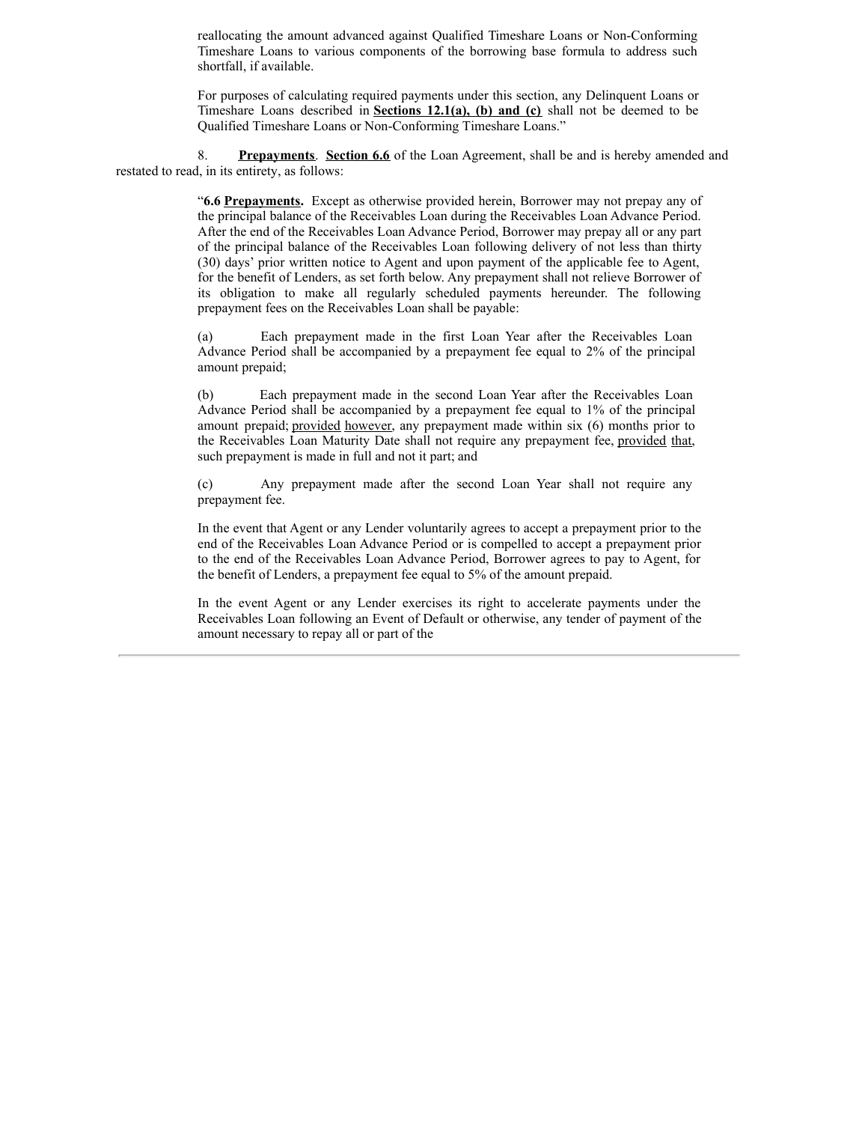reallocating the amount advanced against Qualified Timeshare Loans or Non-Conforming Timeshare Loans to various components of the borrowing base formula to address such shortfall, if available.

For purposes of calculating required payments under this section, any Delinquent Loans or Timeshare Loans described in **Sections 12.1(a), (b) and (c)** shall not be deemed to be Qualified Timeshare Loans or Non-Conforming Timeshare Loans."

8. **Prepayments**. **Section 6.6** of the Loan Agreement, shall be and is hereby amended and restated to read, in its entirety, as follows:

> "**6.6 Prepayments.** Except as otherwise provided herein, Borrower may not prepay any of the principal balance of the Receivables Loan during the Receivables Loan Advance Period. After the end of the Receivables Loan Advance Period, Borrower may prepay all or any part of the principal balance of the Receivables Loan following delivery of not less than thirty (30) days' prior written notice to Agent and upon payment of the applicable fee to Agent, for the benefit of Lenders, as set forth below. Any prepayment shall not relieve Borrower of its obligation to make all regularly scheduled payments hereunder. The following prepayment fees on the Receivables Loan shall be payable:

(a) Each prepayment made in the first Loan Year after the Receivables Loan Advance Period shall be accompanied by a prepayment fee equal to 2% of the principal amount prepaid;

(b) Each prepayment made in the second Loan Year after the Receivables Loan Advance Period shall be accompanied by a prepayment fee equal to 1% of the principal amount prepaid; provided however, any prepayment made within six (6) months prior to the Receivables Loan Maturity Date shall not require any prepayment fee, provided that, such prepayment is made in full and not it part; and

(c) Any prepayment made after the second Loan Year shall not require any prepayment fee.

In the event that Agent or any Lender voluntarily agrees to accept a prepayment prior to the end of the Receivables Loan Advance Period or is compelled to accept a prepayment prior to the end of the Receivables Loan Advance Period, Borrower agrees to pay to Agent, for the benefit of Lenders, a prepayment fee equal to 5% of the amount prepaid.

In the event Agent or any Lender exercises its right to accelerate payments under the Receivables Loan following an Event of Default or otherwise, any tender of payment of the amount necessary to repay all or part of the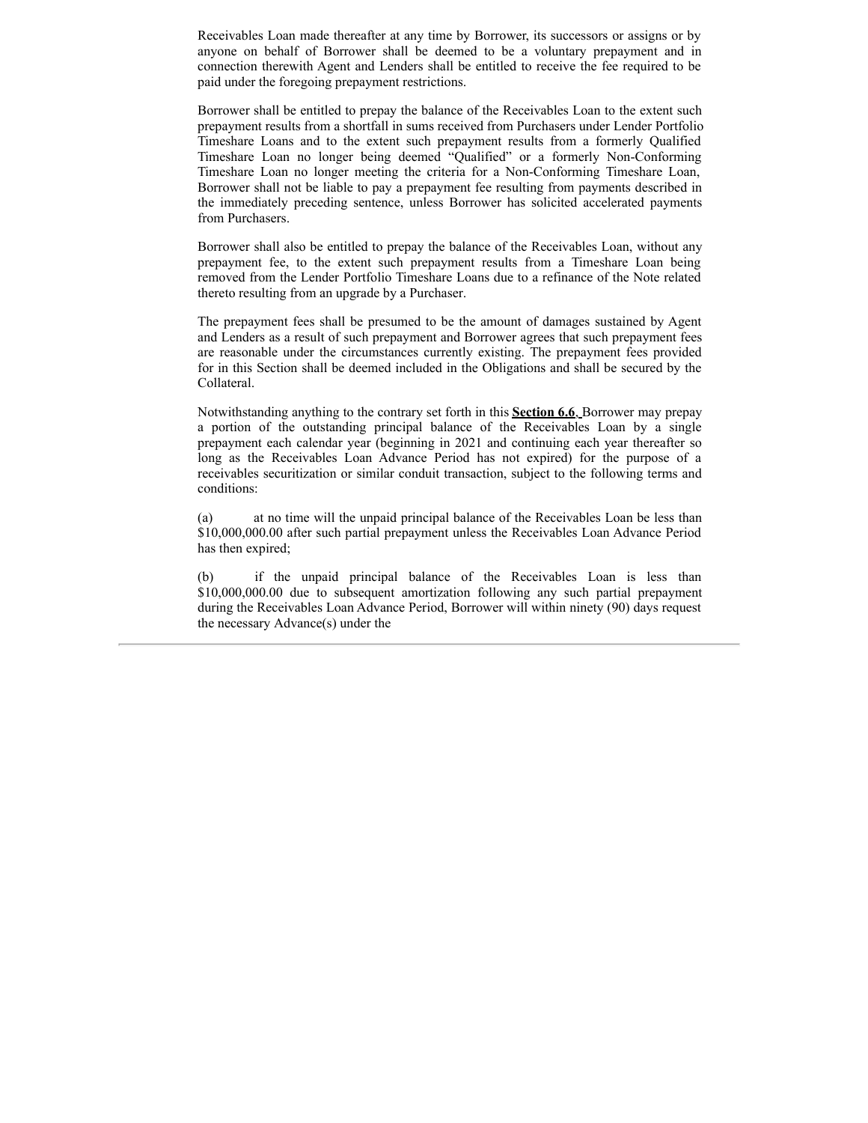Receivables Loan made thereafter at any time by Borrower, its successors or assigns or by anyone on behalf of Borrower shall be deemed to be a voluntary prepayment and in connection therewith Agent and Lenders shall be entitled to receive the fee required to be paid under the foregoing prepayment restrictions.

Borrower shall be entitled to prepay the balance of the Receivables Loan to the extent such prepayment results from a shortfall in sums received from Purchasers under Lender Portfolio Timeshare Loans and to the extent such prepayment results from a formerly Qualified Timeshare Loan no longer being deemed "Qualified" or a formerly Non-Conforming Timeshare Loan no longer meeting the criteria for a Non-Conforming Timeshare Loan, Borrower shall not be liable to pay a prepayment fee resulting from payments described in the immediately preceding sentence, unless Borrower has solicited accelerated payments from Purchasers.

Borrower shall also be entitled to prepay the balance of the Receivables Loan, without any prepayment fee, to the extent such prepayment results from a Timeshare Loan being removed from the Lender Portfolio Timeshare Loans due to a refinance of the Note related thereto resulting from an upgrade by a Purchaser.

The prepayment fees shall be presumed to be the amount of damages sustained by Agent and Lenders as a result of such prepayment and Borrower agrees that such prepayment fees are reasonable under the circumstances currently existing. The prepayment fees provided for in this Section shall be deemed included in the Obligations and shall be secured by the Collateral.

Notwithstanding anything to the contrary set forth in this **Section 6.6**, Borrower may prepay a portion of the outstanding principal balance of the Receivables Loan by a single prepayment each calendar year (beginning in 2021 and continuing each year thereafter so long as the Receivables Loan Advance Period has not expired) for the purpose of a receivables securitization or similar conduit transaction, subject to the following terms and conditions:

(a) at no time will the unpaid principal balance of the Receivables Loan be less than \$10,000,000.00 after such partial prepayment unless the Receivables Loan Advance Period has then expired;

(b) if the unpaid principal balance of the Receivables Loan is less than \$10,000,000.00 due to subsequent amortization following any such partial prepayment during the Receivables Loan Advance Period, Borrower will within ninety (90) days request the necessary Advance(s) under the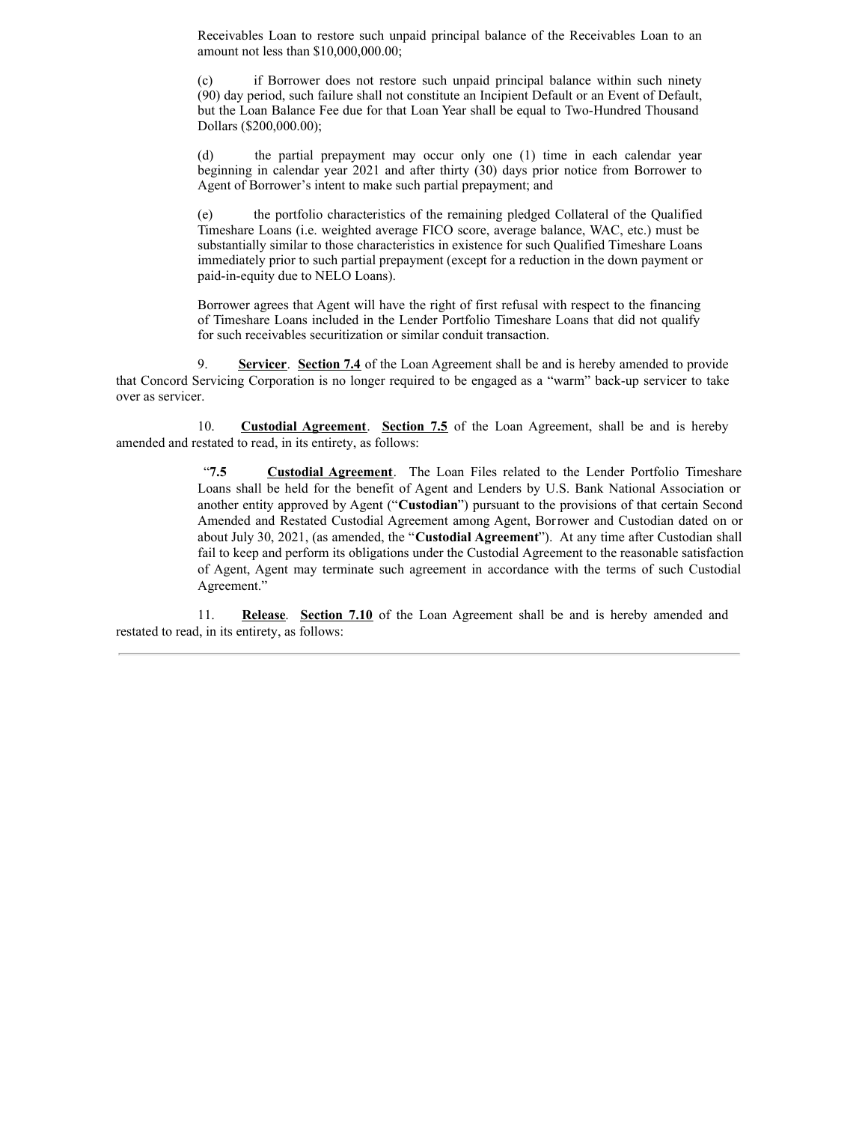Receivables Loan to restore such unpaid principal balance of the Receivables Loan to an amount not less than \$10,000,000.00;

(c) if Borrower does not restore such unpaid principal balance within such ninety (90) day period, such failure shall not constitute an Incipient Default or an Event of Default, but the Loan Balance Fee due for that Loan Year shall be equal to Two-Hundred Thousand Dollars (\$200,000.00);

(d) the partial prepayment may occur only one (1) time in each calendar year beginning in calendar year 2021 and after thirty (30) days prior notice from Borrower to Agent of Borrower's intent to make such partial prepayment; and

(e) the portfolio characteristics of the remaining pledged Collateral of the Qualified Timeshare Loans (i.e. weighted average FICO score, average balance, WAC, etc.) must be substantially similar to those characteristics in existence for such Qualified Timeshare Loans immediately prior to such partial prepayment (except for a reduction in the down payment or paid-in-equity due to NELO Loans).

Borrower agrees that Agent will have the right of first refusal with respect to the financing of Timeshare Loans included in the Lender Portfolio Timeshare Loans that did not qualify for such receivables securitization or similar conduit transaction.

9. **Servicer**. **Section 7.4** of the Loan Agreement shall be and is hereby amended to provide that Concord Servicing Corporation is no longer required to be engaged as a "warm" back-up servicer to take over as servicer.

10. **Custodial Agreement**. **Section 7.5** of the Loan Agreement, shall be and is hereby amended and restated to read, in its entirety, as follows:

> "**7.5 Custodial Agreement**. The Loan Files related to the Lender Portfolio Timeshare Loans shall be held for the benefit of Agent and Lenders by U.S. Bank National Association or another entity approved by Agent ("**Custodian**") pursuant to the provisions of that certain Second Amended and Restated Custodial Agreement among Agent, Borrower and Custodian dated on or about July 30, 2021, (as amended, the "**Custodial Agreement**"). At any time after Custodian shall fail to keep and perform its obligations under the Custodial Agreement to the reasonable satisfaction of Agent, Agent may terminate such agreement in accordance with the terms of such Custodial Agreement."

11. **Release**. **Section 7.10** of the Loan Agreement shall be and is hereby amended and restated to read, in its entirety, as follows: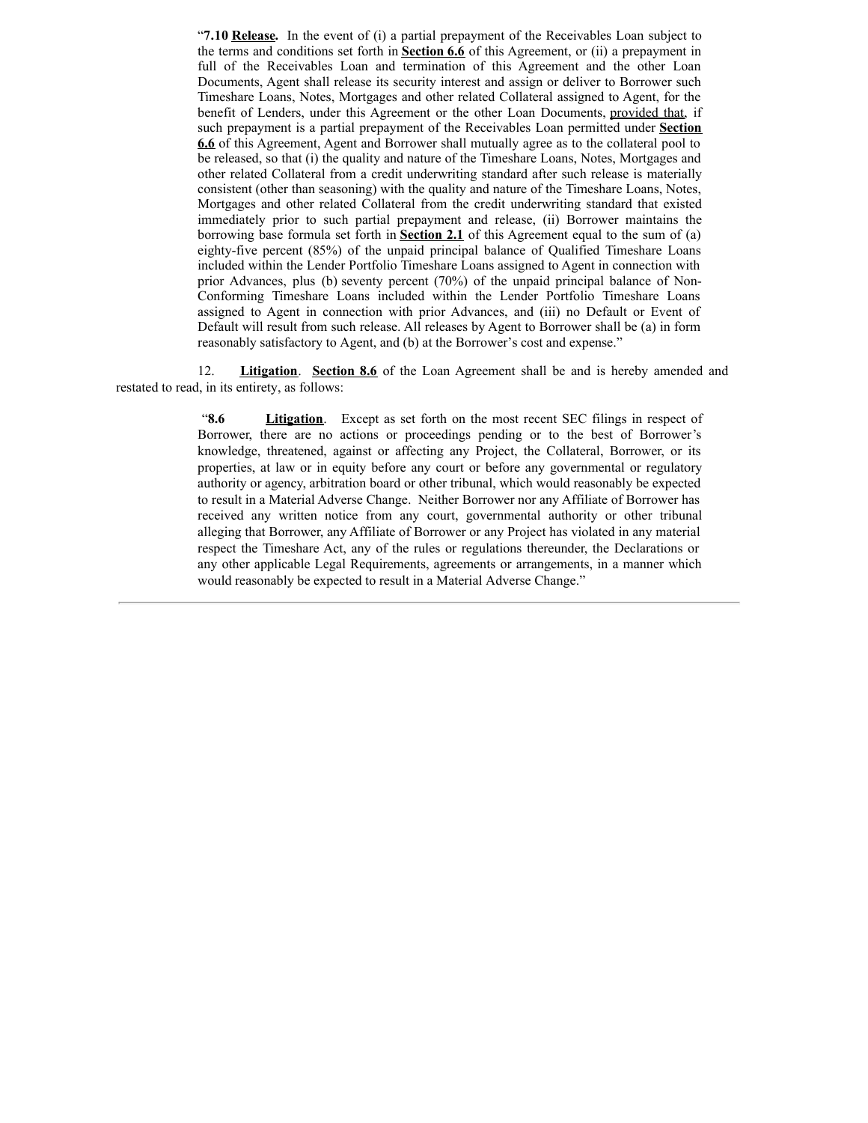"**7.10 Release.** In the event of (i) a partial prepayment of the Receivables Loan subject to the terms and conditions set forth in **Section 6.6** of this Agreement, or (ii) a prepayment in full of the Receivables Loan and termination of this Agreement and the other Loan Documents, Agent shall release its security interest and assign or deliver to Borrower such Timeshare Loans, Notes, Mortgages and other related Collateral assigned to Agent, for the benefit of Lenders, under this Agreement or the other Loan Documents, provided that, if such prepayment is a partial prepayment of the Receivables Loan permitted under **Section 6.6** of this Agreement, Agent and Borrower shall mutually agree as to the collateral pool to be released, so that (i) the quality and nature of the Timeshare Loans, Notes, Mortgages and other related Collateral from a credit underwriting standard after such release is materially consistent (other than seasoning) with the quality and nature of the Timeshare Loans, Notes, Mortgages and other related Collateral from the credit underwriting standard that existed immediately prior to such partial prepayment and release, (ii) Borrower maintains the borrowing base formula set forth in **Section 2.1** of this Agreement equal to the sum of (a) eighty-five percent (85%) of the unpaid principal balance of Qualified Timeshare Loans included within the Lender Portfolio Timeshare Loans assigned to Agent in connection with prior Advances, plus (b) seventy percent (70%) of the unpaid principal balance of Non-Conforming Timeshare Loans included within the Lender Portfolio Timeshare Loans assigned to Agent in connection with prior Advances, and (iii) no Default or Event of Default will result from such release. All releases by Agent to Borrower shall be (a) in form reasonably satisfactory to Agent, and (b) at the Borrower's cost and expense."

12. **Litigation**. **Section 8.6** of the Loan Agreement shall be and is hereby amended and restated to read, in its entirety, as follows:

> "**8.6 Litigation**. Except as set forth on the most recent SEC filings in respect of Borrower, there are no actions or proceedings pending or to the best of Borrower's knowledge, threatened, against or affecting any Project, the Collateral, Borrower, or its properties, at law or in equity before any court or before any governmental or regulatory authority or agency, arbitration board or other tribunal, which would reasonably be expected to result in a Material Adverse Change. Neither Borrower nor any Affiliate of Borrower has received any written notice from any court, governmental authority or other tribunal alleging that Borrower, any Affiliate of Borrower or any Project has violated in any material respect the Timeshare Act, any of the rules or regulations thereunder, the Declarations or any other applicable Legal Requirements, agreements or arrangements, in a manner which would reasonably be expected to result in a Material Adverse Change."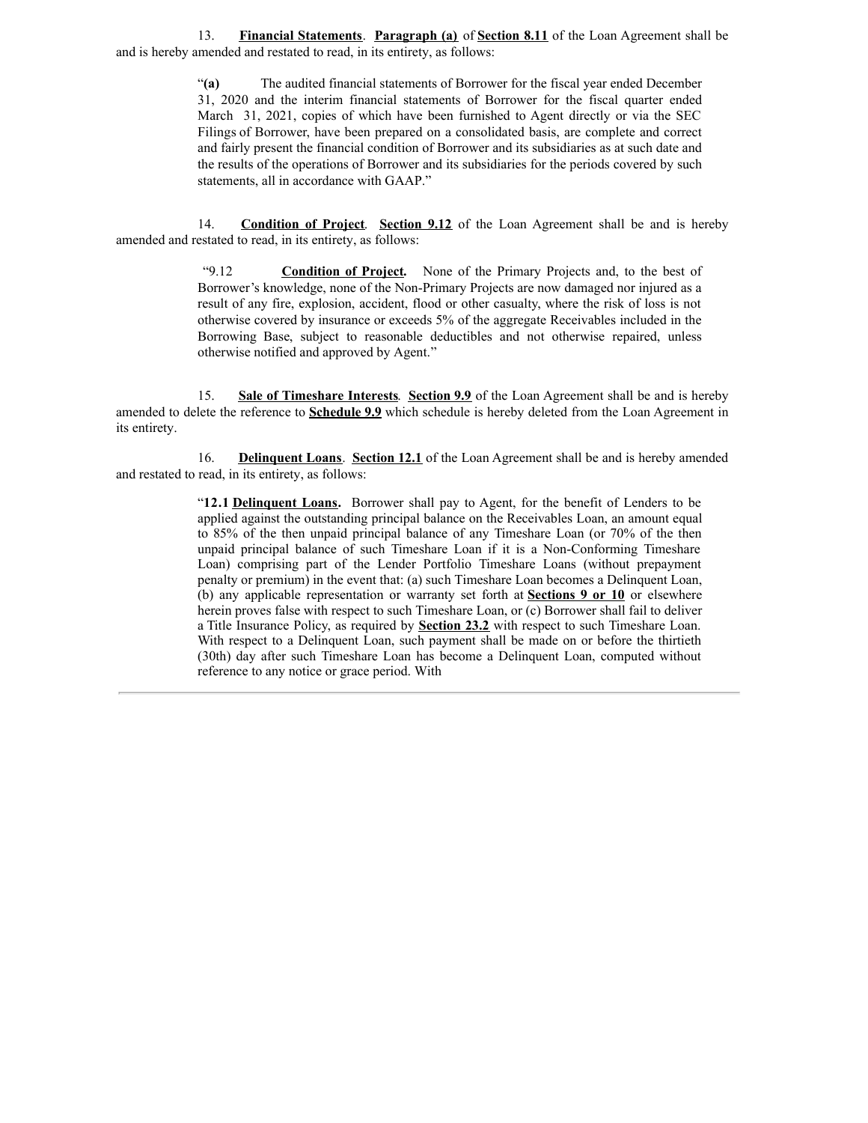13. **Financial Statements**. **Paragraph (a)** of **Section 8.11** of the Loan Agreement shall be and is hereby amended and restated to read, in its entirety, as follows:

> "**(a)** The audited financial statements of Borrower for the fiscal year ended December 31, 2020 and the interim financial statements of Borrower for the fiscal quarter ended March 31, 2021, copies of which have been furnished to Agent directly or via the SEC Filings of Borrower, have been prepared on a consolidated basis, are complete and correct and fairly present the financial condition of Borrower and its subsidiaries as at such date and the results of the operations of Borrower and its subsidiaries for the periods covered by such statements, all in accordance with GAAP."

14. **Condition of Project**. **Section 9.12** of the Loan Agreement shall be and is hereby amended and restated to read, in its entirety, as follows:

> "9.12 **Condition of Project.** None of the Primary Projects and, to the best of Borrower's knowledge, none of the Non-Primary Projects are now damaged nor injured as a result of any fire, explosion, accident, flood or other casualty, where the risk of loss is not otherwise covered by insurance or exceeds 5% of the aggregate Receivables included in the Borrowing Base, subject to reasonable deductibles and not otherwise repaired, unless otherwise notified and approved by Agent."

15. **Sale of Timeshare Interests**. **Section 9.9** of the Loan Agreement shall be and is hereby amended to delete the reference to **Schedule 9.9** which schedule is hereby deleted from the Loan Agreement in its entirety.

16. **Delinquent Loans**. **Section 12.1** of the Loan Agreement shall be and is hereby amended and restated to read, in its entirety, as follows:

> "**12.1 Delinquent Loans.** Borrower shall pay to Agent, for the benefit of Lenders to be applied against the outstanding principal balance on the Receivables Loan, an amount equal to 85% of the then unpaid principal balance of any Timeshare Loan (or 70% of the then unpaid principal balance of such Timeshare Loan if it is a Non-Conforming Timeshare Loan) comprising part of the Lender Portfolio Timeshare Loans (without prepayment penalty or premium) in the event that: (a) such Timeshare Loan becomes a Delinquent Loan, (b) any applicable representation or warranty set forth at **Sections 9 or 10** or elsewhere herein proves false with respect to such Timeshare Loan, or (c) Borrower shall fail to deliver a Title Insurance Policy, as required by **Section 23.2** with respect to such Timeshare Loan. With respect to a Delinquent Loan, such payment shall be made on or before the thirtieth (30th) day after such Timeshare Loan has become a Delinquent Loan, computed without reference to any notice or grace period. With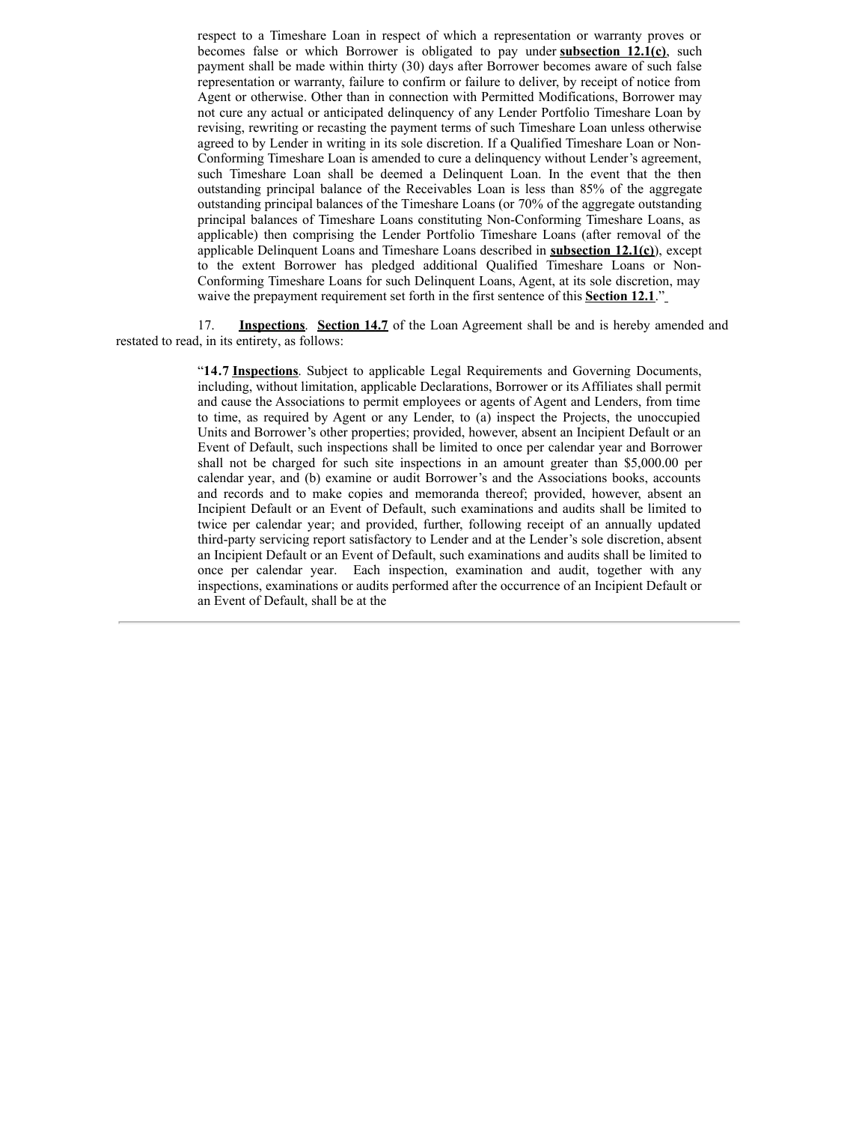respect to a Timeshare Loan in respect of which a representation or warranty proves or becomes false or which Borrower is obligated to pay under **subsection 12.1(c)**, such payment shall be made within thirty (30) days after Borrower becomes aware of such false representation or warranty, failure to confirm or failure to deliver, by receipt of notice from Agent or otherwise. Other than in connection with Permitted Modifications, Borrower may not cure any actual or anticipated delinquency of any Lender Portfolio Timeshare Loan by revising, rewriting or recasting the payment terms of such Timeshare Loan unless otherwise agreed to by Lender in writing in its sole discretion. If a Qualified Timeshare Loan or Non-Conforming Timeshare Loan is amended to cure a delinquency without Lender's agreement, such Timeshare Loan shall be deemed a Delinquent Loan. In the event that the then outstanding principal balance of the Receivables Loan is less than 85% of the aggregate outstanding principal balances of the Timeshare Loans (or 70% of the aggregate outstanding principal balances of Timeshare Loans constituting Non-Conforming Timeshare Loans, as applicable) then comprising the Lender Portfolio Timeshare Loans (after removal of the applicable Delinquent Loans and Timeshare Loans described in **subsection 12.1(c)**), except to the extent Borrower has pledged additional Qualified Timeshare Loans or Non-Conforming Timeshare Loans for such Delinquent Loans, Agent, at its sole discretion, may waive the prepayment requirement set forth in the first sentence of this **Section 12.1**."

17. **Inspections**. **Section 14.7** of the Loan Agreement shall be and is hereby amended and restated to read, in its entirety, as follows:

> "**14.7 Inspections**. Subject to applicable Legal Requirements and Governing Documents, including, without limitation, applicable Declarations, Borrower or its Affiliates shall permit and cause the Associations to permit employees or agents of Agent and Lenders, from time to time, as required by Agent or any Lender, to (a) inspect the Projects, the unoccupied Units and Borrower's other properties; provided, however, absent an Incipient Default or an Event of Default, such inspections shall be limited to once per calendar year and Borrower shall not be charged for such site inspections in an amount greater than \$5,000.00 per calendar year, and (b) examine or audit Borrower's and the Associations books, accounts and records and to make copies and memoranda thereof; provided, however, absent an Incipient Default or an Event of Default, such examinations and audits shall be limited to twice per calendar year; and provided, further, following receipt of an annually updated third-party servicing report satisfactory to Lender and at the Lender's sole discretion, absent an Incipient Default or an Event of Default, such examinations and audits shall be limited to once per calendar year. Each inspection, examination and audit, together with any inspections, examinations or audits performed after the occurrence of an Incipient Default or an Event of Default, shall be at the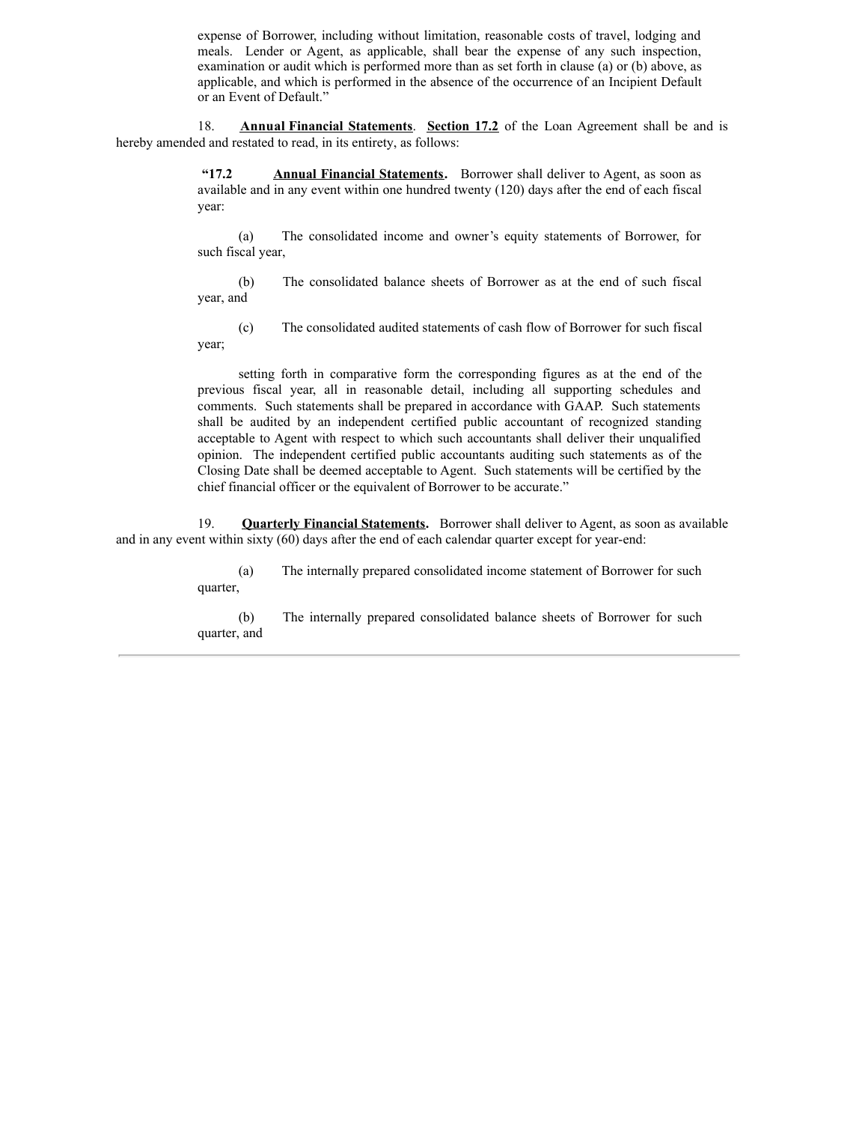expense of Borrower, including without limitation, reasonable costs of travel, lodging and meals. Lender or Agent, as applicable, shall bear the expense of any such inspection, examination or audit which is performed more than as set forth in clause (a) or (b) above, as applicable, and which is performed in the absence of the occurrence of an Incipient Default or an Event of Default."

18. **Annual Financial Statements**. **Section 17.2** of the Loan Agreement shall be and is hereby amended and restated to read, in its entirety, as follows:

> **"17.2 Annual Financial Statements.** Borrower shall deliver to Agent, as soon as available and in any event within one hundred twenty (120) days after the end of each fiscal year:

> (a) The consolidated income and owner's equity statements of Borrower, for such fiscal year,

> (b) The consolidated balance sheets of Borrower as at the end of such fiscal year, and

> (c) The consolidated audited statements of cash flow of Borrower for such fiscal year;

> setting forth in comparative form the corresponding figures as at the end of the previous fiscal year, all in reasonable detail, including all supporting schedules and comments. Such statements shall be prepared in accordance with GAAP. Such statements shall be audited by an independent certified public accountant of recognized standing acceptable to Agent with respect to which such accountants shall deliver their unqualified opinion. The independent certified public accountants auditing such statements as of the Closing Date shall be deemed acceptable to Agent. Such statements will be certified by the chief financial officer or the equivalent of Borrower to be accurate."

19. **Quarterly Financial Statements.** Borrower shall deliver to Agent, as soon as available and in any event within sixty (60) days after the end of each calendar quarter except for year-end:

> (a) The internally prepared consolidated income statement of Borrower for such quarter,

> (b) The internally prepared consolidated balance sheets of Borrower for such quarter, and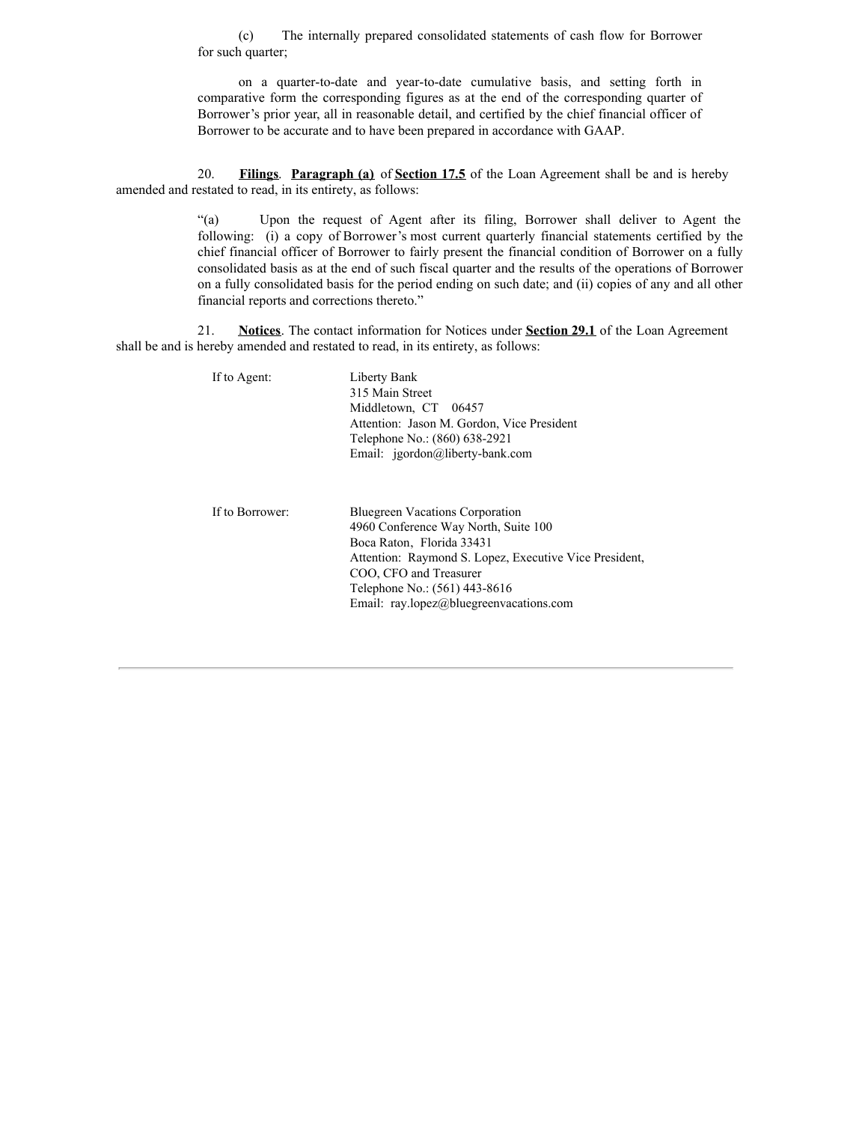(c) The internally prepared consolidated statements of cash flow for Borrower for such quarter;

on a quarter-to-date and year-to-date cumulative basis, and setting forth in comparative form the corresponding figures as at the end of the corresponding quarter of Borrower's prior year, all in reasonable detail, and certified by the chief financial officer of Borrower to be accurate and to have been prepared in accordance with GAAP.

20. **Filings**. **Paragraph (a)** of **Section 17.5** of the Loan Agreement shall be and is hereby amended and restated to read, in its entirety, as follows:

> "(a) Upon the request of Agent after its filing, Borrower shall deliver to Agent the following: (i) a copy of Borrower's most current quarterly financial statements certified by the chief financial officer of Borrower to fairly present the financial condition of Borrower on a fully consolidated basis as at the end of such fiscal quarter and the results of the operations of Borrower on a fully consolidated basis for the period ending on such date; and (ii) copies of any and all other financial reports and corrections thereto."

21. **Notices**. The contact information for Notices under **Section 29.1** of the Loan Agreement shall be and is hereby amended and restated to read, in its entirety, as follows:

If to Agent: Liberty Bank

315 Main Street Middletown, CT 06457 Attention: Jason M. Gordon, Vice President Telephone No.: (860) 638-2921 Email: jgordon@liberty-bank.com

| If to Borrower: | <b>Bluegreen Vacations Corporation</b>                 |  |
|-----------------|--------------------------------------------------------|--|
|                 | 4960 Conference Way North, Suite 100                   |  |
|                 | Boca Raton, Florida 33431                              |  |
|                 | Attention: Raymond S. Lopez, Executive Vice President, |  |
|                 | COO, CFO and Treasurer                                 |  |
|                 | Telephone No.: (561) 443-8616                          |  |
|                 | Email: ray.lopez@bluegreenvacations.com                |  |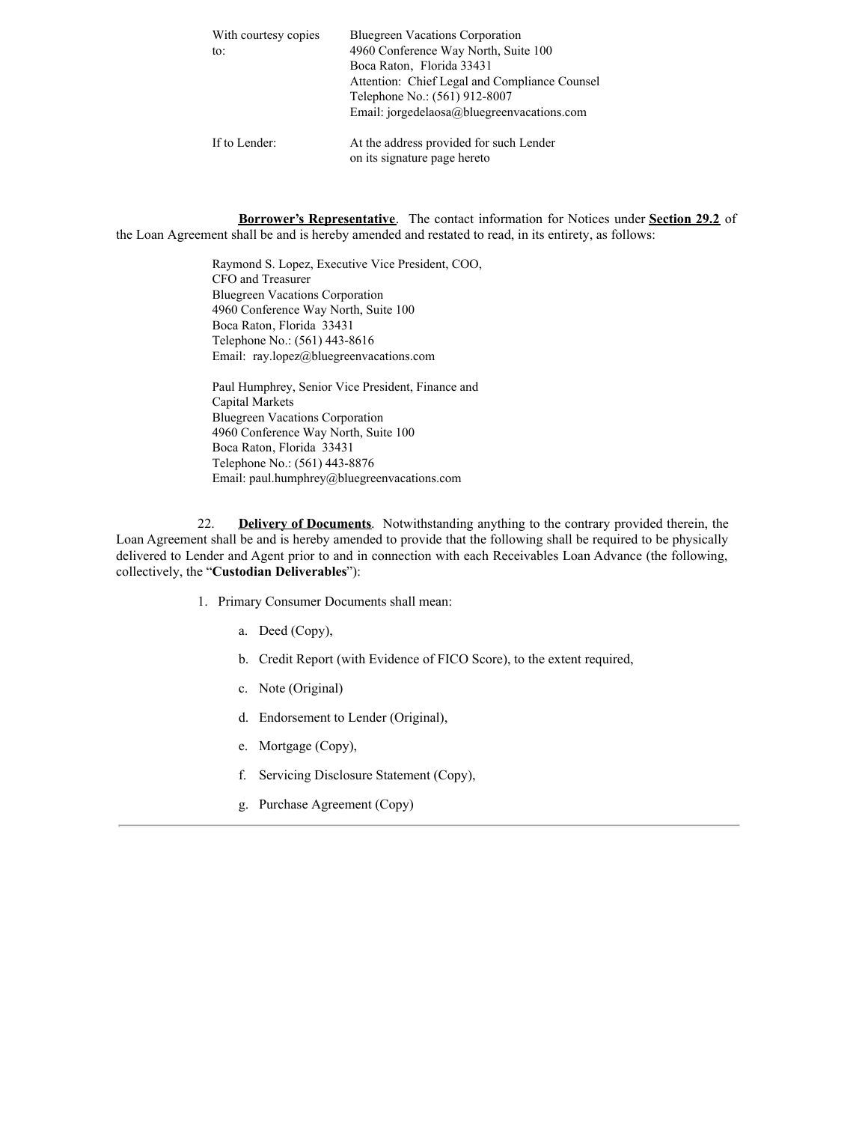| With courtesy copies | <b>Bluegreen Vacations Corporation</b>        |
|----------------------|-----------------------------------------------|
| to:                  | 4960 Conference Way North, Suite 100          |
|                      | Boca Raton, Florida 33431                     |
|                      | Attention: Chief Legal and Compliance Counsel |
|                      | Telephone No.: (561) 912-8007                 |
|                      | Email: jorgedelaosa@bluegreenvacations.com    |
| If to Lender:        | At the address provided for such Lender       |
|                      | on its signature page hereto                  |

**Borrower's Representative**. The contact information for Notices under **Section 29.2** of the Loan Agreement shall be and is hereby amended and restated to read, in its entirety, as follows:

> Raymond S. Lopez, Executive Vice President, COO, CFO and Treasurer Bluegreen Vacations Corporation 4960 Conference Way North, Suite 100 Boca Raton, Florida 33431 Telephone No.: (561) 443-8616 Email: ray.lopez@bluegreenvacations.com

> Paul Humphrey, Senior Vice President, Finance and Capital Markets Bluegreen Vacations Corporation 4960 Conference Way North, Suite 100 Boca Raton, Florida 33431 Telephone No.: (561) 443-8876 Email: paul.humphrey@bluegreenvacations.com

22. **Delivery of Documents**. Notwithstanding anything to the contrary provided therein, the Loan Agreement shall be and is hereby amended to provide that the following shall be required to be physically delivered to Lender and Agent prior to and in connection with each Receivables Loan Advance (the following, collectively, the "**Custodian Deliverables**"):

- 1. Primary Consumer Documents shall mean:
	- a. Deed (Copy),
	- b. Credit Report (with Evidence of FICO Score), to the extent required,
	- c. Note (Original)
	- d. Endorsement to Lender (Original),
	- e. Mortgage (Copy),
	- f. Servicing Disclosure Statement (Copy),
	- g. Purchase Agreement (Copy)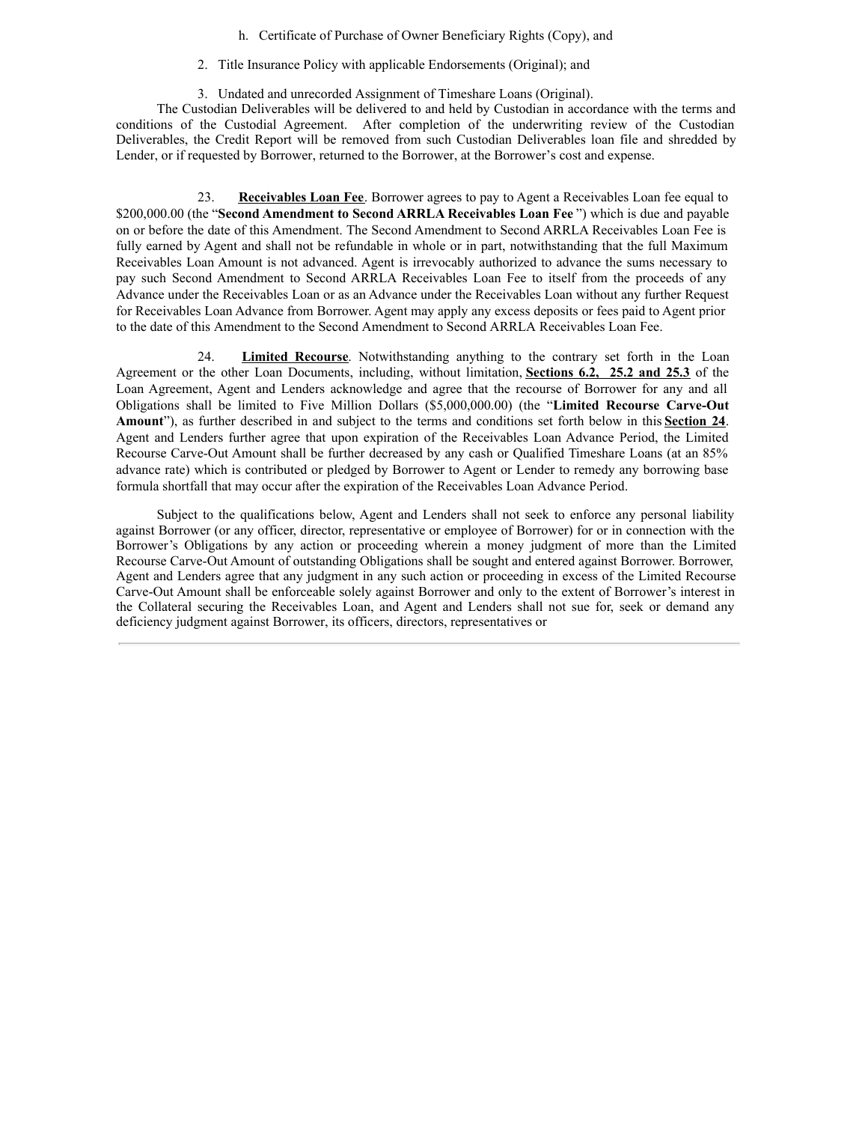### h. Certificate of Purchase of Owner Beneficiary Rights (Copy), and

## 2. Title Insurance Policy with applicable Endorsements (Original); and

#### 3. Undated and unrecorded Assignment of Timeshare Loans (Original).

The Custodian Deliverables will be delivered to and held by Custodian in accordance with the terms and conditions of the Custodial Agreement. After completion of the underwriting review of the Custodian Deliverables, the Credit Report will be removed from such Custodian Deliverables loan file and shredded by Lender, or if requested by Borrower, returned to the Borrower, at the Borrower's cost and expense.

23. **Receivables Loan Fee**. Borrower agrees to pay to Agent a Receivables Loan fee equal to \$200,000.00 (the "**Second Amendment to Second ARRLA Receivables Loan Fee** ") which is due and payable on or before the date of this Amendment. The Second Amendment to Second ARRLA Receivables Loan Fee is fully earned by Agent and shall not be refundable in whole or in part, notwithstanding that the full Maximum Receivables Loan Amount is not advanced. Agent is irrevocably authorized to advance the sums necessary to pay such Second Amendment to Second ARRLA Receivables Loan Fee to itself from the proceeds of any Advance under the Receivables Loan or as an Advance under the Receivables Loan without any further Request for Receivables Loan Advance from Borrower. Agent may apply any excess deposits or fees paid to Agent prior to the date of this Amendment to the Second Amendment to Second ARRLA Receivables Loan Fee.

24. **Limited Recourse**. Notwithstanding anything to the contrary set forth in the Loan Agreement or the other Loan Documents, including, without limitation, **Sections 6.2, 25.2 and 25.3** of the Loan Agreement, Agent and Lenders acknowledge and agree that the recourse of Borrower for any and all Obligations shall be limited to Five Million Dollars (\$5,000,000.00) (the "**Limited Recourse Carve-Out Amount**"), as further described in and subject to the terms and conditions set forth below in this **Section 24**. Agent and Lenders further agree that upon expiration of the Receivables Loan Advance Period, the Limited Recourse Carve-Out Amount shall be further decreased by any cash or Qualified Timeshare Loans (at an 85% advance rate) which is contributed or pledged by Borrower to Agent or Lender to remedy any borrowing base formula shortfall that may occur after the expiration of the Receivables Loan Advance Period.

Subject to the qualifications below, Agent and Lenders shall not seek to enforce any personal liability against Borrower (or any officer, director, representative or employee of Borrower) for or in connection with the Borrower's Obligations by any action or proceeding wherein a money judgment of more than the Limited Recourse Carve-Out Amount of outstanding Obligations shall be sought and entered against Borrower. Borrower, Agent and Lenders agree that any judgment in any such action or proceeding in excess of the Limited Recourse Carve-Out Amount shall be enforceable solely against Borrower and only to the extent of Borrower's interest in the Collateral securing the Receivables Loan, and Agent and Lenders shall not sue for, seek or demand any deficiency judgment against Borrower, its officers, directors, representatives or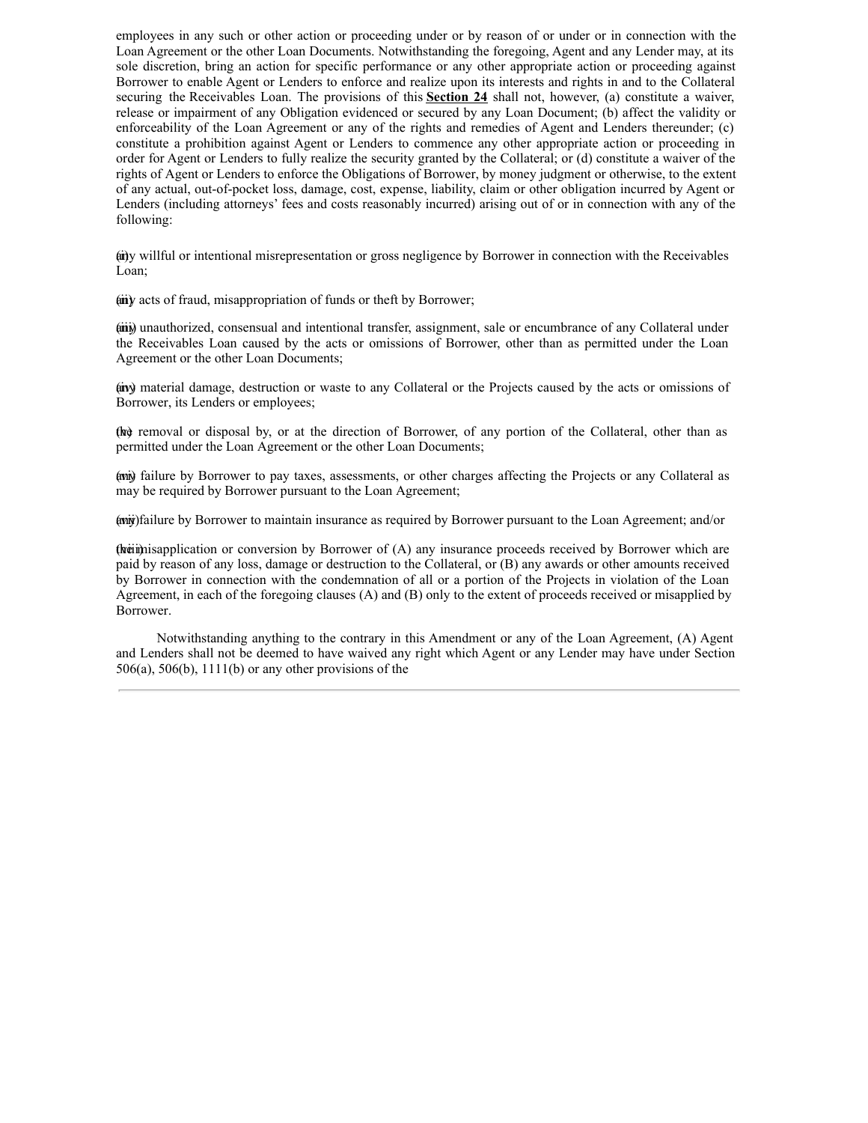employees in any such or other action or proceeding under or by reason of or under or in connection with the Loan Agreement or the other Loan Documents. Notwithstanding the foregoing, Agent and any Lender may, at its sole discretion, bring an action for specific performance or any other appropriate action or proceeding against Borrower to enable Agent or Lenders to enforce and realize upon its interests and rights in and to the Collateral securing the Receivables Loan. The provisions of this **Section 24** shall not, however, (a) constitute a waiver, release or impairment of any Obligation evidenced or secured by any Loan Document; (b) affect the validity or enforceability of the Loan Agreement or any of the rights and remedies of Agent and Lenders thereunder; (c) constitute a prohibition against Agent or Lenders to commence any other appropriate action or proceeding in order for Agent or Lenders to fully realize the security granted by the Collateral; or (d) constitute a waiver of the rights of Agent or Lenders to enforce the Obligations of Borrower, by money judgment or otherwise, to the extent of any actual, out-of-pocket loss, damage, cost, expense, liability, claim or other obligation incurred by Agent or Lenders (including attorneys' fees and costs reasonably incurred) arising out of or in connection with any of the following:

(ain)y willful or intentional misrepresentation or gross negligence by Borrower in connection with the Receivables Loan;

 $(iii)$  acts of fraud, misappropriation of funds or theft by Borrower;

(aini) unauthorized, consensual and intentional transfer, assignment, sale or encumbrance of any Collateral under the Receivables Loan caused by the acts or omissions of Borrower, other than as permitted under the Loan Agreement or the other Loan Documents;

(ainvy) material damage, destruction or waste to any Collateral or the Projects caused by the acts or omissions of Borrower, its Lenders or employees;

(thve) removal or disposal by, or at the direction of Borrower, of any portion of the Collateral, other than as permitted under the Loan Agreement or the other Loan Documents;

(avniy) failure by Borrower to pay taxes, assessments, or other charges affecting the Projects or any Collateral as may be required by Borrower pursuant to the Loan Agreement;

(avniyi)failure by Borrower to maintain insurance as required by Borrower pursuant to the Loan Agreement; and/or

(thveiiim) isapplication or conversion by Borrower of (A) any insurance proceeds received by Borrower which are paid by reason of any loss, damage or destruction to the Collateral, or (B) any awards or other amounts received by Borrower in connection with the condemnation of all or a portion of the Projects in violation of the Loan Agreement, in each of the foregoing clauses (A) and (B) only to the extent of proceeds received or misapplied by Borrower.

Notwithstanding anything to the contrary in this Amendment or any of the Loan Agreement, (A) Agent and Lenders shall not be deemed to have waived any right which Agent or any Lender may have under Section 506(a), 506(b), 1111(b) or any other provisions of the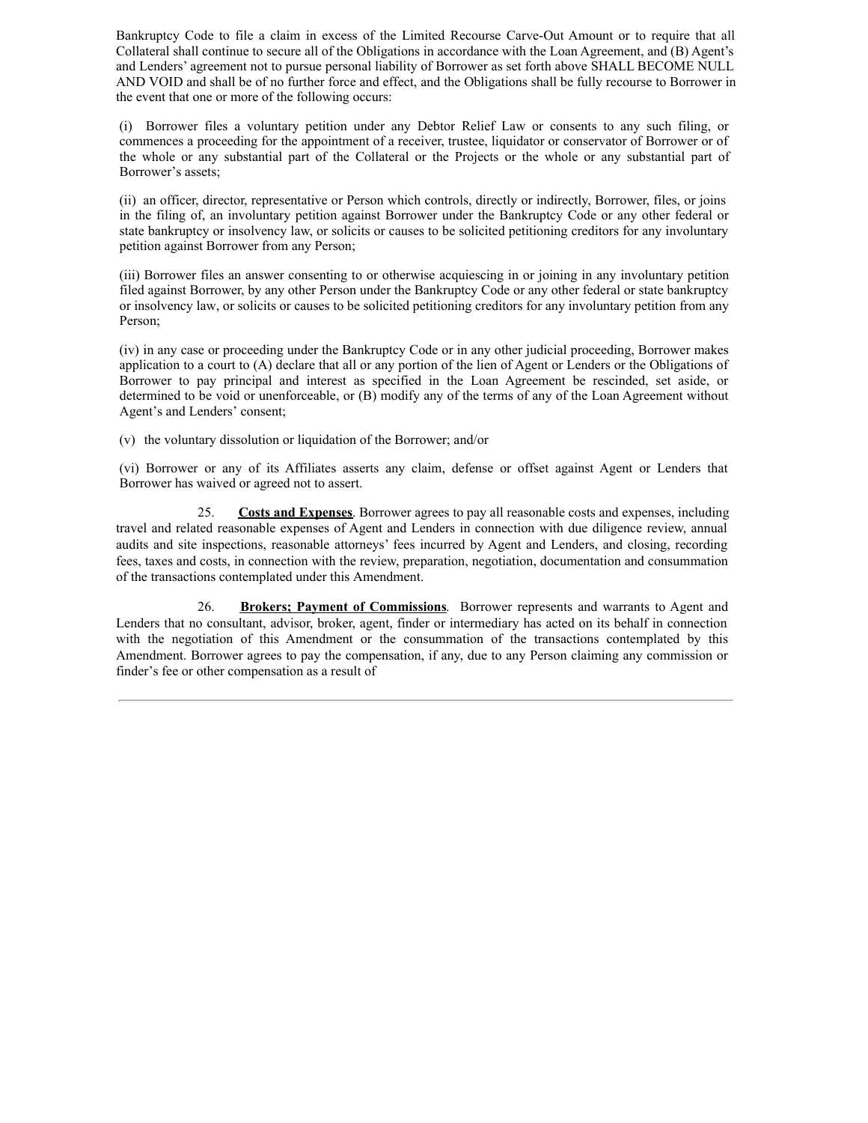Bankruptcy Code to file a claim in excess of the Limited Recourse Carve-Out Amount or to require that all Collateral shall continue to secure all of the Obligations in accordance with the Loan Agreement, and (B) Agent's and Lenders' agreement not to pursue personal liability of Borrower as set forth above SHALL BECOME NULL AND VOID and shall be of no further force and effect, and the Obligations shall be fully recourse to Borrower in the event that one or more of the following occurs:

(i) Borrower files a voluntary petition under any Debtor Relief Law or consents to any such filing, or commences a proceeding for the appointment of a receiver, trustee, liquidator or conservator of Borrower or of the whole or any substantial part of the Collateral or the Projects or the whole or any substantial part of Borrower's assets;

(ii) an officer, director, representative or Person which controls, directly or indirectly, Borrower, files, or joins in the filing of, an involuntary petition against Borrower under the Bankruptcy Code or any other federal or state bankruptcy or insolvency law, or solicits or causes to be solicited petitioning creditors for any involuntary petition against Borrower from any Person;

(iii) Borrower files an answer consenting to or otherwise acquiescing in or joining in any involuntary petition filed against Borrower, by any other Person under the Bankruptcy Code or any other federal or state bankruptcy or insolvency law, or solicits or causes to be solicited petitioning creditors for any involuntary petition from any Person;

(iv) in any case or proceeding under the Bankruptcy Code or in any other judicial proceeding, Borrower makes application to a court to (A) declare that all or any portion of the lien of Agent or Lenders or the Obligations of Borrower to pay principal and interest as specified in the Loan Agreement be rescinded, set aside, or determined to be void or unenforceable, or (B) modify any of the terms of any of the Loan Agreement without Agent's and Lenders' consent;

(v) the voluntary dissolution or liquidation of the Borrower; and/or

(vi) Borrower or any of its Affiliates asserts any claim, defense or offset against Agent or Lenders that Borrower has waived or agreed not to assert.

25. **Costs and Expenses**. Borrower agrees to pay all reasonable costs and expenses, including travel and related reasonable expenses of Agent and Lenders in connection with due diligence review, annual audits and site inspections, reasonable attorneys' fees incurred by Agent and Lenders, and closing, recording fees, taxes and costs, in connection with the review, preparation, negotiation, documentation and consummation of the transactions contemplated under this Amendment.

26. **Brokers; Payment of Commissions**. Borrower represents and warrants to Agent and Lenders that no consultant, advisor, broker, agent, finder or intermediary has acted on its behalf in connection with the negotiation of this Amendment or the consummation of the transactions contemplated by this Amendment. Borrower agrees to pay the compensation, if any, due to any Person claiming any commission or finder's fee or other compensation as a result of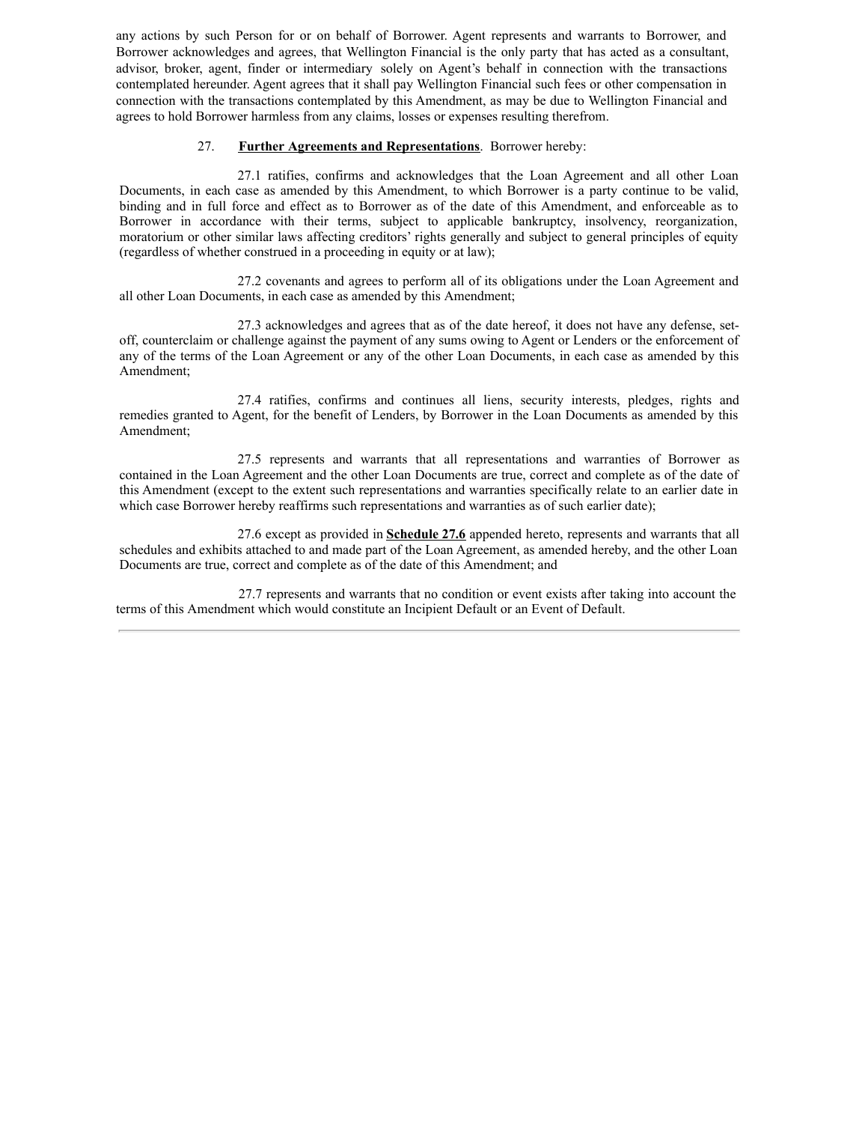any actions by such Person for or on behalf of Borrower. Agent represents and warrants to Borrower, and Borrower acknowledges and agrees, that Wellington Financial is the only party that has acted as a consultant, advisor, broker, agent, finder or intermediary solely on Agent's behalf in connection with the transactions contemplated hereunder. Agent agrees that it shall pay Wellington Financial such fees or other compensation in connection with the transactions contemplated by this Amendment, as may be due to Wellington Financial and agrees to hold Borrower harmless from any claims, losses or expenses resulting therefrom.

### 27. **Further Agreements and Representations**. Borrower hereby:

27.1 ratifies, confirms and acknowledges that the Loan Agreement and all other Loan Documents, in each case as amended by this Amendment, to which Borrower is a party continue to be valid, binding and in full force and effect as to Borrower as of the date of this Amendment, and enforceable as to Borrower in accordance with their terms, subject to applicable bankruptcy, insolvency, reorganization, moratorium or other similar laws affecting creditors' rights generally and subject to general principles of equity (regardless of whether construed in a proceeding in equity or at law);

27.2 covenants and agrees to perform all of its obligations under the Loan Agreement and all other Loan Documents, in each case as amended by this Amendment;

27.3 acknowledges and agrees that as of the date hereof, it does not have any defense, setoff, counterclaim or challenge against the payment of any sums owing to Agent or Lenders or the enforcement of any of the terms of the Loan Agreement or any of the other Loan Documents, in each case as amended by this Amendment;

27.4 ratifies, confirms and continues all liens, security interests, pledges, rights and remedies granted to Agent, for the benefit of Lenders, by Borrower in the Loan Documents as amended by this Amendment;

27.5 represents and warrants that all representations and warranties of Borrower as contained in the Loan Agreement and the other Loan Documents are true, correct and complete as of the date of this Amendment (except to the extent such representations and warranties specifically relate to an earlier date in which case Borrower hereby reaffirms such representations and warranties as of such earlier date);

27.6 except as provided in **Schedule 27.6** appended hereto, represents and warrants that all schedules and exhibits attached to and made part of the Loan Agreement, as amended hereby, and the other Loan Documents are true, correct and complete as of the date of this Amendment; and

27.7 represents and warrants that no condition or event exists after taking into account the terms of this Amendment which would constitute an Incipient Default or an Event of Default.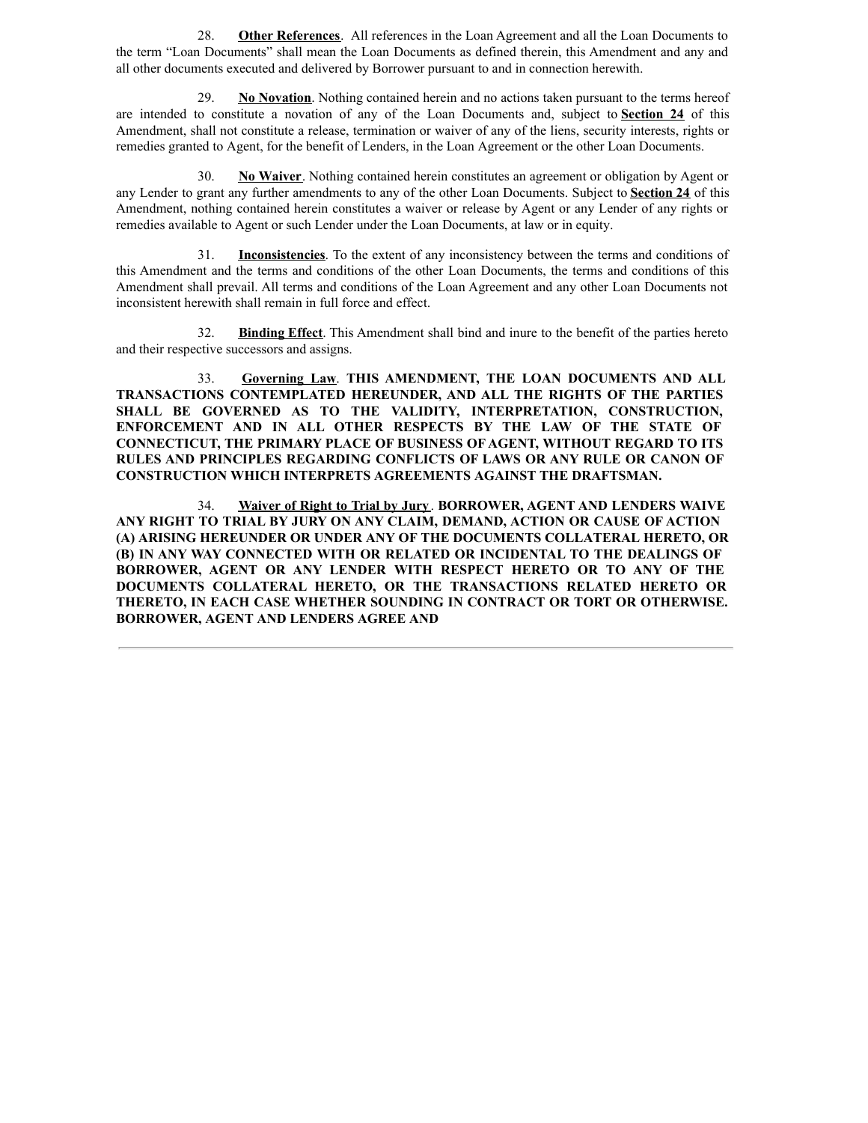28. **Other References**. All references in the Loan Agreement and all the Loan Documents to the term "Loan Documents" shall mean the Loan Documents as defined therein, this Amendment and any and all other documents executed and delivered by Borrower pursuant to and in connection herewith.

29. **No Novation**. Nothing contained herein and no actions taken pursuant to the terms hereof are intended to constitute a novation of any of the Loan Documents and, subject to **Section 24** of this Amendment, shall not constitute a release, termination or waiver of any of the liens, security interests, rights or remedies granted to Agent, for the benefit of Lenders, in the Loan Agreement or the other Loan Documents.

30. **No Waiver**. Nothing contained herein constitutes an agreement or obligation by Agent or any Lender to grant any further amendments to any of the other Loan Documents. Subject to **Section 24** of this Amendment, nothing contained herein constitutes a waiver or release by Agent or any Lender of any rights or remedies available to Agent or such Lender under the Loan Documents, at law or in equity.

31. **Inconsistencies**. To the extent of any inconsistency between the terms and conditions of this Amendment and the terms and conditions of the other Loan Documents, the terms and conditions of this Amendment shall prevail. All terms and conditions of the Loan Agreement and any other Loan Documents not inconsistent herewith shall remain in full force and effect.

32. **Binding Effect**. This Amendment shall bind and inure to the benefit of the parties hereto and their respective successors and assigns.

33. **Governing Law**. **THIS AMENDMENT, THE LOAN DOCUMENTS AND ALL TRANSACTIONS CONTEMPLATED HEREUNDER, AND ALL THE RIGHTS OF THE PARTIES SHALL BE GOVERNED AS TO THE VALIDITY, INTERPRETATION, CONSTRUCTION, ENFORCEMENT AND IN ALL OTHER RESPECTS BY THE LAW OF THE STATE OF CONNECTICUT, THE PRIMARY PLACE OF BUSINESS OF AGENT, WITHOUT REGARD TO ITS RULES AND PRINCIPLES REGARDING CONFLICTS OF LAWS OR ANY RULE OR CANON OF CONSTRUCTION WHICH INTERPRETS AGREEMENTS AGAINST THE DRAFTSMAN.**

34. **Waiver of Right to Trial by Jury** . **BORROWER, AGENT AND LENDERS WAIVE ANY RIGHT TO TRIAL BY JURY ON ANY CLAIM, DEMAND, ACTION OR CAUSE OF ACTION (A) ARISING HEREUNDER OR UNDER ANY OF THE DOCUMENTS COLLATERAL HERETO, OR (B) IN ANY WAY CONNECTED WITH OR RELATED OR INCIDENTAL TO THE DEALINGS OF BORROWER, AGENT OR ANY LENDER WITH RESPECT HERETO OR TO ANY OF THE DOCUMENTS COLLATERAL HERETO, OR THE TRANSACTIONS RELATED HERETO OR THERETO, IN EACH CASE WHETHER SOUNDING IN CONTRACT OR TORT OR OTHERWISE. BORROWER, AGENT AND LENDERS AGREE AND**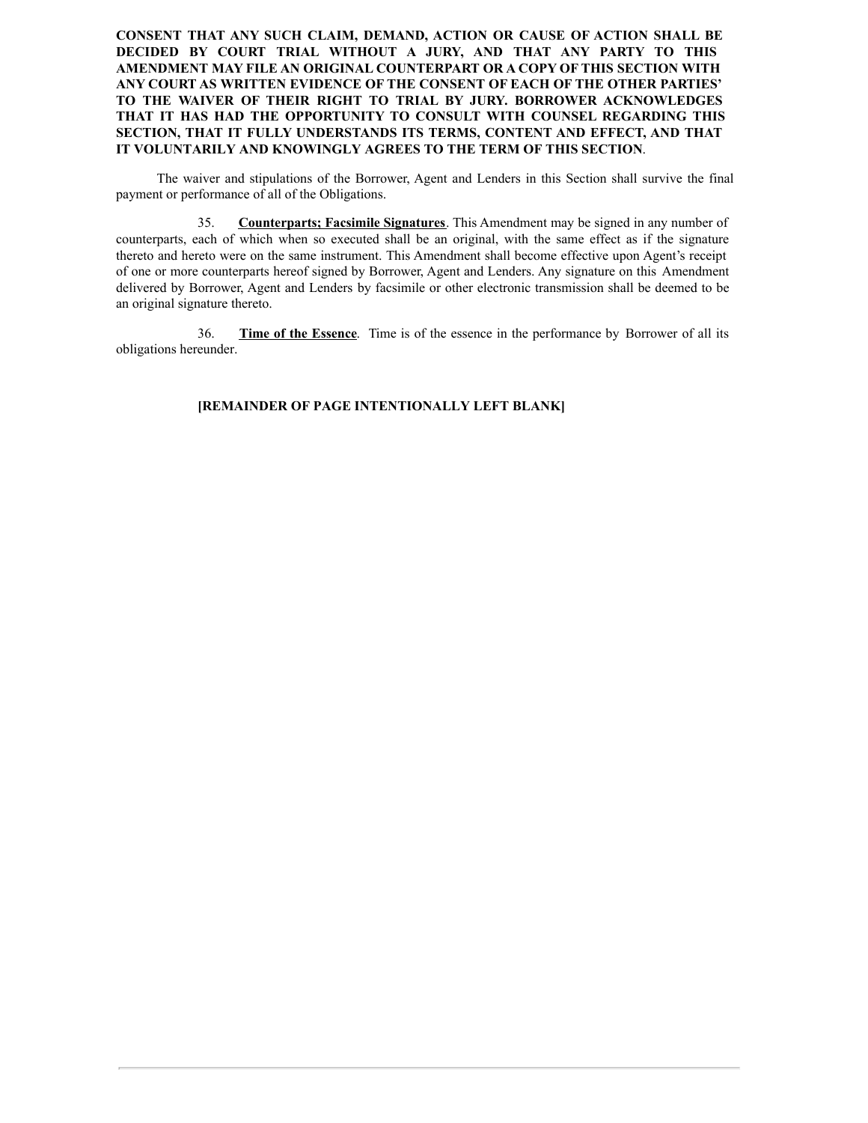**CONSENT THAT ANY SUCH CLAIM, DEMAND, ACTION OR CAUSE OF ACTION SHALL BE DECIDED BY COURT TRIAL WITHOUT A JURY, AND THAT ANY PARTY TO THIS AMENDMENT MAY FILE AN ORIGINAL COUNTERPART OR A COPY OF THIS SECTION WITH ANY COURT AS WRITTEN EVIDENCE OF THE CONSENT OF EACH OF THE OTHER PARTIES' TO THE WAIVER OF THEIR RIGHT TO TRIAL BY JURY. BORROWER ACKNOWLEDGES THAT IT HAS HAD THE OPPORTUNITY TO CONSULT WITH COUNSEL REGARDING THIS SECTION, THAT IT FULLY UNDERSTANDS ITS TERMS, CONTENT AND EFFECT, AND THAT IT VOLUNTARILY AND KNOWINGLY AGREES TO THE TERM OF THIS SECTION**.

The waiver and stipulations of the Borrower, Agent and Lenders in this Section shall survive the final payment or performance of all of the Obligations.

35. **Counterparts; Facsimile Signatures**. This Amendment may be signed in any number of counterparts, each of which when so executed shall be an original, with the same effect as if the signature thereto and hereto were on the same instrument. This Amendment shall become effective upon Agent's receipt of one or more counterparts hereof signed by Borrower, Agent and Lenders. Any signature on this Amendment delivered by Borrower, Agent and Lenders by facsimile or other electronic transmission shall be deemed to be an original signature thereto.

36. **Time of the Essence**. Time is of the essence in the performance by Borrower of all its obligations hereunder.

## **[REMAINDER OF PAGE INTENTIONALLY LEFT BLANK]**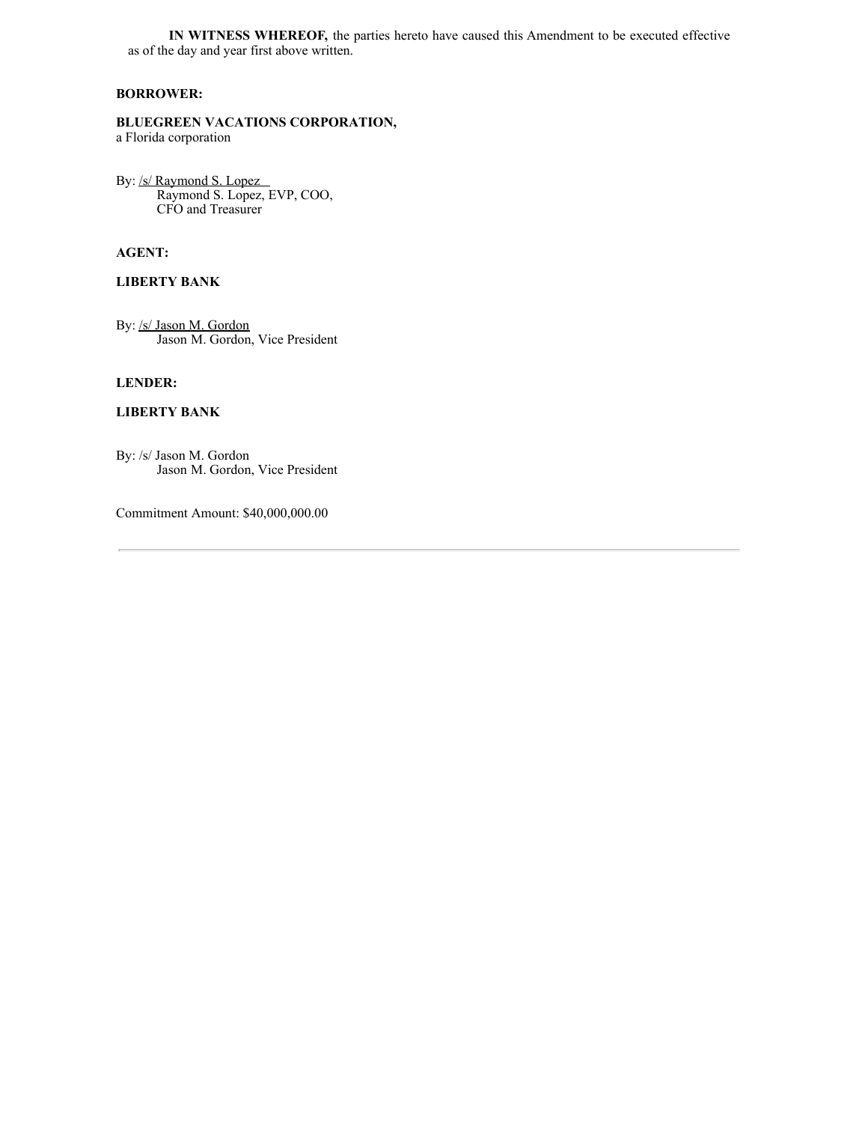**IN WITNESS WHEREOF,** the parties hereto have caused this Amendment to be executed effective as of the day and year first above written.

## **BORROWER:**

**BLUEGREEN VACATIONS CORPORATION,** a Florida corporation

By: /s/ Raymond S. Lopez Raymond S. Lopez, EVP, COO, CFO and Treasurer

# **AGENT:**

## **LIBERTY BANK**

By: /s/ Jason M. Gordon Jason M. Gordon, Vice President

## **LENDER:**

### **LIBERTY BANK**

By: /s/ Jason M. Gordon Jason M. Gordon, Vice President

Commitment Amount: \$40,000,000.00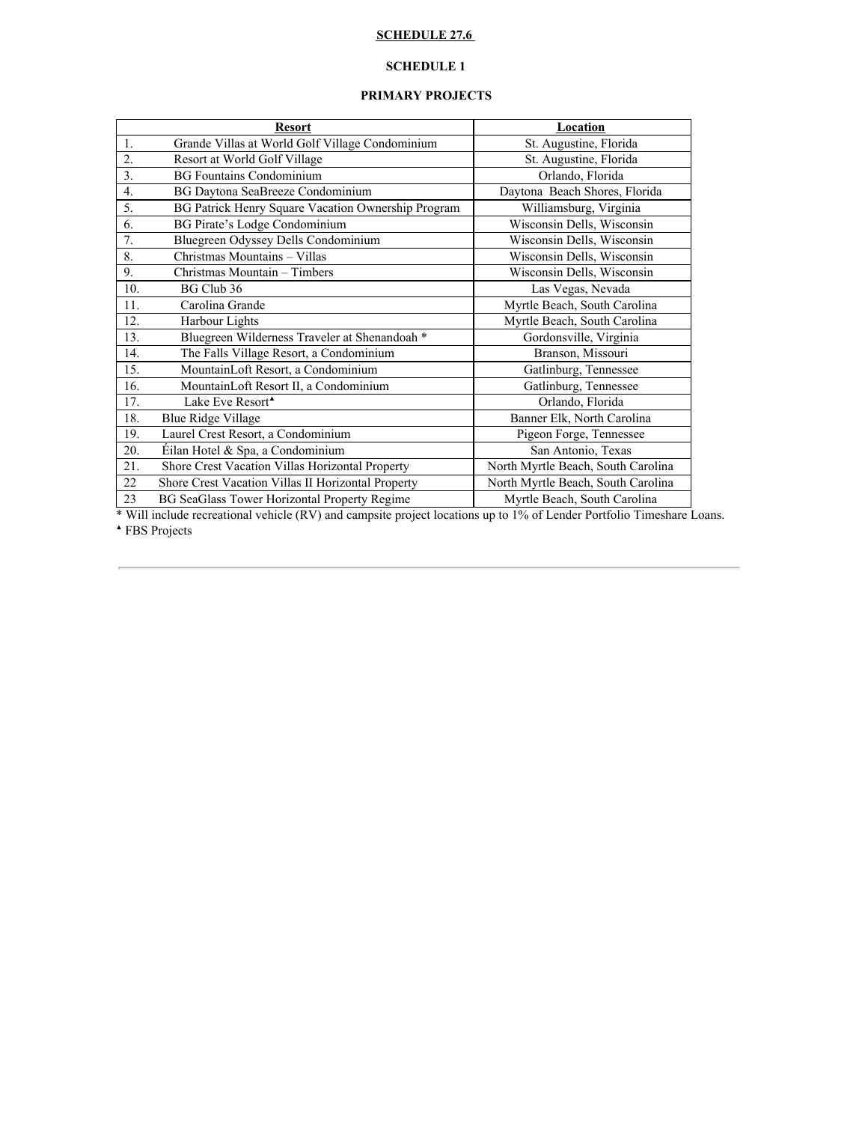## **SCHEDULE 27.6**

### **SCHEDULE 1**

## **PRIMARY PROJECTS**

|                  | <b>Resort</b>                                      | Location                           |
|------------------|----------------------------------------------------|------------------------------------|
| 1.               | Grande Villas at World Golf Village Condominium    | St. Augustine, Florida             |
| $\overline{2}$ . | Resort at World Golf Village                       | St. Augustine, Florida             |
| 3.               | <b>BG Fountains Condominium</b>                    | Orlando, Florida                   |
| $\overline{4}$ . | BG Daytona SeaBreeze Condominium                   | Daytona Beach Shores, Florida      |
| 5.               | BG Patrick Henry Square Vacation Ownership Program | Williamsburg, Virginia             |
| 6.               | BG Pirate's Lodge Condominium                      | Wisconsin Dells, Wisconsin         |
| 7.               | Bluegreen Odyssey Dells Condominium                | Wisconsin Dells, Wisconsin         |
| 8.               | Christmas Mountains - Villas                       | Wisconsin Dells, Wisconsin         |
| 9.               | Christmas Mountain - Timbers                       | Wisconsin Dells, Wisconsin         |
| 10.              | BG Club 36                                         | Las Vegas, Nevada                  |
| 11.              | Carolina Grande                                    | Myrtle Beach, South Carolina       |
| 12.              | Harbour Lights                                     | Myrtle Beach, South Carolina       |
| 13.              | Bluegreen Wilderness Traveler at Shenandoah *      | Gordonsville, Virginia             |
| 14.              | The Falls Village Resort, a Condominium            | Branson, Missouri                  |
| 15.              | MountainLoft Resort, a Condominium                 | Gatlinburg, Tennessee              |
| 16.              | MountainLoft Resort II, a Condominium              | Gatlinburg, Tennessee              |
| 17.              | Lake Eve Resort <sup>4</sup>                       | Orlando, Florida                   |
| 18.              | Blue Ridge Village                                 | Banner Elk, North Carolina         |
| 19.              | Laurel Crest Resort, a Condominium                 | Pigeon Forge, Tennessee            |
| 20.              | Éilan Hotel & Spa, a Condominium                   | San Antonio, Texas                 |
| 21.              | Shore Crest Vacation Villas Horizontal Property    | North Myrtle Beach, South Carolina |
| 22               | Shore Crest Vacation Villas II Horizontal Property | North Myrtle Beach, South Carolina |
| 23               | BG SeaGlass Tower Horizontal Property Regime       | Myrtle Beach, South Carolina       |

\* Will include recreational vehicle (RV) and campsite project locations up to 1% of Lender Portfolio Timeshare Loans. ▲ FBS Projects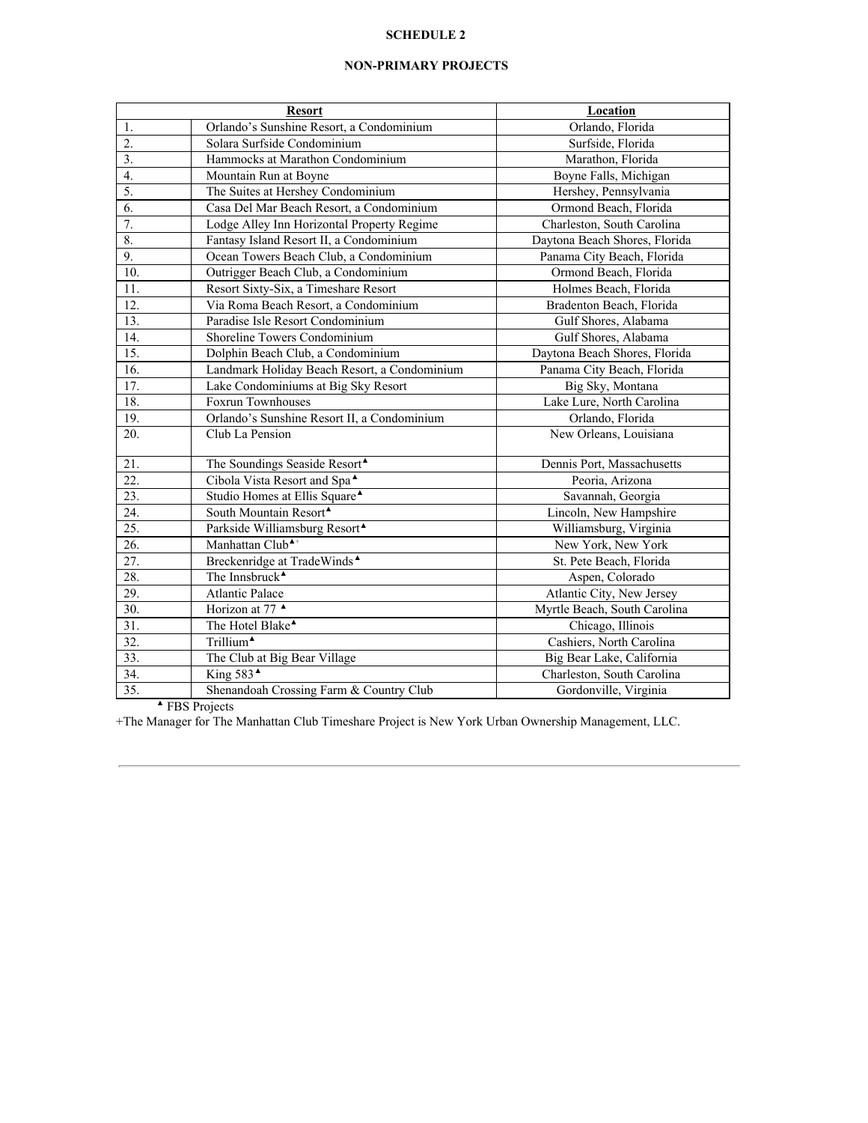# **SCHEDULE 2**

## **NON-PRIMARY PROJECTS**

|                   | <b>Resort</b>                                | Location                      |
|-------------------|----------------------------------------------|-------------------------------|
| 1.                | Orlando's Sunshine Resort, a Condominium     | Orlando, Florida              |
| 2.                | Solara Surfside Condominium                  | Surfside, Florida             |
| 3.                | Hammocks at Marathon Condominium             | Marathon, Florida             |
| 4.                | Mountain Run at Boyne                        | Boyne Falls, Michigan         |
| 5.                | The Suites at Hershey Condominium            | Hershey, Pennsylvania         |
| 6.                | Casa Del Mar Beach Resort, a Condominium     | Ormond Beach, Florida         |
| $\overline{7}$ .  | Lodge Alley Inn Horizontal Property Regime   | Charleston, South Carolina    |
| 8.                | Fantasy Island Resort II, a Condominium      | Daytona Beach Shores, Florida |
| 9.                | Ocean Towers Beach Club, a Condominium       | Panama City Beach, Florida    |
| 10.               | Outrigger Beach Club, a Condominium          | Ormond Beach, Florida         |
| 11.               | Resort Sixty-Six, a Timeshare Resort         | Holmes Beach, Florida         |
| 12.               | Via Roma Beach Resort, a Condominium         | Bradenton Beach, Florida      |
| 13.               | Paradise Isle Resort Condominium             | Gulf Shores, Alabama          |
| 14.               | Shoreline Towers Condominium                 | Gulf Shores, Alabama          |
| 15.               | Dolphin Beach Club, a Condominium            | Daytona Beach Shores, Florida |
| 16.               | Landmark Holiday Beach Resort, a Condominium | Panama City Beach, Florida    |
| 17.               | Lake Condominiums at Big Sky Resort          | Big Sky, Montana              |
| 18.               | Foxrun Townhouses                            | Lake Lure, North Carolina     |
| 19.               | Orlando's Sunshine Resort II, a Condominium  | Orlando, Florida              |
| 20.               | Club La Pension                              | New Orleans, Louisiana        |
| 21.               | The Soundings Seaside Resort <sup>4</sup>    | Dennis Port, Massachusetts    |
| 22.               | Cibola Vista Resort and Spa <sup>4</sup>     | Peoria, Arizona               |
| 23.               | Studio Homes at Ellis Square <sup>4</sup>    | Savannah, Georgia             |
| 24.               | South Mountain Resort <sup>4</sup>           | Lincoln, New Hampshire        |
| 25.               | Parkside Williamsburg Resort <sup>4</sup>    | Williamsburg, Virginia        |
| 26.               | Manhattan Club <sup>4+</sup>                 | New York, New York            |
| 27.               | Breckenridge at TradeWinds <sup>4</sup>      | St. Pete Beach, Florida       |
| 28.               | The Innsbruck <sup>4</sup>                   | Aspen, Colorado               |
| 29.               | <b>Atlantic Palace</b>                       | Atlantic City, New Jersey     |
| 30.               | Horizon at 77                                | Myrtle Beach, South Carolina  |
| 31.               | The Hotel Blake <sup>4</sup>                 | Chicago, Illinois             |
| 32.               | Trillium <sup>4</sup>                        | Cashiers, North Carolina      |
| 33.               | The Club at Big Bear Village                 | Big Bear Lake, California     |
| 34.               | King 583 <sup>4</sup>                        | Charleston, South Carolina    |
| $\overline{35}$ . | Shenandoah Crossing Farm & Country Club      | Gordonville, Virginia         |

▲ FBS Projects

Ē.

+The Manager for The Manhattan Club Timeshare Project is New York Urban Ownership Management, LLC.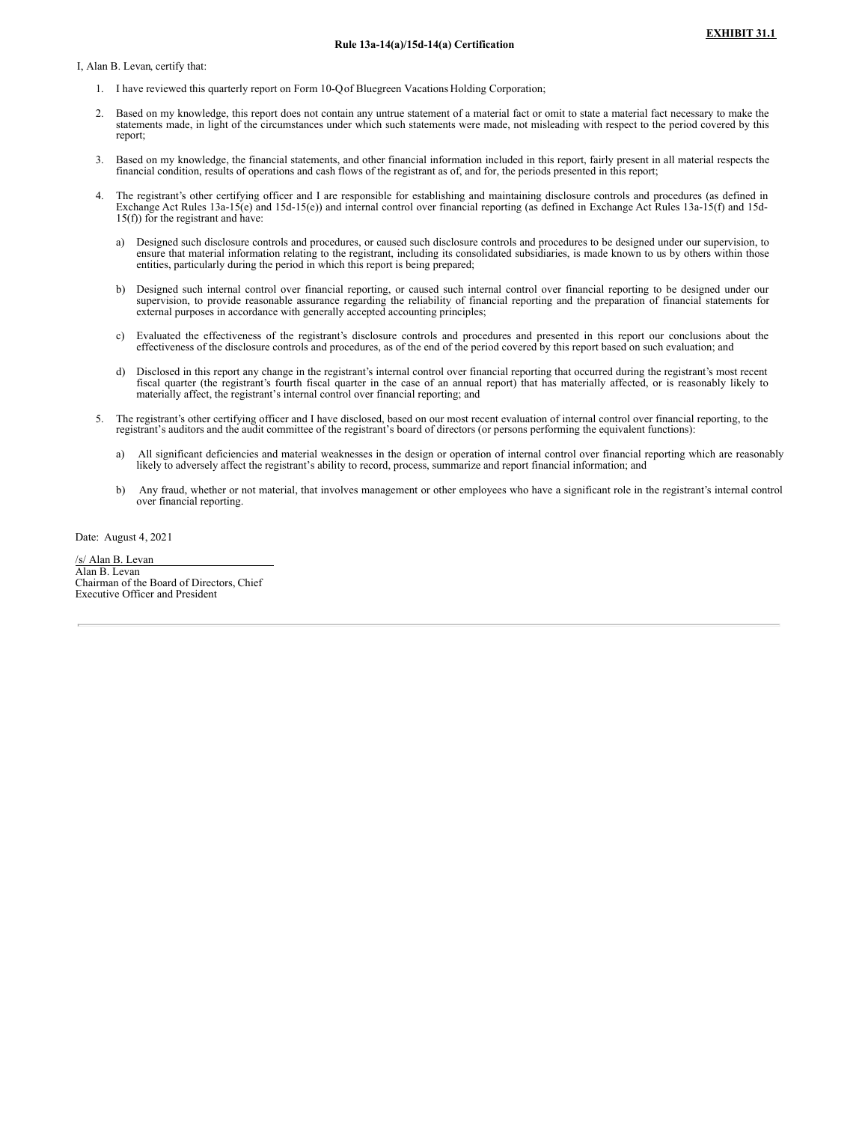#### **Rule 13a-14(a)/15d-14(a) Certification**

- I, Alan B. Levan, certify that:
	- 1. I have reviewed this quarterly report on Form 10-Qof Bluegreen Vacations Holding Corporation;
	- 2. Based on my knowledge, this report does not contain any untrue statement of a material fact or omit to state a material fact necessary to make the statements made, in light of the circumstances under which such statemen report;
	- 3. Based on my knowledge, the financial statements, and other financial information included in this report, fairly present in all material respects the financial condition, results of operations and cash flows of the registrant as of, and for, the periods presented in this report;
	- 4. The registrant's other certifying officer and I are responsible for establishing and maintaining disclosure controls and procedures (as defined in Exchange Act Rules 13a-15(e) and 15d-15(e) and internal control over fin 15(f)) for the registrant and have:
		- a) Designed such disclosure controls and procedures, or caused such disclosure controls and procedures to be designed under our supervision, to ensure that material information relating to the registrant, including its consolidated subsidiaries, is made known to us by others within those entities, particularly during the period in which this report is being prepared;
		- b) Designed such internal control over financial reporting, or caused such internal control over financial reporting to be designed under our supervision, to provide reasonable assurance regarding the reliability of financ
		- c) Evaluated the effectiveness of the registrant's disclosure controls and procedures and presented in this report our conclusions about the effectiveness of the disclosure controls and procedures, as of the end of the period covered by this report based on such evaluation; and
		- d) Disclosed in this report any change in the registrant's internal control over financial reporting that occurred during the registrant's most recent fiscal quarter (the registrant's fourth fiscal quarter in the case of an annual report) that has materially affected, or is reasonably likely to materially affect, the registrant's internal control over financial reporting; and
	- 5. The registrant's other certifying officer and I have disclosed, based on our most recent evaluation of internal control over financial reporting, to the registrant's auditors and the audit committee of the registrant's board of directors (or persons performing the equivalent functions):
		- a) All significant deficiencies and material weaknesses in the design or operation of internal control over financial reporting which are reasonably likely to adversely affect the registrant's ability to record, process, summarize and report financial information; and
		- b) Any fraud, whether or not material, that involves management or other employees who have a significant role in the registrant's internal control over financial reporting.

Date: August 4, 2021

/s/ Alan B. Levan Alan B. Levan Chairman of the Board of Directors, Chief Executive Officer and President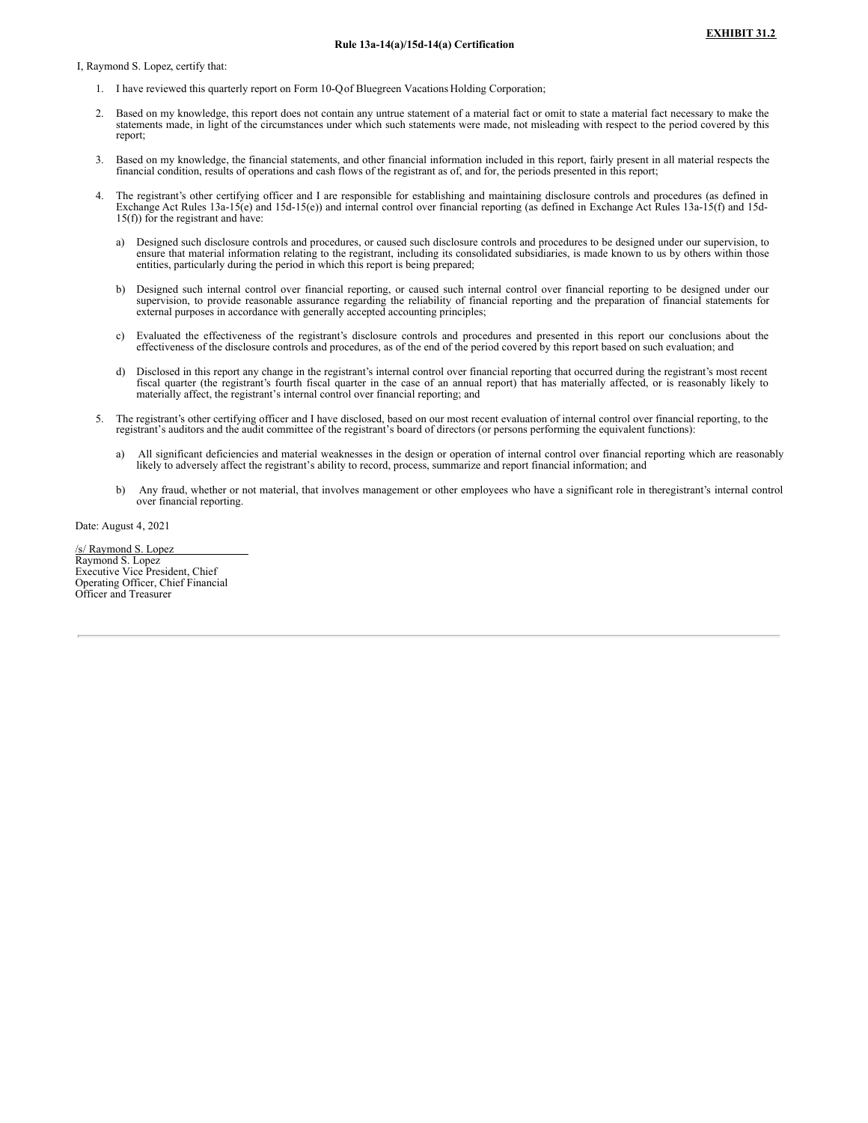#### **Rule 13a-14(a)/15d-14(a) Certification**

I, Raymond S. Lopez, certify that:

- 1. I have reviewed this quarterly report on Form 10-Qof Bluegreen Vacations Holding Corporation;
- 2. Based on my knowledge, this report does not contain any untrue statement of a material fact or omit to state a material fact necessary to make the statements made, in light of the circumstances under which such statemen report;
- 3. Based on my knowledge, the financial statements, and other financial information included in this report, fairly present in all material respects the financial condition, results of operations and cash flows of the registrant as of, and for, the periods presented in this report;
- 4. The registrant's other certifying officer and I are responsible for establishing and maintaining disclosure controls and procedures (as defined in Exchange Act Rules 13a-15(e) and 15d-15(e) and internal control over fin 15(f)) for the registrant and have:
	- a) Designed such disclosure controls and procedures, or caused such disclosure controls and procedures to be designed under our supervision, to ensure that material information relating to the registrant, including its consolidated subsidiaries, is made known to us by others within those entities, particularly during the period in which this report is being prepared;
	- b) Designed such internal control over financial reporting, or caused such internal control over financial reporting to be designed under our supervision, to provide reasonable assurance regarding the reliability of financ
	- c) Evaluated the effectiveness of the registrant's disclosure controls and procedures and presented in this report our conclusions about the effectiveness of the disclosure controls and procedures, as of the end of the period covered by this report based on such evaluation; and
	- d) Disclosed in this report any change in the registrant's internal control over financial reporting that occurred during the registrant's most recent fiscal quarter (the registrant's fourth fiscal quarter in the case of an annual report) that has materially affected, or is reasonably likely to materially affect, the registrant's internal control over financial reporting; and
- 5. The registrant's other certifying officer and I have disclosed, based on our most recent evaluation of internal control over financial reporting, to the registrant's auditors and the audit committee of the registrant's board of directors (or persons performing the equivalent functions):
	- a) All significant deficiencies and material weaknesses in the design or operation of internal control over financial reporting which are reasonably likely to adversely affect the registrant's ability to record, process, summarize and report financial information; and
	- b) Any fraud, whether or not material, that involves management or other employees who have a significant role in theregistrant's internal control over financial reporting.

Date: August 4, 2021

/s/ Raymond S. Lopez Raymond S. Lopez Executive Vice President, Chief Operating Officer, Chief Financial Officer and Treasurer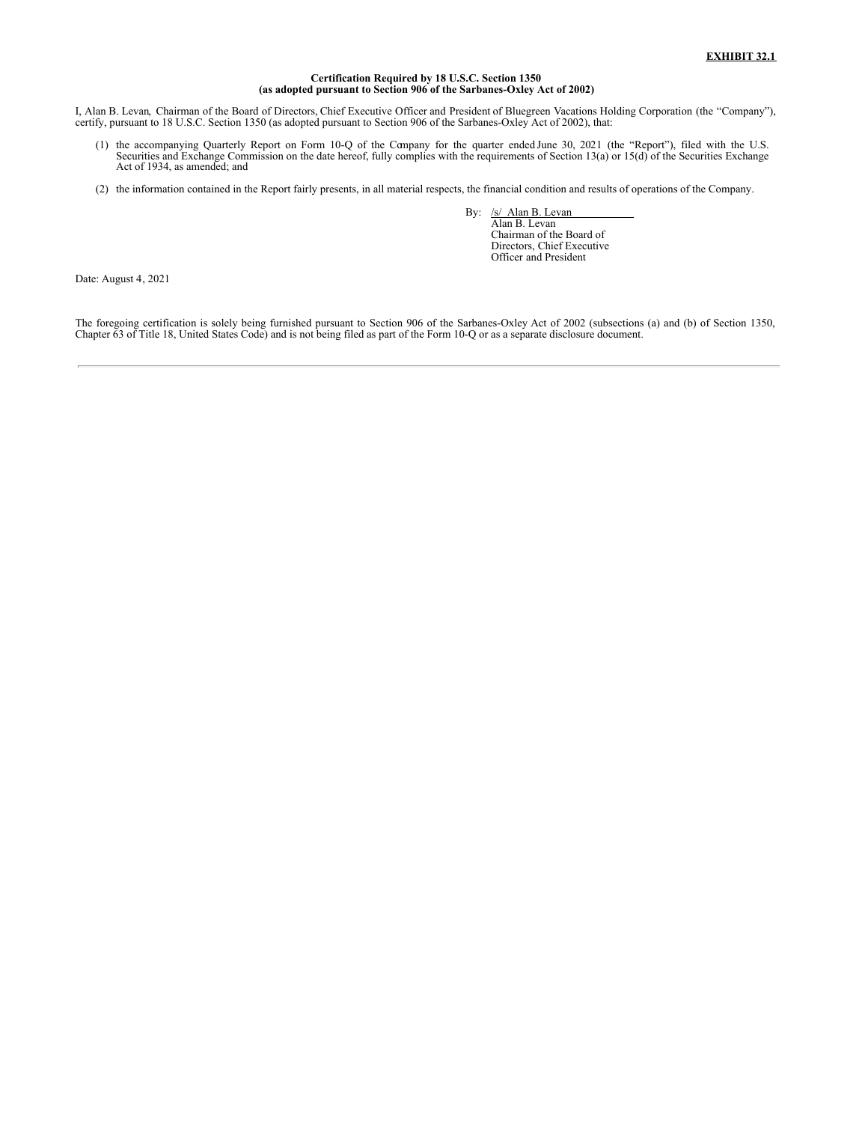#### **Certification Required by 18 U.S.C. Section 1350 (as adopted pursuant to Section 906 of the Sarbanes-Oxley Act of 2002)**

I, Alan B. Levan, Chairman of the Board of Directors, Chief Executive Officer and President of Bluegreen Vacations Holding Corporation (the "Company"), certify, pursuant to 18 U.S.C. Section 1350 (as adopted pursuant to Section 906 of the Sarbanes-Oxley Act of 2002), that:

- (1) the accompanying Quarterly Report on Form 10-Q of the Company for the quarter ended June 30, 2021 (the "Report"), filed with the U.S. Securities and Exchange Commission on the date hereof, fully complies with the requi
- (2) the information contained in the Report fairly presents, in all material respects, the financial condition and results of operations of the Company.

By: /s/ Alan B. Levan Alan B. Levan Chairman of the Board of Directors, Chief Executive Officer and President

Date: August 4, 2021

The foregoing certification is solely being furnished pursuant to Section 906 of the Sarbanes-Oxley Act of 2002 (subsections (a) and (b) of Section 1350, Chapter 63 of Title 18, United States Code) and is not being filed a